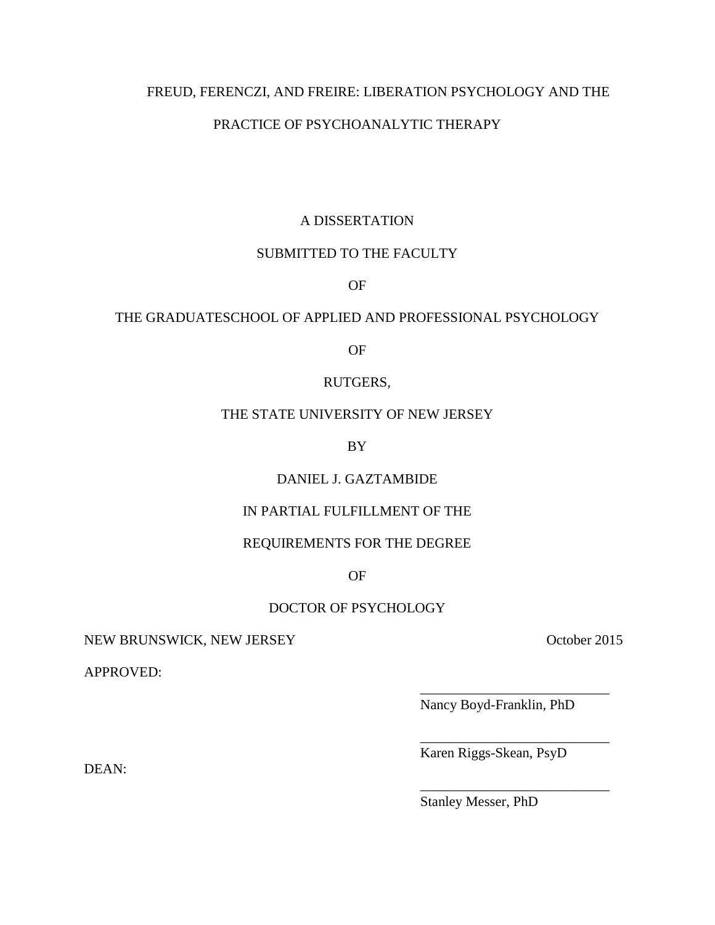## FREUD, FERENCZI, AND FREIRE: LIBERATION PSYCHOLOGY AND THE

# PRACTICE OF PSYCHOANALYTIC THERAPY

## A DISSERTATION

## SUBMITTED TO THE FACULTY

OF

## THE GRADUATESCHOOL OF APPLIED AND PROFESSIONAL PSYCHOLOGY

OF

## RUTGERS,

## THE STATE UNIVERSITY OF NEW JERSEY

BY

# DANIEL J. GAZTAMBIDE

# IN PARTIAL FULFILLMENT OF THE

## REQUIREMENTS FOR THE DEGREE

OF

# DOCTOR OF PSYCHOLOGY

## NEW BRUNSWICK, NEW JERSEY October 2015

APPROVED:

Nancy Boyd-Franklin, PhD

\_\_\_\_\_\_\_\_\_\_\_\_\_\_\_\_\_\_\_\_\_\_\_\_\_\_\_

\_\_\_\_\_\_\_\_\_\_\_\_\_\_\_\_\_\_\_\_\_\_\_\_\_\_\_

\_\_\_\_\_\_\_\_\_\_\_\_\_\_\_\_\_\_\_\_\_\_\_\_\_\_\_

Karen Riggs-Skean, PsyD

DEAN:

Stanley Messer, PhD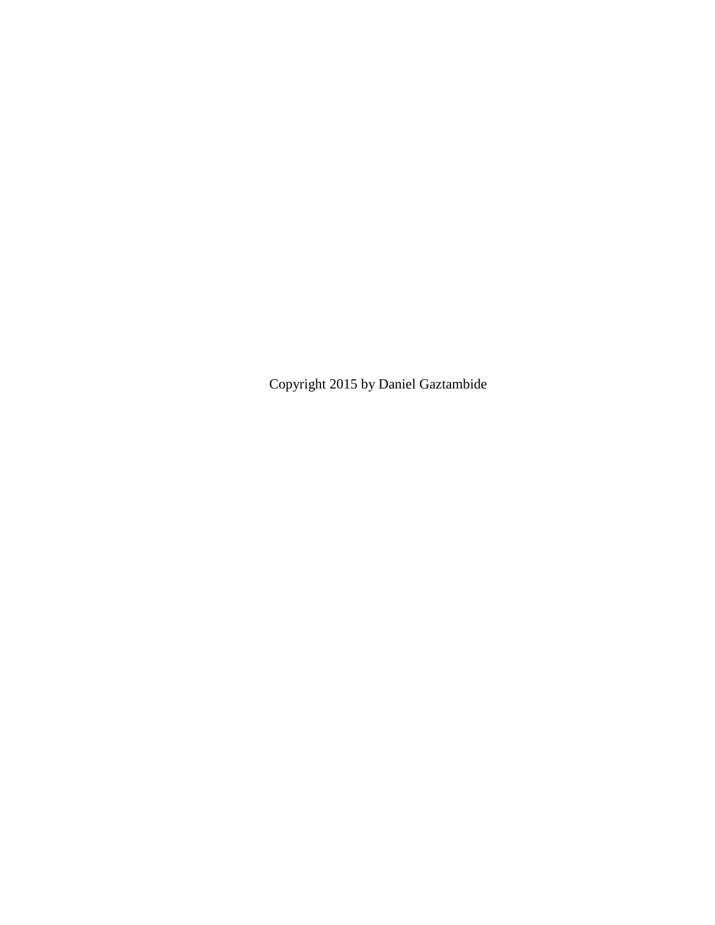Copyright 2015 by Daniel Gaztambide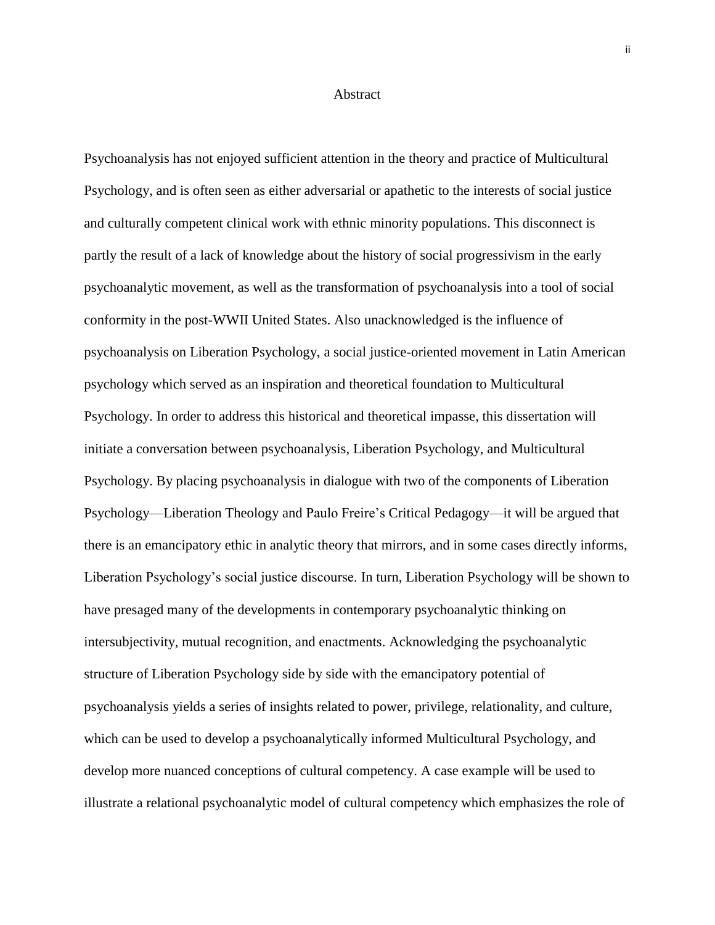### Abstract

Psychoanalysis has not enjoyed sufficient attention in the theory and practice of Multicultural Psychology, and is often seen as either adversarial or apathetic to the interests of social justice and culturally competent clinical work with ethnic minority populations. This disconnect is partly the result of a lack of knowledge about the history of social progressivism in the early psychoanalytic movement, as well as the transformation of psychoanalysis into a tool of social conformity in the post-WWII United States. Also unacknowledged is the influence of psychoanalysis on Liberation Psychology, a social justice-oriented movement in Latin American psychology which served as an inspiration and theoretical foundation to Multicultural Psychology. In order to address this historical and theoretical impasse, this dissertation will initiate a conversation between psychoanalysis, Liberation Psychology, and Multicultural Psychology. By placing psychoanalysis in dialogue with two of the components of Liberation Psychology—Liberation Theology and Paulo Freire's Critical Pedagogy—it will be argued that there is an emancipatory ethic in analytic theory that mirrors, and in some cases directly informs, Liberation Psychology's social justice discourse. In turn, Liberation Psychology will be shown to have presaged many of the developments in contemporary psychoanalytic thinking on intersubjectivity, mutual recognition, and enactments. Acknowledging the psychoanalytic structure of Liberation Psychology side by side with the emancipatory potential of psychoanalysis yields a series of insights related to power, privilege, relationality, and culture, which can be used to develop a psychoanalytically informed Multicultural Psychology, and develop more nuanced conceptions of cultural competency. A case example will be used to illustrate a relational psychoanalytic model of cultural competency which emphasizes the role of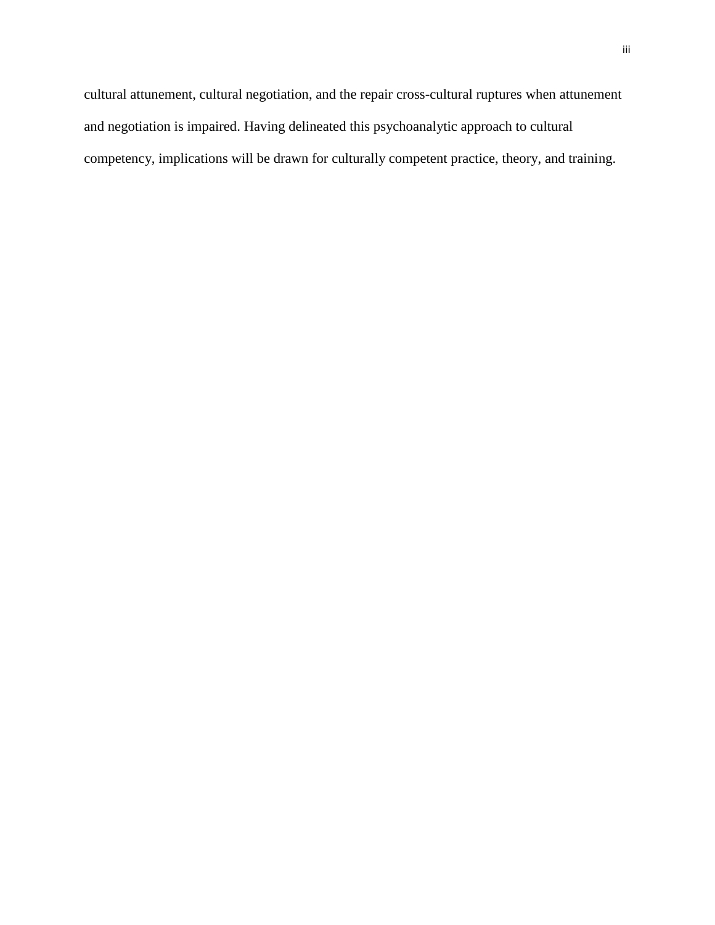cultural attunement, cultural negotiation, and the repair cross-cultural ruptures when attunement and negotiation is impaired. Having delineated this psychoanalytic approach to cultural competency, implications will be drawn for culturally competent practice, theory, and training.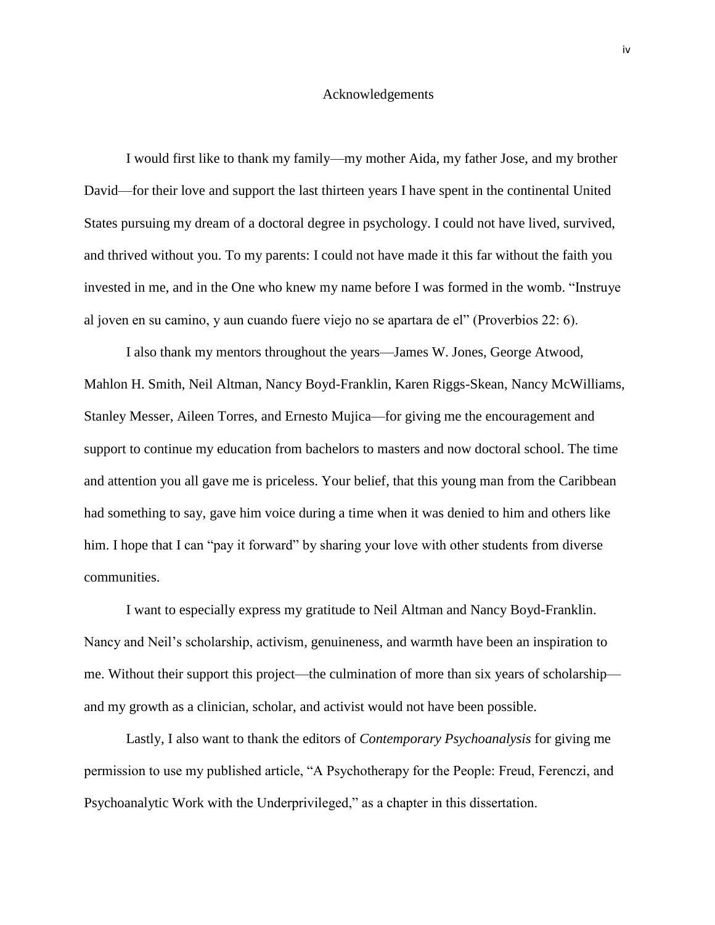#### Acknowledgements

I would first like to thank my family—my mother Aida, my father Jose, and my brother David—for their love and support the last thirteen years I have spent in the continental United States pursuing my dream of a doctoral degree in psychology. I could not have lived, survived, and thrived without you. To my parents: I could not have made it this far without the faith you invested in me, and in the One who knew my name before I was formed in the womb. "Instruye al joven en su camino, y aun cuando fuere viejo no se apartara de el" (Proverbios 22: 6).

I also thank my mentors throughout the years—James W. Jones, George Atwood, Mahlon H. Smith, Neil Altman, Nancy Boyd-Franklin, Karen Riggs-Skean, Nancy McWilliams, Stanley Messer, Aileen Torres, and Ernesto Mujica—for giving me the encouragement and support to continue my education from bachelors to masters and now doctoral school. The time and attention you all gave me is priceless. Your belief, that this young man from the Caribbean had something to say, gave him voice during a time when it was denied to him and others like him. I hope that I can "pay it forward" by sharing your love with other students from diverse communities.

I want to especially express my gratitude to Neil Altman and Nancy Boyd-Franklin. Nancy and Neil's scholarship, activism, genuineness, and warmth have been an inspiration to me. Without their support this project—the culmination of more than six years of scholarship and my growth as a clinician, scholar, and activist would not have been possible.

Lastly, I also want to thank the editors of *Contemporary Psychoanalysis* for giving me permission to use my published article, "A Psychotherapy for the People: Freud, Ferenczi, and Psychoanalytic Work with the Underprivileged," as a chapter in this dissertation.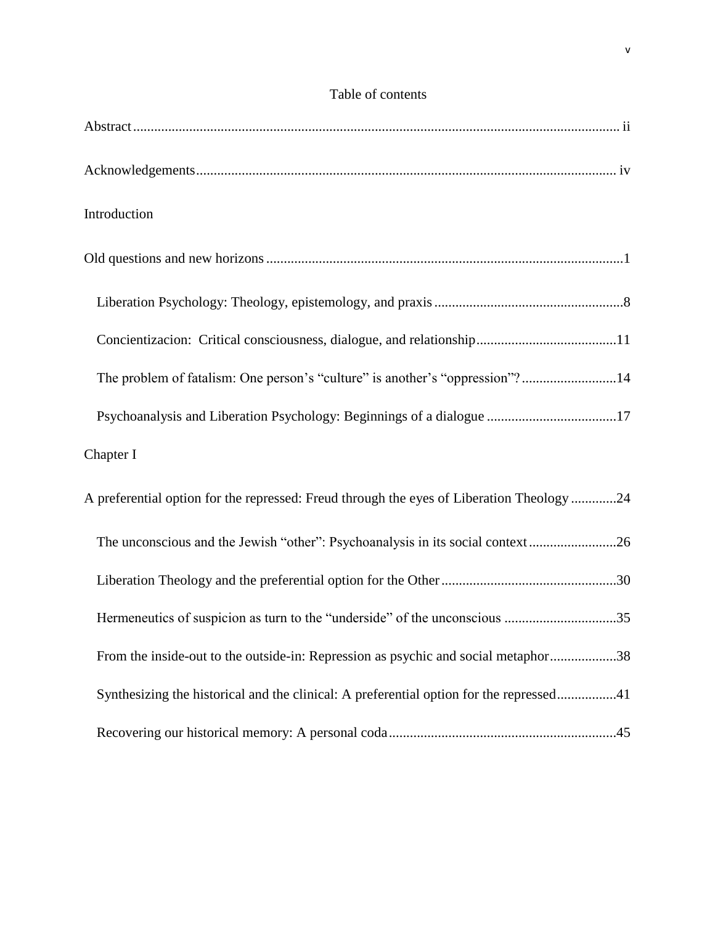| Introduction                                                                              |
|-------------------------------------------------------------------------------------------|
|                                                                                           |
|                                                                                           |
|                                                                                           |
| The problem of fatalism: One person's "culture" is another's "oppression"?14              |
| Psychoanalysis and Liberation Psychology: Beginnings of a dialogue 17                     |
| Chapter I                                                                                 |
| A preferential option for the repressed: Freud through the eyes of Liberation Theology 24 |
| The unconscious and the Jewish "other": Psychoanalysis in its social context26            |
|                                                                                           |
| Hermeneutics of suspicion as turn to the "underside" of the unconscious 35                |
| From the inside-out to the outside-in: Repression as psychic and social metaphor38        |
| Synthesizing the historical and the clinical: A preferential option for the repressed41   |
|                                                                                           |

# Table of contents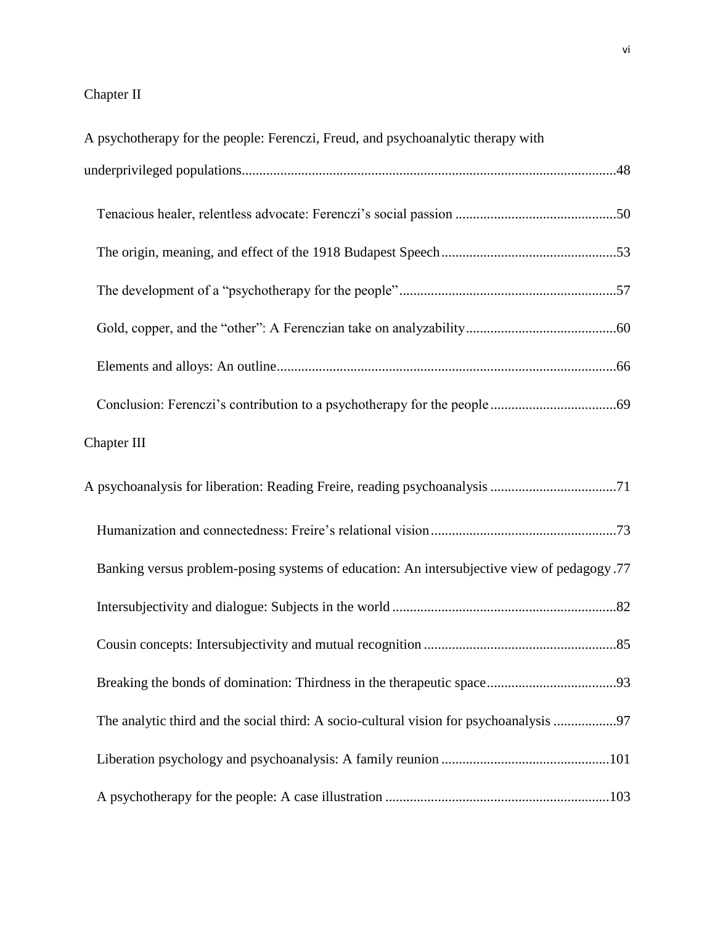# Chapter II

| A psychotherapy for the people: Ferenczi, Freud, and psychoanalytic therapy with           |  |
|--------------------------------------------------------------------------------------------|--|
|                                                                                            |  |
|                                                                                            |  |
|                                                                                            |  |
|                                                                                            |  |
|                                                                                            |  |
|                                                                                            |  |
|                                                                                            |  |
| Chapter III                                                                                |  |
|                                                                                            |  |
|                                                                                            |  |
| Banking versus problem-posing systems of education: An intersubjective view of pedagogy.77 |  |
|                                                                                            |  |
|                                                                                            |  |
|                                                                                            |  |
| The analytic third and the social third: A socio-cultural vision for psychoanalysis 97     |  |

A psychotherapy for the people: A case illustration ................................................................103

Liberation psychology and psychoanalysis: A family reunion ................................................101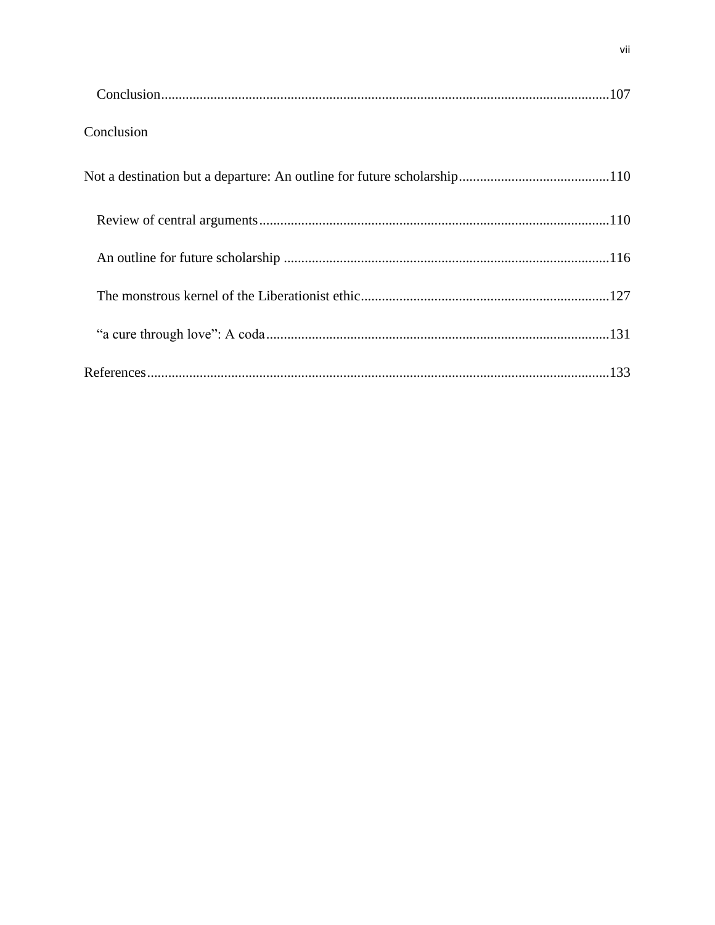| Conclusion |  |
|------------|--|
|            |  |
|            |  |
|            |  |
|            |  |
|            |  |
|            |  |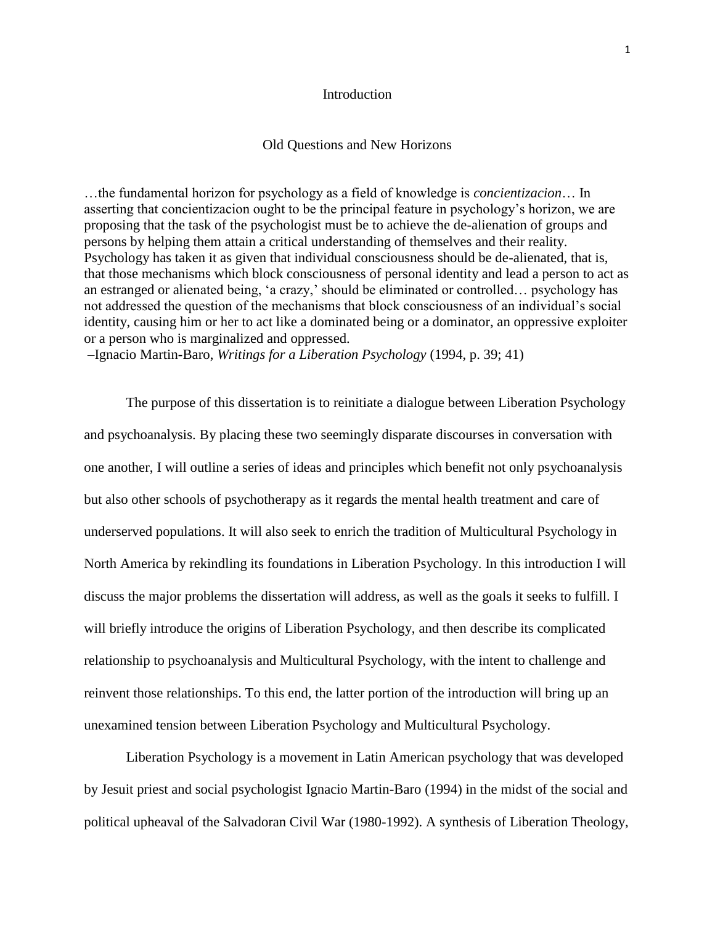### Introduction

### Old Questions and New Horizons

…the fundamental horizon for psychology as a field of knowledge is *concientizacion*… In asserting that concientizacion ought to be the principal feature in psychology's horizon, we are proposing that the task of the psychologist must be to achieve the de-alienation of groups and persons by helping them attain a critical understanding of themselves and their reality. Psychology has taken it as given that individual consciousness should be de-alienated, that is, that those mechanisms which block consciousness of personal identity and lead a person to act as an estranged or alienated being, 'a crazy,' should be eliminated or controlled… psychology has not addressed the question of the mechanisms that block consciousness of an individual's social identity, causing him or her to act like a dominated being or a dominator, an oppressive exploiter or a person who is marginalized and oppressed.

–Ignacio Martin-Baro, *Writings for a Liberation Psychology* (1994, p. 39; 41)

The purpose of this dissertation is to reinitiate a dialogue between Liberation Psychology and psychoanalysis. By placing these two seemingly disparate discourses in conversation with one another, I will outline a series of ideas and principles which benefit not only psychoanalysis but also other schools of psychotherapy as it regards the mental health treatment and care of underserved populations. It will also seek to enrich the tradition of Multicultural Psychology in North America by rekindling its foundations in Liberation Psychology. In this introduction I will discuss the major problems the dissertation will address, as well as the goals it seeks to fulfill. I will briefly introduce the origins of Liberation Psychology, and then describe its complicated relationship to psychoanalysis and Multicultural Psychology, with the intent to challenge and reinvent those relationships. To this end, the latter portion of the introduction will bring up an unexamined tension between Liberation Psychology and Multicultural Psychology.

Liberation Psychology is a movement in Latin American psychology that was developed by Jesuit priest and social psychologist Ignacio Martin-Baro (1994) in the midst of the social and political upheaval of the Salvadoran Civil War (1980-1992). A synthesis of Liberation Theology,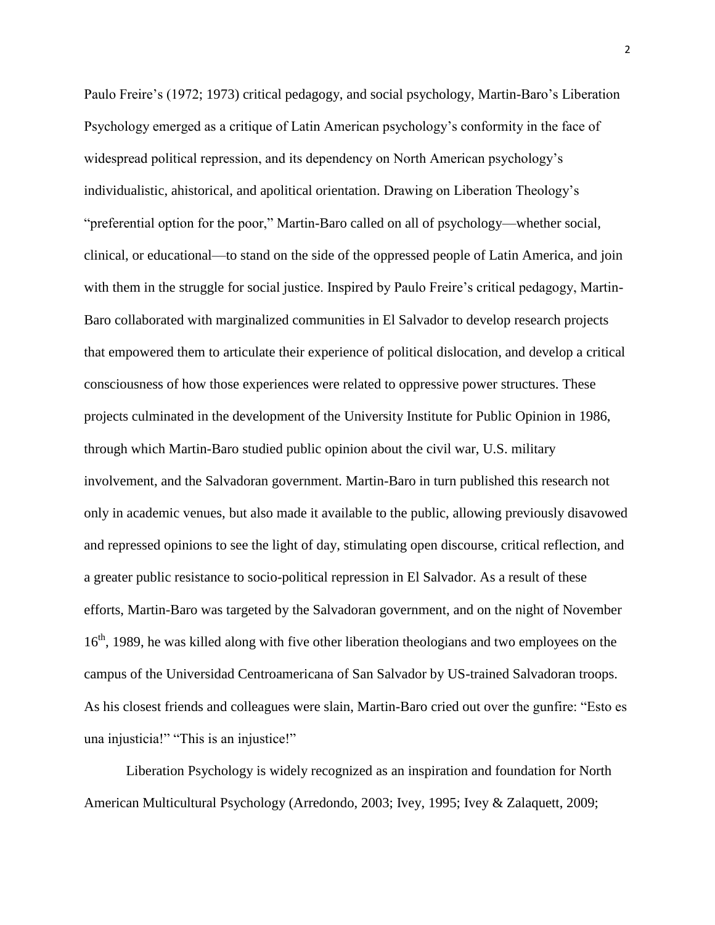Paulo Freire's (1972; 1973) critical pedagogy, and social psychology, Martin-Baro's Liberation Psychology emerged as a critique of Latin American psychology's conformity in the face of widespread political repression, and its dependency on North American psychology's individualistic, ahistorical, and apolitical orientation. Drawing on Liberation Theology's "preferential option for the poor," Martin-Baro called on all of psychology—whether social, clinical, or educational—to stand on the side of the oppressed people of Latin America, and join with them in the struggle for social justice. Inspired by Paulo Freire's critical pedagogy, Martin-Baro collaborated with marginalized communities in El Salvador to develop research projects that empowered them to articulate their experience of political dislocation, and develop a critical consciousness of how those experiences were related to oppressive power structures. These projects culminated in the development of the University Institute for Public Opinion in 1986, through which Martin-Baro studied public opinion about the civil war, U.S. military involvement, and the Salvadoran government. Martin-Baro in turn published this research not only in academic venues, but also made it available to the public, allowing previously disavowed and repressed opinions to see the light of day, stimulating open discourse, critical reflection, and a greater public resistance to socio-political repression in El Salvador. As a result of these efforts, Martin-Baro was targeted by the Salvadoran government, and on the night of November 16<sup>th</sup>, 1989, he was killed along with five other liberation theologians and two employees on the campus of the Universidad Centroamericana of San Salvador by US-trained Salvadoran troops. As his closest friends and colleagues were slain, Martin-Baro cried out over the gunfire: "Esto es una injusticia!" "This is an injustice!"

Liberation Psychology is widely recognized as an inspiration and foundation for North American Multicultural Psychology (Arredondo, 2003; Ivey, 1995; Ivey & Zalaquett, 2009;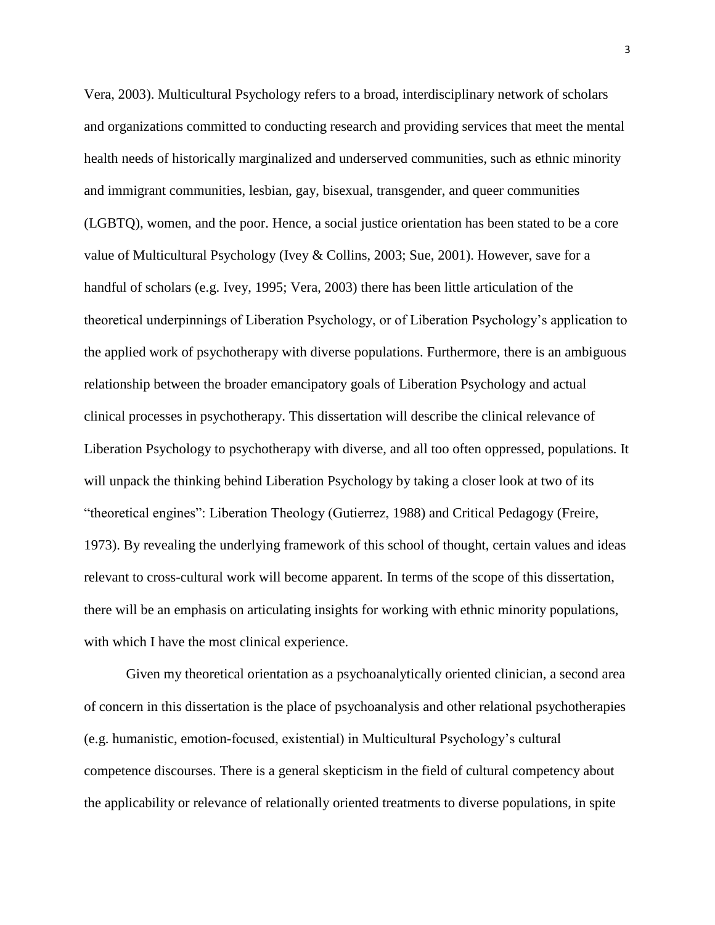Vera, 2003). Multicultural Psychology refers to a broad, interdisciplinary network of scholars and organizations committed to conducting research and providing services that meet the mental health needs of historically marginalized and underserved communities, such as ethnic minority and immigrant communities, lesbian, gay, bisexual, transgender, and queer communities (LGBTQ), women, and the poor. Hence, a social justice orientation has been stated to be a core value of Multicultural Psychology (Ivey & Collins, 2003; Sue, 2001). However, save for a handful of scholars (e.g. Ivey, 1995; Vera, 2003) there has been little articulation of the theoretical underpinnings of Liberation Psychology, or of Liberation Psychology's application to the applied work of psychotherapy with diverse populations. Furthermore, there is an ambiguous relationship between the broader emancipatory goals of Liberation Psychology and actual clinical processes in psychotherapy. This dissertation will describe the clinical relevance of Liberation Psychology to psychotherapy with diverse, and all too often oppressed, populations. It will unpack the thinking behind Liberation Psychology by taking a closer look at two of its "theoretical engines": Liberation Theology (Gutierrez, 1988) and Critical Pedagogy (Freire, 1973). By revealing the underlying framework of this school of thought, certain values and ideas relevant to cross-cultural work will become apparent. In terms of the scope of this dissertation, there will be an emphasis on articulating insights for working with ethnic minority populations, with which I have the most clinical experience.

Given my theoretical orientation as a psychoanalytically oriented clinician, a second area of concern in this dissertation is the place of psychoanalysis and other relational psychotherapies (e.g. humanistic, emotion-focused, existential) in Multicultural Psychology's cultural competence discourses. There is a general skepticism in the field of cultural competency about the applicability or relevance of relationally oriented treatments to diverse populations, in spite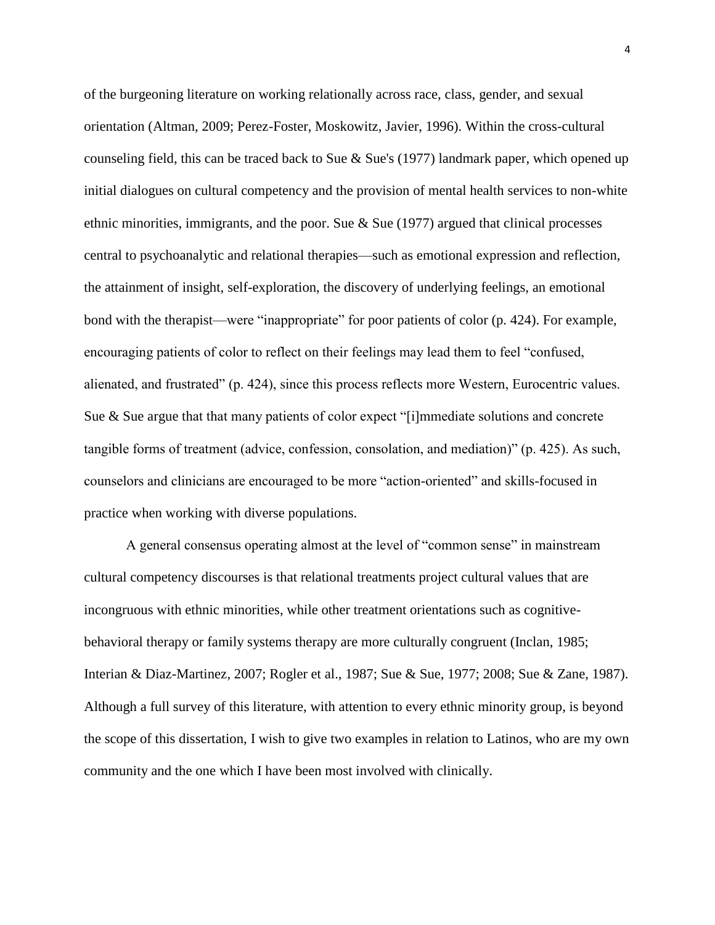of the burgeoning literature on working relationally across race, class, gender, and sexual orientation (Altman, 2009; Perez-Foster, Moskowitz, Javier, 1996). Within the cross-cultural counseling field, this can be traced back to Sue & Sue's (1977) landmark paper, which opened up initial dialogues on cultural competency and the provision of mental health services to non-white ethnic minorities, immigrants, and the poor. Sue  $& Sue$  (1977) argued that clinical processes central to psychoanalytic and relational therapies—such as emotional expression and reflection, the attainment of insight, self-exploration, the discovery of underlying feelings, an emotional bond with the therapist—were "inappropriate" for poor patients of color (p. 424). For example, encouraging patients of color to reflect on their feelings may lead them to feel "confused, alienated, and frustrated" (p. 424), since this process reflects more Western, Eurocentric values. Sue & Sue argue that that many patients of color expect "[i]mmediate solutions and concrete tangible forms of treatment (advice, confession, consolation, and mediation)" (p. 425). As such, counselors and clinicians are encouraged to be more "action-oriented" and skills-focused in practice when working with diverse populations.

A general consensus operating almost at the level of "common sense" in mainstream cultural competency discourses is that relational treatments project cultural values that are incongruous with ethnic minorities, while other treatment orientations such as cognitivebehavioral therapy or family systems therapy are more culturally congruent (Inclan, 1985; Interian & Diaz-Martinez, 2007; Rogler et al., 1987; Sue & Sue, 1977; 2008; Sue & Zane, 1987). Although a full survey of this literature, with attention to every ethnic minority group, is beyond the scope of this dissertation, I wish to give two examples in relation to Latinos, who are my own community and the one which I have been most involved with clinically.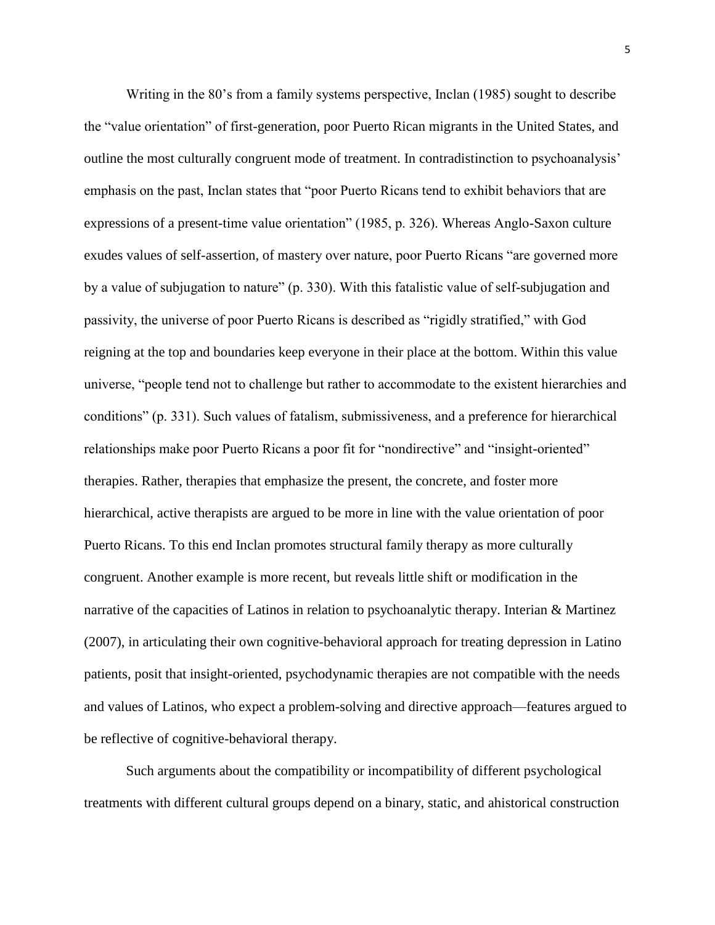Writing in the 80's from a family systems perspective, Inclan (1985) sought to describe the "value orientation" of first-generation, poor Puerto Rican migrants in the United States, and outline the most culturally congruent mode of treatment. In contradistinction to psychoanalysis' emphasis on the past, Inclan states that "poor Puerto Ricans tend to exhibit behaviors that are expressions of a present-time value orientation" (1985, p. 326). Whereas Anglo-Saxon culture exudes values of self-assertion, of mastery over nature, poor Puerto Ricans "are governed more by a value of subjugation to nature" (p. 330). With this fatalistic value of self-subjugation and passivity, the universe of poor Puerto Ricans is described as "rigidly stratified," with God reigning at the top and boundaries keep everyone in their place at the bottom. Within this value universe, "people tend not to challenge but rather to accommodate to the existent hierarchies and conditions" (p. 331). Such values of fatalism, submissiveness, and a preference for hierarchical relationships make poor Puerto Ricans a poor fit for "nondirective" and "insight-oriented" therapies. Rather, therapies that emphasize the present, the concrete, and foster more hierarchical, active therapists are argued to be more in line with the value orientation of poor Puerto Ricans. To this end Inclan promotes structural family therapy as more culturally congruent. Another example is more recent, but reveals little shift or modification in the narrative of the capacities of Latinos in relation to psychoanalytic therapy. Interian & Martinez (2007), in articulating their own cognitive-behavioral approach for treating depression in Latino patients, posit that insight-oriented, psychodynamic therapies are not compatible with the needs and values of Latinos, who expect a problem-solving and directive approach—features argued to be reflective of cognitive-behavioral therapy.

Such arguments about the compatibility or incompatibility of different psychological treatments with different cultural groups depend on a binary, static, and ahistorical construction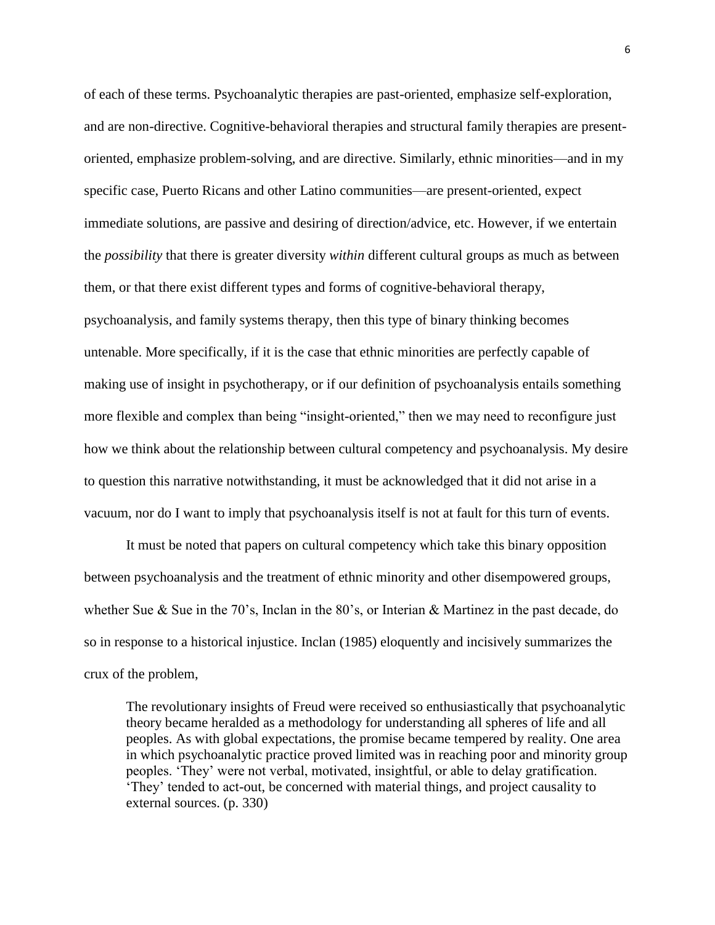of each of these terms. Psychoanalytic therapies are past-oriented, emphasize self-exploration, and are non-directive. Cognitive-behavioral therapies and structural family therapies are presentoriented, emphasize problem-solving, and are directive. Similarly, ethnic minorities—and in my specific case, Puerto Ricans and other Latino communities—are present-oriented, expect immediate solutions, are passive and desiring of direction/advice, etc. However, if we entertain the *possibility* that there is greater diversity *within* different cultural groups as much as between them, or that there exist different types and forms of cognitive-behavioral therapy, psychoanalysis, and family systems therapy, then this type of binary thinking becomes untenable. More specifically, if it is the case that ethnic minorities are perfectly capable of making use of insight in psychotherapy, or if our definition of psychoanalysis entails something more flexible and complex than being "insight-oriented," then we may need to reconfigure just how we think about the relationship between cultural competency and psychoanalysis. My desire to question this narrative notwithstanding, it must be acknowledged that it did not arise in a vacuum, nor do I want to imply that psychoanalysis itself is not at fault for this turn of events.

It must be noted that papers on cultural competency which take this binary opposition between psychoanalysis and the treatment of ethnic minority and other disempowered groups, whether Sue & Sue in the 70's, Inclan in the 80's, or Interian & Martinez in the past decade, do so in response to a historical injustice. Inclan (1985) eloquently and incisively summarizes the crux of the problem,

The revolutionary insights of Freud were received so enthusiastically that psychoanalytic theory became heralded as a methodology for understanding all spheres of life and all peoples. As with global expectations, the promise became tempered by reality. One area in which psychoanalytic practice proved limited was in reaching poor and minority group peoples. 'They' were not verbal, motivated, insightful, or able to delay gratification. 'They' tended to act-out, be concerned with material things, and project causality to external sources. (p. 330)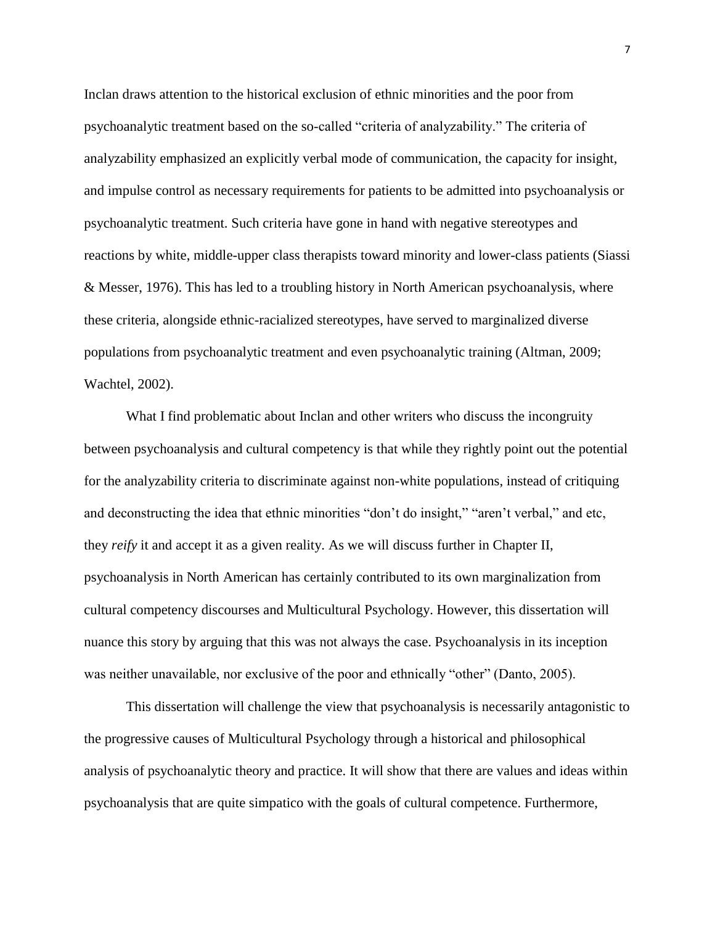Inclan draws attention to the historical exclusion of ethnic minorities and the poor from psychoanalytic treatment based on the so-called "criteria of analyzability." The criteria of analyzability emphasized an explicitly verbal mode of communication, the capacity for insight, and impulse control as necessary requirements for patients to be admitted into psychoanalysis or psychoanalytic treatment. Such criteria have gone in hand with negative stereotypes and reactions by white, middle-upper class therapists toward minority and lower-class patients (Siassi & Messer, 1976). This has led to a troubling history in North American psychoanalysis, where these criteria, alongside ethnic-racialized stereotypes, have served to marginalized diverse populations from psychoanalytic treatment and even psychoanalytic training (Altman, 2009; Wachtel, 2002).

What I find problematic about Inclan and other writers who discuss the incongruity between psychoanalysis and cultural competency is that while they rightly point out the potential for the analyzability criteria to discriminate against non-white populations, instead of critiquing and deconstructing the idea that ethnic minorities "don't do insight," "aren't verbal," and etc, they *reify* it and accept it as a given reality. As we will discuss further in Chapter II, psychoanalysis in North American has certainly contributed to its own marginalization from cultural competency discourses and Multicultural Psychology. However, this dissertation will nuance this story by arguing that this was not always the case. Psychoanalysis in its inception was neither unavailable, nor exclusive of the poor and ethnically "other" (Danto, 2005).

This dissertation will challenge the view that psychoanalysis is necessarily antagonistic to the progressive causes of Multicultural Psychology through a historical and philosophical analysis of psychoanalytic theory and practice. It will show that there are values and ideas within psychoanalysis that are quite simpatico with the goals of cultural competence. Furthermore,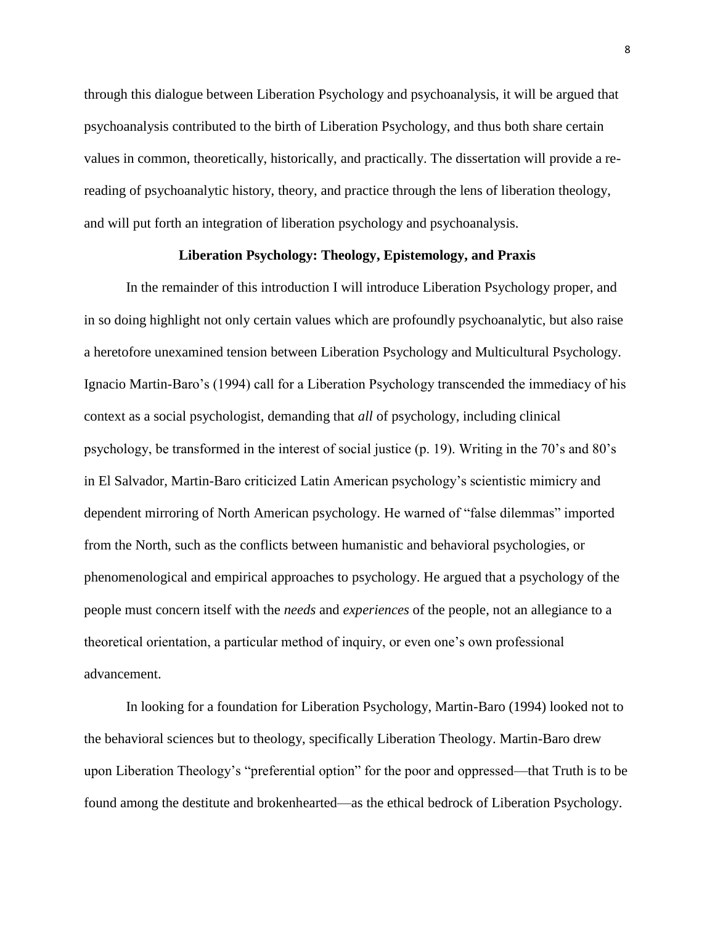through this dialogue between Liberation Psychology and psychoanalysis, it will be argued that psychoanalysis contributed to the birth of Liberation Psychology, and thus both share certain values in common, theoretically, historically, and practically. The dissertation will provide a rereading of psychoanalytic history, theory, and practice through the lens of liberation theology, and will put forth an integration of liberation psychology and psychoanalysis.

### **Liberation Psychology: Theology, Epistemology, and Praxis**

In the remainder of this introduction I will introduce Liberation Psychology proper, and in so doing highlight not only certain values which are profoundly psychoanalytic, but also raise a heretofore unexamined tension between Liberation Psychology and Multicultural Psychology. Ignacio Martin-Baro's (1994) call for a Liberation Psychology transcended the immediacy of his context as a social psychologist, demanding that *all* of psychology, including clinical psychology, be transformed in the interest of social justice (p. 19). Writing in the 70's and 80's in El Salvador, Martin-Baro criticized Latin American psychology's scientistic mimicry and dependent mirroring of North American psychology. He warned of "false dilemmas" imported from the North, such as the conflicts between humanistic and behavioral psychologies, or phenomenological and empirical approaches to psychology. He argued that a psychology of the people must concern itself with the *needs* and *experiences* of the people, not an allegiance to a theoretical orientation, a particular method of inquiry, or even one's own professional advancement.

In looking for a foundation for Liberation Psychology, Martin-Baro (1994) looked not to the behavioral sciences but to theology, specifically Liberation Theology. Martin-Baro drew upon Liberation Theology's "preferential option" for the poor and oppressed—that Truth is to be found among the destitute and brokenhearted—as the ethical bedrock of Liberation Psychology.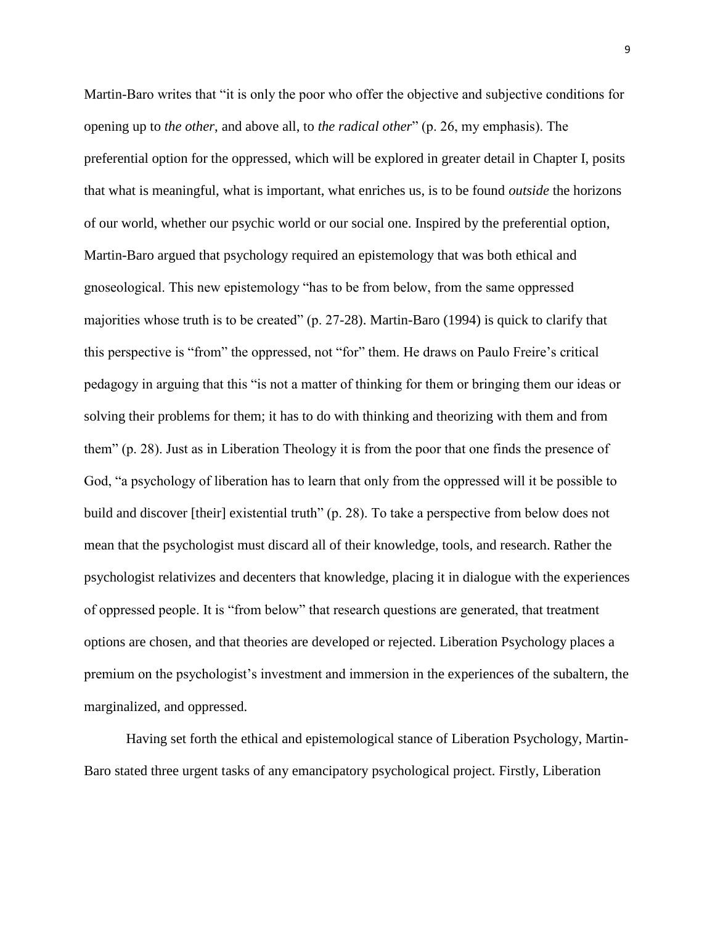Martin-Baro writes that "it is only the poor who offer the objective and subjective conditions for opening up to *the other*, and above all, to *the radical other*" (p. 26, my emphasis). The preferential option for the oppressed, which will be explored in greater detail in Chapter I, posits that what is meaningful, what is important, what enriches us, is to be found *outside* the horizons of our world, whether our psychic world or our social one. Inspired by the preferential option, Martin-Baro argued that psychology required an epistemology that was both ethical and gnoseological. This new epistemology "has to be from below, from the same oppressed majorities whose truth is to be created" (p. 27-28). Martin-Baro (1994) is quick to clarify that this perspective is "from" the oppressed, not "for" them. He draws on Paulo Freire's critical pedagogy in arguing that this "is not a matter of thinking for them or bringing them our ideas or solving their problems for them; it has to do with thinking and theorizing with them and from them" (p. 28). Just as in Liberation Theology it is from the poor that one finds the presence of God, "a psychology of liberation has to learn that only from the oppressed will it be possible to build and discover [their] existential truth" (p. 28). To take a perspective from below does not mean that the psychologist must discard all of their knowledge, tools, and research. Rather the psychologist relativizes and decenters that knowledge, placing it in dialogue with the experiences of oppressed people. It is "from below" that research questions are generated, that treatment options are chosen, and that theories are developed or rejected. Liberation Psychology places a premium on the psychologist's investment and immersion in the experiences of the subaltern, the marginalized, and oppressed.

Having set forth the ethical and epistemological stance of Liberation Psychology, Martin-Baro stated three urgent tasks of any emancipatory psychological project. Firstly, Liberation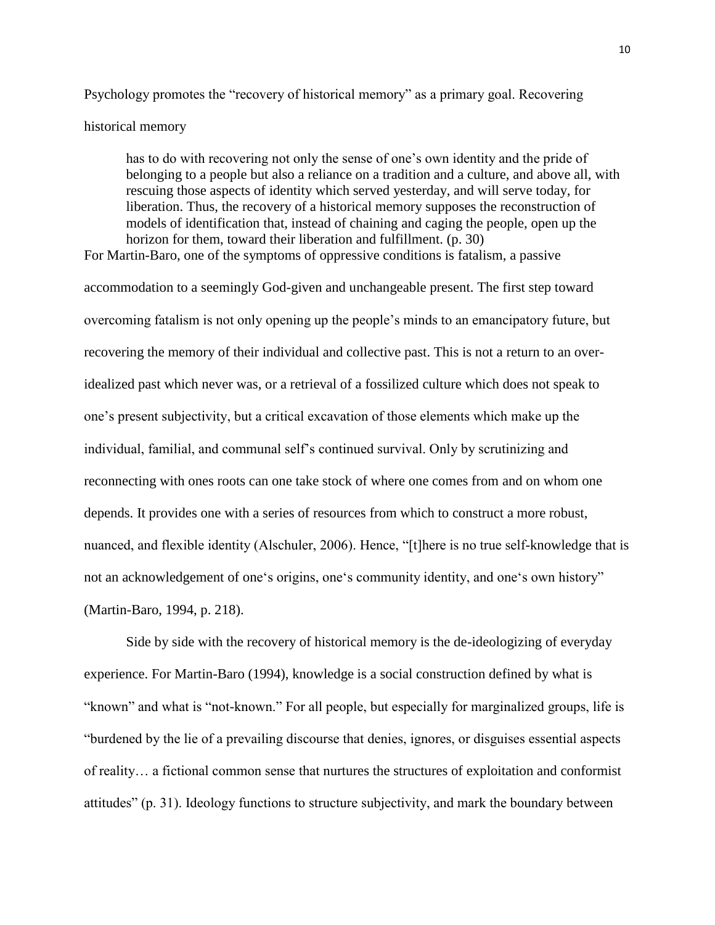Psychology promotes the "recovery of historical memory" as a primary goal. Recovering historical memory

has to do with recovering not only the sense of one's own identity and the pride of belonging to a people but also a reliance on a tradition and a culture, and above all, with rescuing those aspects of identity which served yesterday, and will serve today, for liberation. Thus, the recovery of a historical memory supposes the reconstruction of models of identification that, instead of chaining and caging the people, open up the horizon for them, toward their liberation and fulfillment. (p. 30)

For Martin-Baro, one of the symptoms of oppressive conditions is fatalism, a passive accommodation to a seemingly God-given and unchangeable present. The first step toward overcoming fatalism is not only opening up the people's minds to an emancipatory future, but recovering the memory of their individual and collective past. This is not a return to an overidealized past which never was, or a retrieval of a fossilized culture which does not speak to one's present subjectivity, but a critical excavation of those elements which make up the individual, familial, and communal self's continued survival. Only by scrutinizing and reconnecting with ones roots can one take stock of where one comes from and on whom one depends. It provides one with a series of resources from which to construct a more robust, nuanced, and flexible identity (Alschuler, 2006). Hence, "[t]here is no true self-knowledge that is not an acknowledgement of one's origins, one's community identity, and one's own history" (Martin-Baro, 1994, p. 218).

Side by side with the recovery of historical memory is the de-ideologizing of everyday experience. For Martin-Baro (1994), knowledge is a social construction defined by what is "known" and what is "not-known." For all people, but especially for marginalized groups, life is "burdened by the lie of a prevailing discourse that denies, ignores, or disguises essential aspects of reality… a fictional common sense that nurtures the structures of exploitation and conformist attitudes" (p. 31). Ideology functions to structure subjectivity, and mark the boundary between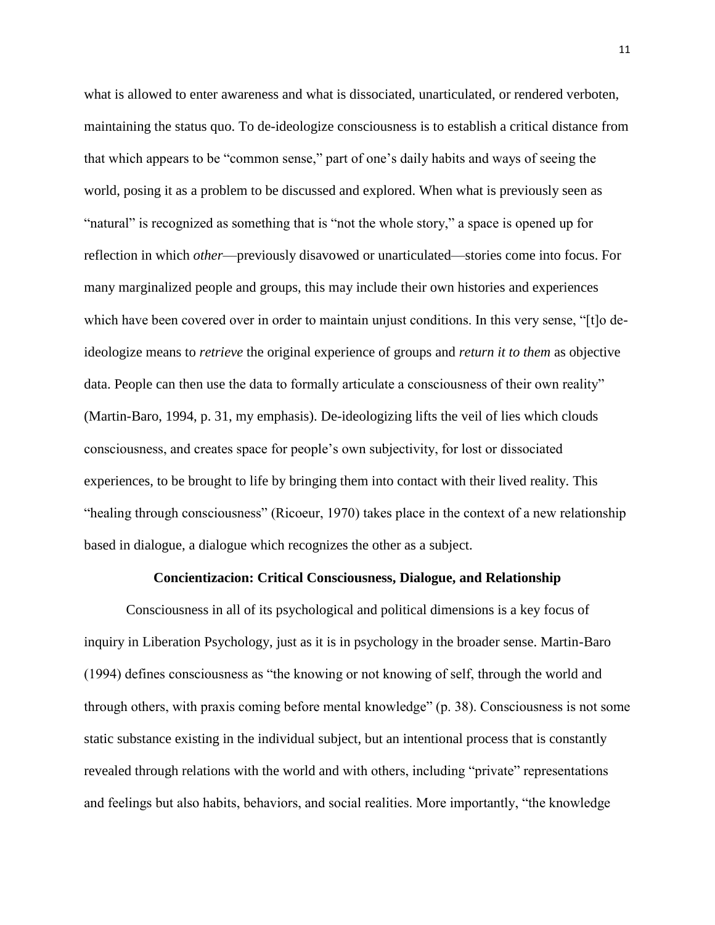what is allowed to enter awareness and what is dissociated, unarticulated, or rendered verboten, maintaining the status quo. To de-ideologize consciousness is to establish a critical distance from that which appears to be "common sense," part of one's daily habits and ways of seeing the world, posing it as a problem to be discussed and explored. When what is previously seen as "natural" is recognized as something that is "not the whole story," a space is opened up for reflection in which *other*—previously disavowed or unarticulated—stories come into focus. For many marginalized people and groups, this may include their own histories and experiences which have been covered over in order to maintain unjust conditions. In this very sense, "[t]o deideologize means to *retrieve* the original experience of groups and *return it to them* as objective data. People can then use the data to formally articulate a consciousness of their own reality" (Martin-Baro, 1994, p. 31, my emphasis). De-ideologizing lifts the veil of lies which clouds consciousness, and creates space for people's own subjectivity, for lost or dissociated experiences, to be brought to life by bringing them into contact with their lived reality. This "healing through consciousness" (Ricoeur, 1970) takes place in the context of a new relationship based in dialogue, a dialogue which recognizes the other as a subject.

### **Concientizacion: Critical Consciousness, Dialogue, and Relationship**

Consciousness in all of its psychological and political dimensions is a key focus of inquiry in Liberation Psychology, just as it is in psychology in the broader sense. Martin-Baro (1994) defines consciousness as "the knowing or not knowing of self, through the world and through others, with praxis coming before mental knowledge" (p. 38). Consciousness is not some static substance existing in the individual subject, but an intentional process that is constantly revealed through relations with the world and with others, including "private" representations and feelings but also habits, behaviors, and social realities. More importantly, "the knowledge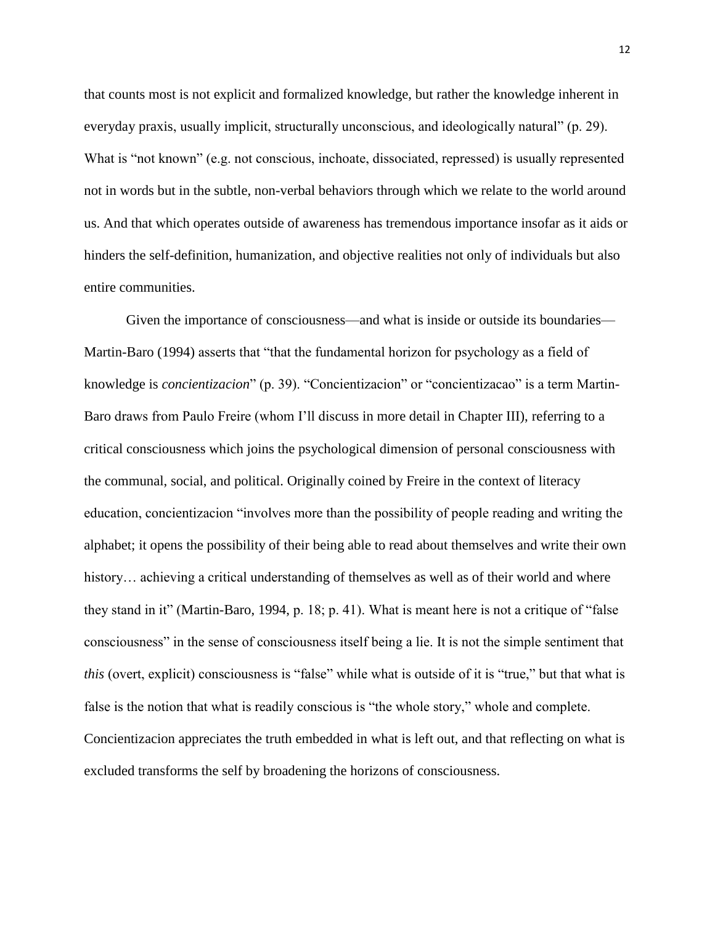that counts most is not explicit and formalized knowledge, but rather the knowledge inherent in everyday praxis, usually implicit, structurally unconscious, and ideologically natural" (p. 29). What is "not known" (e.g. not conscious, inchoate, dissociated, repressed) is usually represented not in words but in the subtle, non-verbal behaviors through which we relate to the world around us. And that which operates outside of awareness has tremendous importance insofar as it aids or hinders the self-definition, humanization, and objective realities not only of individuals but also entire communities.

Given the importance of consciousness—and what is inside or outside its boundaries— Martin-Baro (1994) asserts that "that the fundamental horizon for psychology as a field of knowledge is *concientizacion*" (p. 39). "Concientizacion" or "concientizacao" is a term Martin-Baro draws from Paulo Freire (whom I'll discuss in more detail in Chapter III), referring to a critical consciousness which joins the psychological dimension of personal consciousness with the communal, social, and political. Originally coined by Freire in the context of literacy education, concientizacion "involves more than the possibility of people reading and writing the alphabet; it opens the possibility of their being able to read about themselves and write their own history... achieving a critical understanding of themselves as well as of their world and where they stand in it" (Martin-Baro, 1994, p. 18; p. 41). What is meant here is not a critique of "false consciousness" in the sense of consciousness itself being a lie. It is not the simple sentiment that *this* (overt, explicit) consciousness is "false" while what is outside of it is "true," but that what is false is the notion that what is readily conscious is "the whole story," whole and complete. Concientizacion appreciates the truth embedded in what is left out, and that reflecting on what is excluded transforms the self by broadening the horizons of consciousness.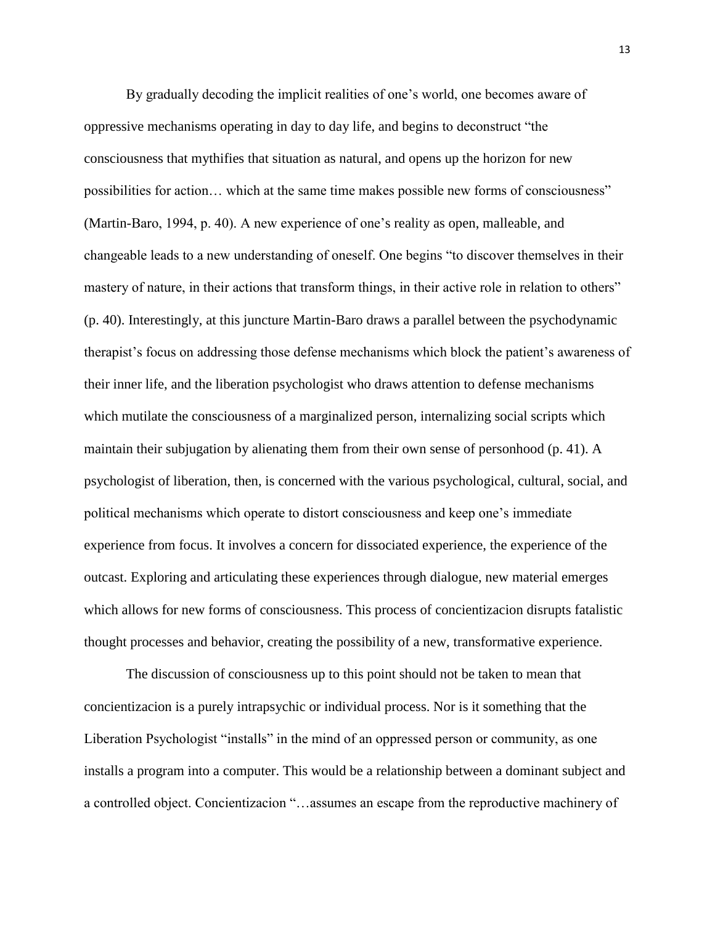By gradually decoding the implicit realities of one's world, one becomes aware of oppressive mechanisms operating in day to day life, and begins to deconstruct "the consciousness that mythifies that situation as natural, and opens up the horizon for new possibilities for action… which at the same time makes possible new forms of consciousness" (Martin-Baro, 1994, p. 40). A new experience of one's reality as open, malleable, and changeable leads to a new understanding of oneself. One begins "to discover themselves in their mastery of nature, in their actions that transform things, in their active role in relation to others" (p. 40). Interestingly, at this juncture Martin-Baro draws a parallel between the psychodynamic therapist's focus on addressing those defense mechanisms which block the patient's awareness of their inner life, and the liberation psychologist who draws attention to defense mechanisms which mutilate the consciousness of a marginalized person, internalizing social scripts which maintain their subjugation by alienating them from their own sense of personhood (p. 41). A psychologist of liberation, then, is concerned with the various psychological, cultural, social, and political mechanisms which operate to distort consciousness and keep one's immediate experience from focus. It involves a concern for dissociated experience, the experience of the outcast. Exploring and articulating these experiences through dialogue, new material emerges which allows for new forms of consciousness. This process of concientizacion disrupts fatalistic thought processes and behavior, creating the possibility of a new, transformative experience.

The discussion of consciousness up to this point should not be taken to mean that concientizacion is a purely intrapsychic or individual process. Nor is it something that the Liberation Psychologist "installs" in the mind of an oppressed person or community, as one installs a program into a computer. This would be a relationship between a dominant subject and a controlled object. Concientizacion "…assumes an escape from the reproductive machinery of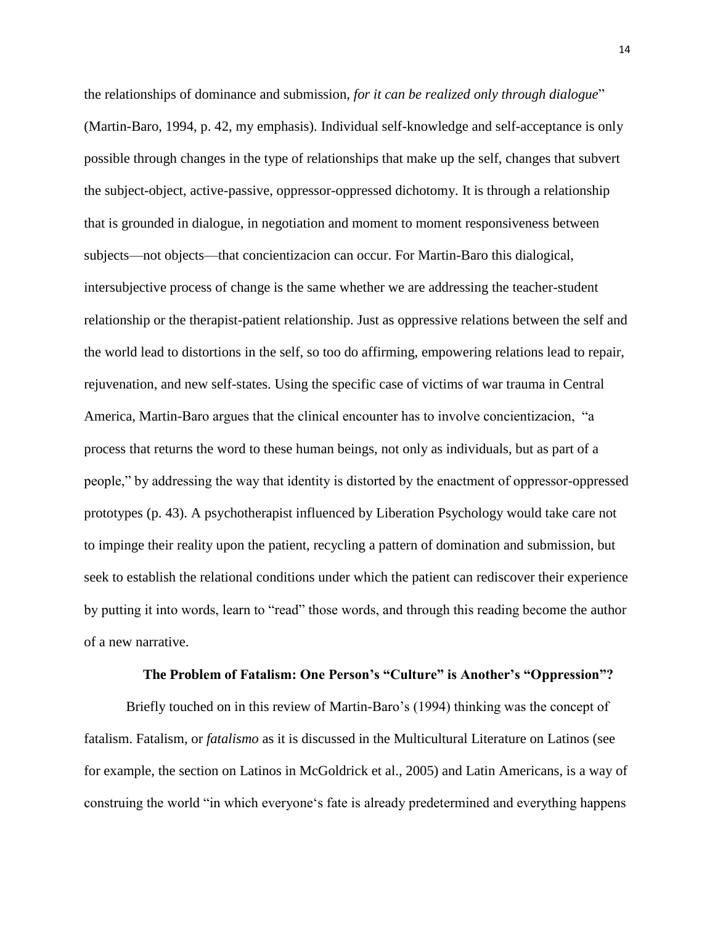the relationships of dominance and submission, *for it can be realized only through dialogue*" (Martin-Baro, 1994, p. 42, my emphasis). Individual self-knowledge and self-acceptance is only possible through changes in the type of relationships that make up the self, changes that subvert the subject-object, active-passive, oppressor-oppressed dichotomy. It is through a relationship that is grounded in dialogue, in negotiation and moment to moment responsiveness between subjects—not objects—that concientizacion can occur. For Martin-Baro this dialogical, intersubjective process of change is the same whether we are addressing the teacher-student relationship or the therapist-patient relationship. Just as oppressive relations between the self and the world lead to distortions in the self, so too do affirming, empowering relations lead to repair, rejuvenation, and new self-states. Using the specific case of victims of war trauma in Central America, Martin-Baro argues that the clinical encounter has to involve concientizacion, "a process that returns the word to these human beings, not only as individuals, but as part of a people," by addressing the way that identity is distorted by the enactment of oppressor-oppressed prototypes (p. 43). A psychotherapist influenced by Liberation Psychology would take care not to impinge their reality upon the patient, recycling a pattern of domination and submission, but seek to establish the relational conditions under which the patient can rediscover their experience by putting it into words, learn to "read" those words, and through this reading become the author of a new narrative.

### **The Problem of Fatalism: One Person's "Culture" is Another's "Oppression"?**

Briefly touched on in this review of Martin-Baro's (1994) thinking was the concept of fatalism. Fatalism, or *fatalismo* as it is discussed in the Multicultural Literature on Latinos (see for example, the section on Latinos in McGoldrick et al., 2005) and Latin Americans, is a way of construing the world "in which everyone's fate is already predetermined and everything happens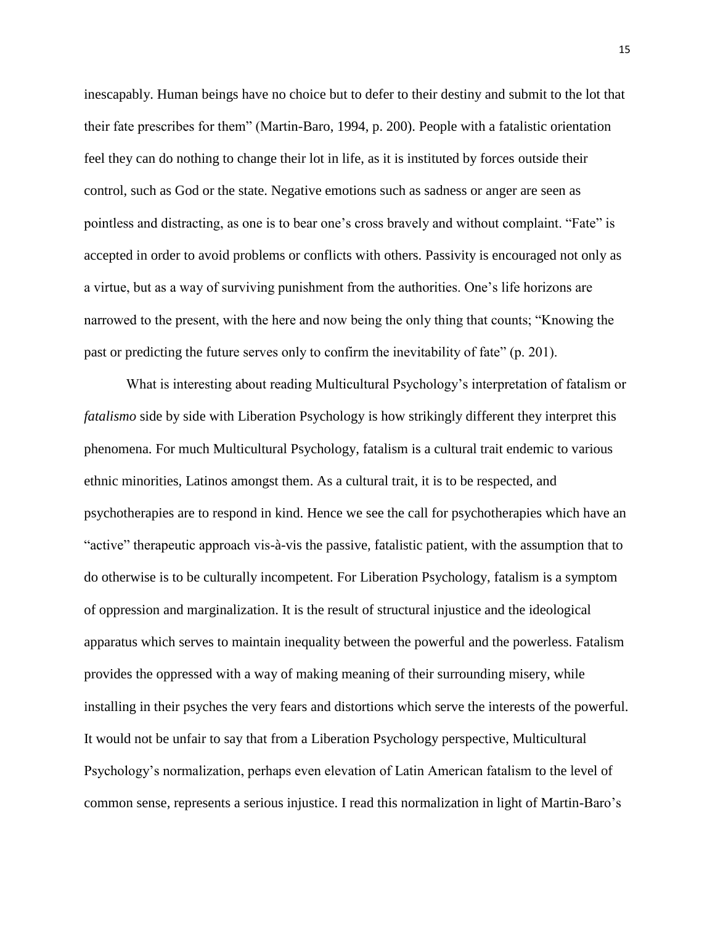inescapably. Human beings have no choice but to defer to their destiny and submit to the lot that their fate prescribes for them" (Martin-Baro, 1994, p. 200). People with a fatalistic orientation feel they can do nothing to change their lot in life, as it is instituted by forces outside their control, such as God or the state. Negative emotions such as sadness or anger are seen as pointless and distracting, as one is to bear one's cross bravely and without complaint. "Fate" is accepted in order to avoid problems or conflicts with others. Passivity is encouraged not only as a virtue, but as a way of surviving punishment from the authorities. One's life horizons are narrowed to the present, with the here and now being the only thing that counts; "Knowing the past or predicting the future serves only to confirm the inevitability of fate" (p. 201).

What is interesting about reading Multicultural Psychology's interpretation of fatalism or *fatalismo* side by side with Liberation Psychology is how strikingly different they interpret this phenomena. For much Multicultural Psychology, fatalism is a cultural trait endemic to various ethnic minorities, Latinos amongst them. As a cultural trait, it is to be respected, and psychotherapies are to respond in kind. Hence we see the call for psychotherapies which have an "active" therapeutic approach vis-à-vis the passive, fatalistic patient, with the assumption that to do otherwise is to be culturally incompetent. For Liberation Psychology, fatalism is a symptom of oppression and marginalization. It is the result of structural injustice and the ideological apparatus which serves to maintain inequality between the powerful and the powerless. Fatalism provides the oppressed with a way of making meaning of their surrounding misery, while installing in their psyches the very fears and distortions which serve the interests of the powerful. It would not be unfair to say that from a Liberation Psychology perspective, Multicultural Psychology's normalization, perhaps even elevation of Latin American fatalism to the level of common sense, represents a serious injustice. I read this normalization in light of Martin-Baro's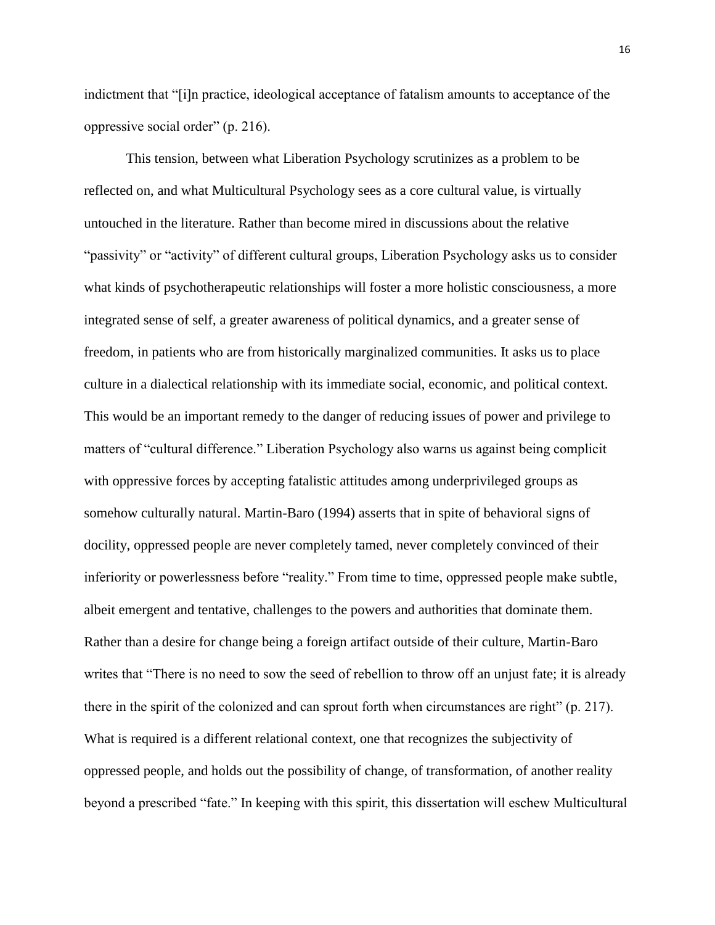indictment that "[i]n practice, ideological acceptance of fatalism amounts to acceptance of the oppressive social order" (p. 216).

This tension, between what Liberation Psychology scrutinizes as a problem to be reflected on, and what Multicultural Psychology sees as a core cultural value, is virtually untouched in the literature. Rather than become mired in discussions about the relative "passivity" or "activity" of different cultural groups, Liberation Psychology asks us to consider what kinds of psychotherapeutic relationships will foster a more holistic consciousness, a more integrated sense of self, a greater awareness of political dynamics, and a greater sense of freedom, in patients who are from historically marginalized communities. It asks us to place culture in a dialectical relationship with its immediate social, economic, and political context. This would be an important remedy to the danger of reducing issues of power and privilege to matters of "cultural difference." Liberation Psychology also warns us against being complicit with oppressive forces by accepting fatalistic attitudes among underprivileged groups as somehow culturally natural. Martin-Baro (1994) asserts that in spite of behavioral signs of docility, oppressed people are never completely tamed, never completely convinced of their inferiority or powerlessness before "reality." From time to time, oppressed people make subtle, albeit emergent and tentative, challenges to the powers and authorities that dominate them. Rather than a desire for change being a foreign artifact outside of their culture, Martin-Baro writes that "There is no need to sow the seed of rebellion to throw off an unjust fate; it is already there in the spirit of the colonized and can sprout forth when circumstances are right" (p. 217). What is required is a different relational context, one that recognizes the subjectivity of oppressed people, and holds out the possibility of change, of transformation, of another reality beyond a prescribed "fate." In keeping with this spirit, this dissertation will eschew Multicultural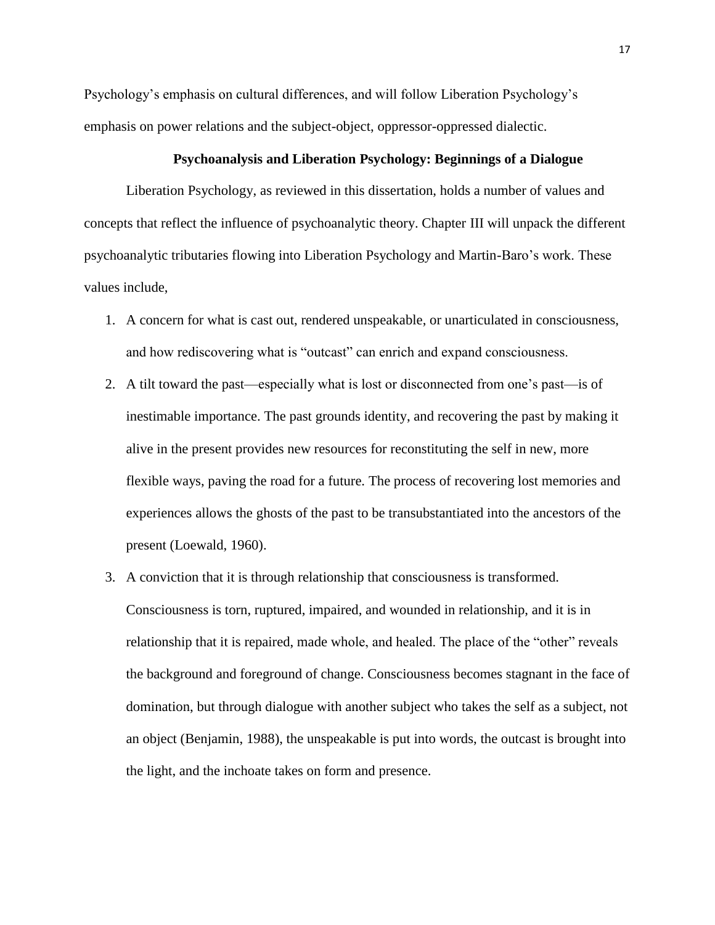Psychology's emphasis on cultural differences, and will follow Liberation Psychology's emphasis on power relations and the subject-object, oppressor-oppressed dialectic.

### **Psychoanalysis and Liberation Psychology: Beginnings of a Dialogue**

Liberation Psychology, as reviewed in this dissertation, holds a number of values and concepts that reflect the influence of psychoanalytic theory. Chapter III will unpack the different psychoanalytic tributaries flowing into Liberation Psychology and Martin-Baro's work. These values include,

- 1. A concern for what is cast out, rendered unspeakable, or unarticulated in consciousness, and how rediscovering what is "outcast" can enrich and expand consciousness.
- 2. A tilt toward the past—especially what is lost or disconnected from one's past—is of inestimable importance. The past grounds identity, and recovering the past by making it alive in the present provides new resources for reconstituting the self in new, more flexible ways, paving the road for a future. The process of recovering lost memories and experiences allows the ghosts of the past to be transubstantiated into the ancestors of the present (Loewald, 1960).
- 3. A conviction that it is through relationship that consciousness is transformed. Consciousness is torn, ruptured, impaired, and wounded in relationship, and it is in relationship that it is repaired, made whole, and healed. The place of the "other" reveals the background and foreground of change. Consciousness becomes stagnant in the face of domination, but through dialogue with another subject who takes the self as a subject, not an object (Benjamin, 1988), the unspeakable is put into words, the outcast is brought into the light, and the inchoate takes on form and presence.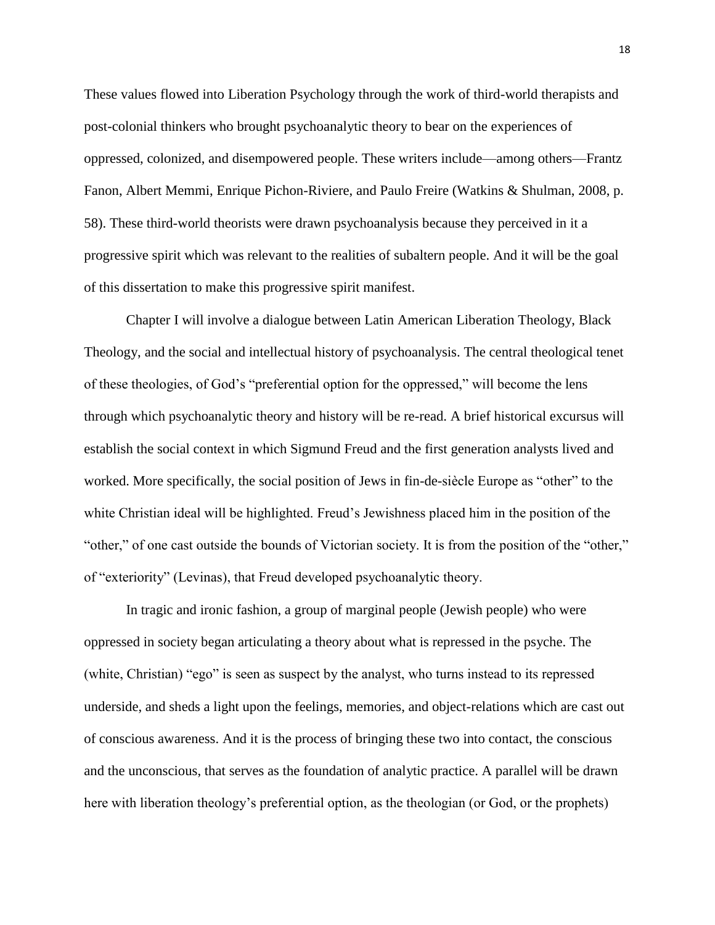These values flowed into Liberation Psychology through the work of third-world therapists and post-colonial thinkers who brought psychoanalytic theory to bear on the experiences of oppressed, colonized, and disempowered people. These writers include—among others—Frantz Fanon, Albert Memmi, Enrique Pichon-Riviere, and Paulo Freire (Watkins & Shulman, 2008, p. 58). These third-world theorists were drawn psychoanalysis because they perceived in it a progressive spirit which was relevant to the realities of subaltern people. And it will be the goal of this dissertation to make this progressive spirit manifest.

Chapter I will involve a dialogue between Latin American Liberation Theology, Black Theology, and the social and intellectual history of psychoanalysis. The central theological tenet of these theologies, of God's "preferential option for the oppressed," will become the lens through which psychoanalytic theory and history will be re-read. A brief historical excursus will establish the social context in which Sigmund Freud and the first generation analysts lived and worked. More specifically, the social position of Jews in fin-de-siècle Europe as "other" to the white Christian ideal will be highlighted. Freud's Jewishness placed him in the position of the "other," of one cast outside the bounds of Victorian society. It is from the position of the "other," of "exteriority" (Levinas), that Freud developed psychoanalytic theory.

In tragic and ironic fashion, a group of marginal people (Jewish people) who were oppressed in society began articulating a theory about what is repressed in the psyche. The (white, Christian) "ego" is seen as suspect by the analyst, who turns instead to its repressed underside, and sheds a light upon the feelings, memories, and object-relations which are cast out of conscious awareness. And it is the process of bringing these two into contact, the conscious and the unconscious, that serves as the foundation of analytic practice. A parallel will be drawn here with liberation theology's preferential option, as the theologian (or God, or the prophets)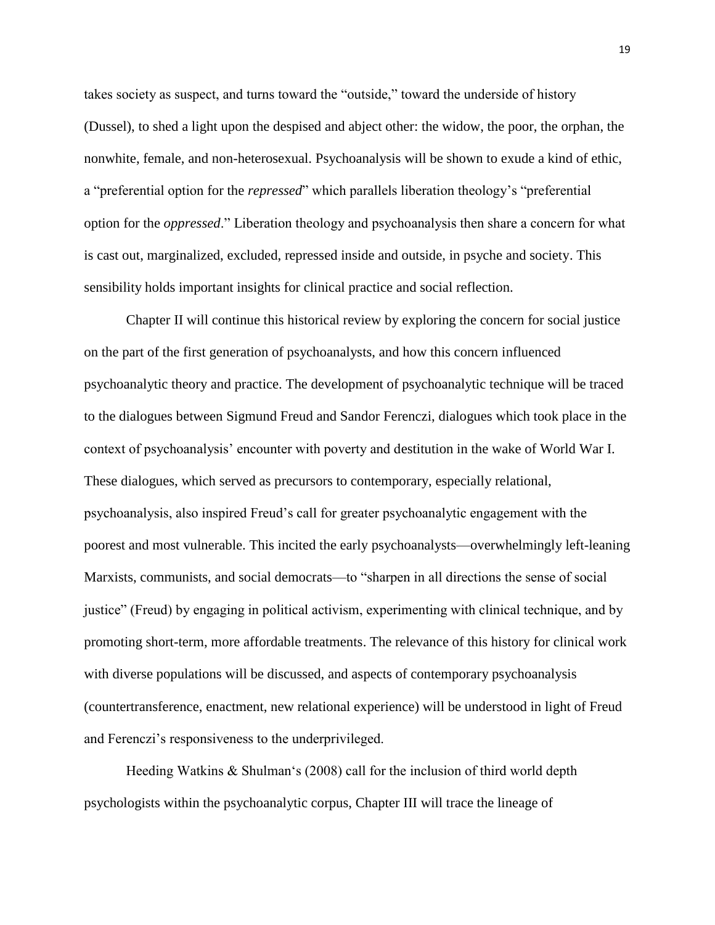takes society as suspect, and turns toward the "outside," toward the underside of history (Dussel), to shed a light upon the despised and abject other: the widow, the poor, the orphan, the nonwhite, female, and non-heterosexual. Psychoanalysis will be shown to exude a kind of ethic, a "preferential option for the *repressed*" which parallels liberation theology's "preferential option for the *oppressed*." Liberation theology and psychoanalysis then share a concern for what is cast out, marginalized, excluded, repressed inside and outside, in psyche and society. This sensibility holds important insights for clinical practice and social reflection.

Chapter II will continue this historical review by exploring the concern for social justice on the part of the first generation of psychoanalysts, and how this concern influenced psychoanalytic theory and practice. The development of psychoanalytic technique will be traced to the dialogues between Sigmund Freud and Sandor Ferenczi, dialogues which took place in the context of psychoanalysis' encounter with poverty and destitution in the wake of World War I. These dialogues, which served as precursors to contemporary, especially relational, psychoanalysis, also inspired Freud's call for greater psychoanalytic engagement with the poorest and most vulnerable. This incited the early psychoanalysts—overwhelmingly left-leaning Marxists, communists, and social democrats—to "sharpen in all directions the sense of social justice" (Freud) by engaging in political activism, experimenting with clinical technique, and by promoting short-term, more affordable treatments. The relevance of this history for clinical work with diverse populations will be discussed, and aspects of contemporary psychoanalysis (countertransference, enactment, new relational experience) will be understood in light of Freud and Ferenczi's responsiveness to the underprivileged.

Heeding Watkins & Shulman's (2008) call for the inclusion of third world depth psychologists within the psychoanalytic corpus, Chapter III will trace the lineage of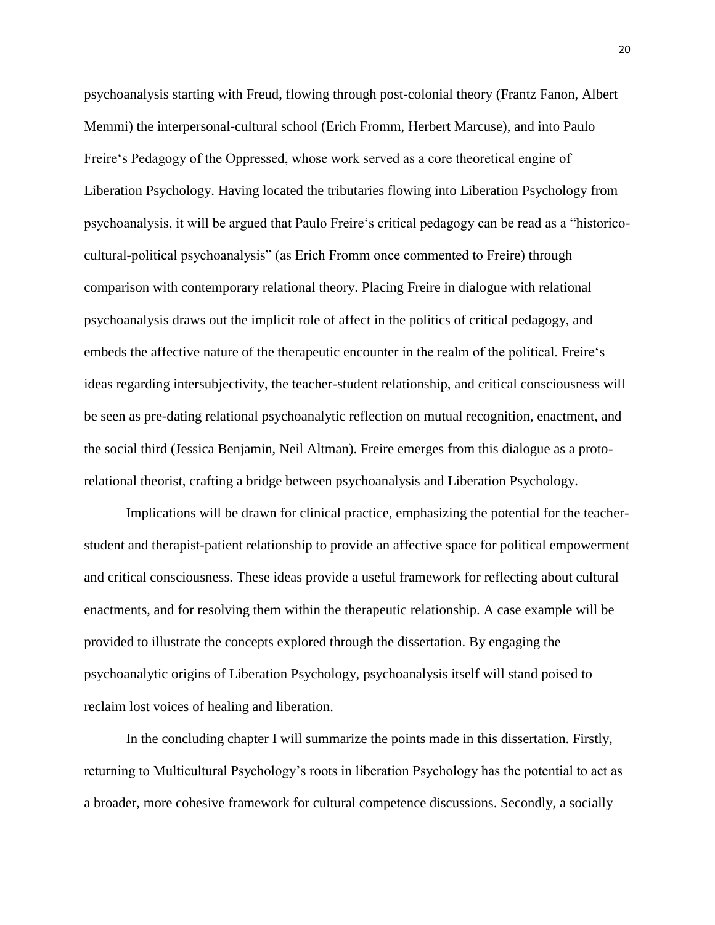psychoanalysis starting with Freud, flowing through post-colonial theory (Frantz Fanon, Albert Memmi) the interpersonal-cultural school (Erich Fromm, Herbert Marcuse), and into Paulo Freire's Pedagogy of the Oppressed, whose work served as a core theoretical engine of Liberation Psychology. Having located the tributaries flowing into Liberation Psychology from psychoanalysis, it will be argued that Paulo Freire's critical pedagogy can be read as a "historicocultural-political psychoanalysis" (as Erich Fromm once commented to Freire) through comparison with contemporary relational theory. Placing Freire in dialogue with relational psychoanalysis draws out the implicit role of affect in the politics of critical pedagogy, and embeds the affective nature of the therapeutic encounter in the realm of the political. Freire's ideas regarding intersubjectivity, the teacher-student relationship, and critical consciousness will be seen as pre-dating relational psychoanalytic reflection on mutual recognition, enactment, and the social third (Jessica Benjamin, Neil Altman). Freire emerges from this dialogue as a protorelational theorist, crafting a bridge between psychoanalysis and Liberation Psychology.

Implications will be drawn for clinical practice, emphasizing the potential for the teacherstudent and therapist-patient relationship to provide an affective space for political empowerment and critical consciousness. These ideas provide a useful framework for reflecting about cultural enactments, and for resolving them within the therapeutic relationship. A case example will be provided to illustrate the concepts explored through the dissertation. By engaging the psychoanalytic origins of Liberation Psychology, psychoanalysis itself will stand poised to reclaim lost voices of healing and liberation.

In the concluding chapter I will summarize the points made in this dissertation. Firstly, returning to Multicultural Psychology's roots in liberation Psychology has the potential to act as a broader, more cohesive framework for cultural competence discussions. Secondly, a socially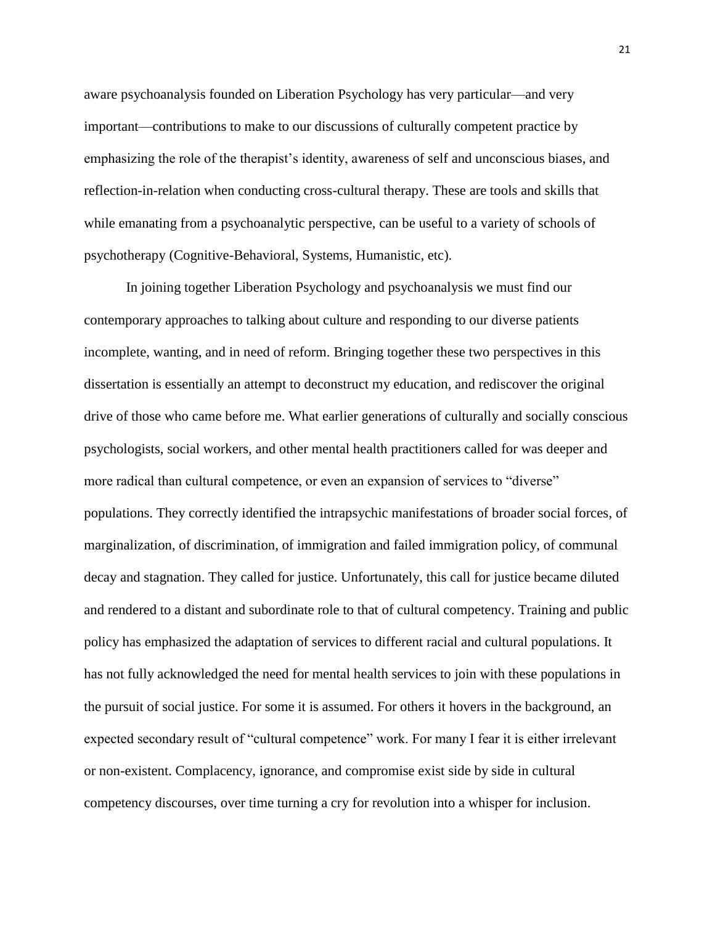aware psychoanalysis founded on Liberation Psychology has very particular—and very important—contributions to make to our discussions of culturally competent practice by emphasizing the role of the therapist's identity, awareness of self and unconscious biases, and reflection-in-relation when conducting cross-cultural therapy. These are tools and skills that while emanating from a psychoanalytic perspective, can be useful to a variety of schools of psychotherapy (Cognitive-Behavioral, Systems, Humanistic, etc).

In joining together Liberation Psychology and psychoanalysis we must find our contemporary approaches to talking about culture and responding to our diverse patients incomplete, wanting, and in need of reform. Bringing together these two perspectives in this dissertation is essentially an attempt to deconstruct my education, and rediscover the original drive of those who came before me. What earlier generations of culturally and socially conscious psychologists, social workers, and other mental health practitioners called for was deeper and more radical than cultural competence, or even an expansion of services to "diverse" populations. They correctly identified the intrapsychic manifestations of broader social forces, of marginalization, of discrimination, of immigration and failed immigration policy, of communal decay and stagnation. They called for justice. Unfortunately, this call for justice became diluted and rendered to a distant and subordinate role to that of cultural competency. Training and public policy has emphasized the adaptation of services to different racial and cultural populations. It has not fully acknowledged the need for mental health services to join with these populations in the pursuit of social justice. For some it is assumed. For others it hovers in the background, an expected secondary result of "cultural competence" work. For many I fear it is either irrelevant or non-existent. Complacency, ignorance, and compromise exist side by side in cultural competency discourses, over time turning a cry for revolution into a whisper for inclusion.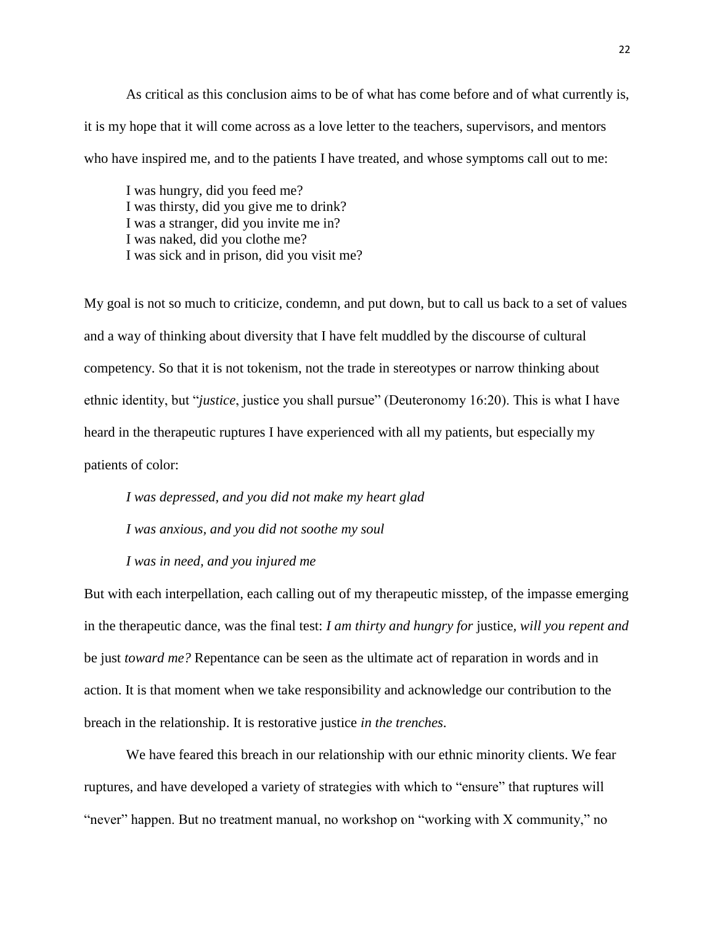As critical as this conclusion aims to be of what has come before and of what currently is, it is my hope that it will come across as a love letter to the teachers, supervisors, and mentors who have inspired me, and to the patients I have treated, and whose symptoms call out to me:

I was hungry, did you feed me? I was thirsty, did you give me to drink? I was a stranger, did you invite me in? I was naked, did you clothe me? I was sick and in prison, did you visit me?

My goal is not so much to criticize, condemn, and put down, but to call us back to a set of values and a way of thinking about diversity that I have felt muddled by the discourse of cultural competency. So that it is not tokenism, not the trade in stereotypes or narrow thinking about ethnic identity, but "*justice*, justice you shall pursue" (Deuteronomy 16:20). This is what I have heard in the therapeutic ruptures I have experienced with all my patients, but especially my patients of color:

*I was depressed, and you did not make my heart glad*

*I was anxious, and you did not soothe my soul*

*I was in need, and you injured me*

But with each interpellation, each calling out of my therapeutic misstep, of the impasse emerging in the therapeutic dance, was the final test: *I am thirty and hungry for* justice*, will you repent and*  be just *toward me?* Repentance can be seen as the ultimate act of reparation in words and in action. It is that moment when we take responsibility and acknowledge our contribution to the breach in the relationship. It is restorative justice *in the trenches*.

We have feared this breach in our relationship with our ethnic minority clients. We fear ruptures, and have developed a variety of strategies with which to "ensure" that ruptures will "never" happen. But no treatment manual, no workshop on "working with X community," no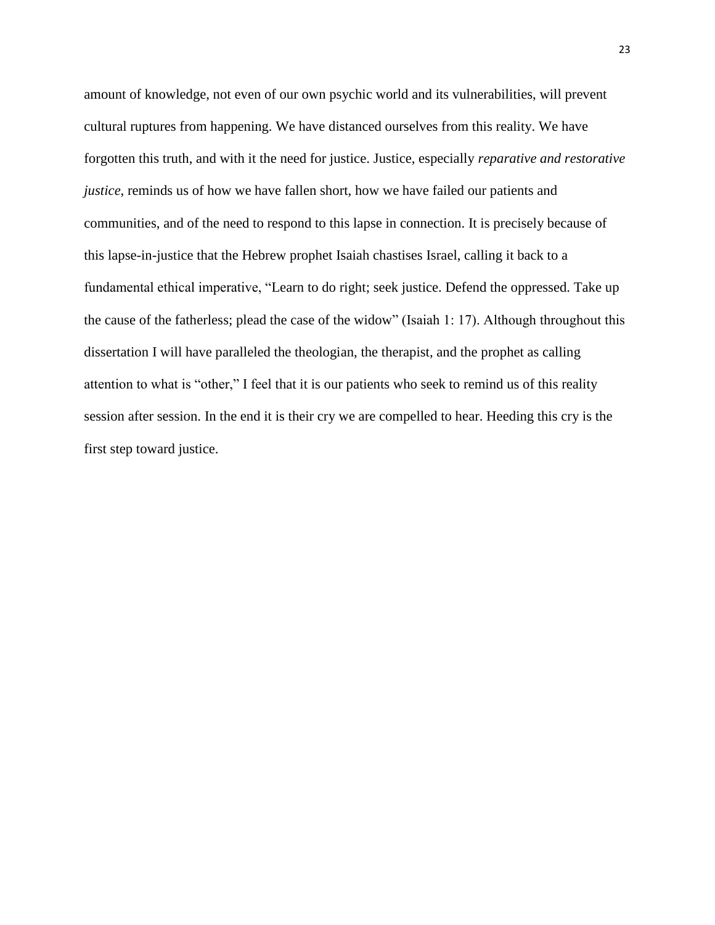amount of knowledge, not even of our own psychic world and its vulnerabilities, will prevent cultural ruptures from happening. We have distanced ourselves from this reality. We have forgotten this truth, and with it the need for justice. Justice, especially *reparative and restorative justice*, reminds us of how we have fallen short, how we have failed our patients and communities, and of the need to respond to this lapse in connection. It is precisely because of this lapse-in-justice that the Hebrew prophet Isaiah chastises Israel, calling it back to a fundamental ethical imperative, "Learn to do right; seek justice. Defend the oppressed. Take up the cause of the fatherless; plead the case of the widow" (Isaiah 1: 17). Although throughout this dissertation I will have paralleled the theologian, the therapist, and the prophet as calling attention to what is "other," I feel that it is our patients who seek to remind us of this reality session after session. In the end it is their cry we are compelled to hear. Heeding this cry is the first step toward justice.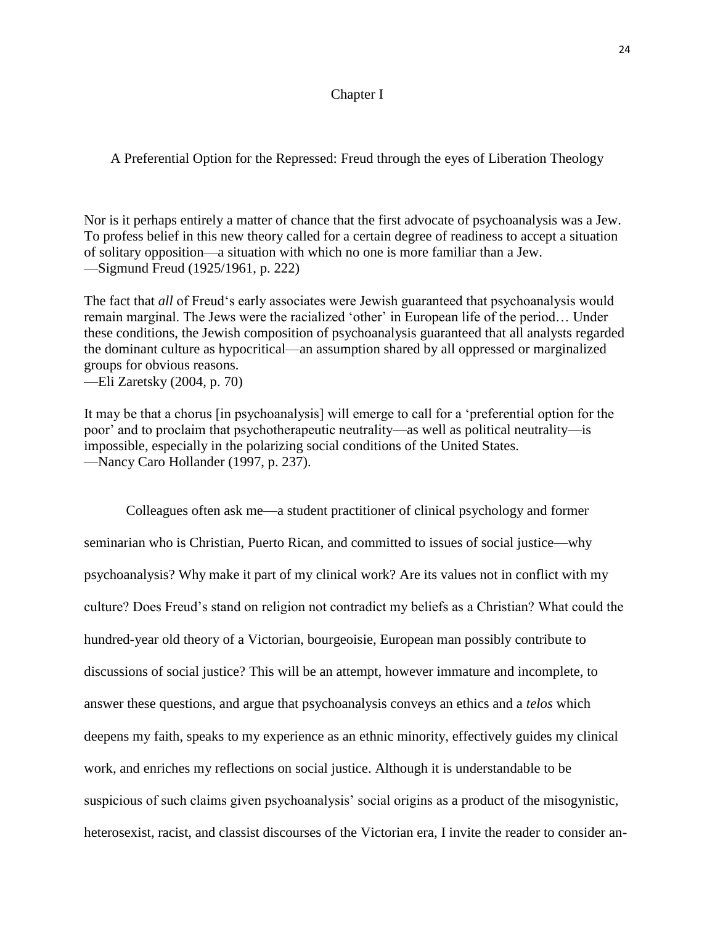### Chapter I

A Preferential Option for the Repressed: Freud through the eyes of Liberation Theology

Nor is it perhaps entirely a matter of chance that the first advocate of psychoanalysis was a Jew. To profess belief in this new theory called for a certain degree of readiness to accept a situation of solitary opposition—a situation with which no one is more familiar than a Jew. —Sigmund Freud (1925/1961, p. 222)

The fact that *all* of Freud's early associates were Jewish guaranteed that psychoanalysis would remain marginal. The Jews were the racialized 'other' in European life of the period… Under these conditions, the Jewish composition of psychoanalysis guaranteed that all analysts regarded the dominant culture as hypocritical—an assumption shared by all oppressed or marginalized groups for obvious reasons. —Eli Zaretsky (2004, p. 70)

It may be that a chorus [in psychoanalysis] will emerge to call for a 'preferential option for the poor' and to proclaim that psychotherapeutic neutrality—as well as political neutrality—is impossible, especially in the polarizing social conditions of the United States. —Nancy Caro Hollander (1997, p. 237).

Colleagues often ask me—a student practitioner of clinical psychology and former seminarian who is Christian, Puerto Rican, and committed to issues of social justice—why psychoanalysis? Why make it part of my clinical work? Are its values not in conflict with my culture? Does Freud's stand on religion not contradict my beliefs as a Christian? What could the hundred-year old theory of a Victorian, bourgeoisie, European man possibly contribute to discussions of social justice? This will be an attempt, however immature and incomplete, to answer these questions, and argue that psychoanalysis conveys an ethics and a *telos* which deepens my faith, speaks to my experience as an ethnic minority, effectively guides my clinical work, and enriches my reflections on social justice. Although it is understandable to be suspicious of such claims given psychoanalysis' social origins as a product of the misogynistic, heterosexist, racist, and classist discourses of the Victorian era, I invite the reader to consider an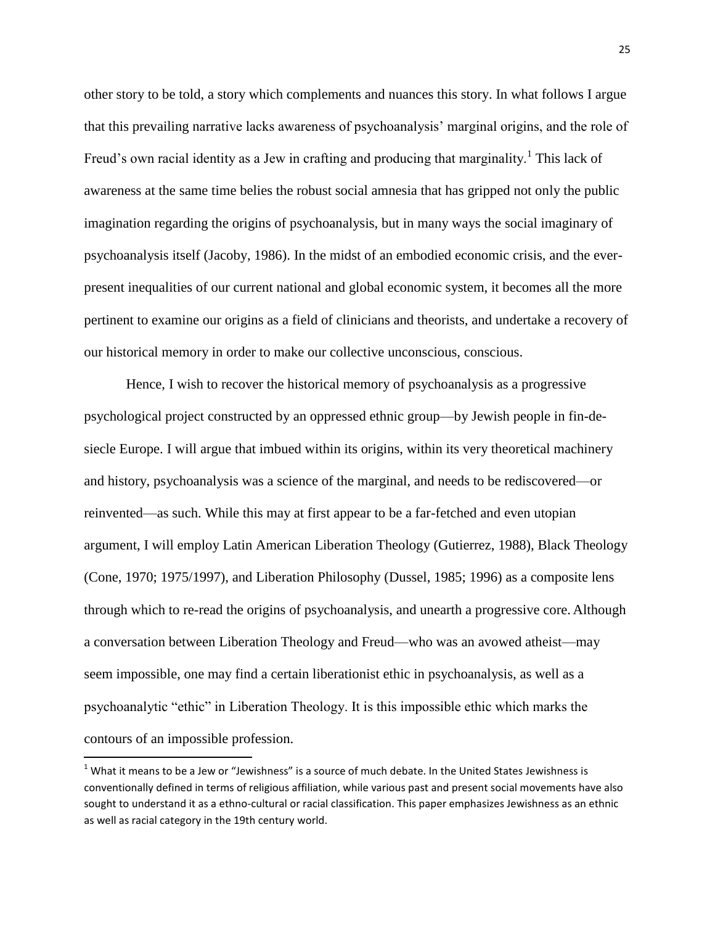other story to be told, a story which complements and nuances this story. In what follows I argue that this prevailing narrative lacks awareness of psychoanalysis' marginal origins, and the role of Freud's own racial identity as a Jew in crafting and producing that marginality.<sup>1</sup> This lack of awareness at the same time belies the robust social amnesia that has gripped not only the public imagination regarding the origins of psychoanalysis, but in many ways the social imaginary of psychoanalysis itself (Jacoby, 1986). In the midst of an embodied economic crisis, and the everpresent inequalities of our current national and global economic system, it becomes all the more pertinent to examine our origins as a field of clinicians and theorists, and undertake a recovery of our historical memory in order to make our collective unconscious, conscious.

Hence, I wish to recover the historical memory of psychoanalysis as a progressive psychological project constructed by an oppressed ethnic group—by Jewish people in fin-desiecle Europe. I will argue that imbued within its origins, within its very theoretical machinery and history, psychoanalysis was a science of the marginal, and needs to be rediscovered—or reinvented—as such. While this may at first appear to be a far-fetched and even utopian argument, I will employ Latin American Liberation Theology (Gutierrez, 1988), Black Theology (Cone, 1970; 1975/1997), and Liberation Philosophy (Dussel, 1985; 1996) as a composite lens through which to re-read the origins of psychoanalysis, and unearth a progressive core. Although a conversation between Liberation Theology and Freud—who was an avowed atheist—may seem impossible, one may find a certain liberationist ethic in psychoanalysis, as well as a psychoanalytic "ethic" in Liberation Theology. It is this impossible ethic which marks the contours of an impossible profession.

 $\overline{\phantom{a}}$ 

 $1$  What it means to be a Jew or "Jewishness" is a source of much debate. In the United States Jewishness is conventionally defined in terms of religious affiliation, while various past and present social movements have also sought to understand it as a ethno-cultural or racial classification. This paper emphasizes Jewishness as an ethnic as well as racial category in the 19th century world.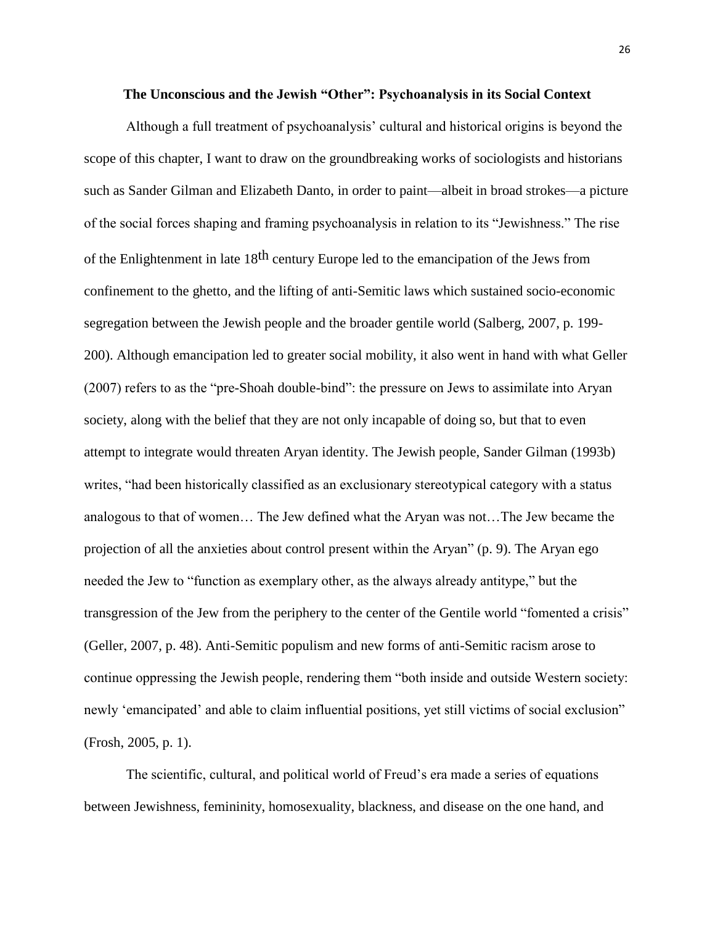### **The Unconscious and the Jewish "Other": Psychoanalysis in its Social Context**

Although a full treatment of psychoanalysis' cultural and historical origins is beyond the scope of this chapter, I want to draw on the groundbreaking works of sociologists and historians such as Sander Gilman and Elizabeth Danto, in order to paint—albeit in broad strokes—a picture of the social forces shaping and framing psychoanalysis in relation to its "Jewishness." The rise of the Enlightenment in late 18<sup>th</sup> century Europe led to the emancipation of the Jews from confinement to the ghetto, and the lifting of anti-Semitic laws which sustained socio-economic segregation between the Jewish people and the broader gentile world (Salberg, 2007, p. 199- 200). Although emancipation led to greater social mobility, it also went in hand with what Geller (2007) refers to as the "pre-Shoah double-bind": the pressure on Jews to assimilate into Aryan society, along with the belief that they are not only incapable of doing so, but that to even attempt to integrate would threaten Aryan identity. The Jewish people, Sander Gilman (1993b) writes, "had been historically classified as an exclusionary stereotypical category with a status analogous to that of women… The Jew defined what the Aryan was not…The Jew became the projection of all the anxieties about control present within the Aryan" (p. 9). The Aryan ego needed the Jew to "function as exemplary other, as the always already antitype," but the transgression of the Jew from the periphery to the center of the Gentile world "fomented a crisis" (Geller, 2007, p. 48). Anti-Semitic populism and new forms of anti-Semitic racism arose to continue oppressing the Jewish people, rendering them "both inside and outside Western society: newly 'emancipated' and able to claim influential positions, yet still victims of social exclusion" (Frosh, 2005, p. 1).

The scientific, cultural, and political world of Freud's era made a series of equations between Jewishness, femininity, homosexuality, blackness, and disease on the one hand, and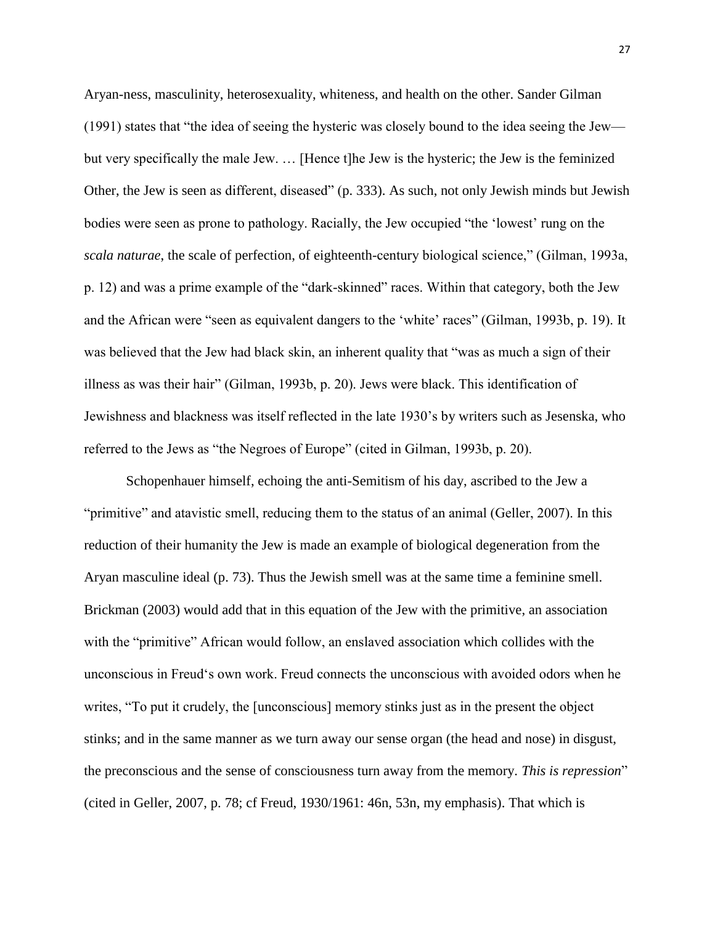Aryan-ness, masculinity, heterosexuality, whiteness, and health on the other. Sander Gilman (1991) states that "the idea of seeing the hysteric was closely bound to the idea seeing the Jew but very specifically the male Jew. … [Hence t]he Jew is the hysteric; the Jew is the feminized Other, the Jew is seen as different, diseased" (p. 333). As such, not only Jewish minds but Jewish bodies were seen as prone to pathology. Racially, the Jew occupied "the 'lowest' rung on the *scala naturae*, the scale of perfection, of eighteenth-century biological science," (Gilman, 1993a, p. 12) and was a prime example of the "dark-skinned" races. Within that category, both the Jew and the African were "seen as equivalent dangers to the 'white' races" (Gilman, 1993b, p. 19). It was believed that the Jew had black skin, an inherent quality that "was as much a sign of their illness as was their hair" (Gilman, 1993b, p. 20). Jews were black. This identification of Jewishness and blackness was itself reflected in the late 1930's by writers such as Jesenska, who referred to the Jews as "the Negroes of Europe" (cited in Gilman, 1993b, p. 20).

Schopenhauer himself, echoing the anti-Semitism of his day, ascribed to the Jew a "primitive" and atavistic smell, reducing them to the status of an animal (Geller, 2007). In this reduction of their humanity the Jew is made an example of biological degeneration from the Aryan masculine ideal (p. 73). Thus the Jewish smell was at the same time a feminine smell. Brickman (2003) would add that in this equation of the Jew with the primitive, an association with the "primitive" African would follow, an enslaved association which collides with the unconscious in Freud's own work. Freud connects the unconscious with avoided odors when he writes, "To put it crudely, the [unconscious] memory stinks just as in the present the object stinks; and in the same manner as we turn away our sense organ (the head and nose) in disgust, the preconscious and the sense of consciousness turn away from the memory. *This is repression*" (cited in Geller, 2007, p. 78; cf Freud, 1930/1961: 46n, 53n, my emphasis). That which is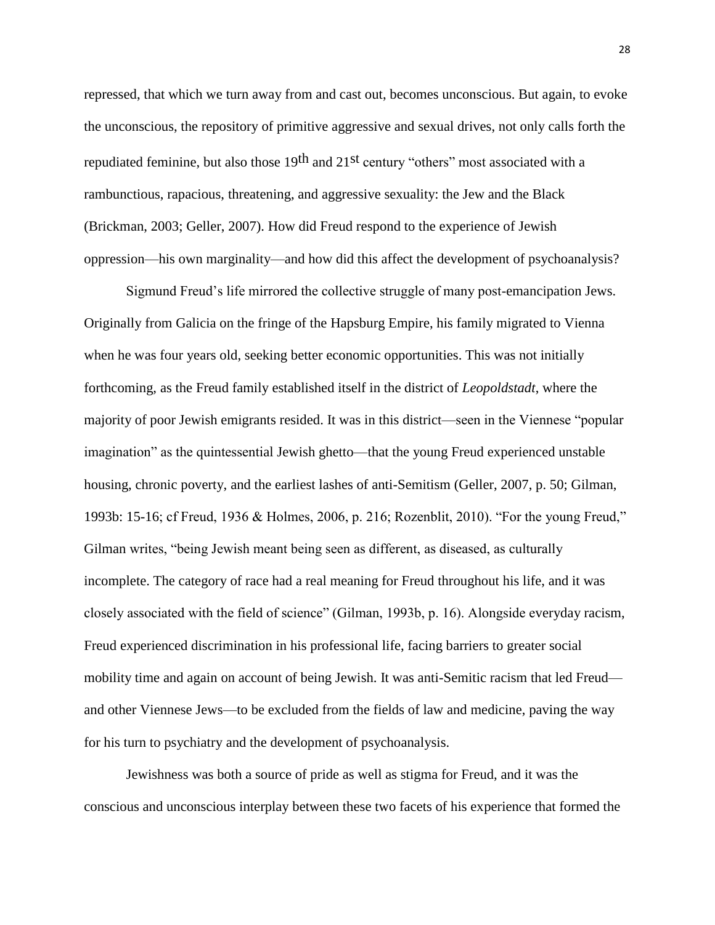repressed, that which we turn away from and cast out, becomes unconscious. But again, to evoke the unconscious, the repository of primitive aggressive and sexual drives, not only calls forth the repudiated feminine, but also those 19th and 21st century "others" most associated with a rambunctious, rapacious, threatening, and aggressive sexuality: the Jew and the Black (Brickman, 2003; Geller, 2007). How did Freud respond to the experience of Jewish oppression—his own marginality—and how did this affect the development of psychoanalysis?

Sigmund Freud's life mirrored the collective struggle of many post-emancipation Jews. Originally from Galicia on the fringe of the Hapsburg Empire, his family migrated to Vienna when he was four years old, seeking better economic opportunities. This was not initially forthcoming, as the Freud family established itself in the district of *Leopoldstadt*, where the majority of poor Jewish emigrants resided. It was in this district—seen in the Viennese "popular imagination" as the quintessential Jewish ghetto—that the young Freud experienced unstable housing, chronic poverty, and the earliest lashes of anti-Semitism (Geller, 2007, p. 50; Gilman, 1993b: 15-16; cf Freud, 1936 & Holmes, 2006, p. 216; Rozenblit, 2010). "For the young Freud," Gilman writes, "being Jewish meant being seen as different, as diseased, as culturally incomplete. The category of race had a real meaning for Freud throughout his life, and it was closely associated with the field of science" (Gilman, 1993b, p. 16). Alongside everyday racism, Freud experienced discrimination in his professional life, facing barriers to greater social mobility time and again on account of being Jewish. It was anti-Semitic racism that led Freud and other Viennese Jews—to be excluded from the fields of law and medicine, paving the way for his turn to psychiatry and the development of psychoanalysis.

Jewishness was both a source of pride as well as stigma for Freud, and it was the conscious and unconscious interplay between these two facets of his experience that formed the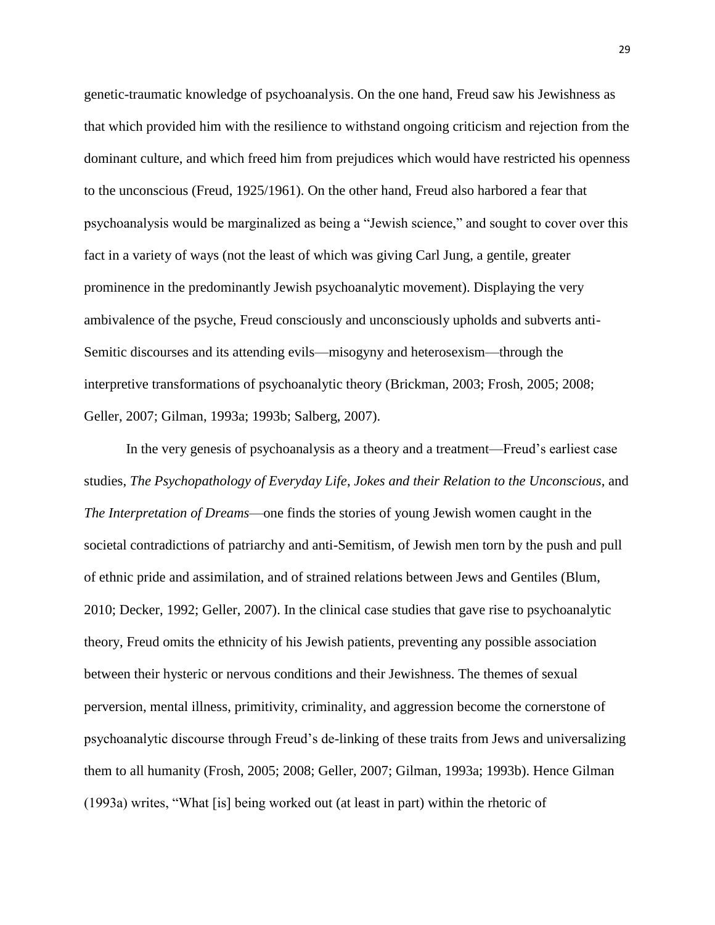genetic-traumatic knowledge of psychoanalysis. On the one hand, Freud saw his Jewishness as that which provided him with the resilience to withstand ongoing criticism and rejection from the dominant culture, and which freed him from prejudices which would have restricted his openness to the unconscious (Freud, 1925/1961). On the other hand, Freud also harbored a fear that psychoanalysis would be marginalized as being a "Jewish science," and sought to cover over this fact in a variety of ways (not the least of which was giving Carl Jung, a gentile, greater prominence in the predominantly Jewish psychoanalytic movement). Displaying the very ambivalence of the psyche, Freud consciously and unconsciously upholds and subverts anti-Semitic discourses and its attending evils—misogyny and heterosexism—through the interpretive transformations of psychoanalytic theory (Brickman, 2003; Frosh, 2005; 2008; Geller, 2007; Gilman, 1993a; 1993b; Salberg, 2007).

In the very genesis of psychoanalysis as a theory and a treatment—Freud's earliest case studies, *The Psychopathology of Everyday Life*, *Jokes and their Relation to the Unconscious*, and *The Interpretation of Dreams*—one finds the stories of young Jewish women caught in the societal contradictions of patriarchy and anti-Semitism, of Jewish men torn by the push and pull of ethnic pride and assimilation, and of strained relations between Jews and Gentiles (Blum, 2010; Decker, 1992; Geller, 2007). In the clinical case studies that gave rise to psychoanalytic theory, Freud omits the ethnicity of his Jewish patients, preventing any possible association between their hysteric or nervous conditions and their Jewishness. The themes of sexual perversion, mental illness, primitivity, criminality, and aggression become the cornerstone of psychoanalytic discourse through Freud's de-linking of these traits from Jews and universalizing them to all humanity (Frosh, 2005; 2008; Geller, 2007; Gilman, 1993a; 1993b). Hence Gilman (1993a) writes, "What [is] being worked out (at least in part) within the rhetoric of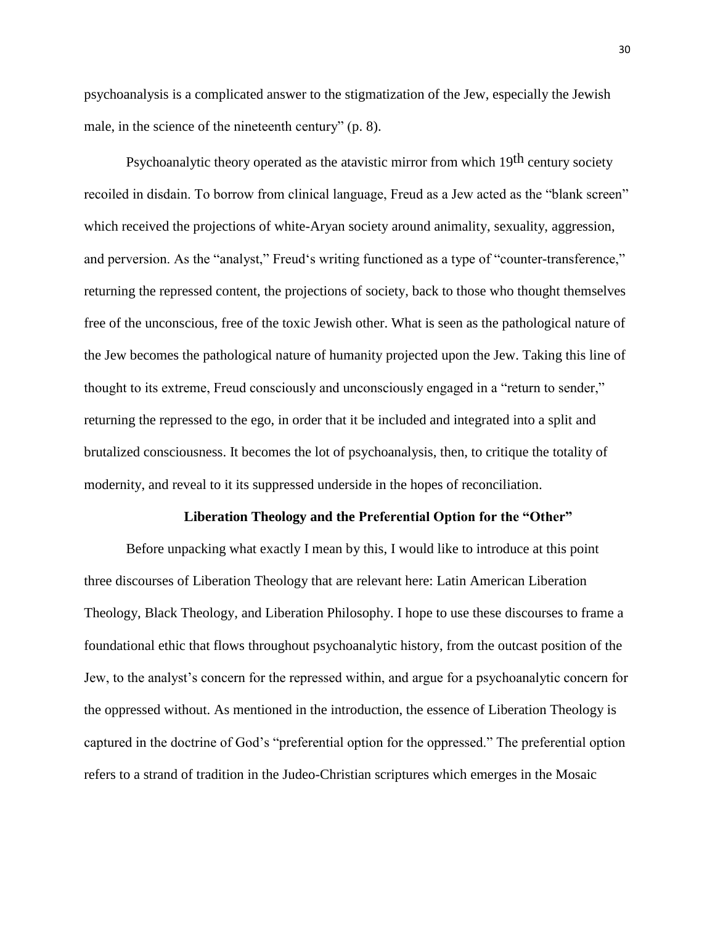psychoanalysis is a complicated answer to the stigmatization of the Jew, especially the Jewish male, in the science of the nineteenth century" (p. 8).

Psychoanalytic theory operated as the atavistic mirror from which 19th century society recoiled in disdain. To borrow from clinical language, Freud as a Jew acted as the "blank screen" which received the projections of white-Aryan society around animality, sexuality, aggression, and perversion. As the "analyst," Freud's writing functioned as a type of "counter-transference," returning the repressed content, the projections of society, back to those who thought themselves free of the unconscious, free of the toxic Jewish other. What is seen as the pathological nature of the Jew becomes the pathological nature of humanity projected upon the Jew. Taking this line of thought to its extreme, Freud consciously and unconsciously engaged in a "return to sender," returning the repressed to the ego, in order that it be included and integrated into a split and brutalized consciousness. It becomes the lot of psychoanalysis, then, to critique the totality of modernity, and reveal to it its suppressed underside in the hopes of reconciliation.

### **Liberation Theology and the Preferential Option for the "Other"**

Before unpacking what exactly I mean by this, I would like to introduce at this point three discourses of Liberation Theology that are relevant here: Latin American Liberation Theology, Black Theology, and Liberation Philosophy. I hope to use these discourses to frame a foundational ethic that flows throughout psychoanalytic history, from the outcast position of the Jew, to the analyst's concern for the repressed within, and argue for a psychoanalytic concern for the oppressed without. As mentioned in the introduction, the essence of Liberation Theology is captured in the doctrine of God's "preferential option for the oppressed." The preferential option refers to a strand of tradition in the Judeo-Christian scriptures which emerges in the Mosaic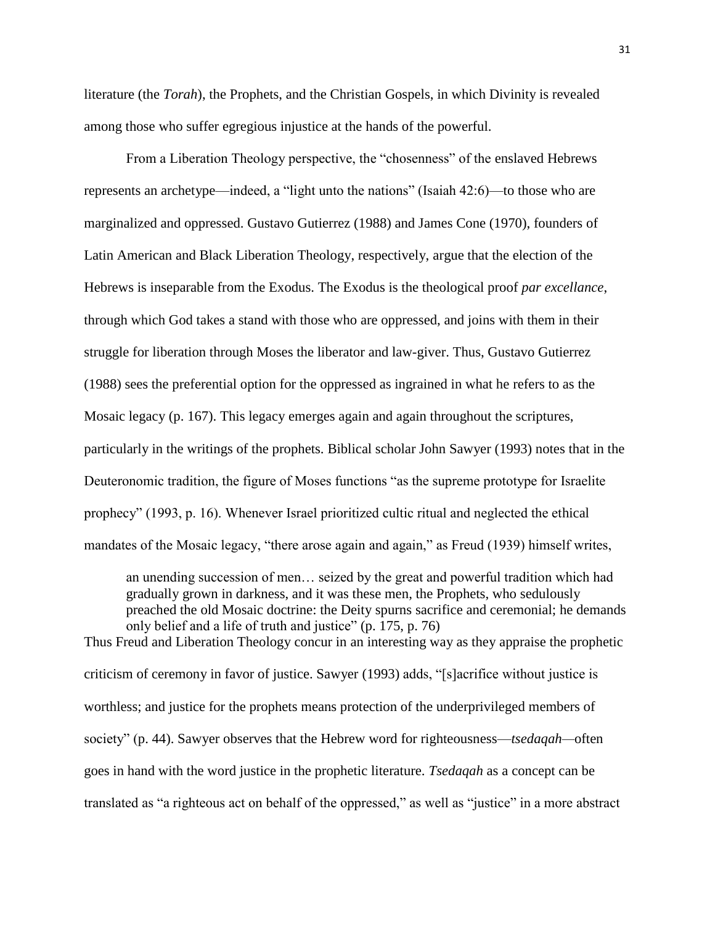literature (the *Torah*), the Prophets, and the Christian Gospels, in which Divinity is revealed among those who suffer egregious injustice at the hands of the powerful.

From a Liberation Theology perspective, the "chosenness" of the enslaved Hebrews represents an archetype—indeed, a "light unto the nations" (Isaiah 42:6)—to those who are marginalized and oppressed. Gustavo Gutierrez (1988) and James Cone (1970), founders of Latin American and Black Liberation Theology, respectively, argue that the election of the Hebrews is inseparable from the Exodus. The Exodus is the theological proof *par excellance*, through which God takes a stand with those who are oppressed, and joins with them in their struggle for liberation through Moses the liberator and law-giver. Thus, Gustavo Gutierrez (1988) sees the preferential option for the oppressed as ingrained in what he refers to as the Mosaic legacy (p. 167). This legacy emerges again and again throughout the scriptures, particularly in the writings of the prophets. Biblical scholar John Sawyer (1993) notes that in the Deuteronomic tradition, the figure of Moses functions "as the supreme prototype for Israelite prophecy" (1993, p. 16). Whenever Israel prioritized cultic ritual and neglected the ethical mandates of the Mosaic legacy, "there arose again and again," as Freud (1939) himself writes,

an unending succession of men… seized by the great and powerful tradition which had gradually grown in darkness, and it was these men, the Prophets, who sedulously preached the old Mosaic doctrine: the Deity spurns sacrifice and ceremonial; he demands only belief and a life of truth and justice" (p. 175, p. 76)

Thus Freud and Liberation Theology concur in an interesting way as they appraise the prophetic criticism of ceremony in favor of justice. Sawyer (1993) adds, "[s]acrifice without justice is worthless; and justice for the prophets means protection of the underprivileged members of society" (p. 44). Sawyer observes that the Hebrew word for righteousness—*tsedaqah—*often goes in hand with the word justice in the prophetic literature. *Tsedaqah* as a concept can be translated as "a righteous act on behalf of the oppressed," as well as "justice" in a more abstract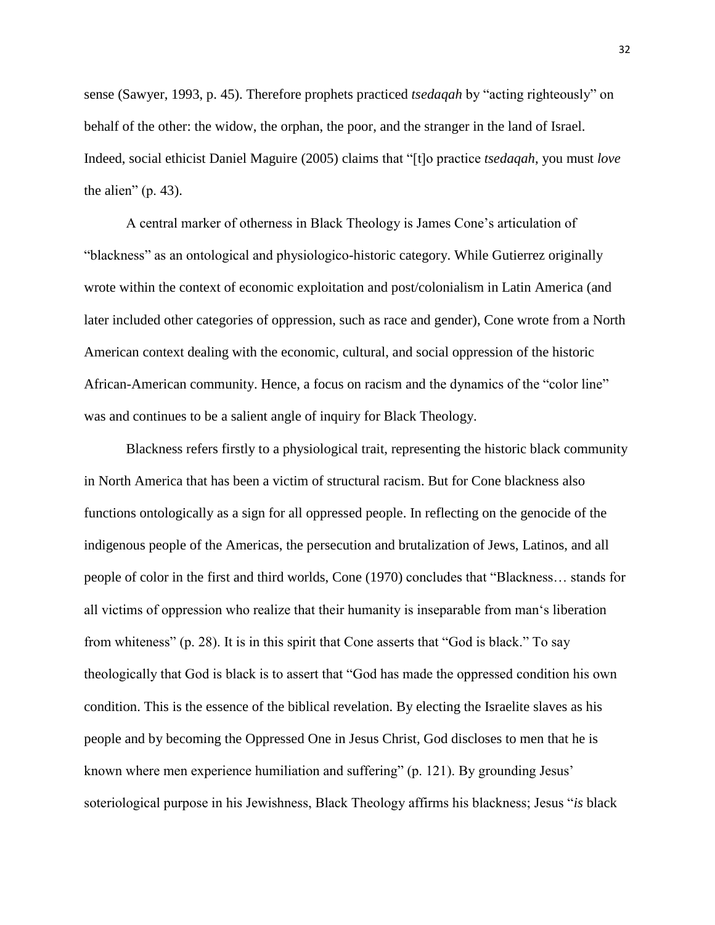sense (Sawyer, 1993, p. 45). Therefore prophets practiced *tsedaqah* by "acting righteously" on behalf of the other: the widow, the orphan, the poor, and the stranger in the land of Israel. Indeed, social ethicist Daniel Maguire (2005) claims that "[t]o practice *tsedaqah*, you must *love* the alien"  $(p. 43)$ .

A central marker of otherness in Black Theology is James Cone's articulation of "blackness" as an ontological and physiologico-historic category. While Gutierrez originally wrote within the context of economic exploitation and post/colonialism in Latin America (and later included other categories of oppression, such as race and gender), Cone wrote from a North American context dealing with the economic, cultural, and social oppression of the historic African-American community. Hence, a focus on racism and the dynamics of the "color line" was and continues to be a salient angle of inquiry for Black Theology.

Blackness refers firstly to a physiological trait, representing the historic black community in North America that has been a victim of structural racism. But for Cone blackness also functions ontologically as a sign for all oppressed people. In reflecting on the genocide of the indigenous people of the Americas, the persecution and brutalization of Jews, Latinos, and all people of color in the first and third worlds, Cone (1970) concludes that "Blackness… stands for all victims of oppression who realize that their humanity is inseparable from man's liberation from whiteness" (p. 28). It is in this spirit that Cone asserts that "God is black." To say theologically that God is black is to assert that "God has made the oppressed condition his own condition. This is the essence of the biblical revelation. By electing the Israelite slaves as his people and by becoming the Oppressed One in Jesus Christ, God discloses to men that he is known where men experience humiliation and suffering" (p. 121). By grounding Jesus' soteriological purpose in his Jewishness, Black Theology affirms his blackness; Jesus "*is* black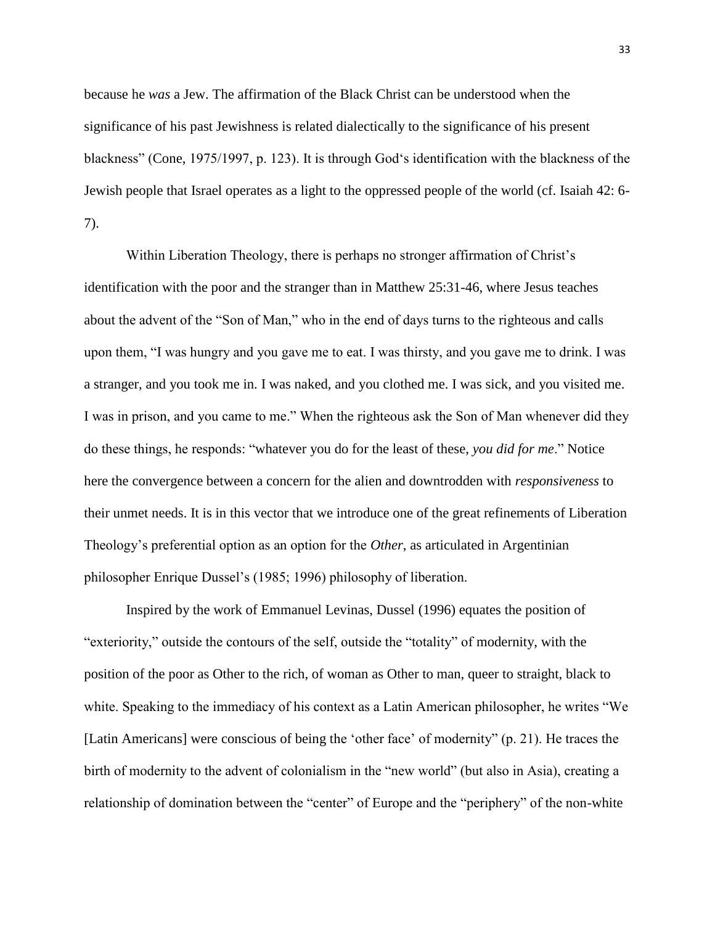because he *was* a Jew. The affirmation of the Black Christ can be understood when the significance of his past Jewishness is related dialectically to the significance of his present blackness" (Cone, 1975/1997, p. 123). It is through God's identification with the blackness of the Jewish people that Israel operates as a light to the oppressed people of the world (cf. Isaiah 42: 6- 7).

Within Liberation Theology, there is perhaps no stronger affirmation of Christ's identification with the poor and the stranger than in Matthew 25:31-46, where Jesus teaches about the advent of the "Son of Man," who in the end of days turns to the righteous and calls upon them, "I was hungry and you gave me to eat. I was thirsty, and you gave me to drink. I was a stranger, and you took me in. I was naked, and you clothed me. I was sick, and you visited me. I was in prison, and you came to me." When the righteous ask the Son of Man whenever did they do these things, he responds: "whatever you do for the least of these, *you did for me*." Notice here the convergence between a concern for the alien and downtrodden with *responsiveness* to their unmet needs. It is in this vector that we introduce one of the great refinements of Liberation Theology's preferential option as an option for the *Other*, as articulated in Argentinian philosopher Enrique Dussel's (1985; 1996) philosophy of liberation.

Inspired by the work of Emmanuel Levinas, Dussel (1996) equates the position of "exteriority," outside the contours of the self, outside the "totality" of modernity, with the position of the poor as Other to the rich, of woman as Other to man, queer to straight, black to white. Speaking to the immediacy of his context as a Latin American philosopher, he writes "We [Latin Americans] were conscious of being the 'other face' of modernity" (p. 21). He traces the birth of modernity to the advent of colonialism in the "new world" (but also in Asia), creating a relationship of domination between the "center" of Europe and the "periphery" of the non-white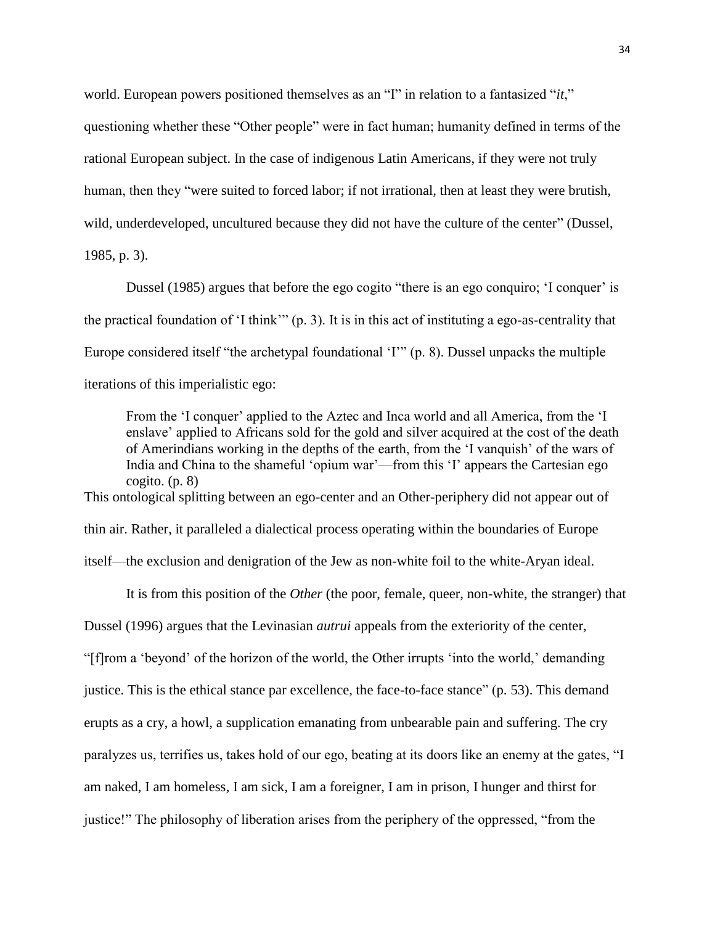world. European powers positioned themselves as an "I" in relation to a fantasized "*it*," questioning whether these "Other people" were in fact human; humanity defined in terms of the rational European subject. In the case of indigenous Latin Americans, if they were not truly human, then they "were suited to forced labor; if not irrational, then at least they were brutish, wild, underdeveloped, uncultured because they did not have the culture of the center" (Dussel, 1985, p. 3).

Dussel (1985) argues that before the ego cogito "there is an ego conquiro; 'I conquer' is the practical foundation of 'I think'" (p. 3). It is in this act of instituting a ego-as-centrality that Europe considered itself "the archetypal foundational 'I'" (p. 8). Dussel unpacks the multiple iterations of this imperialistic ego:

From the 'I conquer' applied to the Aztec and Inca world and all America, from the 'I enslave' applied to Africans sold for the gold and silver acquired at the cost of the death of Amerindians working in the depths of the earth, from the 'I vanquish' of the wars of India and China to the shameful 'opium war'—from this 'I' appears the Cartesian ego  $cogito. (p. 8)$ 

This ontological splitting between an ego-center and an Other-periphery did not appear out of thin air. Rather, it paralleled a dialectical process operating within the boundaries of Europe itself—the exclusion and denigration of the Jew as non-white foil to the white-Aryan ideal.

It is from this position of the *Other* (the poor, female, queer, non-white, the stranger) that Dussel (1996) argues that the Levinasian *autrui* appeals from the exteriority of the center, "[f]rom a 'beyond' of the horizon of the world, the Other irrupts 'into the world,' demanding justice. This is the ethical stance par excellence, the face-to-face stance" (p. 53). This demand erupts as a cry, a howl, a supplication emanating from unbearable pain and suffering. The cry paralyzes us, terrifies us, takes hold of our ego, beating at its doors like an enemy at the gates, "I am naked, I am homeless, I am sick, I am a foreigner, I am in prison, I hunger and thirst for justice!" The philosophy of liberation arises from the periphery of the oppressed, "from the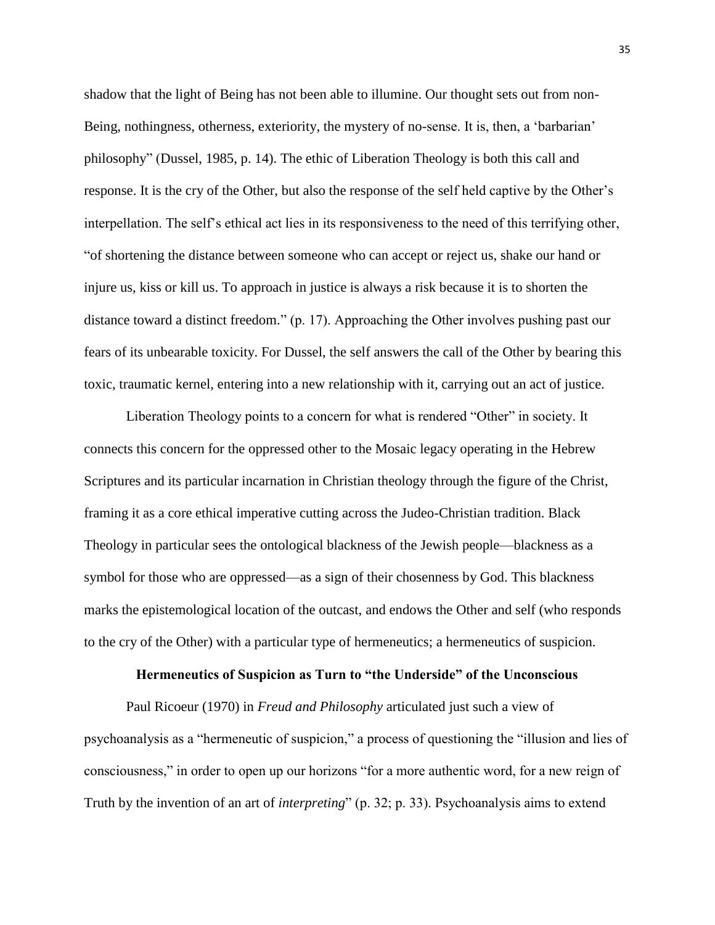shadow that the light of Being has not been able to illumine. Our thought sets out from non-Being, nothingness, otherness, exteriority, the mystery of no-sense. It is, then, a 'barbarian' philosophy" (Dussel, 1985, p. 14). The ethic of Liberation Theology is both this call and response. It is the cry of the Other, but also the response of the self held captive by the Other's interpellation. The self's ethical act lies in its responsiveness to the need of this terrifying other, "of shortening the distance between someone who can accept or reject us, shake our hand or injure us, kiss or kill us. To approach in justice is always a risk because it is to shorten the distance toward a distinct freedom." (p. 17). Approaching the Other involves pushing past our fears of its unbearable toxicity. For Dussel, the self answers the call of the Other by bearing this toxic, traumatic kernel, entering into a new relationship with it, carrying out an act of justice.

Liberation Theology points to a concern for what is rendered "Other" in society. It connects this concern for the oppressed other to the Mosaic legacy operating in the Hebrew Scriptures and its particular incarnation in Christian theology through the figure of the Christ, framing it as a core ethical imperative cutting across the Judeo-Christian tradition. Black Theology in particular sees the ontological blackness of the Jewish people—blackness as a symbol for those who are oppressed—as a sign of their chosenness by God. This blackness marks the epistemological location of the outcast, and endows the Other and self (who responds to the cry of the Other) with a particular type of hermeneutics; a hermeneutics of suspicion.

### **Hermeneutics of Suspicion as Turn to "the Underside" of the Unconscious**

Paul Ricoeur (1970) in *Freud and Philosophy* articulated just such a view of psychoanalysis as a "hermeneutic of suspicion," a process of questioning the "illusion and lies of consciousness," in order to open up our horizons "for a more authentic word, for a new reign of Truth by the invention of an art of *interpreting*" (p. 32; p. 33). Psychoanalysis aims to extend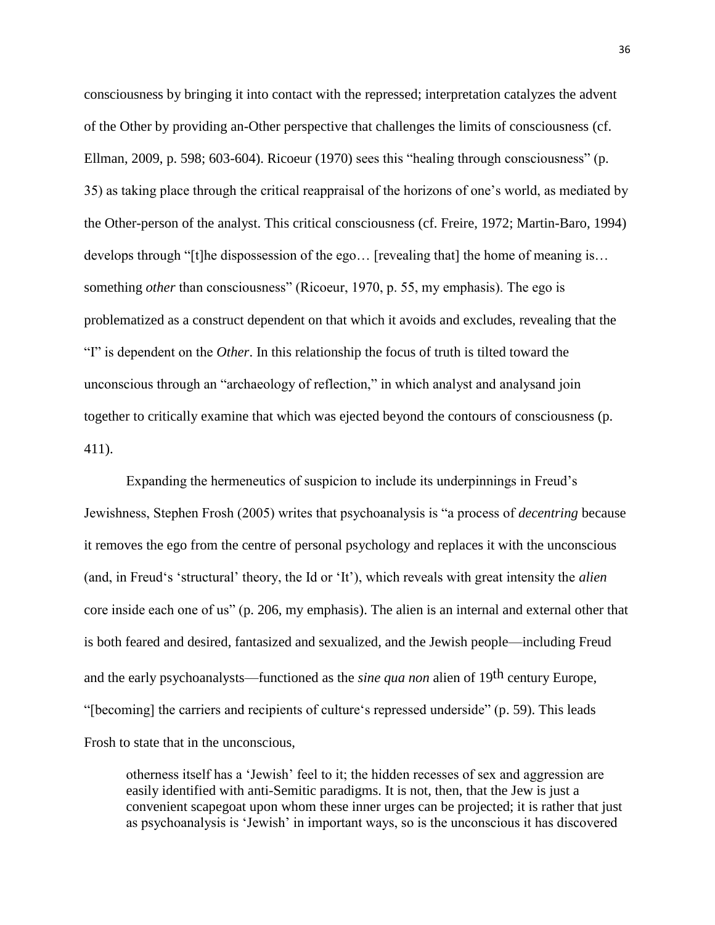consciousness by bringing it into contact with the repressed; interpretation catalyzes the advent of the Other by providing an-Other perspective that challenges the limits of consciousness (cf. Ellman, 2009, p. 598; 603-604). Ricoeur (1970) sees this "healing through consciousness" (p. 35) as taking place through the critical reappraisal of the horizons of one's world, as mediated by the Other-person of the analyst. This critical consciousness (cf. Freire, 1972; Martin-Baro, 1994) develops through "[t]he dispossession of the ego… [revealing that] the home of meaning is… something *other* than consciousness" (Ricoeur, 1970, p. 55, my emphasis). The ego is problematized as a construct dependent on that which it avoids and excludes, revealing that the "I" is dependent on the *Other*. In this relationship the focus of truth is tilted toward the unconscious through an "archaeology of reflection," in which analyst and analysand join together to critically examine that which was ejected beyond the contours of consciousness (p. 411).

Expanding the hermeneutics of suspicion to include its underpinnings in Freud's Jewishness, Stephen Frosh (2005) writes that psychoanalysis is "a process of *decentring* because it removes the ego from the centre of personal psychology and replaces it with the unconscious (and, in Freud's 'structural' theory, the Id or 'It'), which reveals with great intensity the *alien*  core inside each one of us" (p. 206, my emphasis). The alien is an internal and external other that is both feared and desired, fantasized and sexualized, and the Jewish people—including Freud and the early psychoanalysts—functioned as the *sine qua non* alien of 19th century Europe, "[becoming] the carriers and recipients of culture's repressed underside" (p. 59). This leads Frosh to state that in the unconscious,

otherness itself has a 'Jewish' feel to it; the hidden recesses of sex and aggression are easily identified with anti-Semitic paradigms. It is not, then, that the Jew is just a convenient scapegoat upon whom these inner urges can be projected; it is rather that just as psychoanalysis is 'Jewish' in important ways, so is the unconscious it has discovered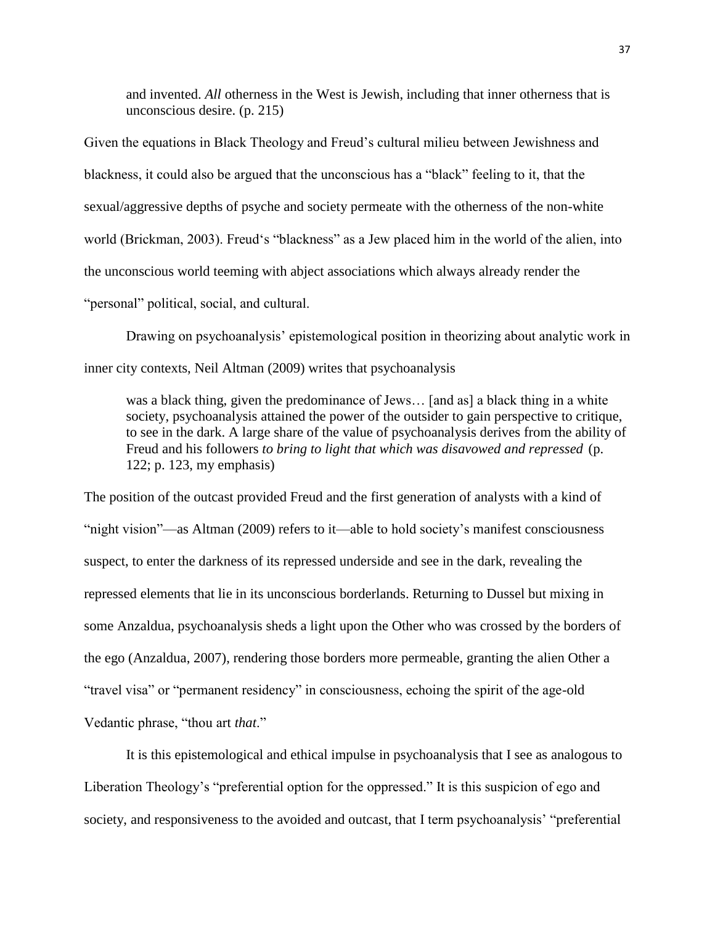and invented. *All* otherness in the West is Jewish, including that inner otherness that is unconscious desire. (p. 215)

Given the equations in Black Theology and Freud's cultural milieu between Jewishness and blackness, it could also be argued that the unconscious has a "black" feeling to it, that the sexual/aggressive depths of psyche and society permeate with the otherness of the non-white world (Brickman, 2003). Freud's "blackness" as a Jew placed him in the world of the alien, into the unconscious world teeming with abject associations which always already render the "personal" political, social, and cultural.

Drawing on psychoanalysis' epistemological position in theorizing about analytic work in inner city contexts, Neil Altman (2009) writes that psychoanalysis

was a black thing, given the predominance of Jews... [and as] a black thing in a white society, psychoanalysis attained the power of the outsider to gain perspective to critique, to see in the dark. A large share of the value of psychoanalysis derives from the ability of Freud and his followers *to bring to light that which was disavowed and repressed* (p. 122; p. 123, my emphasis)

The position of the outcast provided Freud and the first generation of analysts with a kind of "night vision"—as Altman (2009) refers to it—able to hold society's manifest consciousness suspect, to enter the darkness of its repressed underside and see in the dark, revealing the repressed elements that lie in its unconscious borderlands. Returning to Dussel but mixing in some Anzaldua, psychoanalysis sheds a light upon the Other who was crossed by the borders of the ego (Anzaldua, 2007), rendering those borders more permeable, granting the alien Other a "travel visa" or "permanent residency" in consciousness, echoing the spirit of the age-old Vedantic phrase, "thou art *that*."

It is this epistemological and ethical impulse in psychoanalysis that I see as analogous to Liberation Theology's "preferential option for the oppressed." It is this suspicion of ego and society, and responsiveness to the avoided and outcast, that I term psychoanalysis' "preferential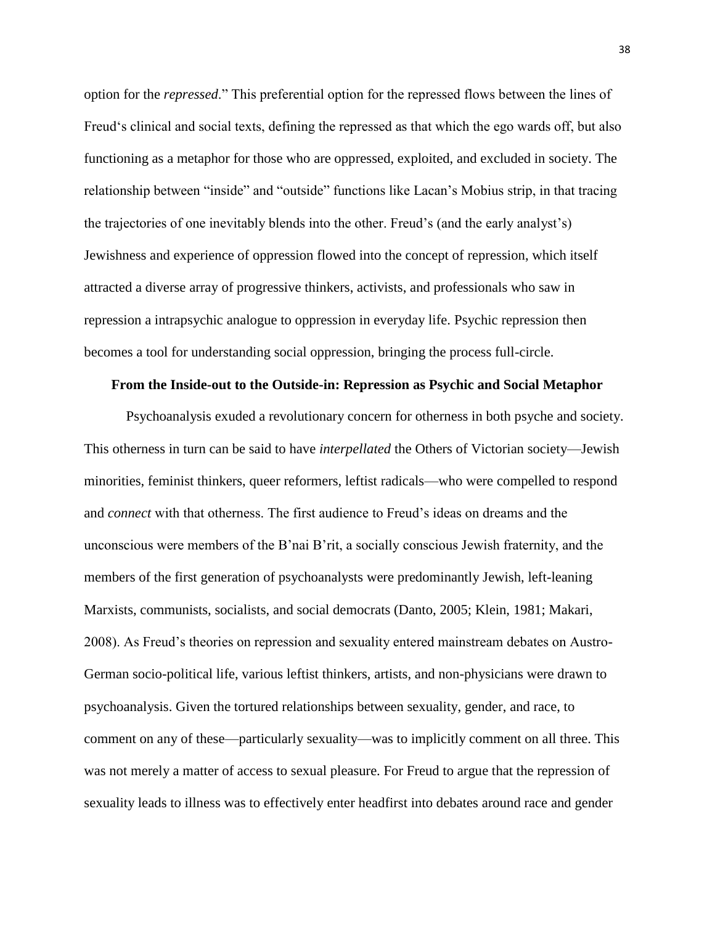option for the *repressed*." This preferential option for the repressed flows between the lines of Freud's clinical and social texts, defining the repressed as that which the ego wards off, but also functioning as a metaphor for those who are oppressed, exploited, and excluded in society. The relationship between "inside" and "outside" functions like Lacan's Mobius strip, in that tracing the trajectories of one inevitably blends into the other. Freud's (and the early analyst's) Jewishness and experience of oppression flowed into the concept of repression, which itself attracted a diverse array of progressive thinkers, activists, and professionals who saw in repression a intrapsychic analogue to oppression in everyday life. Psychic repression then becomes a tool for understanding social oppression, bringing the process full-circle.

## **From the Inside-out to the Outside-in: Repression as Psychic and Social Metaphor**

Psychoanalysis exuded a revolutionary concern for otherness in both psyche and society. This otherness in turn can be said to have *interpellated* the Others of Victorian society—Jewish minorities, feminist thinkers, queer reformers, leftist radicals—who were compelled to respond and *connect* with that otherness. The first audience to Freud's ideas on dreams and the unconscious were members of the B'nai B'rit, a socially conscious Jewish fraternity, and the members of the first generation of psychoanalysts were predominantly Jewish, left-leaning Marxists, communists, socialists, and social democrats (Danto, 2005; Klein, 1981; Makari, 2008). As Freud's theories on repression and sexuality entered mainstream debates on Austro-German socio-political life, various leftist thinkers, artists, and non-physicians were drawn to psychoanalysis. Given the tortured relationships between sexuality, gender, and race, to comment on any of these—particularly sexuality—was to implicitly comment on all three. This was not merely a matter of access to sexual pleasure. For Freud to argue that the repression of sexuality leads to illness was to effectively enter headfirst into debates around race and gender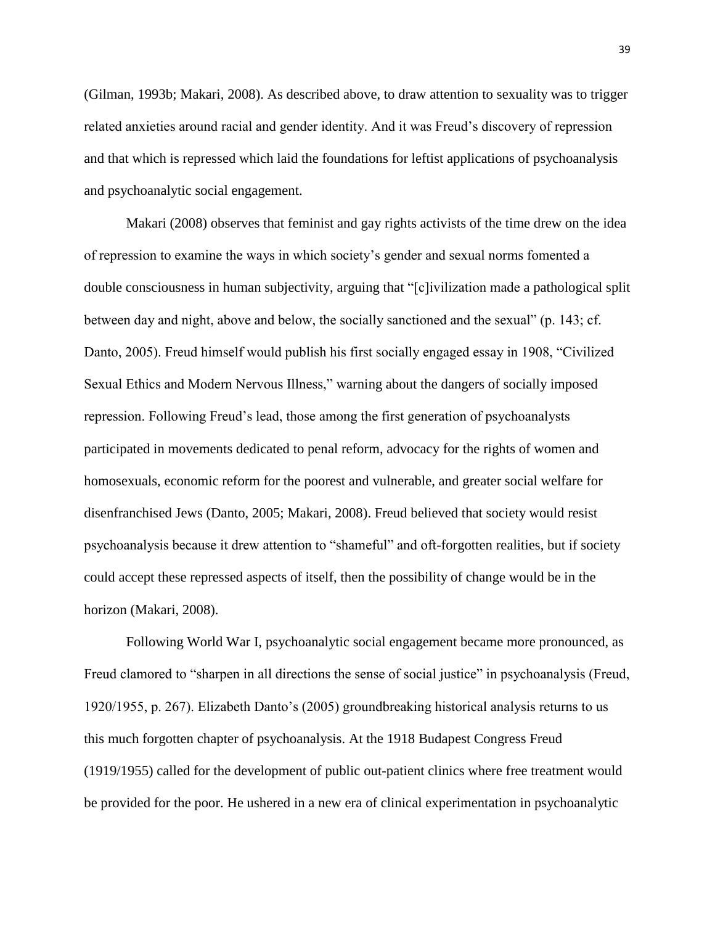(Gilman, 1993b; Makari, 2008). As described above, to draw attention to sexuality was to trigger related anxieties around racial and gender identity. And it was Freud's discovery of repression and that which is repressed which laid the foundations for leftist applications of psychoanalysis and psychoanalytic social engagement.

Makari (2008) observes that feminist and gay rights activists of the time drew on the idea of repression to examine the ways in which society's gender and sexual norms fomented a double consciousness in human subjectivity, arguing that "[c]ivilization made a pathological split between day and night, above and below, the socially sanctioned and the sexual" (p. 143; cf. Danto, 2005). Freud himself would publish his first socially engaged essay in 1908, "Civilized Sexual Ethics and Modern Nervous Illness," warning about the dangers of socially imposed repression. Following Freud's lead, those among the first generation of psychoanalysts participated in movements dedicated to penal reform, advocacy for the rights of women and homosexuals, economic reform for the poorest and vulnerable, and greater social welfare for disenfranchised Jews (Danto, 2005; Makari, 2008). Freud believed that society would resist psychoanalysis because it drew attention to "shameful" and oft-forgotten realities, but if society could accept these repressed aspects of itself, then the possibility of change would be in the horizon (Makari, 2008).

Following World War I, psychoanalytic social engagement became more pronounced, as Freud clamored to "sharpen in all directions the sense of social justice" in psychoanalysis (Freud, 1920/1955, p. 267). Elizabeth Danto's (2005) groundbreaking historical analysis returns to us this much forgotten chapter of psychoanalysis. At the 1918 Budapest Congress Freud (1919/1955) called for the development of public out-patient clinics where free treatment would be provided for the poor. He ushered in a new era of clinical experimentation in psychoanalytic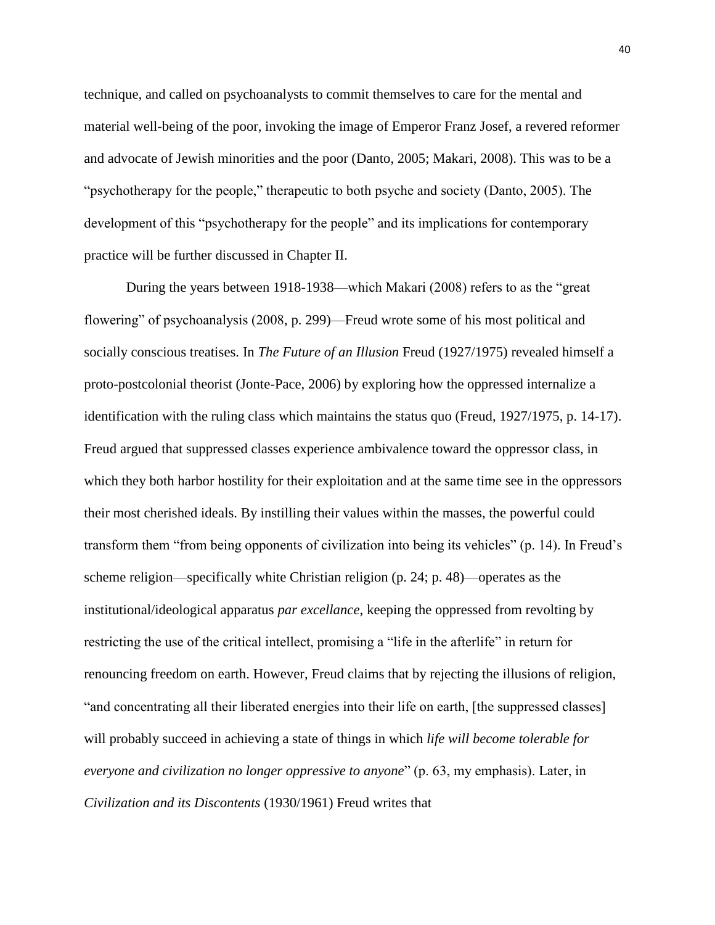technique, and called on psychoanalysts to commit themselves to care for the mental and material well-being of the poor, invoking the image of Emperor Franz Josef, a revered reformer and advocate of Jewish minorities and the poor (Danto, 2005; Makari, 2008). This was to be a "psychotherapy for the people," therapeutic to both psyche and society (Danto, 2005). The development of this "psychotherapy for the people" and its implications for contemporary practice will be further discussed in Chapter II.

During the years between 1918-1938—which Makari (2008) refers to as the "great flowering" of psychoanalysis (2008, p. 299)—Freud wrote some of his most political and socially conscious treatises. In *The Future of an Illusion* Freud (1927/1975) revealed himself a proto-postcolonial theorist (Jonte-Pace, 2006) by exploring how the oppressed internalize a identification with the ruling class which maintains the status quo (Freud, 1927/1975, p. 14-17). Freud argued that suppressed classes experience ambivalence toward the oppressor class, in which they both harbor hostility for their exploitation and at the same time see in the oppressors their most cherished ideals. By instilling their values within the masses, the powerful could transform them "from being opponents of civilization into being its vehicles" (p. 14). In Freud's scheme religion—specifically white Christian religion (p. 24; p. 48)—operates as the institutional/ideological apparatus *par excellance*, keeping the oppressed from revolting by restricting the use of the critical intellect, promising a "life in the afterlife" in return for renouncing freedom on earth. However, Freud claims that by rejecting the illusions of religion, "and concentrating all their liberated energies into their life on earth, [the suppressed classes] will probably succeed in achieving a state of things in which *life will become tolerable for everyone and civilization no longer oppressive to anyone*" (p. 63, my emphasis). Later, in *Civilization and its Discontents* (1930/1961) Freud writes that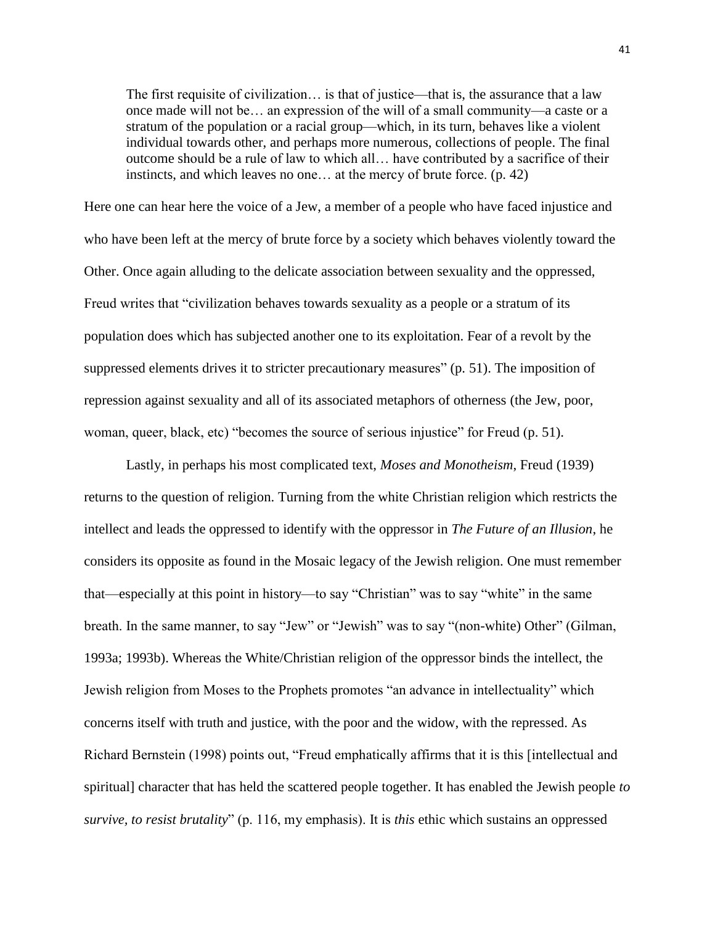The first requisite of civilization… is that of justice—that is, the assurance that a law once made will not be… an expression of the will of a small community—a caste or a stratum of the population or a racial group—which, in its turn, behaves like a violent individual towards other, and perhaps more numerous, collections of people. The final outcome should be a rule of law to which all… have contributed by a sacrifice of their instincts, and which leaves no one… at the mercy of brute force. (p. 42)

Here one can hear here the voice of a Jew, a member of a people who have faced injustice and who have been left at the mercy of brute force by a society which behaves violently toward the Other. Once again alluding to the delicate association between sexuality and the oppressed, Freud writes that "civilization behaves towards sexuality as a people or a stratum of its population does which has subjected another one to its exploitation. Fear of a revolt by the suppressed elements drives it to stricter precautionary measures" (p. 51). The imposition of repression against sexuality and all of its associated metaphors of otherness (the Jew, poor, woman, queer, black, etc) "becomes the source of serious injustice" for Freud (p. 51).

Lastly, in perhaps his most complicated text, *Moses and Monotheism*, Freud (1939) returns to the question of religion. Turning from the white Christian religion which restricts the intellect and leads the oppressed to identify with the oppressor in *The Future of an Illusion*, he considers its opposite as found in the Mosaic legacy of the Jewish religion. One must remember that—especially at this point in history—to say "Christian" was to say "white" in the same breath. In the same manner, to say "Jew" or "Jewish" was to say "(non-white) Other" (Gilman, 1993a; 1993b). Whereas the White/Christian religion of the oppressor binds the intellect, the Jewish religion from Moses to the Prophets promotes "an advance in intellectuality" which concerns itself with truth and justice, with the poor and the widow, with the repressed. As Richard Bernstein (1998) points out, "Freud emphatically affirms that it is this [intellectual and spiritual] character that has held the scattered people together. It has enabled the Jewish people *to survive, to resist brutality*" (p. 116, my emphasis). It is *this* ethic which sustains an oppressed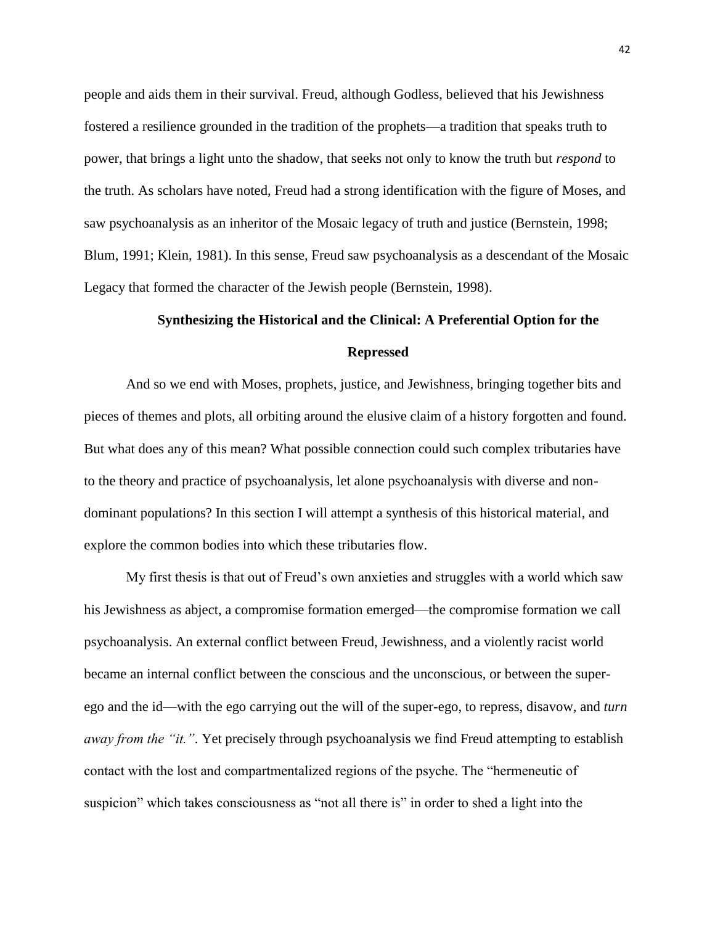people and aids them in their survival. Freud, although Godless, believed that his Jewishness fostered a resilience grounded in the tradition of the prophets—a tradition that speaks truth to power, that brings a light unto the shadow, that seeks not only to know the truth but *respond* to the truth. As scholars have noted, Freud had a strong identification with the figure of Moses, and saw psychoanalysis as an inheritor of the Mosaic legacy of truth and justice (Bernstein, 1998; Blum, 1991; Klein, 1981). In this sense, Freud saw psychoanalysis as a descendant of the Mosaic Legacy that formed the character of the Jewish people (Bernstein, 1998).

# **Synthesizing the Historical and the Clinical: A Preferential Option for the**

### **Repressed**

And so we end with Moses, prophets, justice, and Jewishness, bringing together bits and pieces of themes and plots, all orbiting around the elusive claim of a history forgotten and found. But what does any of this mean? What possible connection could such complex tributaries have to the theory and practice of psychoanalysis, let alone psychoanalysis with diverse and nondominant populations? In this section I will attempt a synthesis of this historical material, and explore the common bodies into which these tributaries flow.

My first thesis is that out of Freud's own anxieties and struggles with a world which saw his Jewishness as abject, a compromise formation emerged—the compromise formation we call psychoanalysis. An external conflict between Freud, Jewishness, and a violently racist world became an internal conflict between the conscious and the unconscious, or between the superego and the id—with the ego carrying out the will of the super-ego, to repress, disavow, and *turn away from the "it."*. Yet precisely through psychoanalysis we find Freud attempting to establish contact with the lost and compartmentalized regions of the psyche. The "hermeneutic of suspicion" which takes consciousness as "not all there is" in order to shed a light into the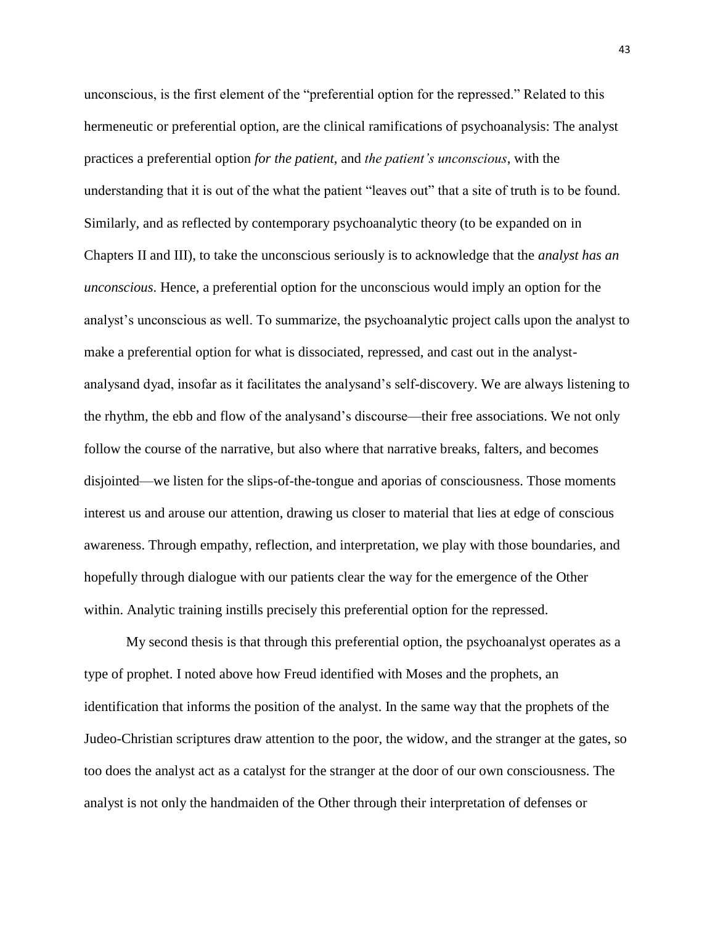unconscious, is the first element of the "preferential option for the repressed." Related to this hermeneutic or preferential option, are the clinical ramifications of psychoanalysis: The analyst practices a preferential option *for the patient*, and *the patient's unconscious*, with the understanding that it is out of the what the patient "leaves out" that a site of truth is to be found. Similarly, and as reflected by contemporary psychoanalytic theory (to be expanded on in Chapters II and III), to take the unconscious seriously is to acknowledge that the *analyst has an unconscious*. Hence, a preferential option for the unconscious would imply an option for the analyst's unconscious as well. To summarize, the psychoanalytic project calls upon the analyst to make a preferential option for what is dissociated, repressed, and cast out in the analystanalysand dyad, insofar as it facilitates the analysand's self-discovery. We are always listening to the rhythm, the ebb and flow of the analysand's discourse—their free associations. We not only follow the course of the narrative, but also where that narrative breaks, falters, and becomes disjointed—we listen for the slips-of-the-tongue and aporias of consciousness. Those moments interest us and arouse our attention, drawing us closer to material that lies at edge of conscious awareness. Through empathy, reflection, and interpretation, we play with those boundaries, and hopefully through dialogue with our patients clear the way for the emergence of the Other within. Analytic training instills precisely this preferential option for the repressed.

My second thesis is that through this preferential option, the psychoanalyst operates as a type of prophet. I noted above how Freud identified with Moses and the prophets, an identification that informs the position of the analyst. In the same way that the prophets of the Judeo-Christian scriptures draw attention to the poor, the widow, and the stranger at the gates, so too does the analyst act as a catalyst for the stranger at the door of our own consciousness. The analyst is not only the handmaiden of the Other through their interpretation of defenses or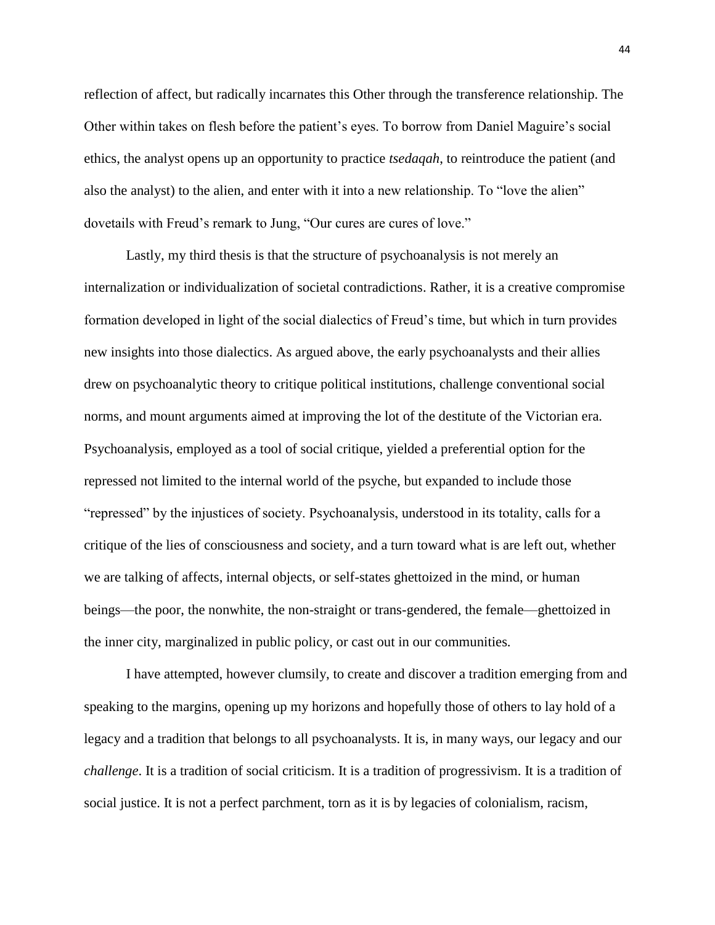reflection of affect, but radically incarnates this Other through the transference relationship. The Other within takes on flesh before the patient's eyes. To borrow from Daniel Maguire's social ethics, the analyst opens up an opportunity to practice *tsedaqah*, to reintroduce the patient (and also the analyst) to the alien, and enter with it into a new relationship. To "love the alien" dovetails with Freud's remark to Jung, "Our cures are cures of love."

Lastly, my third thesis is that the structure of psychoanalysis is not merely an internalization or individualization of societal contradictions. Rather, it is a creative compromise formation developed in light of the social dialectics of Freud's time, but which in turn provides new insights into those dialectics. As argued above, the early psychoanalysts and their allies drew on psychoanalytic theory to critique political institutions, challenge conventional social norms, and mount arguments aimed at improving the lot of the destitute of the Victorian era. Psychoanalysis, employed as a tool of social critique, yielded a preferential option for the repressed not limited to the internal world of the psyche, but expanded to include those "repressed" by the injustices of society. Psychoanalysis, understood in its totality, calls for a critique of the lies of consciousness and society, and a turn toward what is are left out, whether we are talking of affects, internal objects, or self-states ghettoized in the mind, or human beings—the poor, the nonwhite, the non-straight or trans-gendered, the female—ghettoized in the inner city, marginalized in public policy, or cast out in our communities.

I have attempted, however clumsily, to create and discover a tradition emerging from and speaking to the margins, opening up my horizons and hopefully those of others to lay hold of a legacy and a tradition that belongs to all psychoanalysts. It is, in many ways, our legacy and our *challenge*. It is a tradition of social criticism. It is a tradition of progressivism. It is a tradition of social justice. It is not a perfect parchment, torn as it is by legacies of colonialism, racism,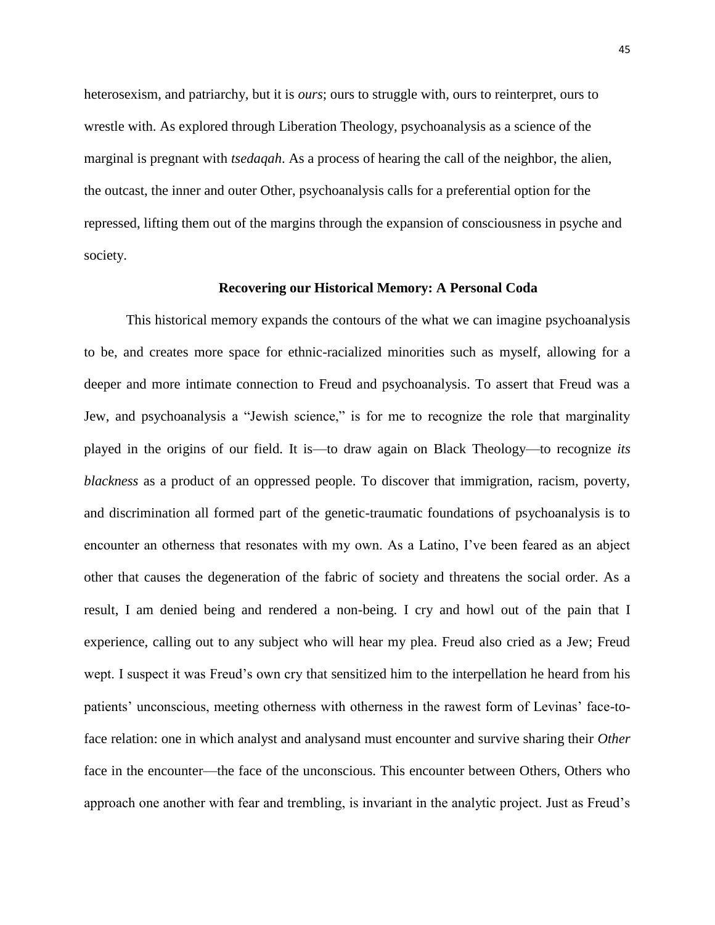heterosexism, and patriarchy, but it is *ours*; ours to struggle with, ours to reinterpret, ours to wrestle with. As explored through Liberation Theology, psychoanalysis as a science of the marginal is pregnant with *tsedaqah*. As a process of hearing the call of the neighbor, the alien, the outcast, the inner and outer Other, psychoanalysis calls for a preferential option for the repressed, lifting them out of the margins through the expansion of consciousness in psyche and society.

### **Recovering our Historical Memory: A Personal Coda**

This historical memory expands the contours of the what we can imagine psychoanalysis to be, and creates more space for ethnic-racialized minorities such as myself, allowing for a deeper and more intimate connection to Freud and psychoanalysis. To assert that Freud was a Jew, and psychoanalysis a "Jewish science," is for me to recognize the role that marginality played in the origins of our field. It is—to draw again on Black Theology—to recognize *its blackness* as a product of an oppressed people. To discover that immigration, racism, poverty, and discrimination all formed part of the genetic-traumatic foundations of psychoanalysis is to encounter an otherness that resonates with my own. As a Latino, I've been feared as an abject other that causes the degeneration of the fabric of society and threatens the social order. As a result, I am denied being and rendered a non-being. I cry and howl out of the pain that I experience, calling out to any subject who will hear my plea. Freud also cried as a Jew; Freud wept. I suspect it was Freud's own cry that sensitized him to the interpellation he heard from his patients' unconscious, meeting otherness with otherness in the rawest form of Levinas' face-toface relation: one in which analyst and analysand must encounter and survive sharing their *Other* face in the encounter—the face of the unconscious. This encounter between Others, Others who approach one another with fear and trembling, is invariant in the analytic project. Just as Freud's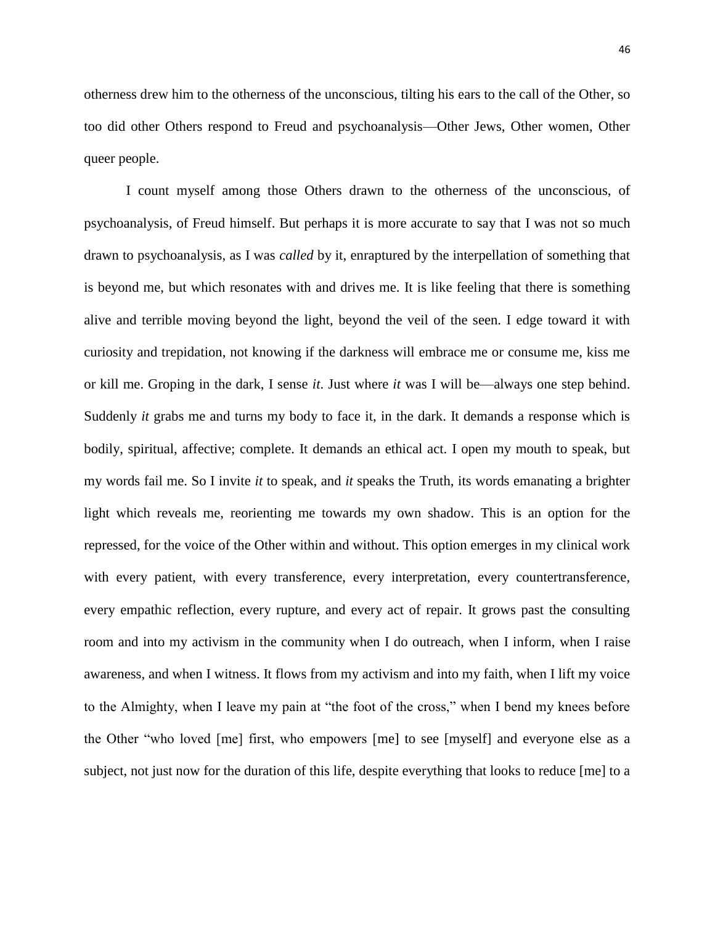otherness drew him to the otherness of the unconscious, tilting his ears to the call of the Other, so too did other Others respond to Freud and psychoanalysis—Other Jews, Other women, Other queer people.

I count myself among those Others drawn to the otherness of the unconscious, of psychoanalysis, of Freud himself. But perhaps it is more accurate to say that I was not so much drawn to psychoanalysis, as I was *called* by it, enraptured by the interpellation of something that is beyond me, but which resonates with and drives me. It is like feeling that there is something alive and terrible moving beyond the light, beyond the veil of the seen. I edge toward it with curiosity and trepidation, not knowing if the darkness will embrace me or consume me, kiss me or kill me. Groping in the dark, I sense *it*. Just where *it* was I will be—always one step behind. Suddenly *it* grabs me and turns my body to face it, in the dark. It demands a response which is bodily, spiritual, affective; complete. It demands an ethical act. I open my mouth to speak, but my words fail me. So I invite *it* to speak, and *it* speaks the Truth, its words emanating a brighter light which reveals me, reorienting me towards my own shadow. This is an option for the repressed, for the voice of the Other within and without. This option emerges in my clinical work with every patient, with every transference, every interpretation, every countertransference, every empathic reflection, every rupture, and every act of repair. It grows past the consulting room and into my activism in the community when I do outreach, when I inform, when I raise awareness, and when I witness. It flows from my activism and into my faith, when I lift my voice to the Almighty, when I leave my pain at "the foot of the cross," when I bend my knees before the Other "who loved [me] first, who empowers [me] to see [myself] and everyone else as a subject, not just now for the duration of this life, despite everything that looks to reduce [me] to a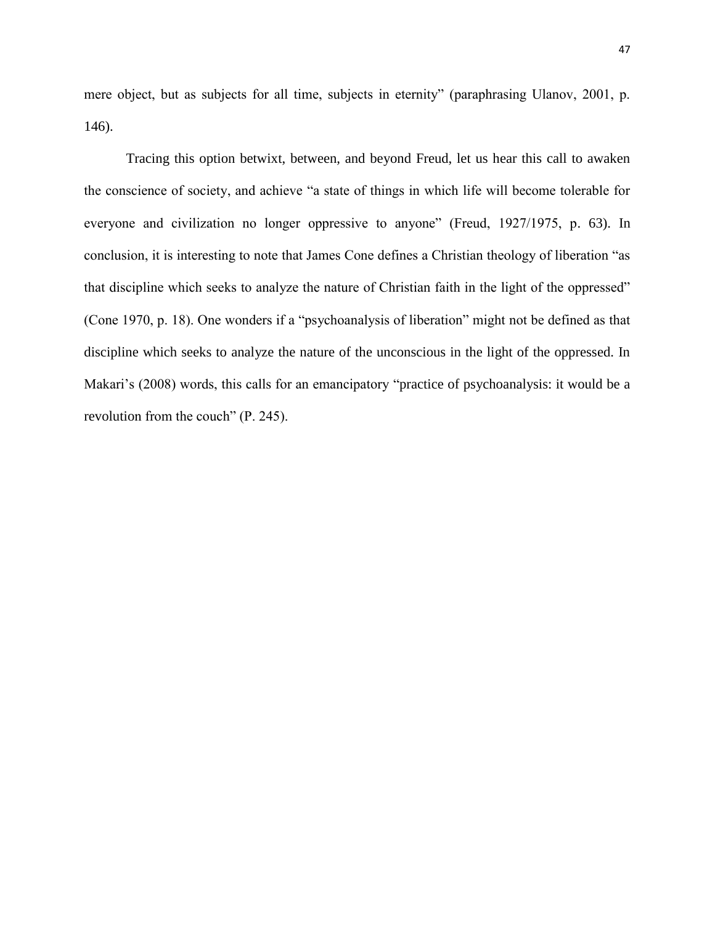mere object, but as subjects for all time, subjects in eternity" (paraphrasing Ulanov, 2001, p. 146).

Tracing this option betwixt, between, and beyond Freud, let us hear this call to awaken the conscience of society, and achieve "a state of things in which life will become tolerable for everyone and civilization no longer oppressive to anyone" (Freud, 1927/1975, p. 63). In conclusion, it is interesting to note that James Cone defines a Christian theology of liberation "as that discipline which seeks to analyze the nature of Christian faith in the light of the oppressed" (Cone 1970, p. 18). One wonders if a "psychoanalysis of liberation" might not be defined as that discipline which seeks to analyze the nature of the unconscious in the light of the oppressed. In Makari's (2008) words, this calls for an emancipatory "practice of psychoanalysis: it would be a revolution from the couch" (P. 245).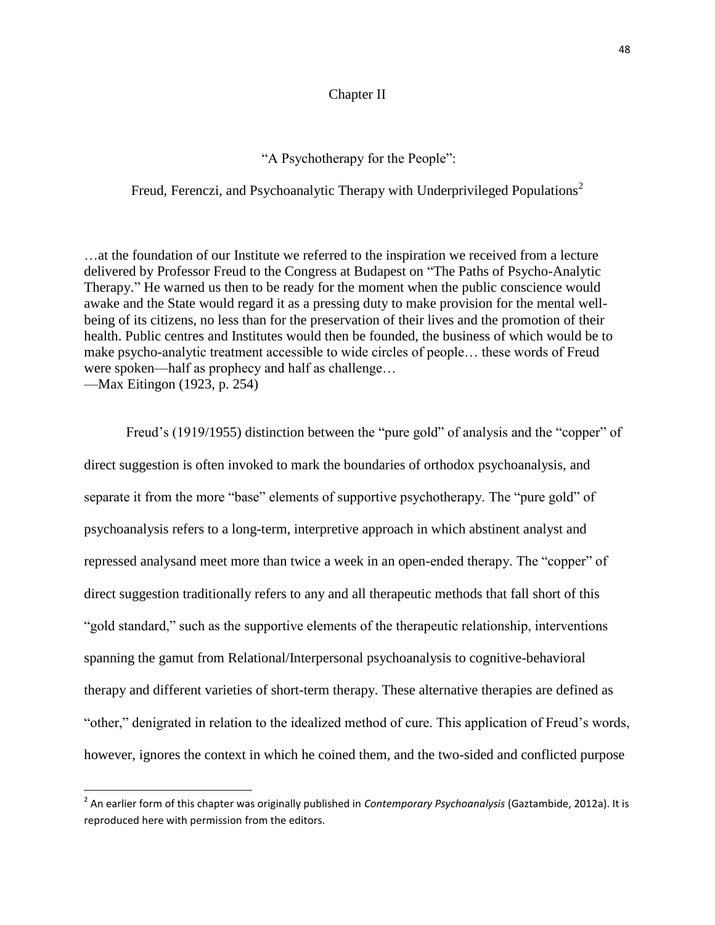#### Chapter II

## "A Psychotherapy for the People":

## Freud, Ferenczi, and Psychoanalytic Therapy with Underprivileged Populations<sup>2</sup>

…at the foundation of our Institute we referred to the inspiration we received from a lecture delivered by Professor Freud to the Congress at Budapest on "The Paths of Psycho-Analytic Therapy." He warned us then to be ready for the moment when the public conscience would awake and the State would regard it as a pressing duty to make provision for the mental wellbeing of its citizens, no less than for the preservation of their lives and the promotion of their health. Public centres and Institutes would then be founded, the business of which would be to make psycho-analytic treatment accessible to wide circles of people… these words of Freud were spoken—half as prophecy and half as challenge…

—Max Eitingon (1923, p. 254)

 $\overline{\phantom{a}}$ 

Freud's (1919/1955) distinction between the "pure gold" of analysis and the "copper" of direct suggestion is often invoked to mark the boundaries of orthodox psychoanalysis, and separate it from the more "base" elements of supportive psychotherapy. The "pure gold" of psychoanalysis refers to a long-term, interpretive approach in which abstinent analyst and repressed analysand meet more than twice a week in an open-ended therapy. The "copper" of direct suggestion traditionally refers to any and all therapeutic methods that fall short of this "gold standard," such as the supportive elements of the therapeutic relationship, interventions spanning the gamut from Relational/Interpersonal psychoanalysis to cognitive-behavioral therapy and different varieties of short-term therapy. These alternative therapies are defined as "other," denigrated in relation to the idealized method of cure. This application of Freud's words, however, ignores the context in which he coined them, and the two-sided and conflicted purpose

<sup>2</sup> An earlier form of this chapter was originally published in *Contemporary Psychoanalysis* (Gaztambide, 2012a). It is reproduced here with permission from the editors.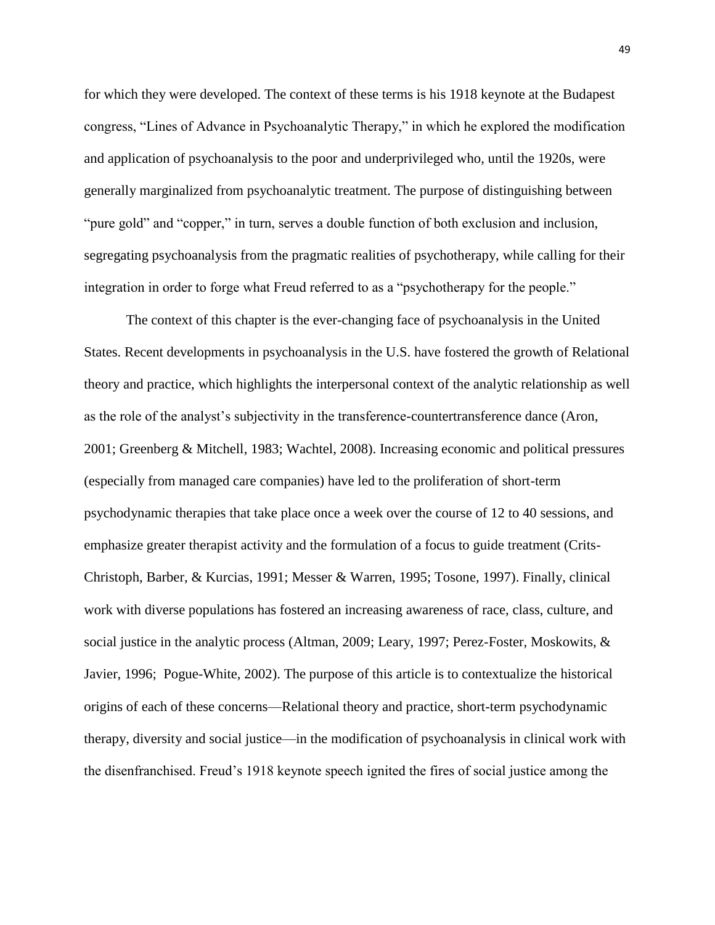for which they were developed. The context of these terms is his 1918 keynote at the Budapest congress, "Lines of Advance in Psychoanalytic Therapy," in which he explored the modification and application of psychoanalysis to the poor and underprivileged who, until the 1920s, were generally marginalized from psychoanalytic treatment. The purpose of distinguishing between "pure gold" and "copper," in turn, serves a double function of both exclusion and inclusion, segregating psychoanalysis from the pragmatic realities of psychotherapy, while calling for their integration in order to forge what Freud referred to as a "psychotherapy for the people."

The context of this chapter is the ever-changing face of psychoanalysis in the United States. Recent developments in psychoanalysis in the U.S. have fostered the growth of Relational theory and practice, which highlights the interpersonal context of the analytic relationship as well as the role of the analyst's subjectivity in the transference-countertransference dance (Aron, 2001; Greenberg & Mitchell, 1983; Wachtel, 2008). Increasing economic and political pressures (especially from managed care companies) have led to the proliferation of short-term psychodynamic therapies that take place once a week over the course of 12 to 40 sessions, and emphasize greater therapist activity and the formulation of a focus to guide treatment (Crits-Christoph, Barber, & Kurcias, 1991; Messer & Warren, 1995; Tosone, 1997). Finally, clinical work with diverse populations has fostered an increasing awareness of race, class, culture, and social justice in the analytic process (Altman, 2009; Leary, 1997; Perez-Foster, Moskowits, & Javier, 1996; Pogue-White, 2002). The purpose of this article is to contextualize the historical origins of each of these concerns—Relational theory and practice, short-term psychodynamic therapy, diversity and social justice—in the modification of psychoanalysis in clinical work with the disenfranchised. Freud's 1918 keynote speech ignited the fires of social justice among the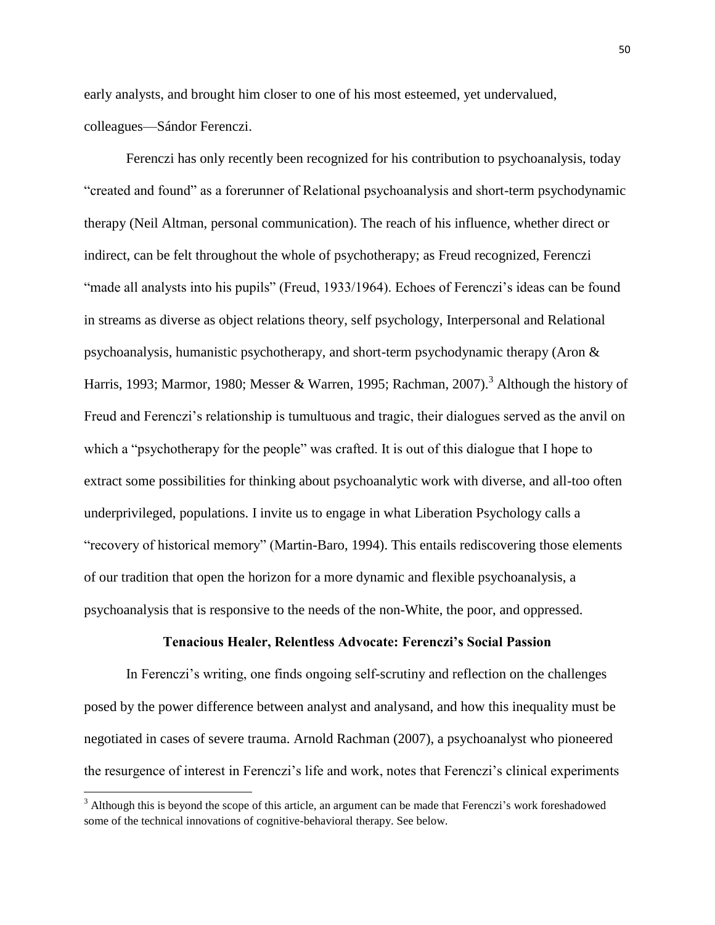early analysts, and brought him closer to one of his most esteemed, yet undervalued, colleagues—Sándor Ferenczi.

Ferenczi has only recently been recognized for his contribution to psychoanalysis, today "created and found" as a forerunner of Relational psychoanalysis and short-term psychodynamic therapy (Neil Altman, personal communication). The reach of his influence, whether direct or indirect, can be felt throughout the whole of psychotherapy; as Freud recognized, Ferenczi "made all analysts into his pupils" (Freud, 1933/1964). Echoes of Ferenczi's ideas can be found in streams as diverse as object relations theory, self psychology, Interpersonal and Relational psychoanalysis, humanistic psychotherapy, and short-term psychodynamic therapy (Aron & Harris, 1993; Marmor, 1980; Messer & Warren, 1995; Rachman, 2007).<sup>3</sup> Although the history of Freud and Ferenczi's relationship is tumultuous and tragic, their dialogues served as the anvil on which a "psychotherapy for the people" was crafted. It is out of this dialogue that I hope to extract some possibilities for thinking about psychoanalytic work with diverse, and all-too often underprivileged, populations. I invite us to engage in what Liberation Psychology calls a "recovery of historical memory" (Martin-Baro, 1994). This entails rediscovering those elements of our tradition that open the horizon for a more dynamic and flexible psychoanalysis, a psychoanalysis that is responsive to the needs of the non-White, the poor, and oppressed.

## **Tenacious Healer, Relentless Advocate: Ferenczi's Social Passion**

In Ferenczi's writing, one finds ongoing self-scrutiny and reflection on the challenges posed by the power difference between analyst and analysand, and how this inequality must be negotiated in cases of severe trauma. Arnold Rachman (2007), a psychoanalyst who pioneered the resurgence of interest in Ferenczi's life and work, notes that Ferenczi's clinical experiments

 $\overline{a}$ 

 $3$  Although this is beyond the scope of this article, an argument can be made that Ferenczi's work foreshadowed some of the technical innovations of cognitive-behavioral therapy. See below.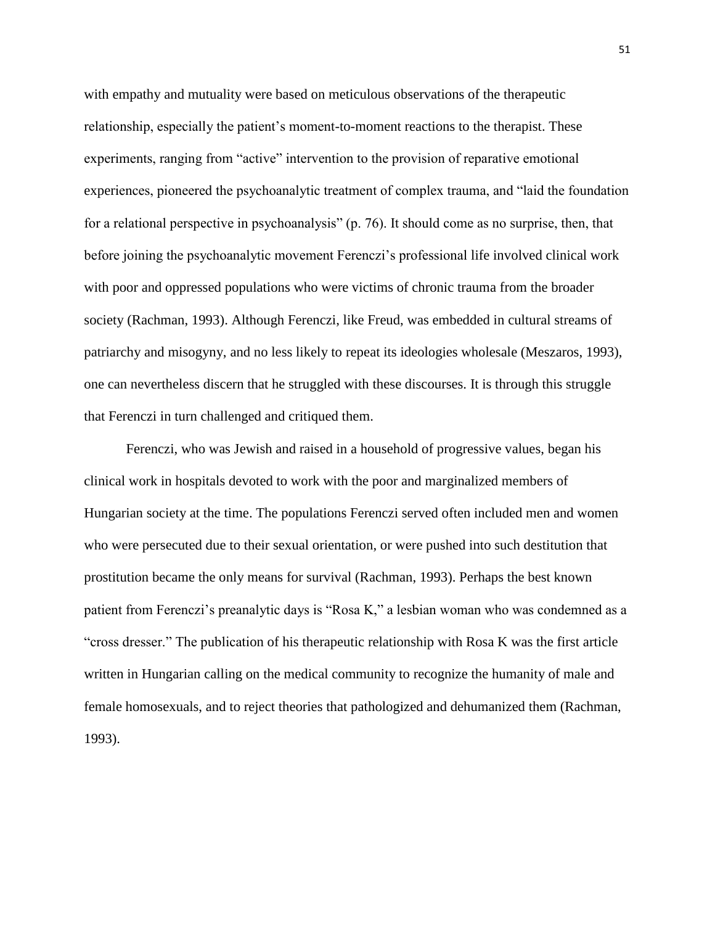with empathy and mutuality were based on meticulous observations of the therapeutic relationship, especially the patient's moment-to-moment reactions to the therapist. These experiments, ranging from "active" intervention to the provision of reparative emotional experiences, pioneered the psychoanalytic treatment of complex trauma, and "laid the foundation for a relational perspective in psychoanalysis" (p. 76). It should come as no surprise, then, that before joining the psychoanalytic movement Ferenczi's professional life involved clinical work with poor and oppressed populations who were victims of chronic trauma from the broader society (Rachman, 1993). Although Ferenczi, like Freud, was embedded in cultural streams of patriarchy and misogyny, and no less likely to repeat its ideologies wholesale (Meszaros, 1993), one can nevertheless discern that he struggled with these discourses. It is through this struggle that Ferenczi in turn challenged and critiqued them.

Ferenczi, who was Jewish and raised in a household of progressive values, began his clinical work in hospitals devoted to work with the poor and marginalized members of Hungarian society at the time. The populations Ferenczi served often included men and women who were persecuted due to their sexual orientation, or were pushed into such destitution that prostitution became the only means for survival (Rachman, 1993). Perhaps the best known patient from Ferenczi's preanalytic days is "Rosa K," a lesbian woman who was condemned as a "cross dresser." The publication of his therapeutic relationship with Rosa K was the first article written in Hungarian calling on the medical community to recognize the humanity of male and female homosexuals, and to reject theories that pathologized and dehumanized them (Rachman, 1993).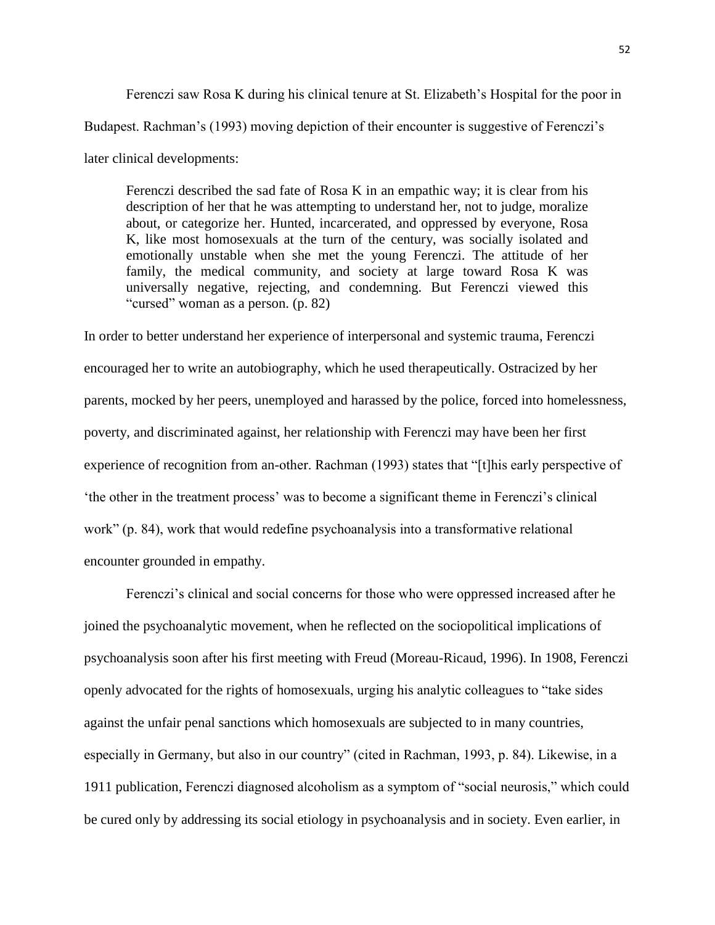Ferenczi saw Rosa K during his clinical tenure at St. Elizabeth's Hospital for the poor in Budapest. Rachman's (1993) moving depiction of their encounter is suggestive of Ferenczi's later clinical developments:

Ferenczi described the sad fate of Rosa K in an empathic way; it is clear from his description of her that he was attempting to understand her, not to judge, moralize about, or categorize her. Hunted, incarcerated, and oppressed by everyone, Rosa K, like most homosexuals at the turn of the century, was socially isolated and emotionally unstable when she met the young Ferenczi. The attitude of her family, the medical community, and society at large toward Rosa K was universally negative, rejecting, and condemning. But Ferenczi viewed this "cursed" woman as a person. (p. 82)

In order to better understand her experience of interpersonal and systemic trauma, Ferenczi encouraged her to write an autobiography, which he used therapeutically. Ostracized by her parents, mocked by her peers, unemployed and harassed by the police, forced into homelessness, poverty, and discriminated against, her relationship with Ferenczi may have been her first experience of recognition from an-other. Rachman (1993) states that "[t]his early perspective of 'the other in the treatment process' was to become a significant theme in Ferenczi's clinical work" (p. 84), work that would redefine psychoanalysis into a transformative relational encounter grounded in empathy.

Ferenczi's clinical and social concerns for those who were oppressed increased after he joined the psychoanalytic movement, when he reflected on the sociopolitical implications of psychoanalysis soon after his first meeting with Freud (Moreau-Ricaud, 1996). In 1908, Ferenczi openly advocated for the rights of homosexuals, urging his analytic colleagues to "take sides against the unfair penal sanctions which homosexuals are subjected to in many countries, especially in Germany, but also in our country" (cited in Rachman, 1993, p. 84). Likewise, in a 1911 publication, Ferenczi diagnosed alcoholism as a symptom of "social neurosis," which could be cured only by addressing its social etiology in psychoanalysis and in society. Even earlier, in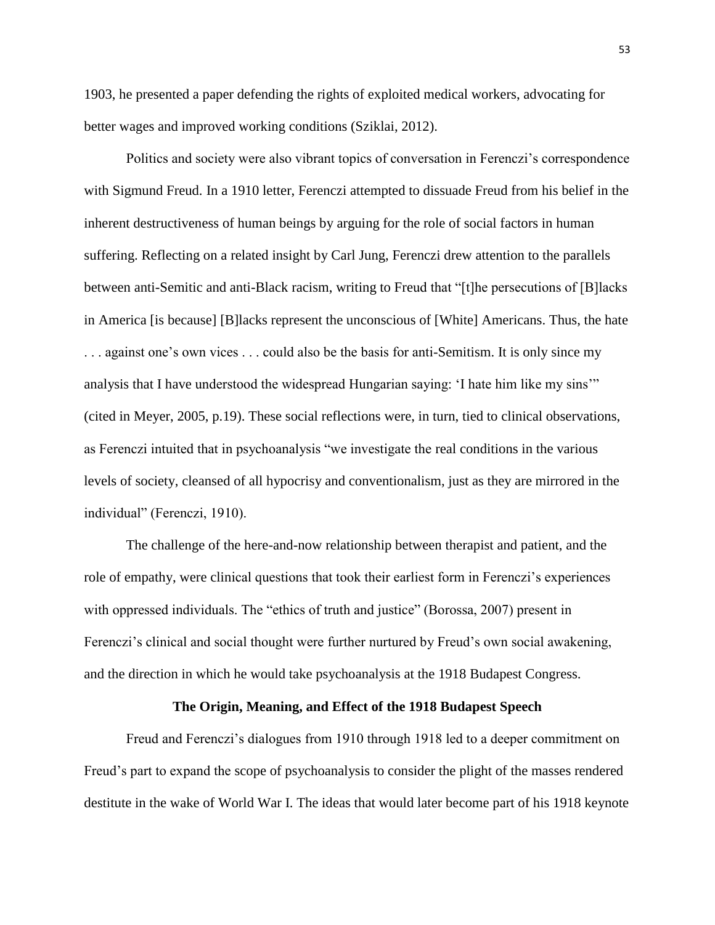1903, he presented a paper defending the rights of exploited medical workers, advocating for better wages and improved working conditions (Sziklai, 2012).

Politics and society were also vibrant topics of conversation in Ferenczi's correspondence with Sigmund Freud. In a 1910 letter, Ferenczi attempted to dissuade Freud from his belief in the inherent destructiveness of human beings by arguing for the role of social factors in human suffering. Reflecting on a related insight by Carl Jung, Ferenczi drew attention to the parallels between anti-Semitic and anti-Black racism, writing to Freud that "[t]he persecutions of [B]lacks in America [is because] [B]lacks represent the unconscious of [White] Americans. Thus, the hate . . . against one's own vices . . . could also be the basis for anti-Semitism. It is only since my analysis that I have understood the widespread Hungarian saying: 'I hate him like my sins'" (cited in Meyer, 2005, p.19). These social reflections were, in turn, tied to clinical observations, as Ferenczi intuited that in psychoanalysis "we investigate the real conditions in the various levels of society, cleansed of all hypocrisy and conventionalism, just as they are mirrored in the individual" (Ferenczi, 1910).

The challenge of the here-and-now relationship between therapist and patient, and the role of empathy, were clinical questions that took their earliest form in Ferenczi's experiences with oppressed individuals. The "ethics of truth and justice" (Borossa, 2007) present in Ferenczi's clinical and social thought were further nurtured by Freud's own social awakening, and the direction in which he would take psychoanalysis at the 1918 Budapest Congress.

## **The Origin, Meaning, and Effect of the 1918 Budapest Speech**

Freud and Ferenczi's dialogues from 1910 through 1918 led to a deeper commitment on Freud's part to expand the scope of psychoanalysis to consider the plight of the masses rendered destitute in the wake of World War I. The ideas that would later become part of his 1918 keynote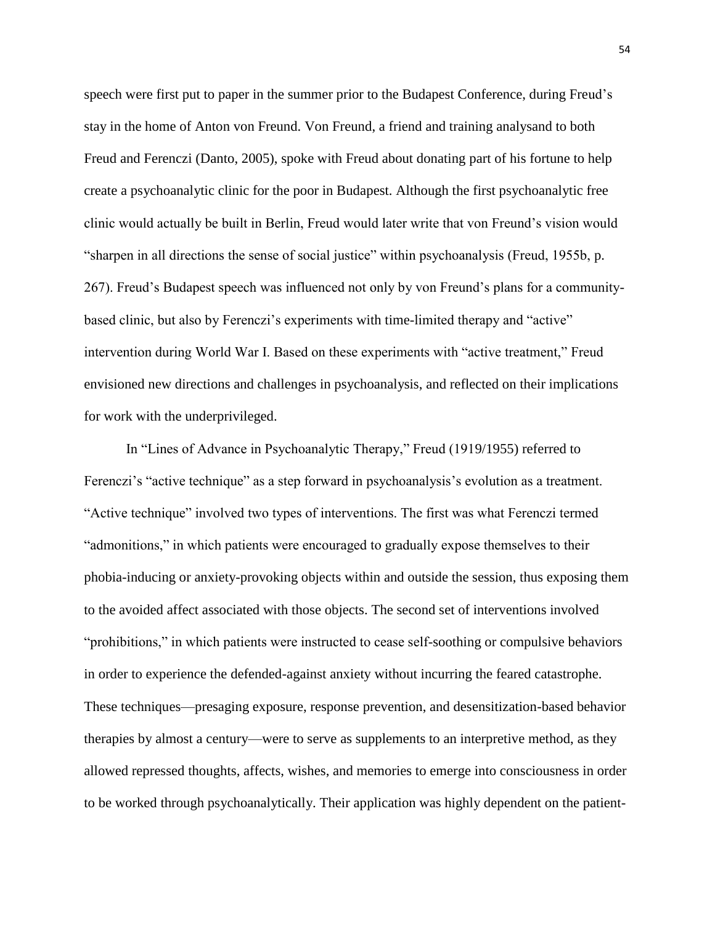speech were first put to paper in the summer prior to the Budapest Conference, during Freud's stay in the home of Anton von Freund. Von Freund, a friend and training analysand to both Freud and Ferenczi (Danto, 2005), spoke with Freud about donating part of his fortune to help create a psychoanalytic clinic for the poor in Budapest. Although the first psychoanalytic free clinic would actually be built in Berlin, Freud would later write that von Freund's vision would "sharpen in all directions the sense of social justice" within psychoanalysis (Freud, 1955b, p. 267). Freud's Budapest speech was influenced not only by von Freund's plans for a communitybased clinic, but also by Ferenczi's experiments with time-limited therapy and "active" intervention during World War I. Based on these experiments with "active treatment," Freud envisioned new directions and challenges in psychoanalysis, and reflected on their implications for work with the underprivileged.

In "Lines of Advance in Psychoanalytic Therapy," Freud (1919/1955) referred to Ferenczi's "active technique" as a step forward in psychoanalysis's evolution as a treatment. "Active technique" involved two types of interventions. The first was what Ferenczi termed "admonitions," in which patients were encouraged to gradually expose themselves to their phobia-inducing or anxiety-provoking objects within and outside the session, thus exposing them to the avoided affect associated with those objects. The second set of interventions involved "prohibitions," in which patients were instructed to cease self-soothing or compulsive behaviors in order to experience the defended-against anxiety without incurring the feared catastrophe. These techniques—presaging exposure, response prevention, and desensitization-based behavior therapies by almost a century—were to serve as supplements to an interpretive method, as they allowed repressed thoughts, affects, wishes, and memories to emerge into consciousness in order to be worked through psychoanalytically. Their application was highly dependent on the patient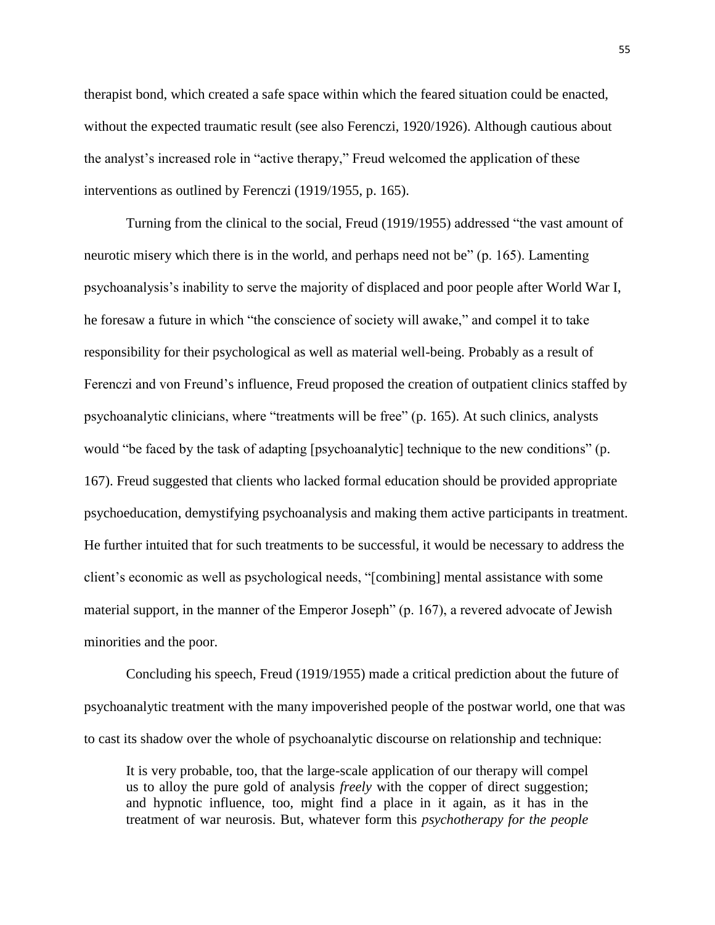therapist bond, which created a safe space within which the feared situation could be enacted, without the expected traumatic result (see also Ferenczi, 1920/1926). Although cautious about the analyst's increased role in "active therapy," Freud welcomed the application of these interventions as outlined by Ferenczi (1919/1955, p. 165).

Turning from the clinical to the social, Freud (1919/1955) addressed "the vast amount of neurotic misery which there is in the world, and perhaps need not be" (p. 165). Lamenting psychoanalysis's inability to serve the majority of displaced and poor people after World War I, he foresaw a future in which "the conscience of society will awake," and compel it to take responsibility for their psychological as well as material well-being. Probably as a result of Ferenczi and von Freund's influence, Freud proposed the creation of outpatient clinics staffed by psychoanalytic clinicians, where "treatments will be free" (p. 165). At such clinics, analysts would "be faced by the task of adapting [psychoanalytic] technique to the new conditions" (p. 167). Freud suggested that clients who lacked formal education should be provided appropriate psychoeducation, demystifying psychoanalysis and making them active participants in treatment. He further intuited that for such treatments to be successful, it would be necessary to address the client's economic as well as psychological needs, "[combining] mental assistance with some material support, in the manner of the Emperor Joseph" (p. 167), a revered advocate of Jewish minorities and the poor.

Concluding his speech, Freud (1919/1955) made a critical prediction about the future of psychoanalytic treatment with the many impoverished people of the postwar world, one that was to cast its shadow over the whole of psychoanalytic discourse on relationship and technique:

It is very probable, too, that the large-scale application of our therapy will compel us to alloy the pure gold of analysis *freely* with the copper of direct suggestion; and hypnotic influence, too, might find a place in it again, as it has in the treatment of war neurosis. But, whatever form this *psychotherapy for the people*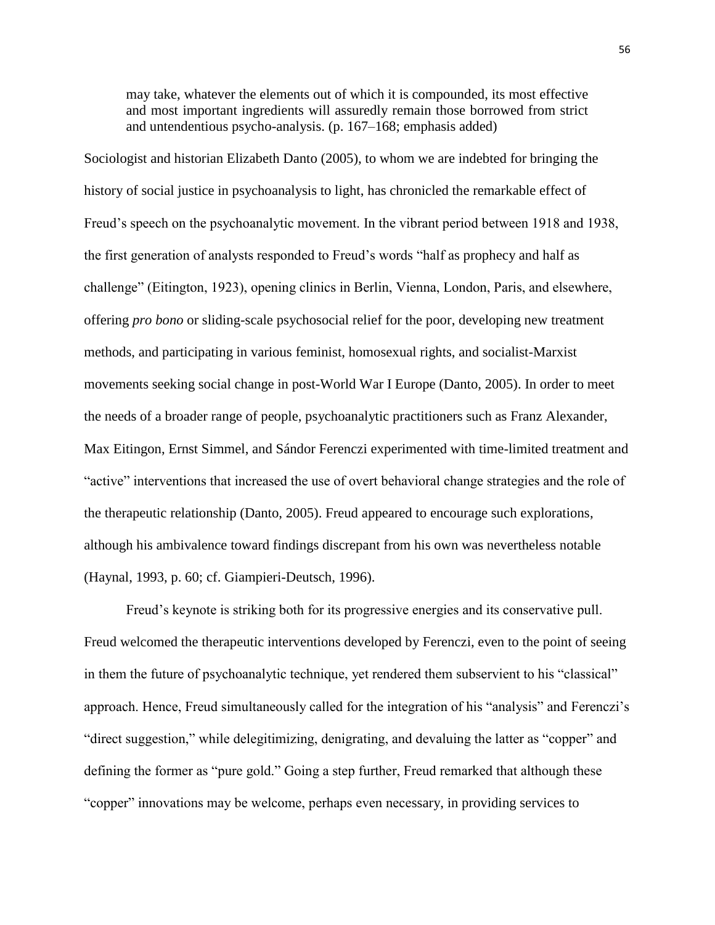may take, whatever the elements out of which it is compounded, its most effective and most important ingredients will assuredly remain those borrowed from strict and untendentious psycho-analysis. (p. 167–168; emphasis added)

Sociologist and historian Elizabeth Danto (2005), to whom we are indebted for bringing the history of social justice in psychoanalysis to light, has chronicled the remarkable effect of Freud's speech on the psychoanalytic movement. In the vibrant period between 1918 and 1938, the first generation of analysts responded to Freud's words "half as prophecy and half as challenge" (Eitington, 1923), opening clinics in Berlin, Vienna, London, Paris, and elsewhere, offering *pro bono* or sliding-scale psychosocial relief for the poor, developing new treatment methods, and participating in various feminist, homosexual rights, and socialist-Marxist movements seeking social change in post-World War I Europe (Danto, 2005). In order to meet the needs of a broader range of people, psychoanalytic practitioners such as Franz Alexander, Max Eitingon, Ernst Simmel, and Sándor Ferenczi experimented with time-limited treatment and "active" interventions that increased the use of overt behavioral change strategies and the role of the therapeutic relationship (Danto, 2005). Freud appeared to encourage such explorations, although his ambivalence toward findings discrepant from his own was nevertheless notable (Haynal, 1993, p. 60; cf. Giampieri-Deutsch, 1996).

Freud's keynote is striking both for its progressive energies and its conservative pull. Freud welcomed the therapeutic interventions developed by Ferenczi, even to the point of seeing in them the future of psychoanalytic technique, yet rendered them subservient to his "classical" approach. Hence, Freud simultaneously called for the integration of his "analysis" and Ferenczi's "direct suggestion," while delegitimizing, denigrating, and devaluing the latter as "copper" and defining the former as "pure gold." Going a step further, Freud remarked that although these "copper" innovations may be welcome, perhaps even necessary, in providing services to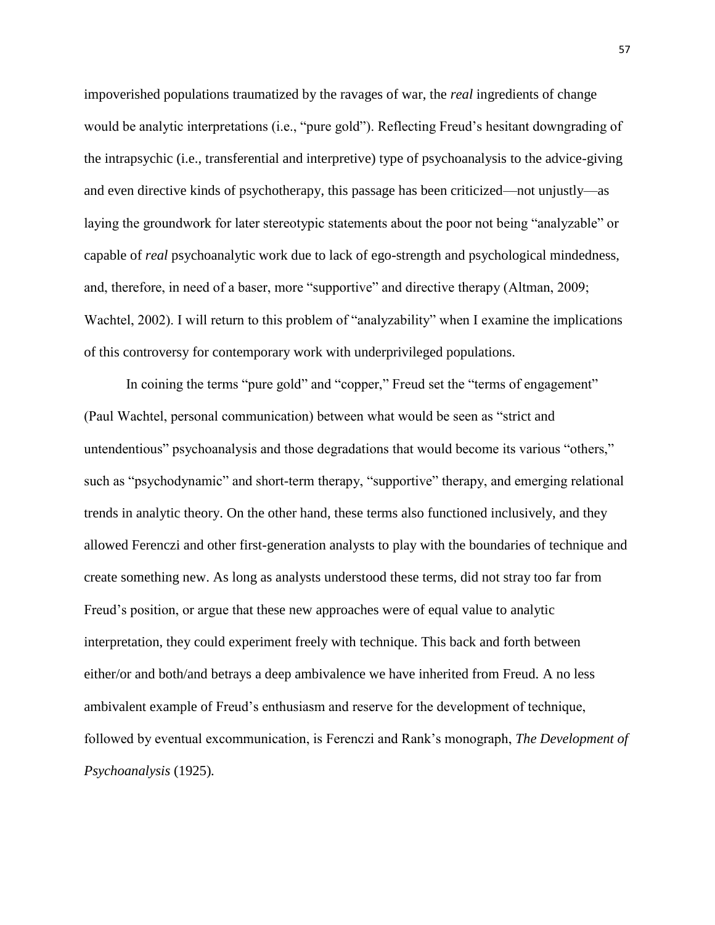impoverished populations traumatized by the ravages of war, the *real* ingredients of change would be analytic interpretations (i.e., "pure gold"). Reflecting Freud's hesitant downgrading of the intrapsychic (i.e., transferential and interpretive) type of psychoanalysis to the advice-giving and even directive kinds of psychotherapy, this passage has been criticized—not unjustly—as laying the groundwork for later stereotypic statements about the poor not being "analyzable" or capable of *real* psychoanalytic work due to lack of ego-strength and psychological mindedness, and, therefore, in need of a baser, more "supportive" and directive therapy (Altman, 2009; Wachtel, 2002). I will return to this problem of "analyzability" when I examine the implications of this controversy for contemporary work with underprivileged populations.

In coining the terms "pure gold" and "copper," Freud set the "terms of engagement" (Paul Wachtel, personal communication) between what would be seen as "strict and untendentious" psychoanalysis and those degradations that would become its various "others," such as "psychodynamic" and short-term therapy, "supportive" therapy, and emerging relational trends in analytic theory. On the other hand, these terms also functioned inclusively, and they allowed Ferenczi and other first-generation analysts to play with the boundaries of technique and create something new. As long as analysts understood these terms, did not stray too far from Freud's position, or argue that these new approaches were of equal value to analytic interpretation, they could experiment freely with technique. This back and forth between either/or and both/and betrays a deep ambivalence we have inherited from Freud. A no less ambivalent example of Freud's enthusiasm and reserve for the development of technique, followed by eventual excommunication, is Ferenczi and Rank's monograph, *The Development of Psychoanalysis* (1925)*.*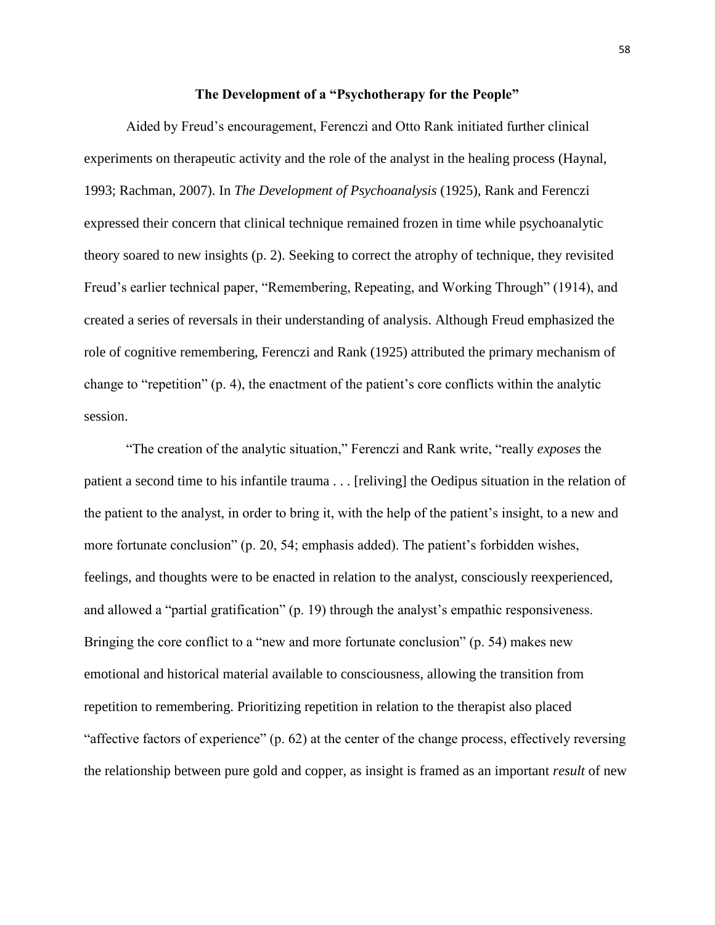### **The Development of a "Psychotherapy for the People"**

Aided by Freud's encouragement, Ferenczi and Otto Rank initiated further clinical experiments on therapeutic activity and the role of the analyst in the healing process (Haynal, 1993; Rachman, 2007). In *The Development of Psychoanalysis* (1925), Rank and Ferenczi expressed their concern that clinical technique remained frozen in time while psychoanalytic theory soared to new insights (p. 2). Seeking to correct the atrophy of technique, they revisited Freud's earlier technical paper, "Remembering, Repeating, and Working Through" (1914), and created a series of reversals in their understanding of analysis. Although Freud emphasized the role of cognitive remembering, Ferenczi and Rank (1925) attributed the primary mechanism of change to "repetition" (p. 4), the enactment of the patient's core conflicts within the analytic session.

"The creation of the analytic situation," Ferenczi and Rank write, "really *exposes* the patient a second time to his infantile trauma . . . [reliving] the Oedipus situation in the relation of the patient to the analyst, in order to bring it, with the help of the patient's insight, to a new and more fortunate conclusion" (p. 20, 54; emphasis added). The patient's forbidden wishes, feelings, and thoughts were to be enacted in relation to the analyst, consciously reexperienced, and allowed a "partial gratification" (p. 19) through the analyst's empathic responsiveness. Bringing the core conflict to a "new and more fortunate conclusion" (p. 54) makes new emotional and historical material available to consciousness, allowing the transition from repetition to remembering. Prioritizing repetition in relation to the therapist also placed "affective factors of experience" (p. 62) at the center of the change process, effectively reversing the relationship between pure gold and copper, as insight is framed as an important *result* of new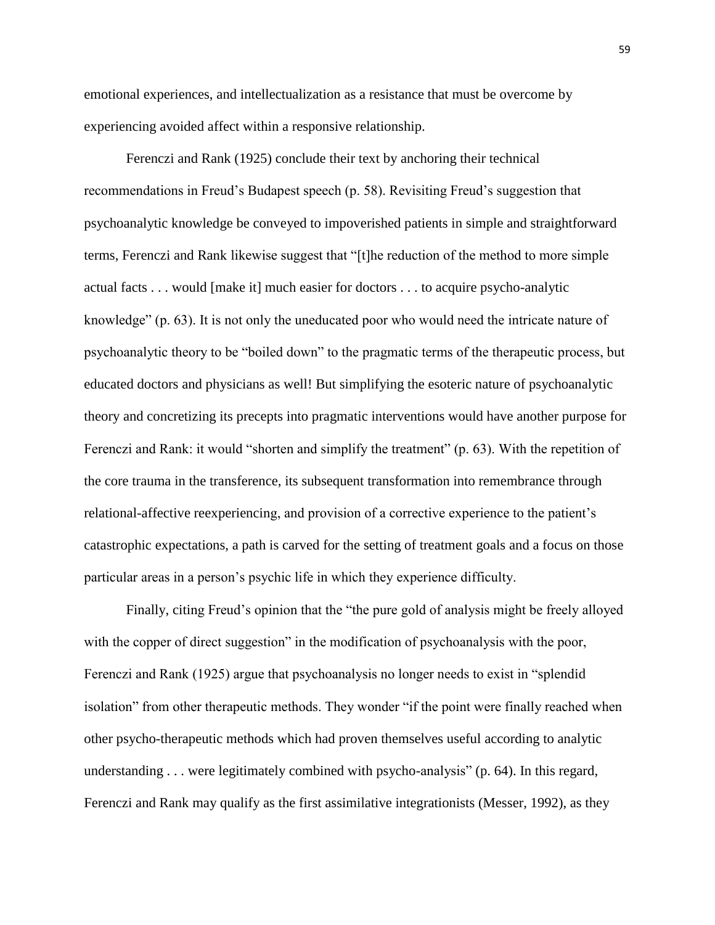emotional experiences, and intellectualization as a resistance that must be overcome by experiencing avoided affect within a responsive relationship.

Ferenczi and Rank (1925) conclude their text by anchoring their technical recommendations in Freud's Budapest speech (p. 58). Revisiting Freud's suggestion that psychoanalytic knowledge be conveyed to impoverished patients in simple and straightforward terms, Ferenczi and Rank likewise suggest that "[t]he reduction of the method to more simple actual facts . . . would [make it] much easier for doctors . . . to acquire psycho-analytic knowledge" (p. 63). It is not only the uneducated poor who would need the intricate nature of psychoanalytic theory to be "boiled down" to the pragmatic terms of the therapeutic process, but educated doctors and physicians as well! But simplifying the esoteric nature of psychoanalytic theory and concretizing its precepts into pragmatic interventions would have another purpose for Ferenczi and Rank: it would "shorten and simplify the treatment" (p. 63). With the repetition of the core trauma in the transference, its subsequent transformation into remembrance through relational-affective reexperiencing, and provision of a corrective experience to the patient's catastrophic expectations, a path is carved for the setting of treatment goals and a focus on those particular areas in a person's psychic life in which they experience difficulty.

Finally, citing Freud's opinion that the "the pure gold of analysis might be freely alloyed with the copper of direct suggestion" in the modification of psychoanalysis with the poor, Ferenczi and Rank (1925) argue that psychoanalysis no longer needs to exist in "splendid isolation" from other therapeutic methods. They wonder "if the point were finally reached when other psycho-therapeutic methods which had proven themselves useful according to analytic understanding . . . were legitimately combined with psycho-analysis" (p. 64). In this regard, Ferenczi and Rank may qualify as the first assimilative integrationists (Messer, 1992), as they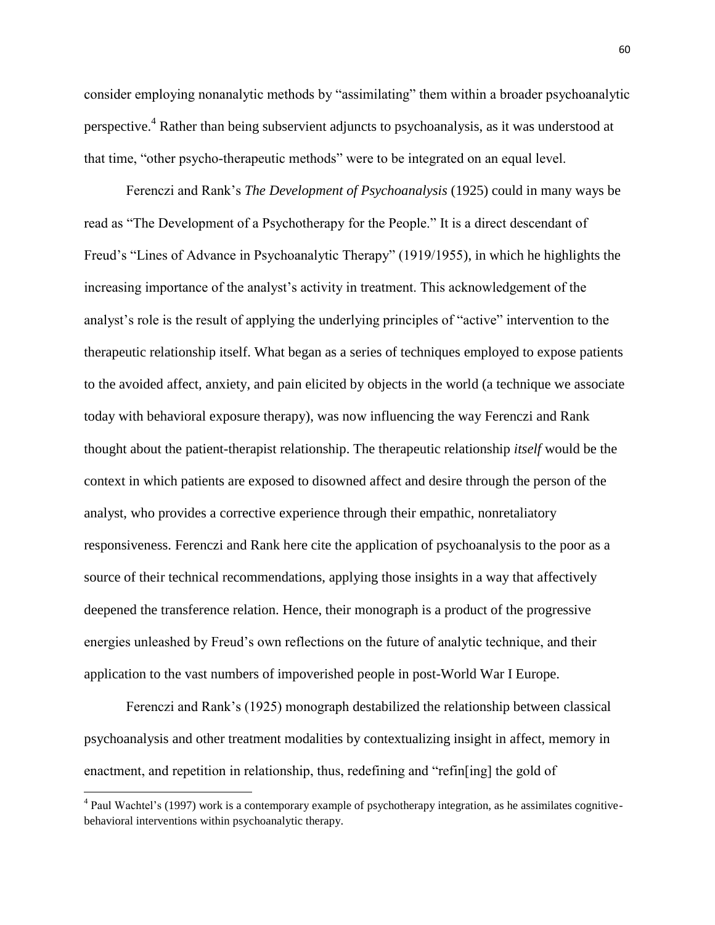consider employing nonanalytic methods by "assimilating" them within a broader psychoanalytic perspective.<sup>4</sup> Rather than being subservient adjuncts to psychoanalysis, as it was understood at that time, "other psycho-therapeutic methods" were to be integrated on an equal level.

Ferenczi and Rank's *The Development of Psychoanalysis* (1925) could in many ways be read as "The Development of a Psychotherapy for the People." It is a direct descendant of Freud's "Lines of Advance in Psychoanalytic Therapy" (1919/1955), in which he highlights the increasing importance of the analyst's activity in treatment. This acknowledgement of the analyst's role is the result of applying the underlying principles of "active" intervention to the therapeutic relationship itself. What began as a series of techniques employed to expose patients to the avoided affect, anxiety, and pain elicited by objects in the world (a technique we associate today with behavioral exposure therapy), was now influencing the way Ferenczi and Rank thought about the patient-therapist relationship. The therapeutic relationship *itself* would be the context in which patients are exposed to disowned affect and desire through the person of the analyst, who provides a corrective experience through their empathic, nonretaliatory responsiveness. Ferenczi and Rank here cite the application of psychoanalysis to the poor as a source of their technical recommendations, applying those insights in a way that affectively deepened the transference relation. Hence, their monograph is a product of the progressive energies unleashed by Freud's own reflections on the future of analytic technique, and their application to the vast numbers of impoverished people in post-World War I Europe.

Ferenczi and Rank's (1925) monograph destabilized the relationship between classical psychoanalysis and other treatment modalities by contextualizing insight in affect, memory in enactment, and repetition in relationship, thus, redefining and "refin[ing] the gold of

 $\overline{a}$ 

<sup>&</sup>lt;sup>4</sup> Paul Wachtel's (1997) work is a contemporary example of psychotherapy integration, as he assimilates cognitivebehavioral interventions within psychoanalytic therapy.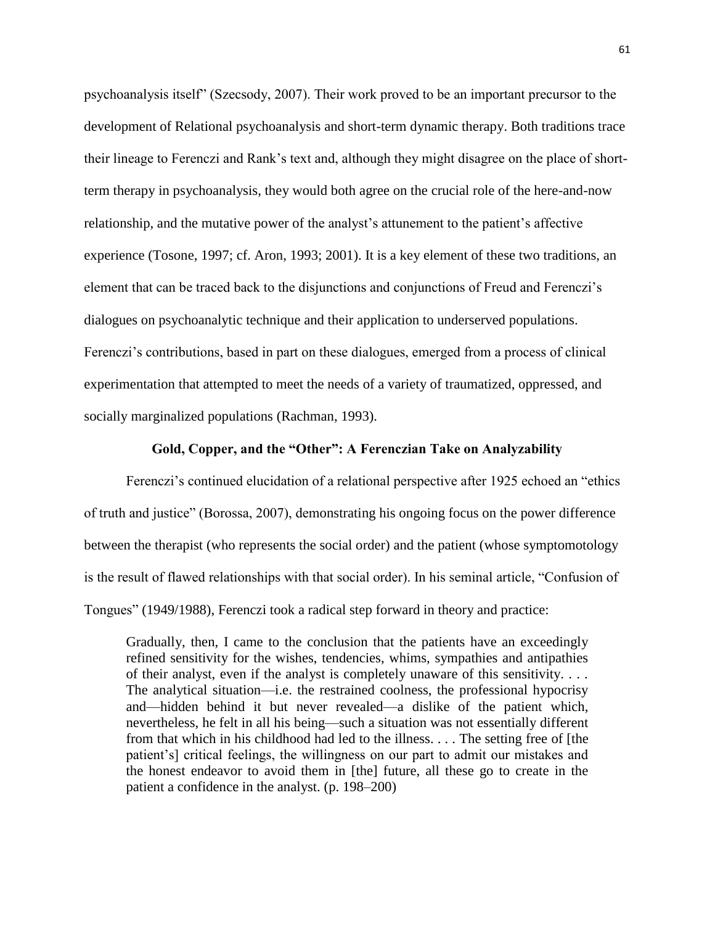psychoanalysis itself" (Szecsody, 2007). Their work proved to be an important precursor to the development of Relational psychoanalysis and short-term dynamic therapy. Both traditions trace their lineage to Ferenczi and Rank's text and, although they might disagree on the place of shortterm therapy in psychoanalysis, they would both agree on the crucial role of the here-and-now relationship, and the mutative power of the analyst's attunement to the patient's affective experience (Tosone, 1997; cf. Aron, 1993; 2001). It is a key element of these two traditions, an element that can be traced back to the disjunctions and conjunctions of Freud and Ferenczi's dialogues on psychoanalytic technique and their application to underserved populations. Ferenczi's contributions, based in part on these dialogues, emerged from a process of clinical experimentation that attempted to meet the needs of a variety of traumatized, oppressed, and socially marginalized populations (Rachman, 1993).

## **Gold, Copper, and the "Other": A Ferenczian Take on Analyzability**

Ferenczi's continued elucidation of a relational perspective after 1925 echoed an "ethics of truth and justice" (Borossa, 2007), demonstrating his ongoing focus on the power difference between the therapist (who represents the social order) and the patient (whose symptomotology is the result of flawed relationships with that social order). In his seminal article, "Confusion of Tongues" (1949/1988), Ferenczi took a radical step forward in theory and practice:

Gradually, then, I came to the conclusion that the patients have an exceedingly refined sensitivity for the wishes, tendencies, whims, sympathies and antipathies of their analyst, even if the analyst is completely unaware of this sensitivity. . . . The analytical situation—i.e. the restrained coolness, the professional hypocrisy and—hidden behind it but never revealed—a dislike of the patient which, nevertheless, he felt in all his being—such a situation was not essentially different from that which in his childhood had led to the illness. . . . The setting free of [the patient's] critical feelings, the willingness on our part to admit our mistakes and the honest endeavor to avoid them in [the] future, all these go to create in the patient a confidence in the analyst. (p. 198–200)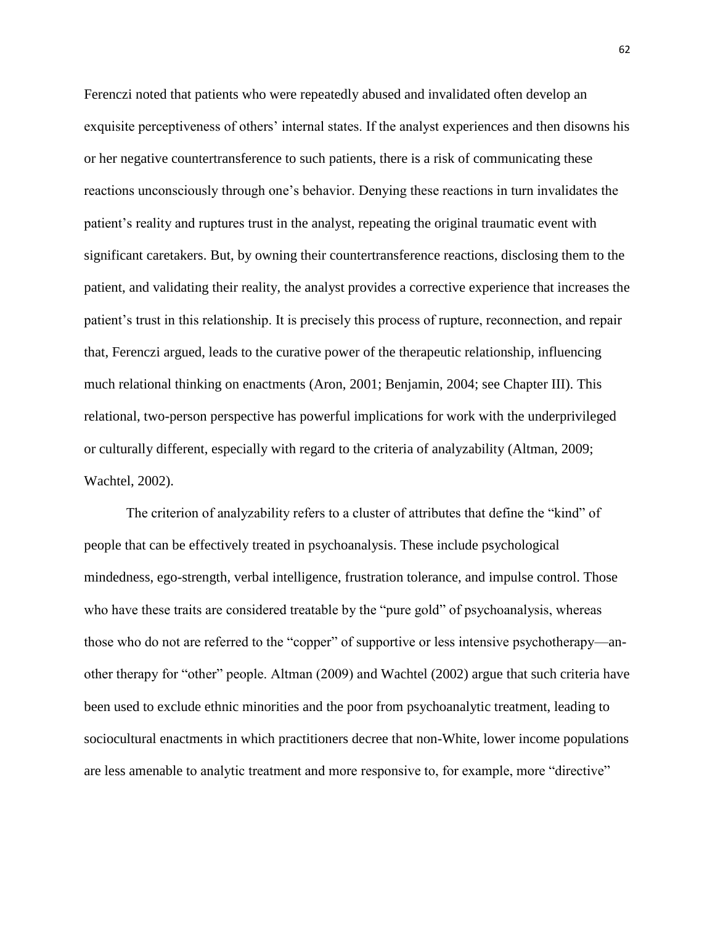Ferenczi noted that patients who were repeatedly abused and invalidated often develop an exquisite perceptiveness of others' internal states. If the analyst experiences and then disowns his or her negative countertransference to such patients, there is a risk of communicating these reactions unconsciously through one's behavior. Denying these reactions in turn invalidates the patient's reality and ruptures trust in the analyst, repeating the original traumatic event with significant caretakers. But, by owning their countertransference reactions, disclosing them to the patient, and validating their reality, the analyst provides a corrective experience that increases the patient's trust in this relationship. It is precisely this process of rupture, reconnection, and repair that, Ferenczi argued, leads to the curative power of the therapeutic relationship, influencing much relational thinking on enactments (Aron, 2001; Benjamin, 2004; see Chapter III). This relational, two-person perspective has powerful implications for work with the underprivileged or culturally different, especially with regard to the criteria of analyzability (Altman, 2009; Wachtel, 2002).

The criterion of analyzability refers to a cluster of attributes that define the "kind" of people that can be effectively treated in psychoanalysis. These include psychological mindedness, ego-strength, verbal intelligence, frustration tolerance, and impulse control. Those who have these traits are considered treatable by the "pure gold" of psychoanalysis, whereas those who do not are referred to the "copper" of supportive or less intensive psychotherapy—another therapy for "other" people. Altman (2009) and Wachtel (2002) argue that such criteria have been used to exclude ethnic minorities and the poor from psychoanalytic treatment, leading to sociocultural enactments in which practitioners decree that non-White, lower income populations are less amenable to analytic treatment and more responsive to, for example, more "directive"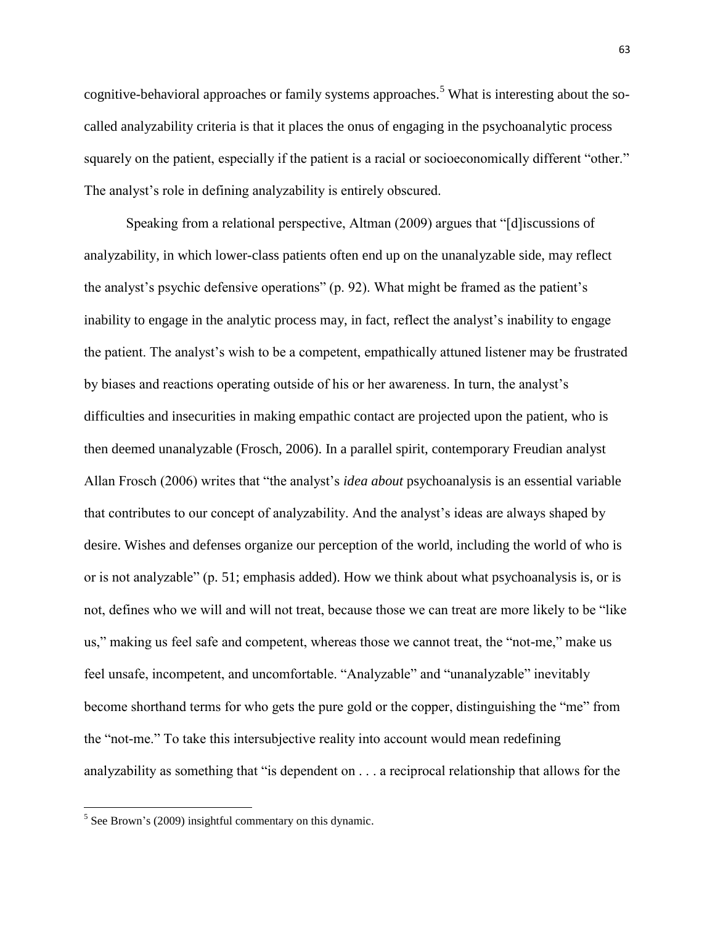cognitive-behavioral approaches or family systems approaches.<sup>5</sup> What is interesting about the socalled analyzability criteria is that it places the onus of engaging in the psychoanalytic process squarely on the patient, especially if the patient is a racial or socioeconomically different "other." The analyst's role in defining analyzability is entirely obscured.

Speaking from a relational perspective, Altman (2009) argues that "[d]iscussions of analyzability, in which lower-class patients often end up on the unanalyzable side, may reflect the analyst's psychic defensive operations" (p. 92). What might be framed as the patient's inability to engage in the analytic process may, in fact, reflect the analyst's inability to engage the patient. The analyst's wish to be a competent, empathically attuned listener may be frustrated by biases and reactions operating outside of his or her awareness. In turn, the analyst's difficulties and insecurities in making empathic contact are projected upon the patient, who is then deemed unanalyzable (Frosch, 2006). In a parallel spirit, contemporary Freudian analyst Allan Frosch (2006) writes that "the analyst's *idea about* psychoanalysis is an essential variable that contributes to our concept of analyzability. And the analyst's ideas are always shaped by desire. Wishes and defenses organize our perception of the world, including the world of who is or is not analyzable" (p. 51; emphasis added). How we think about what psychoanalysis is, or is not, defines who we will and will not treat, because those we can treat are more likely to be "like us," making us feel safe and competent, whereas those we cannot treat, the "not-me," make us feel unsafe, incompetent, and uncomfortable. "Analyzable" and "unanalyzable" inevitably become shorthand terms for who gets the pure gold or the copper, distinguishing the "me" from the "not-me." To take this intersubjective reality into account would mean redefining analyzability as something that "is dependent on . . . a reciprocal relationship that allows for the

 5 See Brown's (2009) insightful commentary on this dynamic.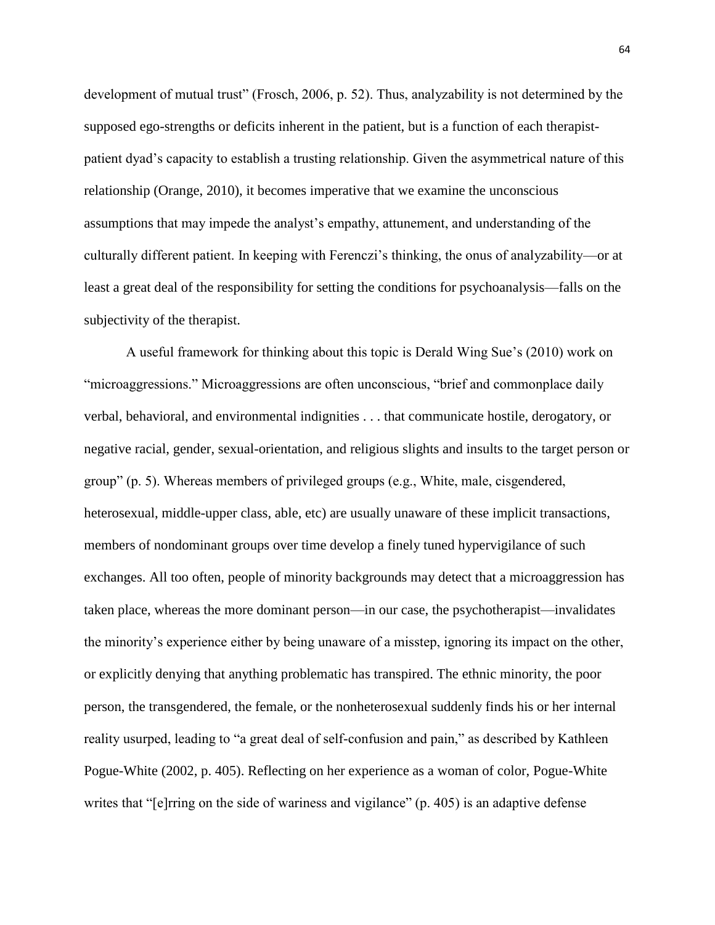development of mutual trust" (Frosch, 2006, p. 52). Thus, analyzability is not determined by the supposed ego-strengths or deficits inherent in the patient, but is a function of each therapistpatient dyad's capacity to establish a trusting relationship. Given the asymmetrical nature of this relationship (Orange, 2010), it becomes imperative that we examine the unconscious assumptions that may impede the analyst's empathy, attunement, and understanding of the culturally different patient. In keeping with Ferenczi's thinking, the onus of analyzability—or at least a great deal of the responsibility for setting the conditions for psychoanalysis—falls on the subjectivity of the therapist.

A useful framework for thinking about this topic is Derald Wing Sue's (2010) work on "microaggressions." Microaggressions are often unconscious, "brief and commonplace daily verbal, behavioral, and environmental indignities . . . that communicate hostile, derogatory, or negative racial, gender, sexual-orientation, and religious slights and insults to the target person or group" (p. 5). Whereas members of privileged groups (e.g., White, male, cisgendered, heterosexual, middle-upper class, able, etc) are usually unaware of these implicit transactions, members of nondominant groups over time develop a finely tuned hypervigilance of such exchanges. All too often, people of minority backgrounds may detect that a microaggression has taken place, whereas the more dominant person—in our case, the psychotherapist—invalidates the minority's experience either by being unaware of a misstep, ignoring its impact on the other, or explicitly denying that anything problematic has transpired. The ethnic minority, the poor person, the transgendered, the female, or the nonheterosexual suddenly finds his or her internal reality usurped, leading to "a great deal of self-confusion and pain," as described by Kathleen Pogue-White (2002, p. 405). Reflecting on her experience as a woman of color, Pogue-White writes that "[e]rring on the side of wariness and vigilance" (p. 405) is an adaptive defense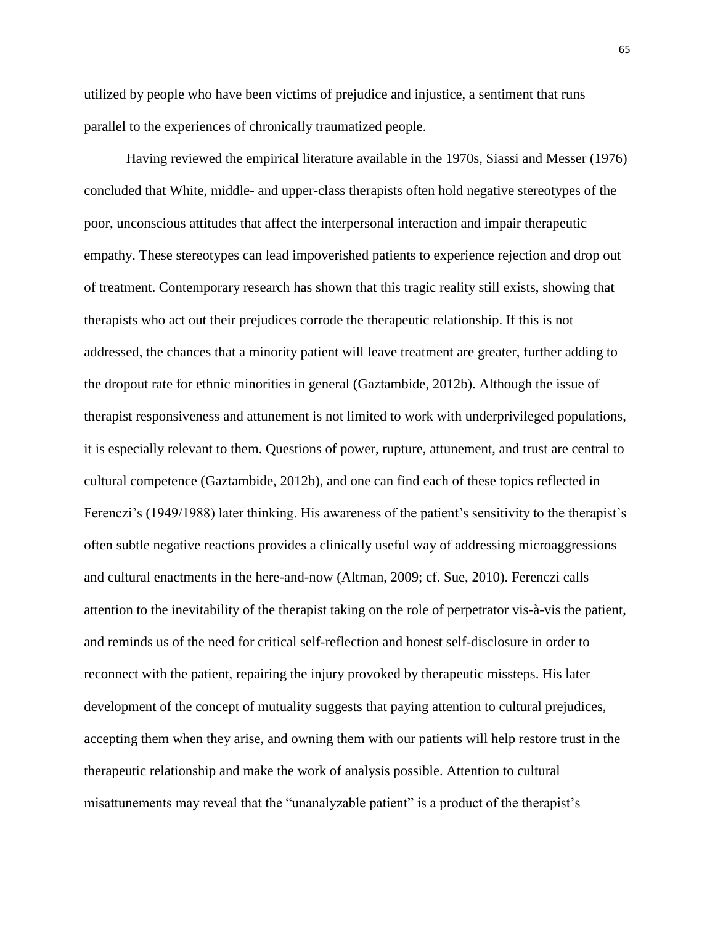utilized by people who have been victims of prejudice and injustice, a sentiment that runs parallel to the experiences of chronically traumatized people.

Having reviewed the empirical literature available in the 1970s, Siassi and Messer (1976) concluded that White, middle- and upper-class therapists often hold negative stereotypes of the poor, unconscious attitudes that affect the interpersonal interaction and impair therapeutic empathy. These stereotypes can lead impoverished patients to experience rejection and drop out of treatment. Contemporary research has shown that this tragic reality still exists, showing that therapists who act out their prejudices corrode the therapeutic relationship. If this is not addressed, the chances that a minority patient will leave treatment are greater, further adding to the dropout rate for ethnic minorities in general (Gaztambide, 2012b). Although the issue of therapist responsiveness and attunement is not limited to work with underprivileged populations, it is especially relevant to them. Questions of power, rupture, attunement, and trust are central to cultural competence (Gaztambide, 2012b), and one can find each of these topics reflected in Ferenczi's (1949/1988) later thinking. His awareness of the patient's sensitivity to the therapist's often subtle negative reactions provides a clinically useful way of addressing microaggressions and cultural enactments in the here-and-now (Altman, 2009; cf. Sue, 2010). Ferenczi calls attention to the inevitability of the therapist taking on the role of perpetrator vis-à-vis the patient, and reminds us of the need for critical self-reflection and honest self-disclosure in order to reconnect with the patient, repairing the injury provoked by therapeutic missteps. His later development of the concept of mutuality suggests that paying attention to cultural prejudices, accepting them when they arise, and owning them with our patients will help restore trust in the therapeutic relationship and make the work of analysis possible. Attention to cultural misattunements may reveal that the "unanalyzable patient" is a product of the therapist's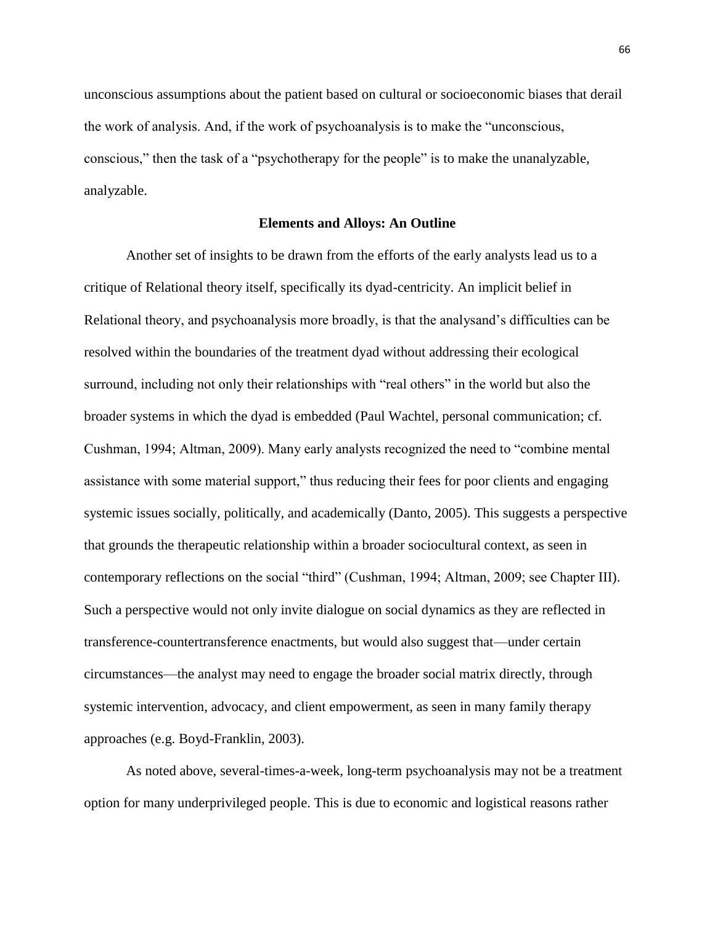unconscious assumptions about the patient based on cultural or socioeconomic biases that derail the work of analysis. And, if the work of psychoanalysis is to make the "unconscious, conscious," then the task of a "psychotherapy for the people" is to make the unanalyzable, analyzable.

## **Elements and Alloys: An Outline**

Another set of insights to be drawn from the efforts of the early analysts lead us to a critique of Relational theory itself, specifically its dyad-centricity. An implicit belief in Relational theory, and psychoanalysis more broadly, is that the analysand's difficulties can be resolved within the boundaries of the treatment dyad without addressing their ecological surround, including not only their relationships with "real others" in the world but also the broader systems in which the dyad is embedded (Paul Wachtel, personal communication; cf. Cushman, 1994; Altman, 2009). Many early analysts recognized the need to "combine mental assistance with some material support," thus reducing their fees for poor clients and engaging systemic issues socially, politically, and academically (Danto, 2005). This suggests a perspective that grounds the therapeutic relationship within a broader sociocultural context, as seen in contemporary reflections on the social "third" (Cushman, 1994; Altman, 2009; see Chapter III). Such a perspective would not only invite dialogue on social dynamics as they are reflected in transference-countertransference enactments, but would also suggest that—under certain circumstances—the analyst may need to engage the broader social matrix directly, through systemic intervention, advocacy, and client empowerment, as seen in many family therapy approaches (e.g. Boyd-Franklin, 2003).

As noted above, several-times-a-week, long-term psychoanalysis may not be a treatment option for many underprivileged people. This is due to economic and logistical reasons rather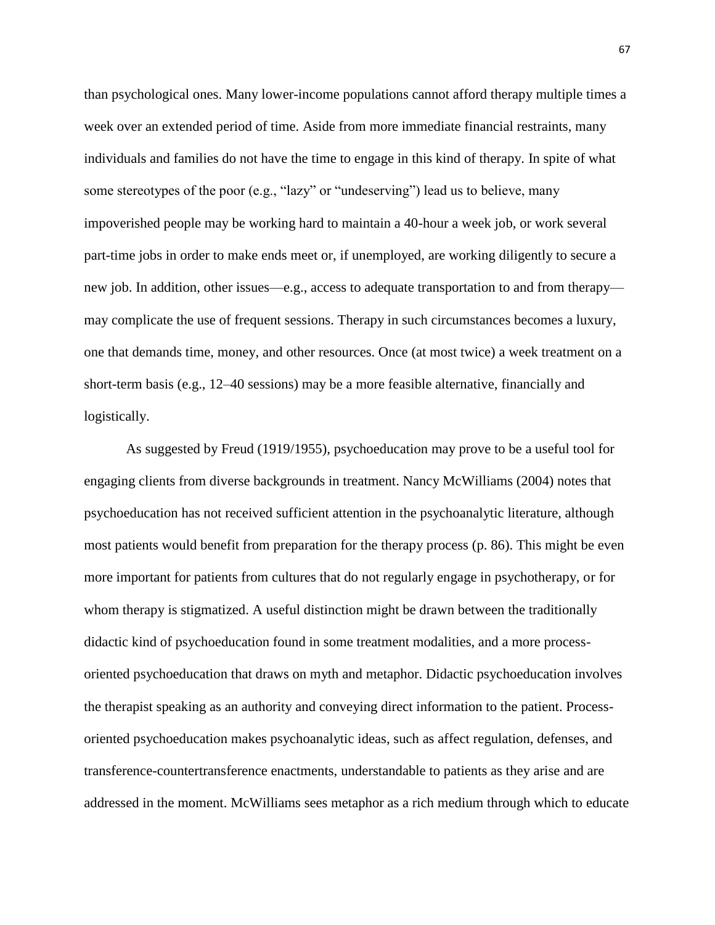than psychological ones. Many lower-income populations cannot afford therapy multiple times a week over an extended period of time. Aside from more immediate financial restraints, many individuals and families do not have the time to engage in this kind of therapy. In spite of what some stereotypes of the poor (e.g., "lazy" or "undeserving") lead us to believe, many impoverished people may be working hard to maintain a 40-hour a week job, or work several part-time jobs in order to make ends meet or, if unemployed, are working diligently to secure a new job. In addition, other issues—e.g., access to adequate transportation to and from therapy may complicate the use of frequent sessions. Therapy in such circumstances becomes a luxury, one that demands time, money, and other resources. Once (at most twice) a week treatment on a short-term basis (e.g., 12–40 sessions) may be a more feasible alternative, financially and logistically.

As suggested by Freud (1919/1955), psychoeducation may prove to be a useful tool for engaging clients from diverse backgrounds in treatment. Nancy McWilliams (2004) notes that psychoeducation has not received sufficient attention in the psychoanalytic literature, although most patients would benefit from preparation for the therapy process (p. 86). This might be even more important for patients from cultures that do not regularly engage in psychotherapy, or for whom therapy is stigmatized. A useful distinction might be drawn between the traditionally didactic kind of psychoeducation found in some treatment modalities, and a more processoriented psychoeducation that draws on myth and metaphor. Didactic psychoeducation involves the therapist speaking as an authority and conveying direct information to the patient. Processoriented psychoeducation makes psychoanalytic ideas, such as affect regulation, defenses, and transference-countertransference enactments, understandable to patients as they arise and are addressed in the moment. McWilliams sees metaphor as a rich medium through which to educate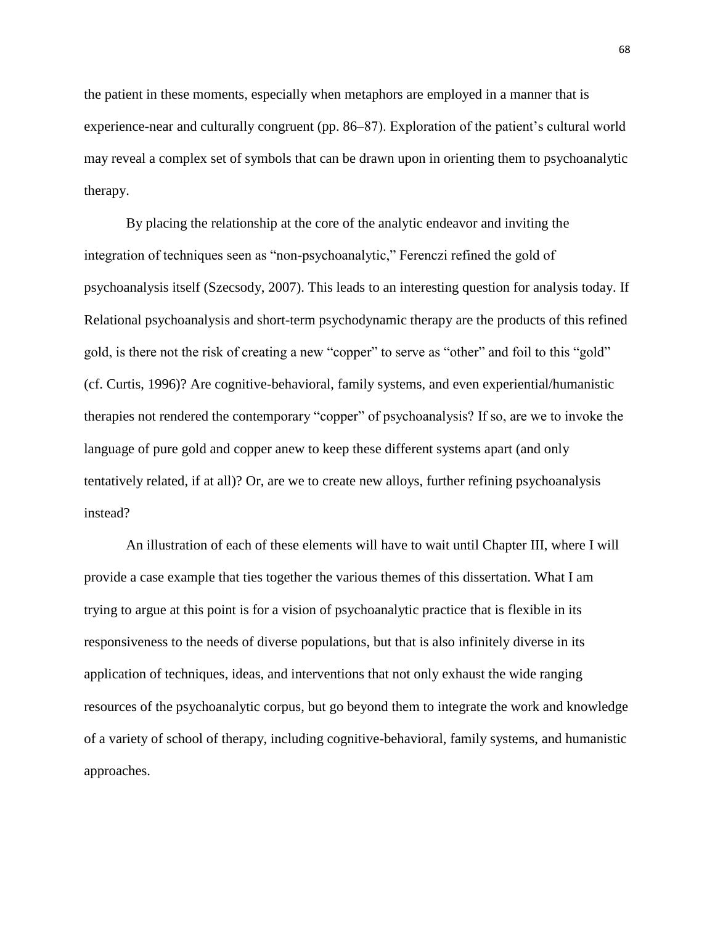the patient in these moments, especially when metaphors are employed in a manner that is experience-near and culturally congruent (pp. 86–87). Exploration of the patient's cultural world may reveal a complex set of symbols that can be drawn upon in orienting them to psychoanalytic therapy.

By placing the relationship at the core of the analytic endeavor and inviting the integration of techniques seen as "non-psychoanalytic," Ferenczi refined the gold of psychoanalysis itself (Szecsody, 2007). This leads to an interesting question for analysis today. If Relational psychoanalysis and short-term psychodynamic therapy are the products of this refined gold, is there not the risk of creating a new "copper" to serve as "other" and foil to this "gold" (cf. Curtis, 1996)? Are cognitive-behavioral, family systems, and even experiential/humanistic therapies not rendered the contemporary "copper" of psychoanalysis? If so, are we to invoke the language of pure gold and copper anew to keep these different systems apart (and only tentatively related, if at all)? Or, are we to create new alloys, further refining psychoanalysis instead?

An illustration of each of these elements will have to wait until Chapter III, where I will provide a case example that ties together the various themes of this dissertation. What I am trying to argue at this point is for a vision of psychoanalytic practice that is flexible in its responsiveness to the needs of diverse populations, but that is also infinitely diverse in its application of techniques, ideas, and interventions that not only exhaust the wide ranging resources of the psychoanalytic corpus, but go beyond them to integrate the work and knowledge of a variety of school of therapy, including cognitive-behavioral, family systems, and humanistic approaches.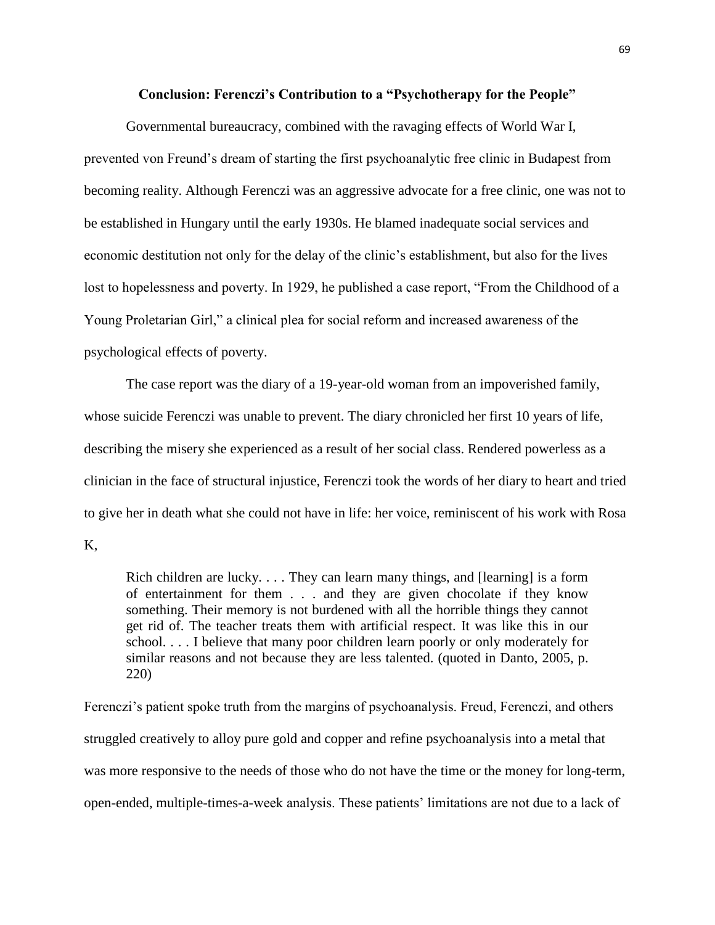### **Conclusion: Ferenczi's Contribution to a "Psychotherapy for the People"**

Governmental bureaucracy, combined with the ravaging effects of World War I, prevented von Freund's dream of starting the first psychoanalytic free clinic in Budapest from becoming reality. Although Ferenczi was an aggressive advocate for a free clinic, one was not to be established in Hungary until the early 1930s. He blamed inadequate social services and economic destitution not only for the delay of the clinic's establishment, but also for the lives lost to hopelessness and poverty. In 1929, he published a case report, "From the Childhood of a Young Proletarian Girl," a clinical plea for social reform and increased awareness of the psychological effects of poverty.

The case report was the diary of a 19-year-old woman from an impoverished family, whose suicide Ferenczi was unable to prevent. The diary chronicled her first 10 years of life, describing the misery she experienced as a result of her social class. Rendered powerless as a clinician in the face of structural injustice, Ferenczi took the words of her diary to heart and tried to give her in death what she could not have in life: her voice, reminiscent of his work with Rosa

Rich children are lucky. . . . They can learn many things, and [learning] is a form of entertainment for them . . . and they are given chocolate if they know something. Their memory is not burdened with all the horrible things they cannot get rid of. The teacher treats them with artificial respect. It was like this in our school. . . . I believe that many poor children learn poorly or only moderately for similar reasons and not because they are less talented. (quoted in Danto, 2005, p. 220)

Ferenczi's patient spoke truth from the margins of psychoanalysis. Freud, Ferenczi, and others struggled creatively to alloy pure gold and copper and refine psychoanalysis into a metal that was more responsive to the needs of those who do not have the time or the money for long-term, open-ended, multiple-times-a-week analysis. These patients' limitations are not due to a lack of

K,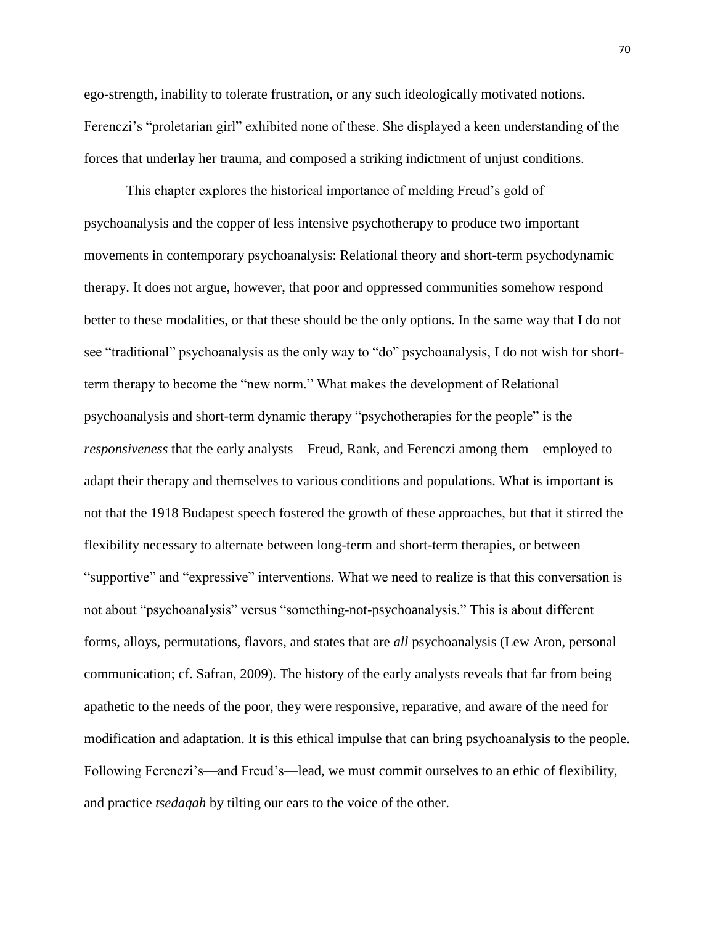ego-strength, inability to tolerate frustration, or any such ideologically motivated notions. Ferenczi's "proletarian girl" exhibited none of these. She displayed a keen understanding of the forces that underlay her trauma, and composed a striking indictment of unjust conditions.

This chapter explores the historical importance of melding Freud's gold of psychoanalysis and the copper of less intensive psychotherapy to produce two important movements in contemporary psychoanalysis: Relational theory and short-term psychodynamic therapy. It does not argue, however, that poor and oppressed communities somehow respond better to these modalities, or that these should be the only options. In the same way that I do not see "traditional" psychoanalysis as the only way to "do" psychoanalysis, I do not wish for shortterm therapy to become the "new norm." What makes the development of Relational psychoanalysis and short-term dynamic therapy "psychotherapies for the people" is the *responsiveness* that the early analysts—Freud, Rank, and Ferenczi among them—employed to adapt their therapy and themselves to various conditions and populations. What is important is not that the 1918 Budapest speech fostered the growth of these approaches, but that it stirred the flexibility necessary to alternate between long-term and short-term therapies, or between "supportive" and "expressive" interventions. What we need to realize is that this conversation is not about "psychoanalysis" versus "something-not-psychoanalysis." This is about different forms, alloys, permutations, flavors, and states that are *all* psychoanalysis (Lew Aron, personal communication; cf. Safran, 2009). The history of the early analysts reveals that far from being apathetic to the needs of the poor, they were responsive, reparative, and aware of the need for modification and adaptation. It is this ethical impulse that can bring psychoanalysis to the people. Following Ferenczi's—and Freud's—lead, we must commit ourselves to an ethic of flexibility, and practice *tsedaqah* by tilting our ears to the voice of the other.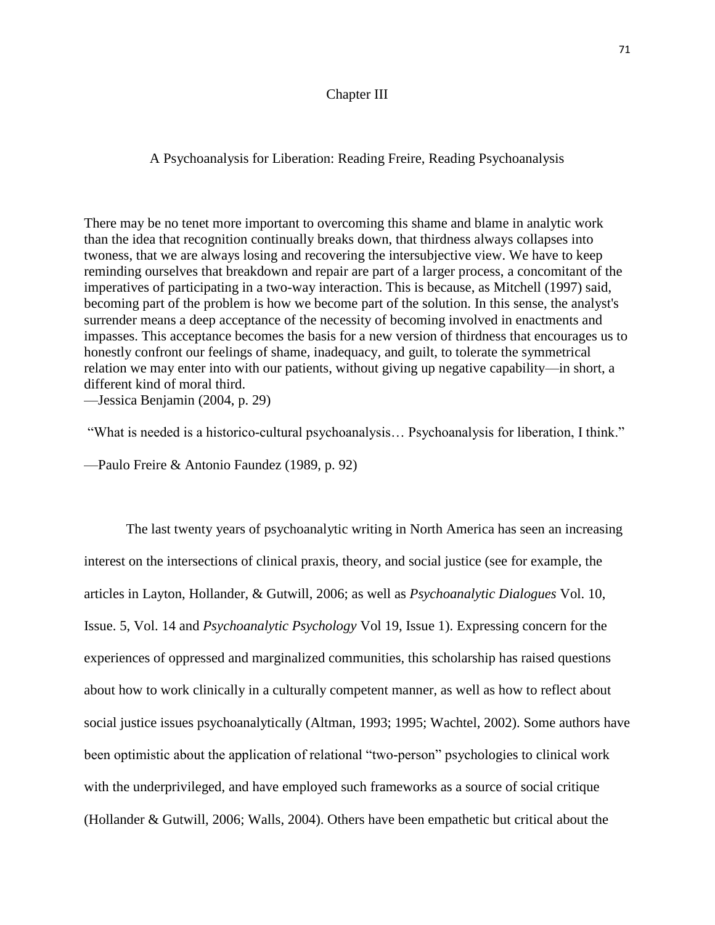#### Chapter III

# A Psychoanalysis for Liberation: Reading Freire, Reading Psychoanalysis

There may be no tenet more important to overcoming this shame and blame in analytic work than the idea that recognition continually breaks down, that thirdness always collapses into twoness, that we are always losing and recovering the intersubjective view. We have to keep reminding ourselves that breakdown and repair are part of a larger process, a concomitant of the imperatives of participating in a two-way interaction. This is because, as Mitchell (1997) said, becoming part of the problem is how we become part of the solution. In this sense, the analyst's surrender means a deep acceptance of the necessity of becoming involved in enactments and impasses. This acceptance becomes the basis for a new version of thirdness that encourages us to honestly confront our feelings of shame, inadequacy, and guilt, to tolerate the symmetrical relation we may enter into with our patients, without giving up negative capability—in short, a different kind of moral third.

—Jessica Benjamin (2004, p. 29)

"What is needed is a historico-cultural psychoanalysis… Psychoanalysis for liberation, I think."

—Paulo Freire & Antonio Faundez (1989, p. 92)

The last twenty years of psychoanalytic writing in North America has seen an increasing interest on the intersections of clinical praxis, theory, and social justice (see for example, the articles in Layton, Hollander, & Gutwill, 2006; as well as *Psychoanalytic Dialogues* Vol. 10, Issue. 5, Vol. 14 and *Psychoanalytic Psychology* Vol 19, Issue 1). Expressing concern for the experiences of oppressed and marginalized communities, this scholarship has raised questions about how to work clinically in a culturally competent manner, as well as how to reflect about social justice issues psychoanalytically (Altman, 1993; 1995; Wachtel, 2002). Some authors have been optimistic about the application of relational "two-person" psychologies to clinical work with the underprivileged, and have employed such frameworks as a source of social critique (Hollander & Gutwill, 2006; Walls, 2004). Others have been empathetic but critical about the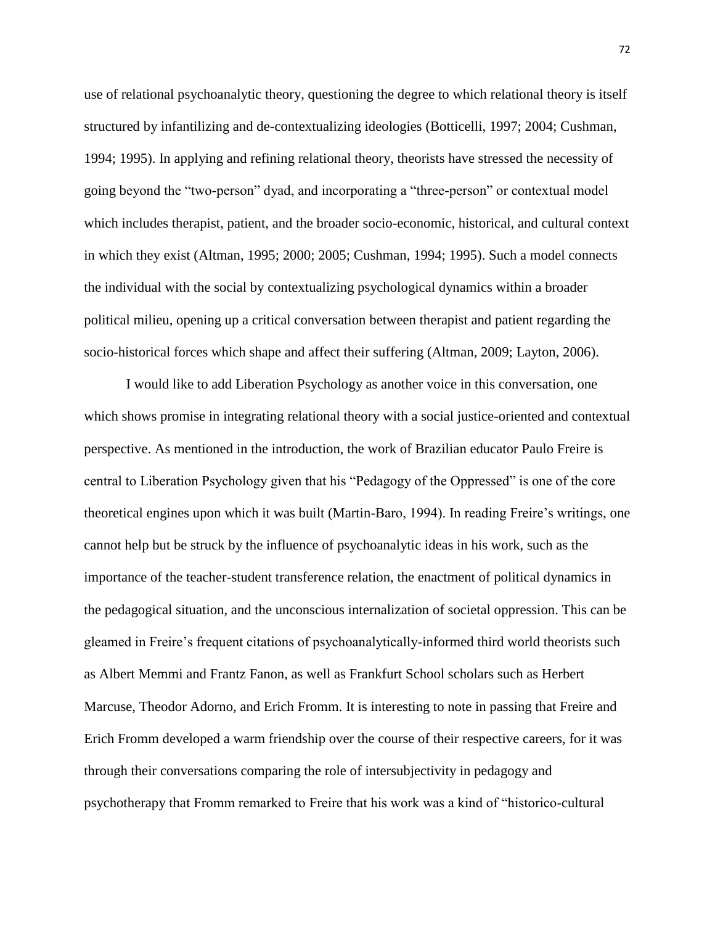use of relational psychoanalytic theory, questioning the degree to which relational theory is itself structured by infantilizing and de-contextualizing ideologies (Botticelli, 1997; 2004; Cushman, 1994; 1995). In applying and refining relational theory, theorists have stressed the necessity of going beyond the "two-person" dyad, and incorporating a "three-person" or contextual model which includes therapist, patient, and the broader socio-economic, historical, and cultural context in which they exist (Altman, 1995; 2000; 2005; Cushman, 1994; 1995). Such a model connects the individual with the social by contextualizing psychological dynamics within a broader political milieu, opening up a critical conversation between therapist and patient regarding the socio-historical forces which shape and affect their suffering (Altman, 2009; Layton, 2006).

I would like to add Liberation Psychology as another voice in this conversation, one which shows promise in integrating relational theory with a social justice-oriented and contextual perspective. As mentioned in the introduction, the work of Brazilian educator Paulo Freire is central to Liberation Psychology given that his "Pedagogy of the Oppressed" is one of the core theoretical engines upon which it was built (Martin-Baro, 1994). In reading Freire's writings, one cannot help but be struck by the influence of psychoanalytic ideas in his work, such as the importance of the teacher-student transference relation, the enactment of political dynamics in the pedagogical situation, and the unconscious internalization of societal oppression. This can be gleamed in Freire's frequent citations of psychoanalytically-informed third world theorists such as Albert Memmi and Frantz Fanon, as well as Frankfurt School scholars such as Herbert Marcuse, Theodor Adorno, and Erich Fromm. It is interesting to note in passing that Freire and Erich Fromm developed a warm friendship over the course of their respective careers, for it was through their conversations comparing the role of intersubjectivity in pedagogy and psychotherapy that Fromm remarked to Freire that his work was a kind of "historico-cultural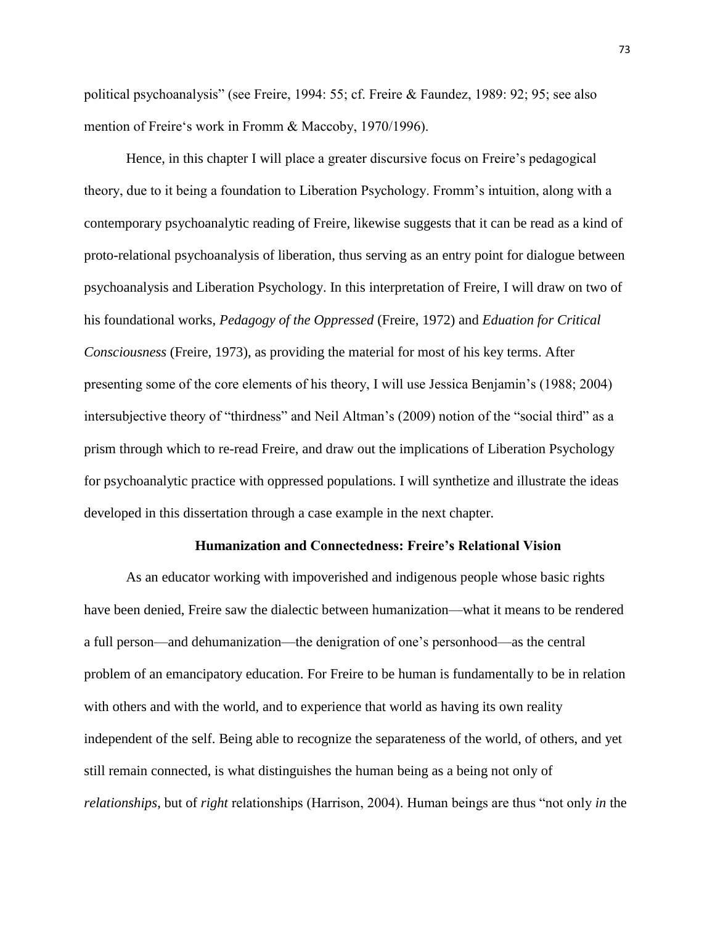political psychoanalysis" (see Freire, 1994: 55; cf. Freire & Faundez, 1989: 92; 95; see also mention of Freire's work in Fromm & Maccoby, 1970/1996).

Hence, in this chapter I will place a greater discursive focus on Freire's pedagogical theory, due to it being a foundation to Liberation Psychology. Fromm's intuition, along with a contemporary psychoanalytic reading of Freire, likewise suggests that it can be read as a kind of proto-relational psychoanalysis of liberation, thus serving as an entry point for dialogue between psychoanalysis and Liberation Psychology. In this interpretation of Freire, I will draw on two of his foundational works, *Pedagogy of the Oppressed* (Freire, 1972) and *Eduation for Critical Consciousness* (Freire, 1973), as providing the material for most of his key terms. After presenting some of the core elements of his theory, I will use Jessica Benjamin's (1988; 2004) intersubjective theory of "thirdness" and Neil Altman's (2009) notion of the "social third" as a prism through which to re-read Freire, and draw out the implications of Liberation Psychology for psychoanalytic practice with oppressed populations. I will synthetize and illustrate the ideas developed in this dissertation through a case example in the next chapter.

### **Humanization and Connectedness: Freire's Relational Vision**

As an educator working with impoverished and indigenous people whose basic rights have been denied, Freire saw the dialectic between humanization—what it means to be rendered a full person—and dehumanization—the denigration of one's personhood—as the central problem of an emancipatory education. For Freire to be human is fundamentally to be in relation with others and with the world, and to experience that world as having its own reality independent of the self. Being able to recognize the separateness of the world, of others, and yet still remain connected, is what distinguishes the human being as a being not only of *relationships*, but of *right* relationships (Harrison, 2004). Human beings are thus "not only *in* the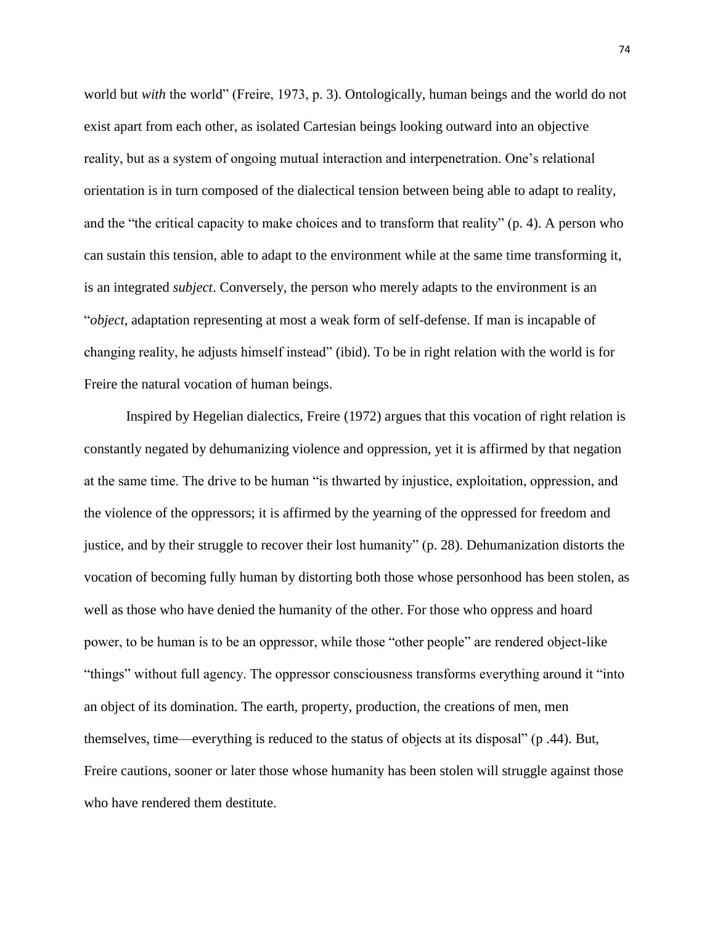world but *with* the world" (Freire, 1973, p. 3). Ontologically, human beings and the world do not exist apart from each other, as isolated Cartesian beings looking outward into an objective reality, but as a system of ongoing mutual interaction and interpenetration. One's relational orientation is in turn composed of the dialectical tension between being able to adapt to reality, and the "the critical capacity to make choices and to transform that reality" (p. 4). A person who can sustain this tension, able to adapt to the environment while at the same time transforming it, is an integrated *subject*. Conversely, the person who merely adapts to the environment is an "*object*, adaptation representing at most a weak form of self-defense. If man is incapable of changing reality, he adjusts himself instead" (ibid). To be in right relation with the world is for Freire the natural vocation of human beings.

Inspired by Hegelian dialectics, Freire (1972) argues that this vocation of right relation is constantly negated by dehumanizing violence and oppression, yet it is affirmed by that negation at the same time. The drive to be human "is thwarted by injustice, exploitation, oppression, and the violence of the oppressors; it is affirmed by the yearning of the oppressed for freedom and justice, and by their struggle to recover their lost humanity" (p. 28). Dehumanization distorts the vocation of becoming fully human by distorting both those whose personhood has been stolen, as well as those who have denied the humanity of the other. For those who oppress and hoard power, to be human is to be an oppressor, while those "other people" are rendered object-like "things" without full agency. The oppressor consciousness transforms everything around it "into an object of its domination. The earth, property, production, the creations of men, men themselves, time—everything is reduced to the status of objects at its disposal" (p .44). But, Freire cautions, sooner or later those whose humanity has been stolen will struggle against those who have rendered them destitute.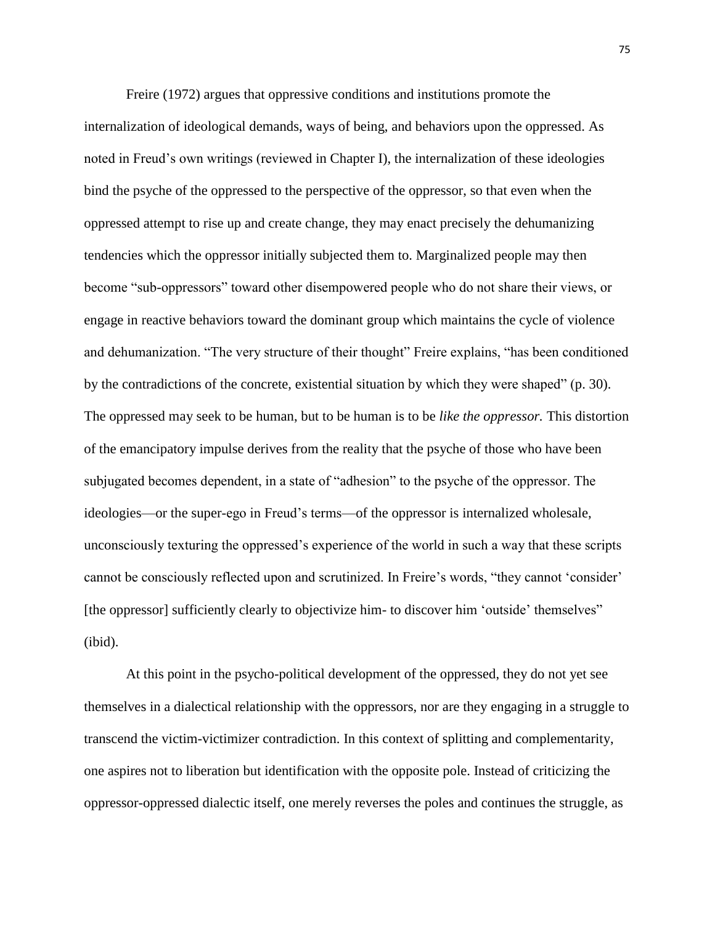Freire (1972) argues that oppressive conditions and institutions promote the internalization of ideological demands, ways of being, and behaviors upon the oppressed. As noted in Freud's own writings (reviewed in Chapter I), the internalization of these ideologies bind the psyche of the oppressed to the perspective of the oppressor, so that even when the oppressed attempt to rise up and create change, they may enact precisely the dehumanizing tendencies which the oppressor initially subjected them to. Marginalized people may then become "sub-oppressors" toward other disempowered people who do not share their views, or engage in reactive behaviors toward the dominant group which maintains the cycle of violence and dehumanization. "The very structure of their thought" Freire explains, "has been conditioned by the contradictions of the concrete, existential situation by which they were shaped" (p. 30). The oppressed may seek to be human, but to be human is to be *like the oppressor.* This distortion of the emancipatory impulse derives from the reality that the psyche of those who have been subjugated becomes dependent, in a state of "adhesion" to the psyche of the oppressor. The ideologies—or the super-ego in Freud's terms—of the oppressor is internalized wholesale, unconsciously texturing the oppressed's experience of the world in such a way that these scripts cannot be consciously reflected upon and scrutinized. In Freire's words, "they cannot 'consider' [the oppressor] sufficiently clearly to objectivize him- to discover him 'outside' themselves" (ibid).

At this point in the psycho-political development of the oppressed, they do not yet see themselves in a dialectical relationship with the oppressors, nor are they engaging in a struggle to transcend the victim-victimizer contradiction. In this context of splitting and complementarity, one aspires not to liberation but identification with the opposite pole. Instead of criticizing the oppressor-oppressed dialectic itself, one merely reverses the poles and continues the struggle, as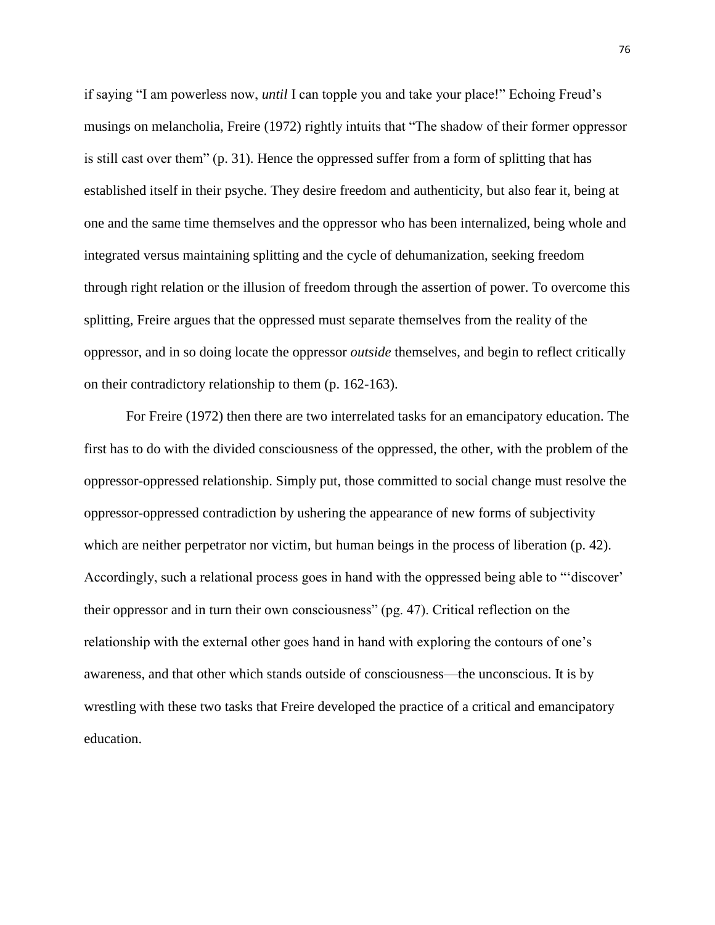if saying "I am powerless now, *until* I can topple you and take your place!" Echoing Freud's musings on melancholia, Freire (1972) rightly intuits that "The shadow of their former oppressor is still cast over them" (p. 31). Hence the oppressed suffer from a form of splitting that has established itself in their psyche. They desire freedom and authenticity, but also fear it, being at one and the same time themselves and the oppressor who has been internalized, being whole and integrated versus maintaining splitting and the cycle of dehumanization, seeking freedom through right relation or the illusion of freedom through the assertion of power. To overcome this splitting, Freire argues that the oppressed must separate themselves from the reality of the oppressor, and in so doing locate the oppressor *outside* themselves, and begin to reflect critically on their contradictory relationship to them (p. 162-163).

For Freire (1972) then there are two interrelated tasks for an emancipatory education. The first has to do with the divided consciousness of the oppressed, the other, with the problem of the oppressor-oppressed relationship. Simply put, those committed to social change must resolve the oppressor-oppressed contradiction by ushering the appearance of new forms of subjectivity which are neither perpetrator nor victim, but human beings in the process of liberation (p. 42). Accordingly, such a relational process goes in hand with the oppressed being able to "'discover' their oppressor and in turn their own consciousness" (pg. 47). Critical reflection on the relationship with the external other goes hand in hand with exploring the contours of one's awareness, and that other which stands outside of consciousness—the unconscious. It is by wrestling with these two tasks that Freire developed the practice of a critical and emancipatory education.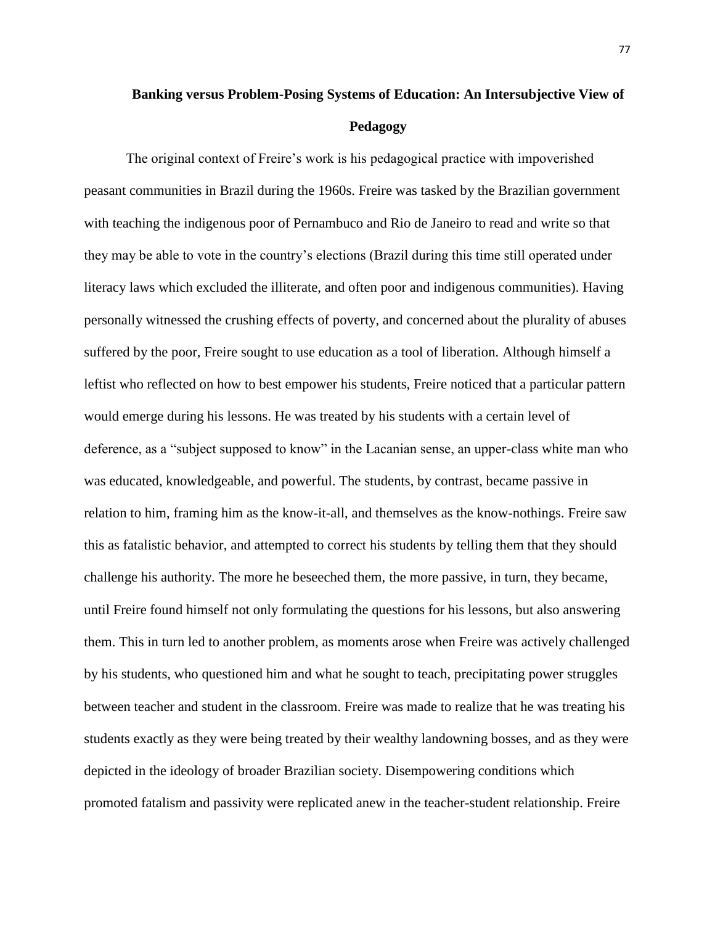# **Banking versus Problem-Posing Systems of Education: An Intersubjective View of Pedagogy**

The original context of Freire's work is his pedagogical practice with impoverished peasant communities in Brazil during the 1960s. Freire was tasked by the Brazilian government with teaching the indigenous poor of Pernambuco and Rio de Janeiro to read and write so that they may be able to vote in the country's elections (Brazil during this time still operated under literacy laws which excluded the illiterate, and often poor and indigenous communities). Having personally witnessed the crushing effects of poverty, and concerned about the plurality of abuses suffered by the poor, Freire sought to use education as a tool of liberation. Although himself a leftist who reflected on how to best empower his students, Freire noticed that a particular pattern would emerge during his lessons. He was treated by his students with a certain level of deference, as a "subject supposed to know" in the Lacanian sense, an upper-class white man who was educated, knowledgeable, and powerful. The students, by contrast, became passive in relation to him, framing him as the know-it-all, and themselves as the know-nothings. Freire saw this as fatalistic behavior, and attempted to correct his students by telling them that they should challenge his authority. The more he beseeched them, the more passive, in turn, they became, until Freire found himself not only formulating the questions for his lessons, but also answering them. This in turn led to another problem, as moments arose when Freire was actively challenged by his students, who questioned him and what he sought to teach, precipitating power struggles between teacher and student in the classroom. Freire was made to realize that he was treating his students exactly as they were being treated by their wealthy landowning bosses, and as they were depicted in the ideology of broader Brazilian society. Disempowering conditions which promoted fatalism and passivity were replicated anew in the teacher-student relationship. Freire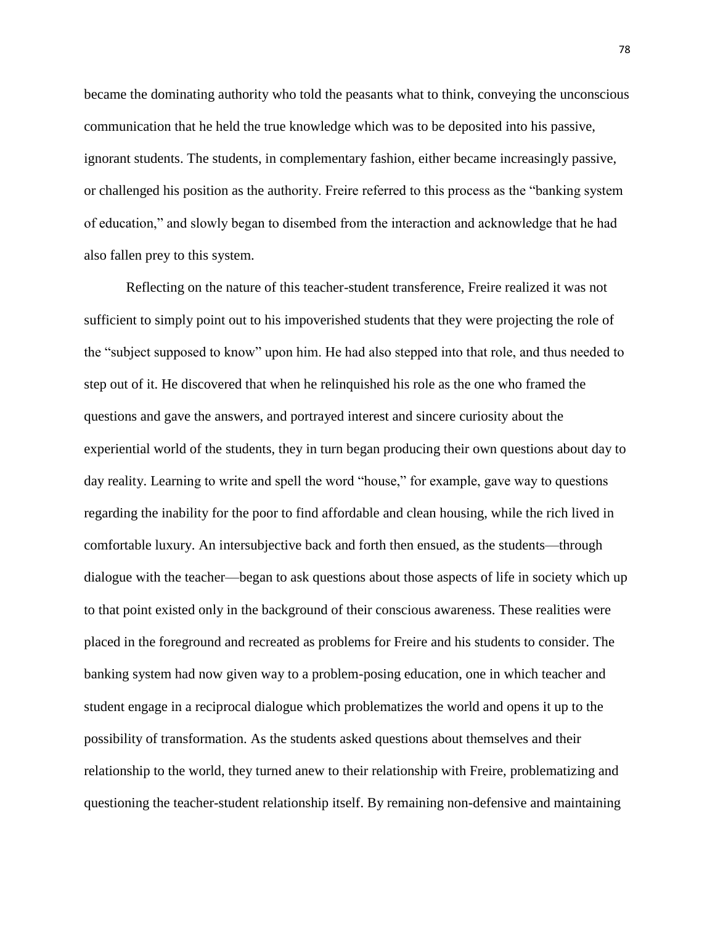became the dominating authority who told the peasants what to think, conveying the unconscious communication that he held the true knowledge which was to be deposited into his passive, ignorant students. The students, in complementary fashion, either became increasingly passive, or challenged his position as the authority. Freire referred to this process as the "banking system of education," and slowly began to disembed from the interaction and acknowledge that he had also fallen prey to this system.

Reflecting on the nature of this teacher-student transference, Freire realized it was not sufficient to simply point out to his impoverished students that they were projecting the role of the "subject supposed to know" upon him. He had also stepped into that role, and thus needed to step out of it. He discovered that when he relinquished his role as the one who framed the questions and gave the answers, and portrayed interest and sincere curiosity about the experiential world of the students, they in turn began producing their own questions about day to day reality. Learning to write and spell the word "house," for example, gave way to questions regarding the inability for the poor to find affordable and clean housing, while the rich lived in comfortable luxury. An intersubjective back and forth then ensued, as the students—through dialogue with the teacher—began to ask questions about those aspects of life in society which up to that point existed only in the background of their conscious awareness. These realities were placed in the foreground and recreated as problems for Freire and his students to consider. The banking system had now given way to a problem-posing education, one in which teacher and student engage in a reciprocal dialogue which problematizes the world and opens it up to the possibility of transformation. As the students asked questions about themselves and their relationship to the world, they turned anew to their relationship with Freire, problematizing and questioning the teacher-student relationship itself. By remaining non-defensive and maintaining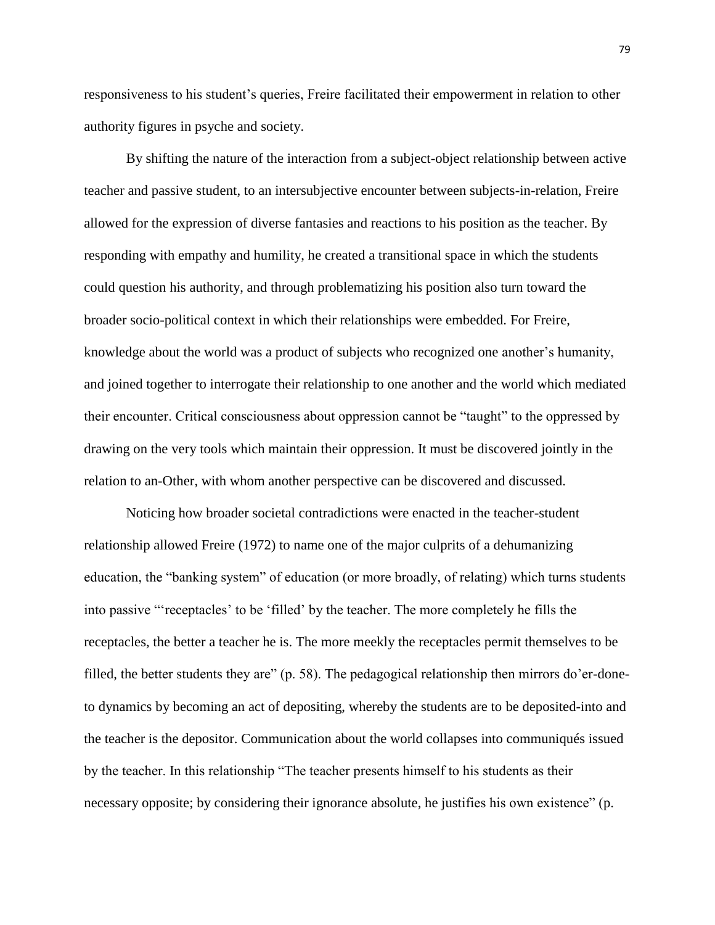responsiveness to his student's queries, Freire facilitated their empowerment in relation to other authority figures in psyche and society.

By shifting the nature of the interaction from a subject-object relationship between active teacher and passive student, to an intersubjective encounter between subjects-in-relation, Freire allowed for the expression of diverse fantasies and reactions to his position as the teacher. By responding with empathy and humility, he created a transitional space in which the students could question his authority, and through problematizing his position also turn toward the broader socio-political context in which their relationships were embedded. For Freire, knowledge about the world was a product of subjects who recognized one another's humanity, and joined together to interrogate their relationship to one another and the world which mediated their encounter. Critical consciousness about oppression cannot be "taught" to the oppressed by drawing on the very tools which maintain their oppression. It must be discovered jointly in the relation to an-Other, with whom another perspective can be discovered and discussed.

Noticing how broader societal contradictions were enacted in the teacher-student relationship allowed Freire (1972) to name one of the major culprits of a dehumanizing education, the "banking system" of education (or more broadly, of relating) which turns students into passive "'receptacles' to be 'filled' by the teacher. The more completely he fills the receptacles, the better a teacher he is. The more meekly the receptacles permit themselves to be filled, the better students they are" (p. 58). The pedagogical relationship then mirrors do'er-doneto dynamics by becoming an act of depositing, whereby the students are to be deposited-into and the teacher is the depositor. Communication about the world collapses into communiqués issued by the teacher. In this relationship "The teacher presents himself to his students as their necessary opposite; by considering their ignorance absolute, he justifies his own existence" (p.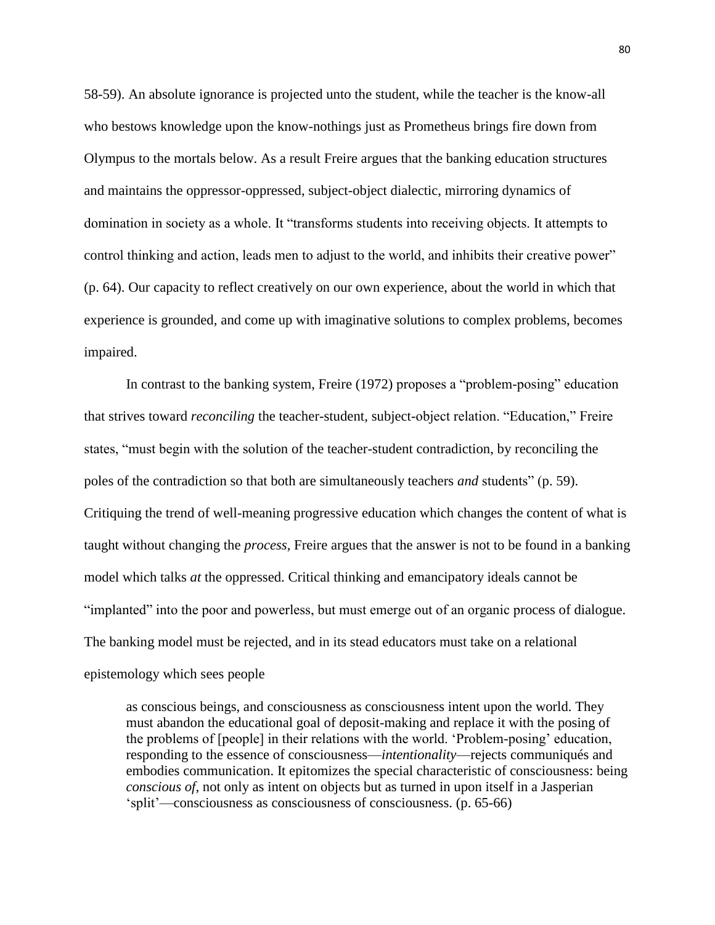58-59). An absolute ignorance is projected unto the student, while the teacher is the know-all who bestows knowledge upon the know-nothings just as Prometheus brings fire down from Olympus to the mortals below. As a result Freire argues that the banking education structures and maintains the oppressor-oppressed, subject-object dialectic, mirroring dynamics of domination in society as a whole. It "transforms students into receiving objects. It attempts to control thinking and action, leads men to adjust to the world, and inhibits their creative power" (p. 64). Our capacity to reflect creatively on our own experience, about the world in which that experience is grounded, and come up with imaginative solutions to complex problems, becomes impaired.

In contrast to the banking system, Freire (1972) proposes a "problem-posing" education that strives toward *reconciling* the teacher-student, subject-object relation. "Education," Freire states, "must begin with the solution of the teacher-student contradiction, by reconciling the poles of the contradiction so that both are simultaneously teachers *and* students" (p. 59). Critiquing the trend of well-meaning progressive education which changes the content of what is taught without changing the *process*, Freire argues that the answer is not to be found in a banking model which talks *at* the oppressed. Critical thinking and emancipatory ideals cannot be "implanted" into the poor and powerless, but must emerge out of an organic process of dialogue. The banking model must be rejected, and in its stead educators must take on a relational epistemology which sees people

as conscious beings, and consciousness as consciousness intent upon the world. They must abandon the educational goal of deposit-making and replace it with the posing of the problems of [people] in their relations with the world. 'Problem-posing' education, responding to the essence of consciousness—*intentionality*—rejects communiqués and embodies communication. It epitomizes the special characteristic of consciousness: being *conscious of*, not only as intent on objects but as turned in upon itself in a Jasperian 'split'—consciousness as consciousness of consciousness. (p. 65-66)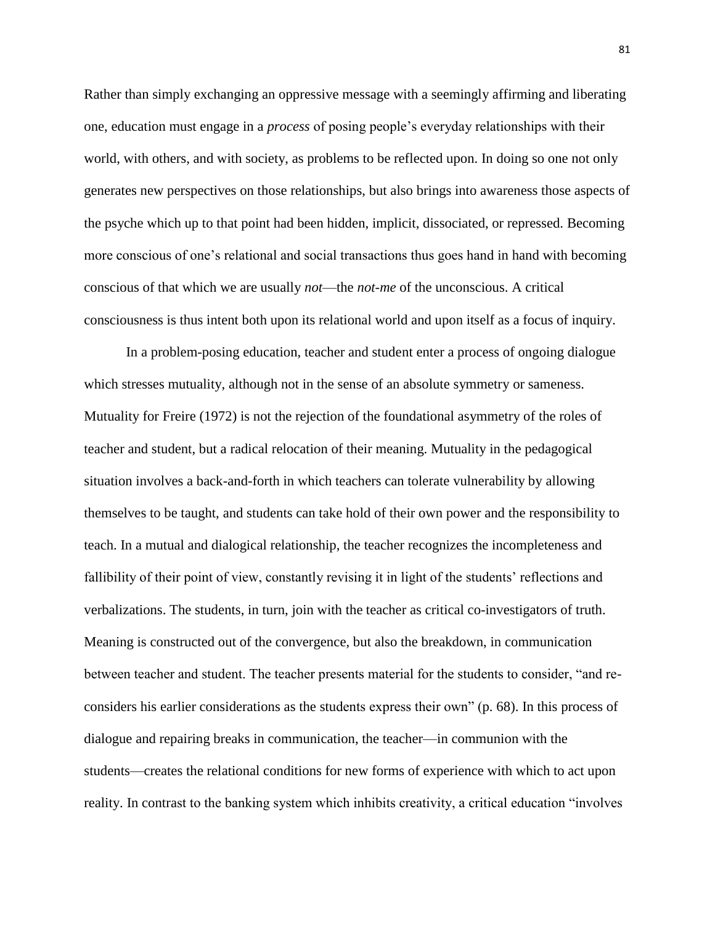Rather than simply exchanging an oppressive message with a seemingly affirming and liberating one, education must engage in a *process* of posing people's everyday relationships with their world, with others, and with society, as problems to be reflected upon. In doing so one not only generates new perspectives on those relationships, but also brings into awareness those aspects of the psyche which up to that point had been hidden, implicit, dissociated, or repressed. Becoming more conscious of one's relational and social transactions thus goes hand in hand with becoming conscious of that which we are usually *not*—the *not-me* of the unconscious. A critical consciousness is thus intent both upon its relational world and upon itself as a focus of inquiry.

In a problem-posing education, teacher and student enter a process of ongoing dialogue which stresses mutuality, although not in the sense of an absolute symmetry or sameness. Mutuality for Freire (1972) is not the rejection of the foundational asymmetry of the roles of teacher and student, but a radical relocation of their meaning. Mutuality in the pedagogical situation involves a back-and-forth in which teachers can tolerate vulnerability by allowing themselves to be taught, and students can take hold of their own power and the responsibility to teach. In a mutual and dialogical relationship, the teacher recognizes the incompleteness and fallibility of their point of view, constantly revising it in light of the students' reflections and verbalizations. The students, in turn, join with the teacher as critical co-investigators of truth. Meaning is constructed out of the convergence, but also the breakdown, in communication between teacher and student. The teacher presents material for the students to consider, "and reconsiders his earlier considerations as the students express their own" (p. 68). In this process of dialogue and repairing breaks in communication, the teacher—in communion with the students—creates the relational conditions for new forms of experience with which to act upon reality. In contrast to the banking system which inhibits creativity, a critical education "involves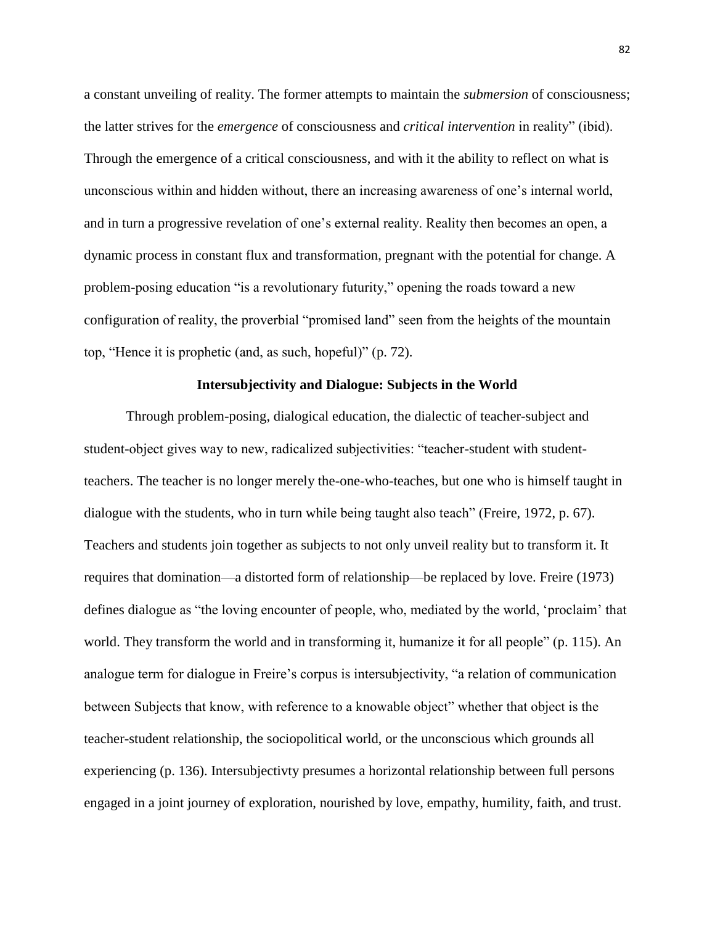a constant unveiling of reality. The former attempts to maintain the *submersion* of consciousness; the latter strives for the *emergence* of consciousness and *critical intervention* in reality" (ibid). Through the emergence of a critical consciousness, and with it the ability to reflect on what is unconscious within and hidden without, there an increasing awareness of one's internal world, and in turn a progressive revelation of one's external reality. Reality then becomes an open, a dynamic process in constant flux and transformation, pregnant with the potential for change. A problem-posing education "is a revolutionary futurity," opening the roads toward a new configuration of reality, the proverbial "promised land" seen from the heights of the mountain top, "Hence it is prophetic (and, as such, hopeful)" (p. 72).

## **Intersubjectivity and Dialogue: Subjects in the World**

Through problem-posing, dialogical education, the dialectic of teacher-subject and student-object gives way to new, radicalized subjectivities: "teacher-student with studentteachers. The teacher is no longer merely the-one-who-teaches, but one who is himself taught in dialogue with the students, who in turn while being taught also teach" (Freire, 1972, p. 67). Teachers and students join together as subjects to not only unveil reality but to transform it. It requires that domination—a distorted form of relationship—be replaced by love. Freire (1973) defines dialogue as "the loving encounter of people, who, mediated by the world, 'proclaim' that world. They transform the world and in transforming it, humanize it for all people" (p. 115). An analogue term for dialogue in Freire's corpus is intersubjectivity, "a relation of communication between Subjects that know, with reference to a knowable object" whether that object is the teacher-student relationship, the sociopolitical world, or the unconscious which grounds all experiencing (p. 136). Intersubjectivty presumes a horizontal relationship between full persons engaged in a joint journey of exploration, nourished by love, empathy, humility, faith, and trust.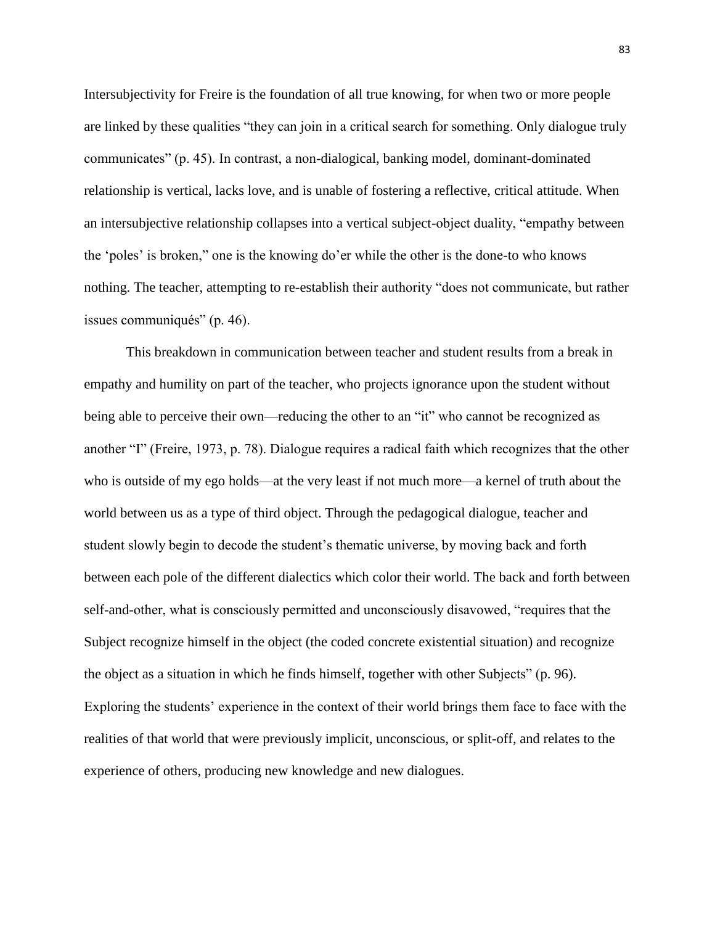Intersubjectivity for Freire is the foundation of all true knowing, for when two or more people are linked by these qualities "they can join in a critical search for something. Only dialogue truly communicates" (p. 45). In contrast, a non-dialogical, banking model, dominant-dominated relationship is vertical, lacks love, and is unable of fostering a reflective, critical attitude. When an intersubjective relationship collapses into a vertical subject-object duality, "empathy between the 'poles' is broken," one is the knowing do'er while the other is the done-to who knows nothing. The teacher, attempting to re-establish their authority "does not communicate, but rather issues communiqués" (p. 46).

This breakdown in communication between teacher and student results from a break in empathy and humility on part of the teacher, who projects ignorance upon the student without being able to perceive their own—reducing the other to an "it" who cannot be recognized as another "I" (Freire, 1973, p. 78). Dialogue requires a radical faith which recognizes that the other who is outside of my ego holds—at the very least if not much more—a kernel of truth about the world between us as a type of third object. Through the pedagogical dialogue, teacher and student slowly begin to decode the student's thematic universe, by moving back and forth between each pole of the different dialectics which color their world. The back and forth between self-and-other, what is consciously permitted and unconsciously disavowed, "requires that the Subject recognize himself in the object (the coded concrete existential situation) and recognize the object as a situation in which he finds himself, together with other Subjects" (p. 96). Exploring the students' experience in the context of their world brings them face to face with the realities of that world that were previously implicit, unconscious, or split-off, and relates to the experience of others, producing new knowledge and new dialogues.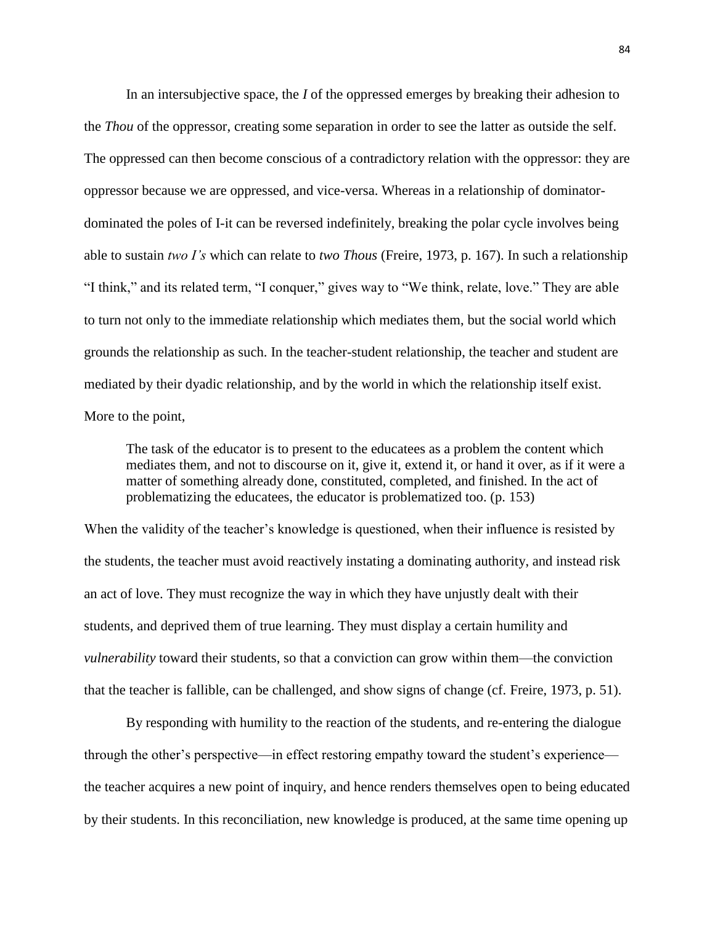In an intersubjective space, the *I* of the oppressed emerges by breaking their adhesion to the *Thou* of the oppressor, creating some separation in order to see the latter as outside the self. The oppressed can then become conscious of a contradictory relation with the oppressor: they are oppressor because we are oppressed, and vice-versa. Whereas in a relationship of dominatordominated the poles of I-it can be reversed indefinitely, breaking the polar cycle involves being able to sustain *two I's* which can relate to *two Thous* (Freire, 1973, p. 167). In such a relationship "I think," and its related term, "I conquer," gives way to "We think, relate, love." They are able to turn not only to the immediate relationship which mediates them, but the social world which grounds the relationship as such. In the teacher-student relationship, the teacher and student are mediated by their dyadic relationship, and by the world in which the relationship itself exist. More to the point,

The task of the educator is to present to the educatees as a problem the content which mediates them, and not to discourse on it, give it, extend it, or hand it over, as if it were a matter of something already done, constituted, completed, and finished. In the act of problematizing the educatees, the educator is problematized too. (p. 153)

When the validity of the teacher's knowledge is questioned, when their influence is resisted by the students, the teacher must avoid reactively instating a dominating authority, and instead risk an act of love. They must recognize the way in which they have unjustly dealt with their students, and deprived them of true learning. They must display a certain humility and *vulnerability* toward their students, so that a conviction can grow within them—the conviction that the teacher is fallible, can be challenged, and show signs of change (cf. Freire, 1973, p. 51).

By responding with humility to the reaction of the students, and re-entering the dialogue through the other's perspective—in effect restoring empathy toward the student's experience the teacher acquires a new point of inquiry, and hence renders themselves open to being educated by their students. In this reconciliation, new knowledge is produced, at the same time opening up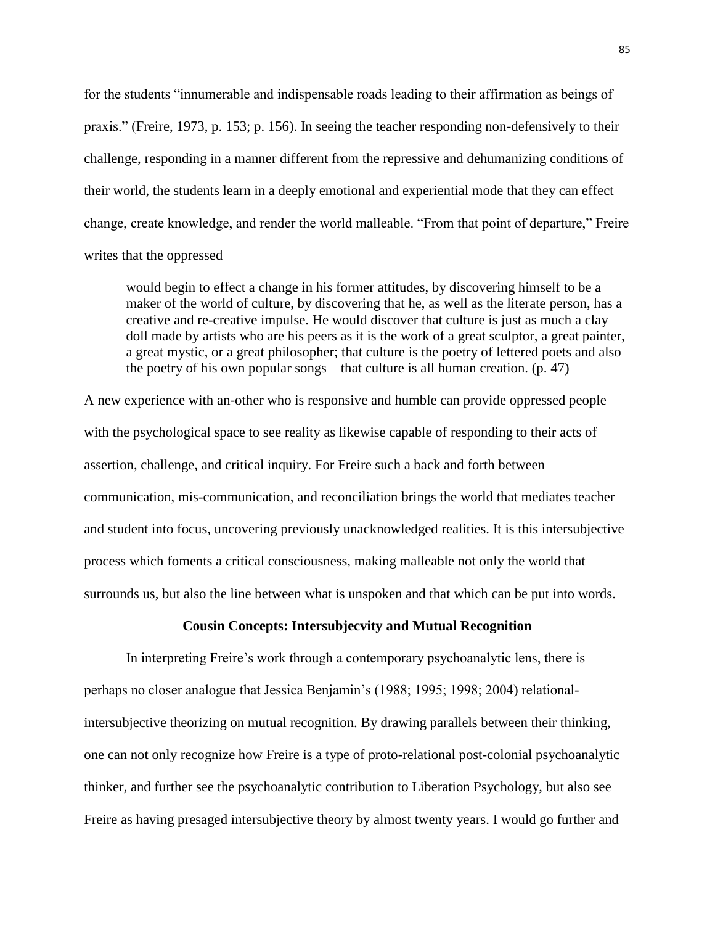for the students "innumerable and indispensable roads leading to their affirmation as beings of praxis." (Freire, 1973, p. 153; p. 156). In seeing the teacher responding non-defensively to their challenge, responding in a manner different from the repressive and dehumanizing conditions of their world, the students learn in a deeply emotional and experiential mode that they can effect change, create knowledge, and render the world malleable. "From that point of departure," Freire writes that the oppressed

would begin to effect a change in his former attitudes, by discovering himself to be a maker of the world of culture, by discovering that he, as well as the literate person, has a creative and re-creative impulse. He would discover that culture is just as much a clay doll made by artists who are his peers as it is the work of a great sculptor, a great painter, a great mystic, or a great philosopher; that culture is the poetry of lettered poets and also the poetry of his own popular songs—that culture is all human creation. (p. 47)

A new experience with an-other who is responsive and humble can provide oppressed people with the psychological space to see reality as likewise capable of responding to their acts of assertion, challenge, and critical inquiry. For Freire such a back and forth between communication, mis-communication, and reconciliation brings the world that mediates teacher and student into focus, uncovering previously unacknowledged realities. It is this intersubjective process which foments a critical consciousness, making malleable not only the world that surrounds us, but also the line between what is unspoken and that which can be put into words.

# **Cousin Concepts: Intersubjecvity and Mutual Recognition**

In interpreting Freire's work through a contemporary psychoanalytic lens, there is perhaps no closer analogue that Jessica Benjamin's (1988; 1995; 1998; 2004) relationalintersubjective theorizing on mutual recognition. By drawing parallels between their thinking, one can not only recognize how Freire is a type of proto-relational post-colonial psychoanalytic thinker, and further see the psychoanalytic contribution to Liberation Psychology, but also see Freire as having presaged intersubjective theory by almost twenty years. I would go further and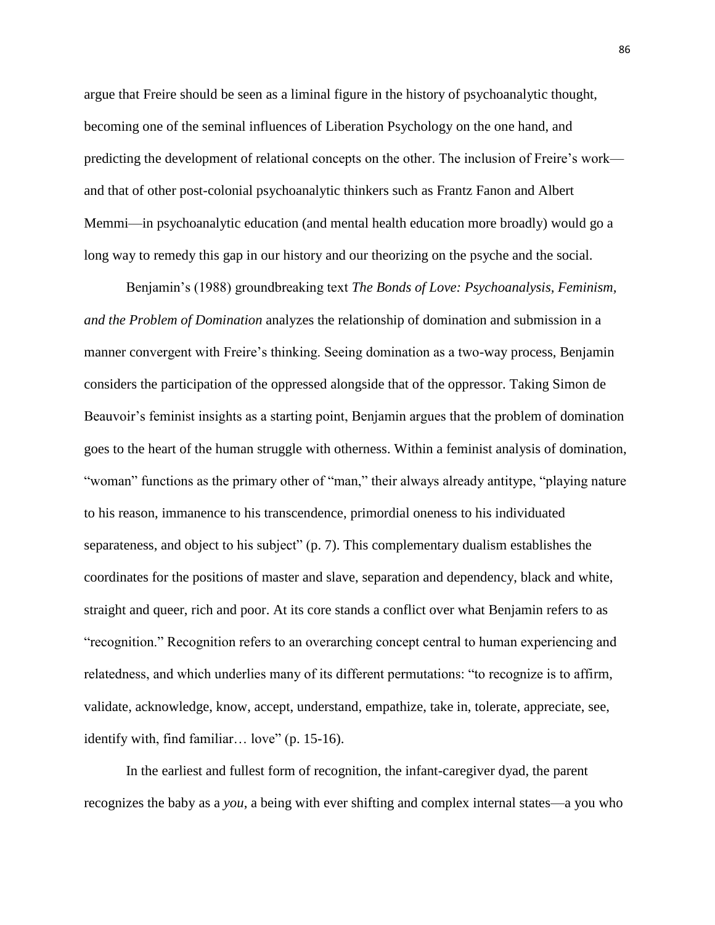argue that Freire should be seen as a liminal figure in the history of psychoanalytic thought, becoming one of the seminal influences of Liberation Psychology on the one hand, and predicting the development of relational concepts on the other. The inclusion of Freire's work and that of other post-colonial psychoanalytic thinkers such as Frantz Fanon and Albert Memmi—in psychoanalytic education (and mental health education more broadly) would go a long way to remedy this gap in our history and our theorizing on the psyche and the social.

Benjamin's (1988) groundbreaking text *The Bonds of Love: Psychoanalysis, Feminism, and the Problem of Domination* analyzes the relationship of domination and submission in a manner convergent with Freire's thinking. Seeing domination as a two-way process, Benjamin considers the participation of the oppressed alongside that of the oppressor. Taking Simon de Beauvoir's feminist insights as a starting point, Benjamin argues that the problem of domination goes to the heart of the human struggle with otherness. Within a feminist analysis of domination, "woman" functions as the primary other of "man," their always already antitype, "playing nature to his reason, immanence to his transcendence, primordial oneness to his individuated separateness, and object to his subject" (p. 7). This complementary dualism establishes the coordinates for the positions of master and slave, separation and dependency, black and white, straight and queer, rich and poor. At its core stands a conflict over what Benjamin refers to as "recognition." Recognition refers to an overarching concept central to human experiencing and relatedness, and which underlies many of its different permutations: "to recognize is to affirm, validate, acknowledge, know, accept, understand, empathize, take in, tolerate, appreciate, see, identify with, find familiar… love" (p. 15-16).

In the earliest and fullest form of recognition, the infant-caregiver dyad, the parent recognizes the baby as a *you*, a being with ever shifting and complex internal states—a you who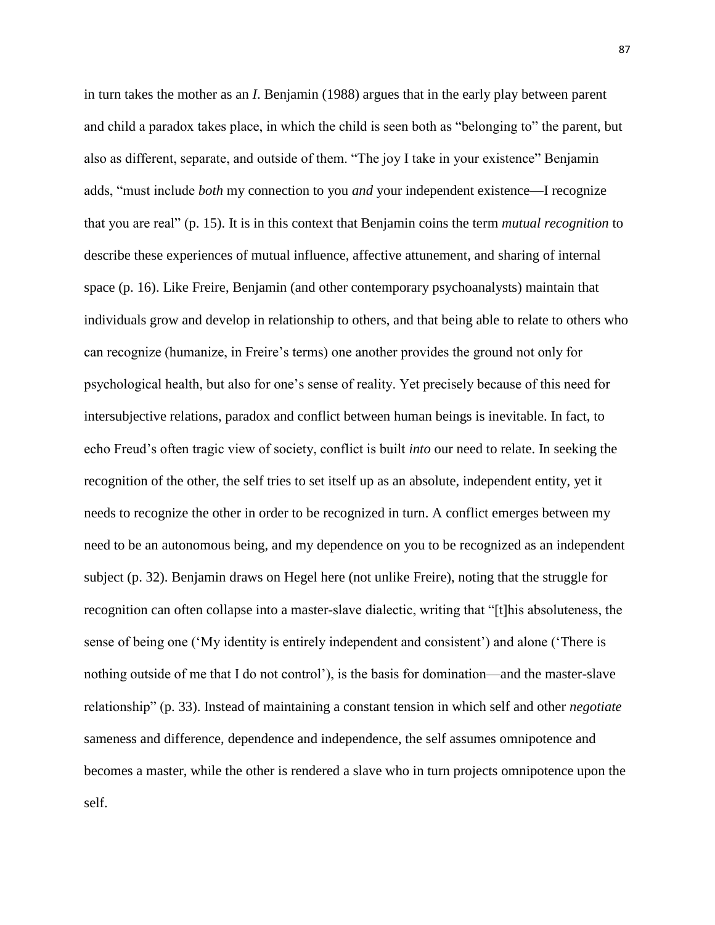in turn takes the mother as an *I*. Benjamin (1988) argues that in the early play between parent and child a paradox takes place, in which the child is seen both as "belonging to" the parent, but also as different, separate, and outside of them. "The joy I take in your existence" Benjamin adds, "must include *both* my connection to you *and* your independent existence—I recognize that you are real" (p. 15). It is in this context that Benjamin coins the term *mutual recognition* to describe these experiences of mutual influence, affective attunement, and sharing of internal space (p. 16). Like Freire, Benjamin (and other contemporary psychoanalysts) maintain that individuals grow and develop in relationship to others, and that being able to relate to others who can recognize (humanize, in Freire's terms) one another provides the ground not only for psychological health, but also for one's sense of reality. Yet precisely because of this need for intersubjective relations, paradox and conflict between human beings is inevitable. In fact, to echo Freud's often tragic view of society, conflict is built *into* our need to relate. In seeking the recognition of the other, the self tries to set itself up as an absolute, independent entity, yet it needs to recognize the other in order to be recognized in turn. A conflict emerges between my need to be an autonomous being, and my dependence on you to be recognized as an independent subject (p. 32). Benjamin draws on Hegel here (not unlike Freire), noting that the struggle for recognition can often collapse into a master-slave dialectic, writing that "[t]his absoluteness, the sense of being one ('My identity is entirely independent and consistent') and alone ('There is nothing outside of me that I do not control'), is the basis for domination—and the master-slave relationship" (p. 33). Instead of maintaining a constant tension in which self and other *negotiate* sameness and difference, dependence and independence, the self assumes omnipotence and becomes a master, while the other is rendered a slave who in turn projects omnipotence upon the self.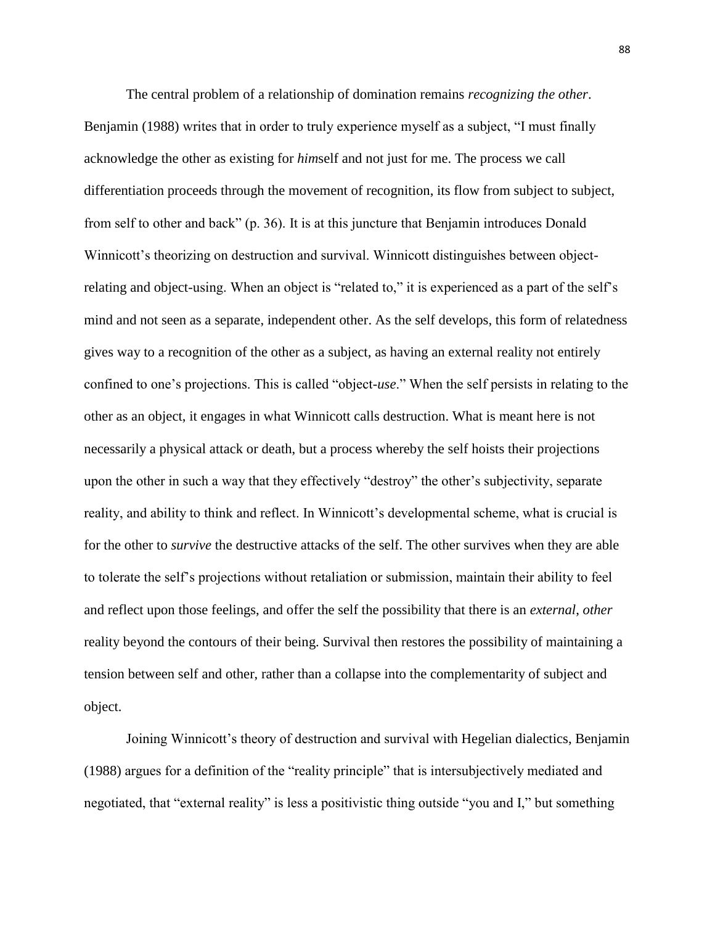The central problem of a relationship of domination remains *recognizing the other*. Benjamin (1988) writes that in order to truly experience myself as a subject, "I must finally acknowledge the other as existing for *him*self and not just for me. The process we call differentiation proceeds through the movement of recognition, its flow from subject to subject, from self to other and back" (p. 36). It is at this juncture that Benjamin introduces Donald Winnicott's theorizing on destruction and survival. Winnicott distinguishes between objectrelating and object-using. When an object is "related to," it is experienced as a part of the self's mind and not seen as a separate, independent other. As the self develops, this form of relatedness gives way to a recognition of the other as a subject, as having an external reality not entirely confined to one's projections. This is called "object-*use*." When the self persists in relating to the other as an object, it engages in what Winnicott calls destruction. What is meant here is not necessarily a physical attack or death, but a process whereby the self hoists their projections upon the other in such a way that they effectively "destroy" the other's subjectivity, separate reality, and ability to think and reflect. In Winnicott's developmental scheme, what is crucial is for the other to *survive* the destructive attacks of the self. The other survives when they are able to tolerate the self's projections without retaliation or submission, maintain their ability to feel and reflect upon those feelings, and offer the self the possibility that there is an *external*, *other*  reality beyond the contours of their being. Survival then restores the possibility of maintaining a tension between self and other, rather than a collapse into the complementarity of subject and object.

Joining Winnicott's theory of destruction and survival with Hegelian dialectics, Benjamin (1988) argues for a definition of the "reality principle" that is intersubjectively mediated and negotiated, that "external reality" is less a positivistic thing outside "you and I," but something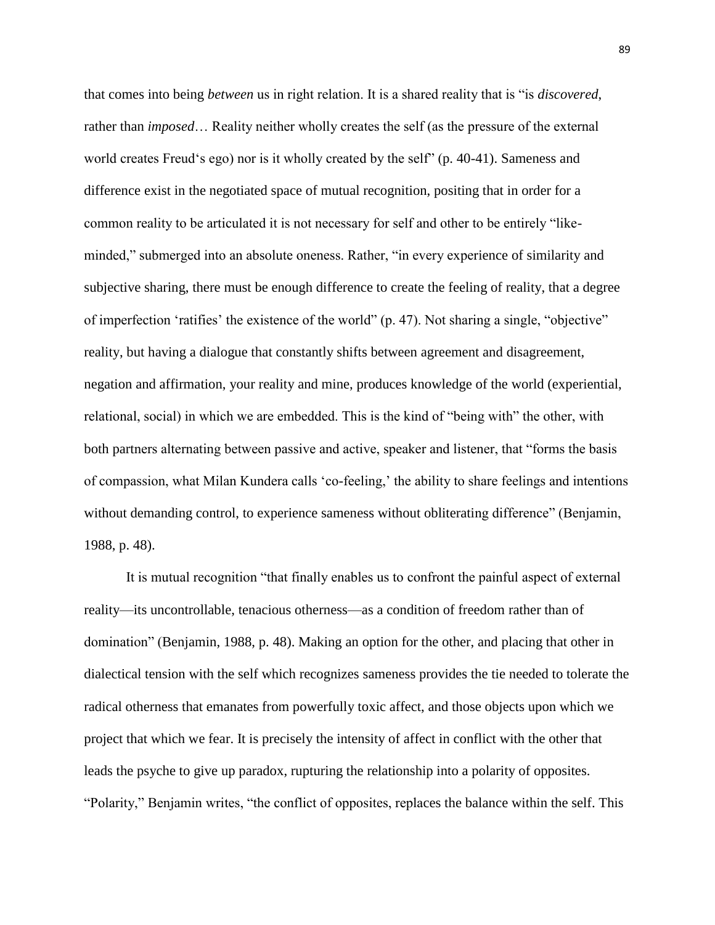that comes into being *between* us in right relation. It is a shared reality that is "is *discovered*, rather than *imposed*… Reality neither wholly creates the self (as the pressure of the external world creates Freud's ego) nor is it wholly created by the self" (p. 40-41). Sameness and difference exist in the negotiated space of mutual recognition, positing that in order for a common reality to be articulated it is not necessary for self and other to be entirely "likeminded," submerged into an absolute oneness. Rather, "in every experience of similarity and subjective sharing, there must be enough difference to create the feeling of reality, that a degree of imperfection 'ratifies' the existence of the world" (p. 47). Not sharing a single, "objective" reality, but having a dialogue that constantly shifts between agreement and disagreement, negation and affirmation, your reality and mine, produces knowledge of the world (experiential, relational, social) in which we are embedded. This is the kind of "being with" the other, with both partners alternating between passive and active, speaker and listener, that "forms the basis of compassion, what Milan Kundera calls 'co-feeling,' the ability to share feelings and intentions without demanding control, to experience sameness without obliterating difference" (Benjamin, 1988, p. 48).

It is mutual recognition "that finally enables us to confront the painful aspect of external reality—its uncontrollable, tenacious otherness—as a condition of freedom rather than of domination" (Benjamin, 1988, p. 48). Making an option for the other, and placing that other in dialectical tension with the self which recognizes sameness provides the tie needed to tolerate the radical otherness that emanates from powerfully toxic affect, and those objects upon which we project that which we fear. It is precisely the intensity of affect in conflict with the other that leads the psyche to give up paradox, rupturing the relationship into a polarity of opposites. "Polarity," Benjamin writes, "the conflict of opposites, replaces the balance within the self. This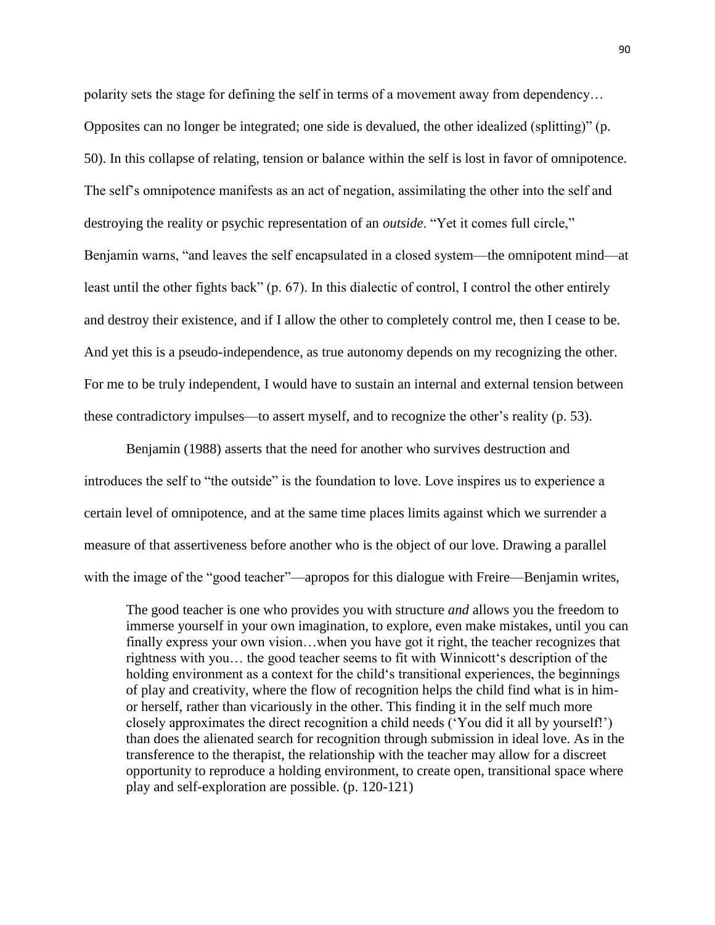polarity sets the stage for defining the self in terms of a movement away from dependency… Opposites can no longer be integrated; one side is devalued, the other idealized (splitting)" (p. 50). In this collapse of relating, tension or balance within the self is lost in favor of omnipotence. The self's omnipotence manifests as an act of negation, assimilating the other into the self and destroying the reality or psychic representation of an *outside*. "Yet it comes full circle," Benjamin warns, "and leaves the self encapsulated in a closed system—the omnipotent mind—at least until the other fights back" (p. 67). In this dialectic of control, I control the other entirely and destroy their existence, and if I allow the other to completely control me, then I cease to be. And yet this is a pseudo-independence, as true autonomy depends on my recognizing the other. For me to be truly independent, I would have to sustain an internal and external tension between these contradictory impulses—to assert myself, and to recognize the other's reality (p. 53).

Benjamin (1988) asserts that the need for another who survives destruction and introduces the self to "the outside" is the foundation to love. Love inspires us to experience a certain level of omnipotence, and at the same time places limits against which we surrender a measure of that assertiveness before another who is the object of our love. Drawing a parallel with the image of the "good teacher"—apropos for this dialogue with Freire—Benjamin writes,

The good teacher is one who provides you with structure *and* allows you the freedom to immerse yourself in your own imagination, to explore, even make mistakes, until you can finally express your own vision...when you have got it right, the teacher recognizes that rightness with you… the good teacher seems to fit with Winnicott's description of the holding environment as a context for the child's transitional experiences, the beginnings of play and creativity, where the flow of recognition helps the child find what is in himor herself, rather than vicariously in the other. This finding it in the self much more closely approximates the direct recognition a child needs ('You did it all by yourself!') than does the alienated search for recognition through submission in ideal love. As in the transference to the therapist, the relationship with the teacher may allow for a discreet opportunity to reproduce a holding environment, to create open, transitional space where play and self-exploration are possible. (p. 120-121)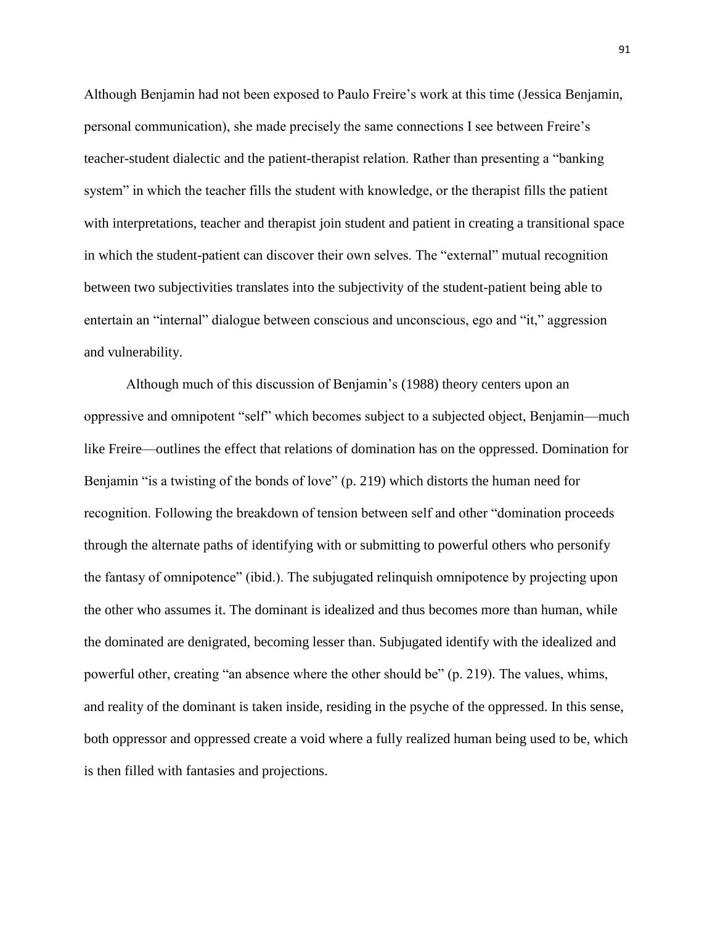Although Benjamin had not been exposed to Paulo Freire's work at this time (Jessica Benjamin, personal communication), she made precisely the same connections I see between Freire's teacher-student dialectic and the patient-therapist relation. Rather than presenting a "banking system" in which the teacher fills the student with knowledge, or the therapist fills the patient with interpretations, teacher and therapist join student and patient in creating a transitional space in which the student-patient can discover their own selves. The "external" mutual recognition between two subjectivities translates into the subjectivity of the student-patient being able to entertain an "internal" dialogue between conscious and unconscious, ego and "it," aggression and vulnerability.

Although much of this discussion of Benjamin's (1988) theory centers upon an oppressive and omnipotent "self" which becomes subject to a subjected object, Benjamin—much like Freire—outlines the effect that relations of domination has on the oppressed. Domination for Benjamin "is a twisting of the bonds of love" (p. 219) which distorts the human need for recognition. Following the breakdown of tension between self and other "domination proceeds through the alternate paths of identifying with or submitting to powerful others who personify the fantasy of omnipotence" (ibid.). The subjugated relinquish omnipotence by projecting upon the other who assumes it. The dominant is idealized and thus becomes more than human, while the dominated are denigrated, becoming lesser than. Subjugated identify with the idealized and powerful other, creating "an absence where the other should be" (p. 219). The values, whims, and reality of the dominant is taken inside, residing in the psyche of the oppressed. In this sense, both oppressor and oppressed create a void where a fully realized human being used to be, which is then filled with fantasies and projections.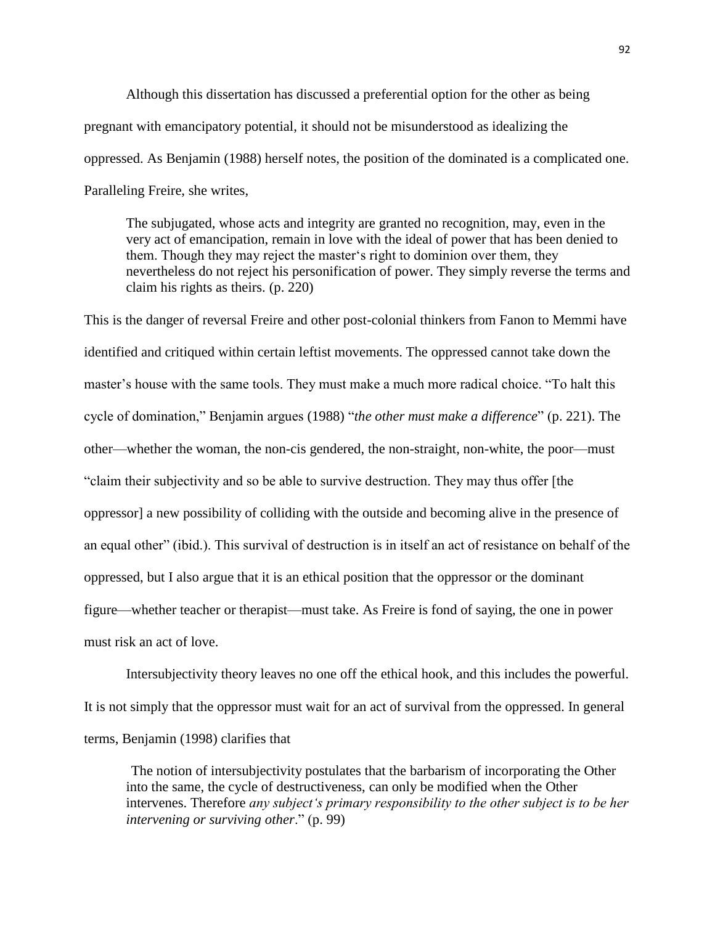Although this dissertation has discussed a preferential option for the other as being pregnant with emancipatory potential, it should not be misunderstood as idealizing the oppressed. As Benjamin (1988) herself notes, the position of the dominated is a complicated one. Paralleling Freire, she writes,

The subjugated, whose acts and integrity are granted no recognition, may, even in the very act of emancipation, remain in love with the ideal of power that has been denied to them. Though they may reject the master's right to dominion over them, they nevertheless do not reject his personification of power. They simply reverse the terms and claim his rights as theirs. (p. 220)

This is the danger of reversal Freire and other post-colonial thinkers from Fanon to Memmi have identified and critiqued within certain leftist movements. The oppressed cannot take down the master's house with the same tools. They must make a much more radical choice. "To halt this cycle of domination," Benjamin argues (1988) "*the other must make a difference*" (p. 221). The other—whether the woman, the non-cis gendered, the non-straight, non-white, the poor—must "claim their subjectivity and so be able to survive destruction. They may thus offer [the oppressor] a new possibility of colliding with the outside and becoming alive in the presence of an equal other" (ibid.). This survival of destruction is in itself an act of resistance on behalf of the oppressed, but I also argue that it is an ethical position that the oppressor or the dominant figure—whether teacher or therapist—must take. As Freire is fond of saying, the one in power must risk an act of love.

Intersubjectivity theory leaves no one off the ethical hook, and this includes the powerful. It is not simply that the oppressor must wait for an act of survival from the oppressed. In general terms, Benjamin (1998) clarifies that

The notion of intersubjectivity postulates that the barbarism of incorporating the Other into the same, the cycle of destructiveness, can only be modified when the Other intervenes. Therefore *any subject's primary responsibility to the other subject is to be her intervening or surviving other*." (p. 99)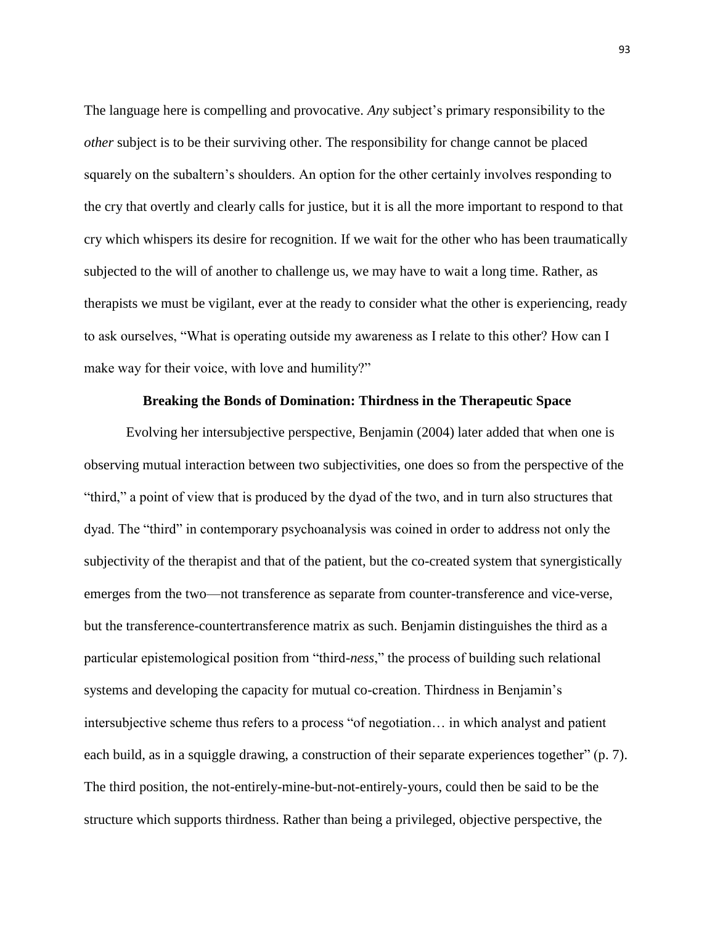The language here is compelling and provocative. *Any* subject's primary responsibility to the *other* subject is to be their surviving other. The responsibility for change cannot be placed squarely on the subaltern's shoulders. An option for the other certainly involves responding to the cry that overtly and clearly calls for justice, but it is all the more important to respond to that cry which whispers its desire for recognition. If we wait for the other who has been traumatically subjected to the will of another to challenge us, we may have to wait a long time. Rather, as therapists we must be vigilant, ever at the ready to consider what the other is experiencing, ready to ask ourselves, "What is operating outside my awareness as I relate to this other? How can I make way for their voice, with love and humility?"

## **Breaking the Bonds of Domination: Thirdness in the Therapeutic Space**

Evolving her intersubjective perspective, Benjamin (2004) later added that when one is observing mutual interaction between two subjectivities, one does so from the perspective of the "third," a point of view that is produced by the dyad of the two, and in turn also structures that dyad. The "third" in contemporary psychoanalysis was coined in order to address not only the subjectivity of the therapist and that of the patient, but the co-created system that synergistically emerges from the two—not transference as separate from counter-transference and vice-verse, but the transference-countertransference matrix as such. Benjamin distinguishes the third as a particular epistemological position from "third-*ness*," the process of building such relational systems and developing the capacity for mutual co-creation. Thirdness in Benjamin's intersubjective scheme thus refers to a process "of negotiation… in which analyst and patient each build, as in a squiggle drawing, a construction of their separate experiences together" (p. 7). The third position, the not-entirely-mine-but-not-entirely-yours, could then be said to be the structure which supports thirdness. Rather than being a privileged, objective perspective, the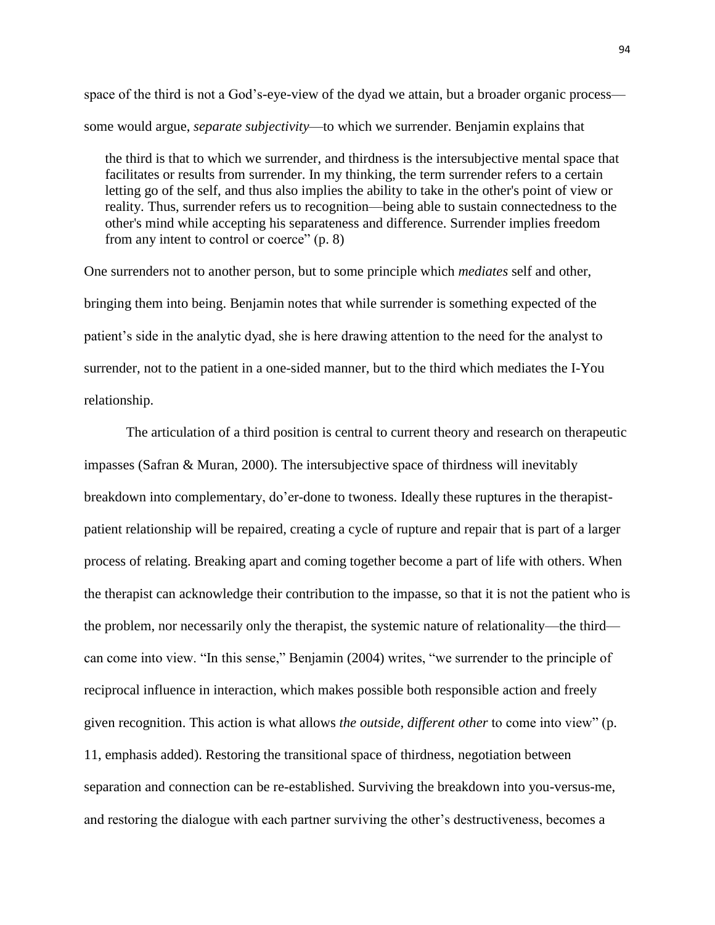space of the third is not a God's-eye-view of the dyad we attain, but a broader organic process some would argue, *separate subjectivity*—to which we surrender. Benjamin explains that

the third is that to which we surrender, and thirdness is the intersubjective mental space that facilitates or results from surrender. In my thinking, the term surrender refers to a certain letting go of the self, and thus also implies the ability to take in the other's point of view or reality. Thus, surrender refers us to recognition—being able to sustain connectedness to the other's mind while accepting his separateness and difference. Surrender implies freedom from any intent to control or coerce" (p. 8)

One surrenders not to another person, but to some principle which *mediates* self and other, bringing them into being. Benjamin notes that while surrender is something expected of the patient's side in the analytic dyad, she is here drawing attention to the need for the analyst to surrender, not to the patient in a one-sided manner, but to the third which mediates the I-You relationship.

The articulation of a third position is central to current theory and research on therapeutic impasses (Safran & Muran, 2000). The intersubjective space of thirdness will inevitably breakdown into complementary, do'er-done to twoness. Ideally these ruptures in the therapistpatient relationship will be repaired, creating a cycle of rupture and repair that is part of a larger process of relating. Breaking apart and coming together become a part of life with others. When the therapist can acknowledge their contribution to the impasse, so that it is not the patient who is the problem, nor necessarily only the therapist, the systemic nature of relationality—the third can come into view. "In this sense," Benjamin (2004) writes, "we surrender to the principle of reciprocal influence in interaction, which makes possible both responsible action and freely given recognition. This action is what allows *the outside, different other* to come into view" (p. 11, emphasis added). Restoring the transitional space of thirdness, negotiation between separation and connection can be re-established. Surviving the breakdown into you-versus-me, and restoring the dialogue with each partner surviving the other's destructiveness, becomes a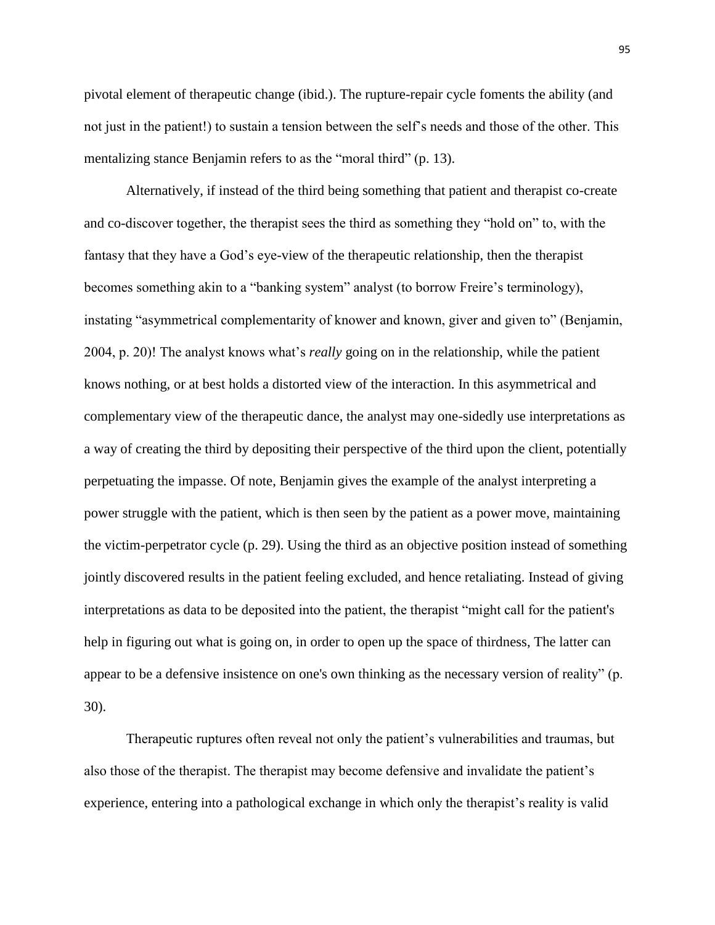pivotal element of therapeutic change (ibid.). The rupture-repair cycle foments the ability (and not just in the patient!) to sustain a tension between the self's needs and those of the other. This mentalizing stance Benjamin refers to as the "moral third" (p. 13).

Alternatively, if instead of the third being something that patient and therapist co-create and co-discover together, the therapist sees the third as something they "hold on" to, with the fantasy that they have a God's eye-view of the therapeutic relationship, then the therapist becomes something akin to a "banking system" analyst (to borrow Freire's terminology), instating "asymmetrical complementarity of knower and known, giver and given to" (Benjamin, 2004, p. 20)! The analyst knows what's *really* going on in the relationship, while the patient knows nothing, or at best holds a distorted view of the interaction. In this asymmetrical and complementary view of the therapeutic dance, the analyst may one-sidedly use interpretations as a way of creating the third by depositing their perspective of the third upon the client, potentially perpetuating the impasse. Of note, Benjamin gives the example of the analyst interpreting a power struggle with the patient, which is then seen by the patient as a power move, maintaining the victim-perpetrator cycle (p. 29). Using the third as an objective position instead of something jointly discovered results in the patient feeling excluded, and hence retaliating. Instead of giving interpretations as data to be deposited into the patient, the therapist "might call for the patient's help in figuring out what is going on, in order to open up the space of thirdness, The latter can appear to be a defensive insistence on one's own thinking as the necessary version of reality" (p. 30).

Therapeutic ruptures often reveal not only the patient's vulnerabilities and traumas, but also those of the therapist. The therapist may become defensive and invalidate the patient's experience, entering into a pathological exchange in which only the therapist's reality is valid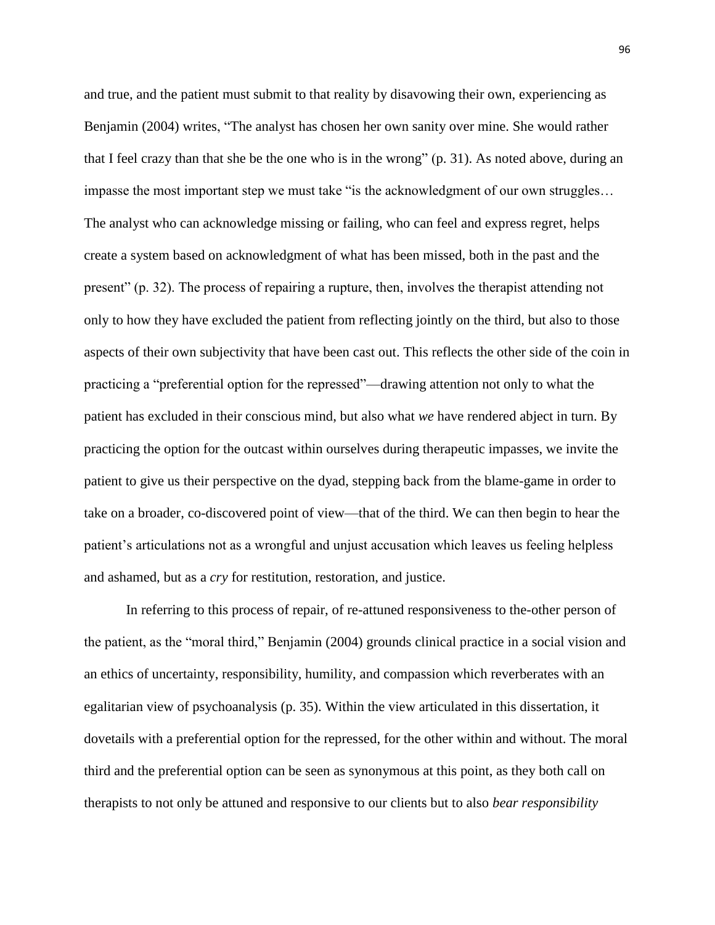and true, and the patient must submit to that reality by disavowing their own, experiencing as Benjamin (2004) writes, "The analyst has chosen her own sanity over mine. She would rather that I feel crazy than that she be the one who is in the wrong" (p. 31). As noted above, during an impasse the most important step we must take "is the acknowledgment of our own struggles… The analyst who can acknowledge missing or failing, who can feel and express regret, helps create a system based on acknowledgment of what has been missed, both in the past and the present" (p. 32). The process of repairing a rupture, then, involves the therapist attending not only to how they have excluded the patient from reflecting jointly on the third, but also to those aspects of their own subjectivity that have been cast out. This reflects the other side of the coin in practicing a "preferential option for the repressed"—drawing attention not only to what the patient has excluded in their conscious mind, but also what *we* have rendered abject in turn. By practicing the option for the outcast within ourselves during therapeutic impasses, we invite the patient to give us their perspective on the dyad, stepping back from the blame-game in order to take on a broader, co-discovered point of view—that of the third. We can then begin to hear the patient's articulations not as a wrongful and unjust accusation which leaves us feeling helpless and ashamed, but as a *cry* for restitution, restoration, and justice.

In referring to this process of repair, of re-attuned responsiveness to the-other person of the patient, as the "moral third," Benjamin (2004) grounds clinical practice in a social vision and an ethics of uncertainty, responsibility, humility, and compassion which reverberates with an egalitarian view of psychoanalysis (p. 35). Within the view articulated in this dissertation, it dovetails with a preferential option for the repressed, for the other within and without. The moral third and the preferential option can be seen as synonymous at this point, as they both call on therapists to not only be attuned and responsive to our clients but to also *bear responsibility*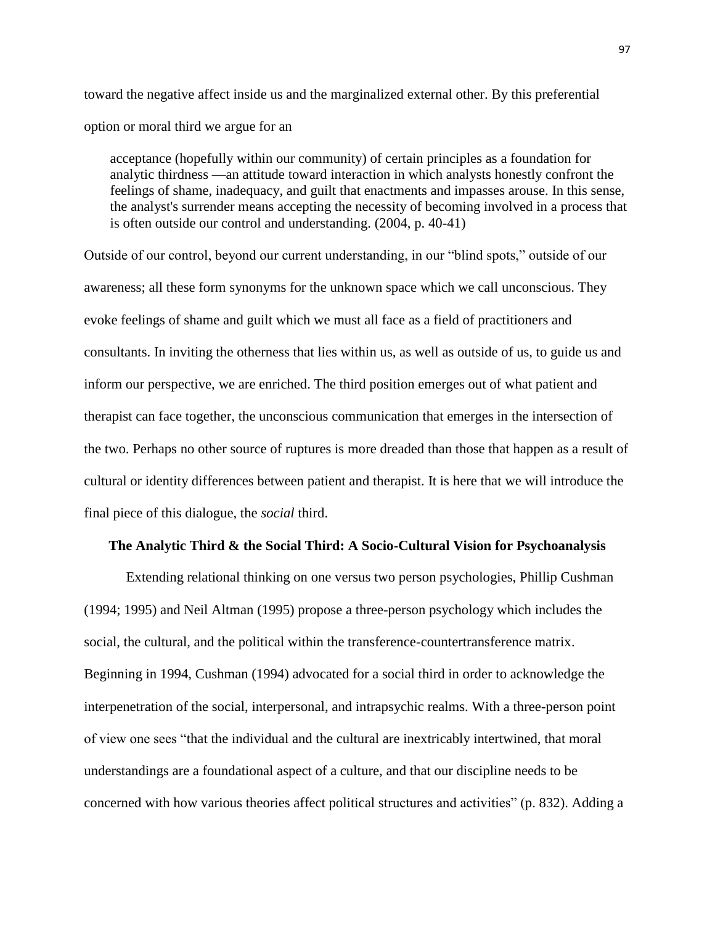toward the negative affect inside us and the marginalized external other. By this preferential option or moral third we argue for an

acceptance (hopefully within our community) of certain principles as a foundation for analytic thirdness —an attitude toward interaction in which analysts honestly confront the feelings of shame, inadequacy, and guilt that enactments and impasses arouse. In this sense, the analyst's surrender means accepting the necessity of becoming involved in a process that is often outside our control and understanding. (2004, p. 40-41)

Outside of our control, beyond our current understanding, in our "blind spots," outside of our awareness; all these form synonyms for the unknown space which we call unconscious. They evoke feelings of shame and guilt which we must all face as a field of practitioners and consultants. In inviting the otherness that lies within us, as well as outside of us, to guide us and inform our perspective, we are enriched. The third position emerges out of what patient and therapist can face together, the unconscious communication that emerges in the intersection of the two. Perhaps no other source of ruptures is more dreaded than those that happen as a result of cultural or identity differences between patient and therapist. It is here that we will introduce the final piece of this dialogue, the *social* third.

## **The Analytic Third & the Social Third: A Socio-Cultural Vision for Psychoanalysis**

Extending relational thinking on one versus two person psychologies, Phillip Cushman (1994; 1995) and Neil Altman (1995) propose a three-person psychology which includes the social, the cultural, and the political within the transference-countertransference matrix. Beginning in 1994, Cushman (1994) advocated for a social third in order to acknowledge the interpenetration of the social, interpersonal, and intrapsychic realms. With a three-person point of view one sees "that the individual and the cultural are inextricably intertwined, that moral understandings are a foundational aspect of a culture, and that our discipline needs to be concerned with how various theories affect political structures and activities" (p. 832). Adding a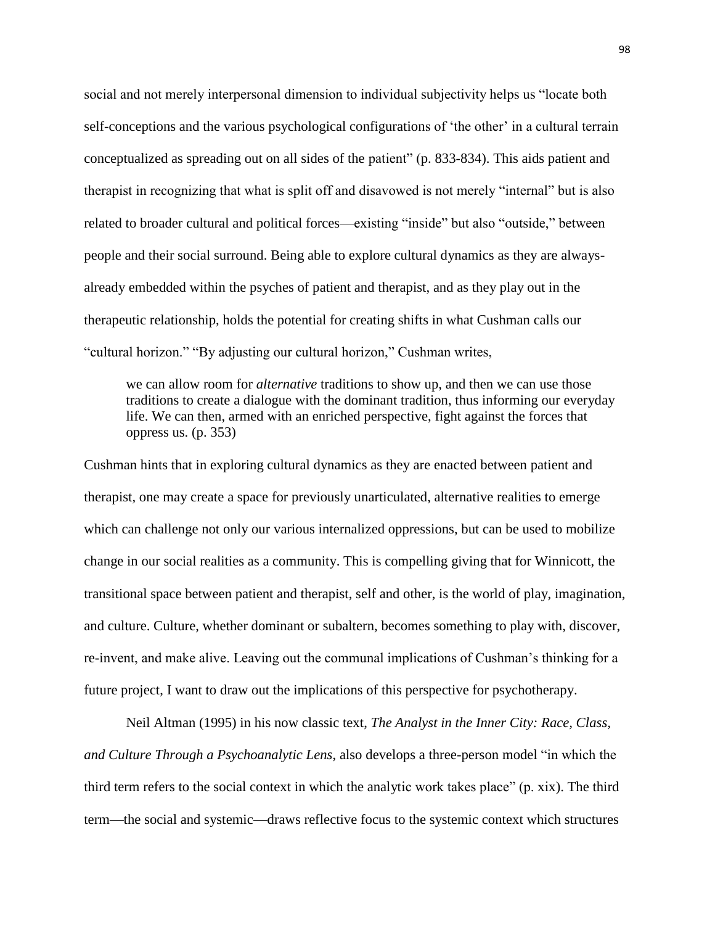social and not merely interpersonal dimension to individual subjectivity helps us "locate both self-conceptions and the various psychological configurations of 'the other' in a cultural terrain conceptualized as spreading out on all sides of the patient" (p. 833-834). This aids patient and therapist in recognizing that what is split off and disavowed is not merely "internal" but is also related to broader cultural and political forces—existing "inside" but also "outside," between people and their social surround. Being able to explore cultural dynamics as they are alwaysalready embedded within the psyches of patient and therapist, and as they play out in the therapeutic relationship, holds the potential for creating shifts in what Cushman calls our "cultural horizon." "By adjusting our cultural horizon," Cushman writes,

we can allow room for *alternative* traditions to show up, and then we can use those traditions to create a dialogue with the dominant tradition, thus informing our everyday life. We can then, armed with an enriched perspective, fight against the forces that oppress us. (p. 353)

Cushman hints that in exploring cultural dynamics as they are enacted between patient and therapist, one may create a space for previously unarticulated, alternative realities to emerge which can challenge not only our various internalized oppressions, but can be used to mobilize change in our social realities as a community. This is compelling giving that for Winnicott, the transitional space between patient and therapist, self and other, is the world of play, imagination, and culture. Culture, whether dominant or subaltern, becomes something to play with, discover, re-invent, and make alive. Leaving out the communal implications of Cushman's thinking for a future project, I want to draw out the implications of this perspective for psychotherapy.

Neil Altman (1995) in his now classic text, *The Analyst in the Inner City: Race, Class, and Culture Through a Psychoanalytic Lens*, also develops a three-person model "in which the third term refers to the social context in which the analytic work takes place" (p. xix). The third term—the social and systemic—draws reflective focus to the systemic context which structures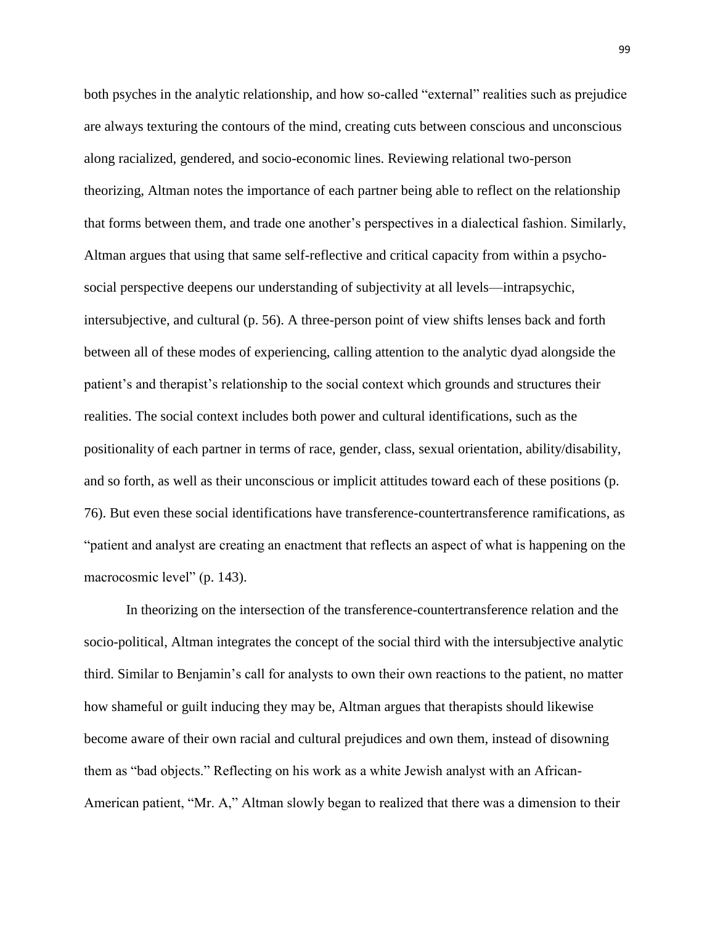both psyches in the analytic relationship, and how so-called "external" realities such as prejudice are always texturing the contours of the mind, creating cuts between conscious and unconscious along racialized, gendered, and socio-economic lines. Reviewing relational two-person theorizing, Altman notes the importance of each partner being able to reflect on the relationship that forms between them, and trade one another's perspectives in a dialectical fashion. Similarly, Altman argues that using that same self-reflective and critical capacity from within a psychosocial perspective deepens our understanding of subjectivity at all levels—intrapsychic, intersubjective, and cultural (p. 56). A three-person point of view shifts lenses back and forth between all of these modes of experiencing, calling attention to the analytic dyad alongside the patient's and therapist's relationship to the social context which grounds and structures their realities. The social context includes both power and cultural identifications, such as the positionality of each partner in terms of race, gender, class, sexual orientation, ability/disability, and so forth, as well as their unconscious or implicit attitudes toward each of these positions (p. 76). But even these social identifications have transference-countertransference ramifications, as "patient and analyst are creating an enactment that reflects an aspect of what is happening on the macrocosmic level" (p. 143).

In theorizing on the intersection of the transference-countertransference relation and the socio-political, Altman integrates the concept of the social third with the intersubjective analytic third. Similar to Benjamin's call for analysts to own their own reactions to the patient, no matter how shameful or guilt inducing they may be, Altman argues that therapists should likewise become aware of their own racial and cultural prejudices and own them, instead of disowning them as "bad objects." Reflecting on his work as a white Jewish analyst with an African-American patient, "Mr. A," Altman slowly began to realized that there was a dimension to their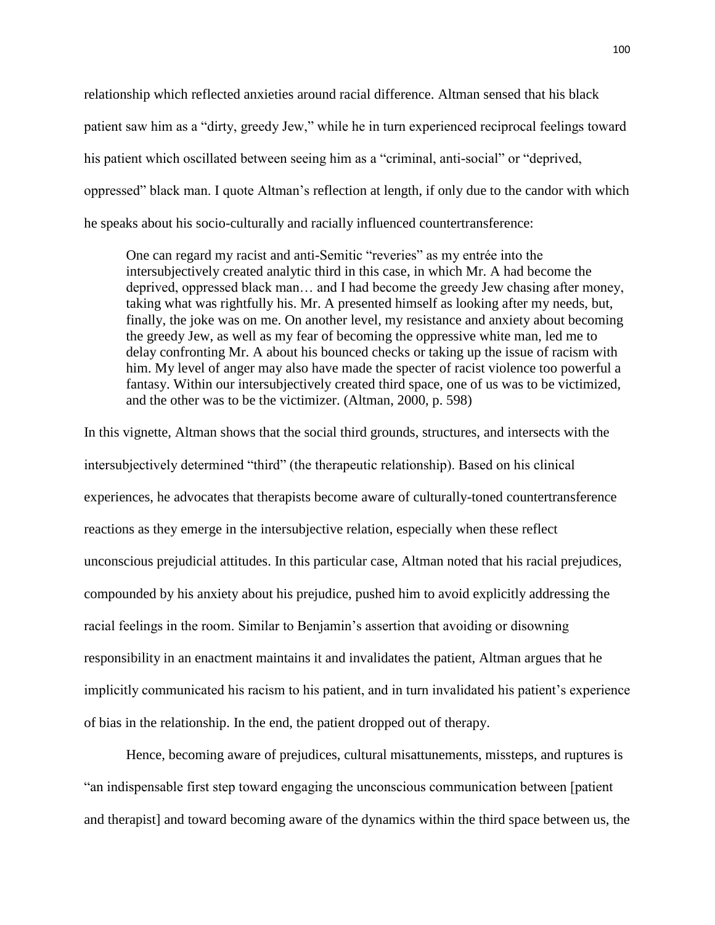relationship which reflected anxieties around racial difference. Altman sensed that his black patient saw him as a "dirty, greedy Jew," while he in turn experienced reciprocal feelings toward his patient which oscillated between seeing him as a "criminal, anti-social" or "deprived, oppressed" black man. I quote Altman's reflection at length, if only due to the candor with which he speaks about his socio-culturally and racially influenced countertransference:

One can regard my racist and anti-Semitic "reveries" as my entrée into the intersubjectively created analytic third in this case, in which Mr. A had become the deprived, oppressed black man… and I had become the greedy Jew chasing after money, taking what was rightfully his. Mr. A presented himself as looking after my needs, but, finally, the joke was on me. On another level, my resistance and anxiety about becoming the greedy Jew, as well as my fear of becoming the oppressive white man, led me to delay confronting Mr. A about his bounced checks or taking up the issue of racism with him. My level of anger may also have made the specter of racist violence too powerful a fantasy. Within our intersubjectively created third space, one of us was to be victimized, and the other was to be the victimizer. (Altman, 2000, p. 598)

In this vignette, Altman shows that the social third grounds, structures, and intersects with the intersubjectively determined "third" (the therapeutic relationship). Based on his clinical experiences, he advocates that therapists become aware of culturally-toned countertransference reactions as they emerge in the intersubjective relation, especially when these reflect unconscious prejudicial attitudes. In this particular case, Altman noted that his racial prejudices, compounded by his anxiety about his prejudice, pushed him to avoid explicitly addressing the racial feelings in the room. Similar to Benjamin's assertion that avoiding or disowning responsibility in an enactment maintains it and invalidates the patient, Altman argues that he implicitly communicated his racism to his patient, and in turn invalidated his patient's experience of bias in the relationship. In the end, the patient dropped out of therapy.

Hence, becoming aware of prejudices, cultural misattunements, missteps, and ruptures is "an indispensable first step toward engaging the unconscious communication between [patient and therapist] and toward becoming aware of the dynamics within the third space between us, the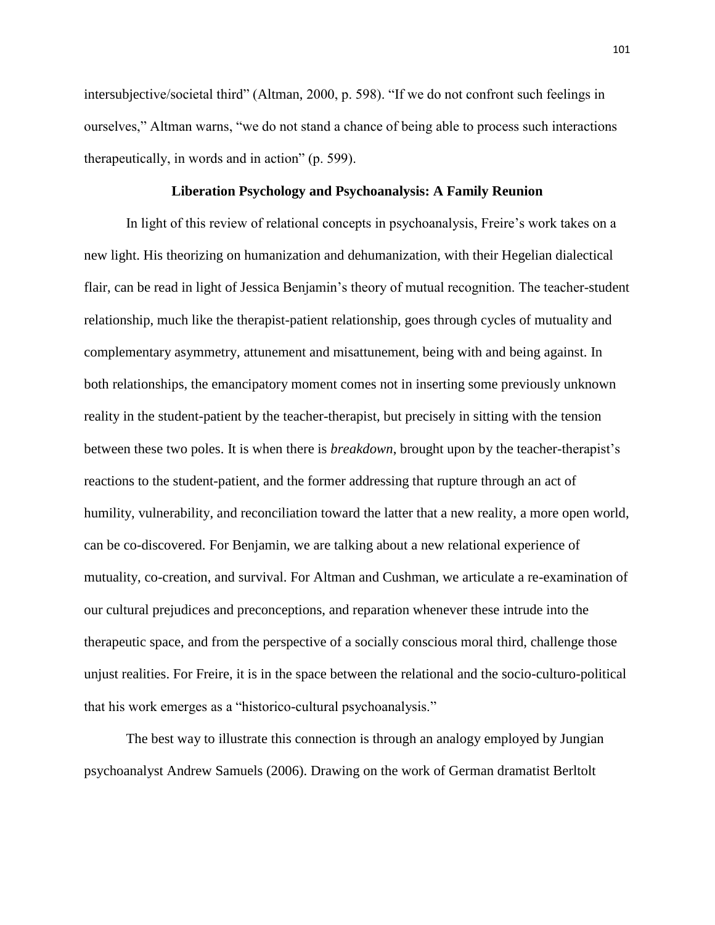intersubjective/societal third" (Altman, 2000, p. 598). "If we do not confront such feelings in ourselves," Altman warns, "we do not stand a chance of being able to process such interactions therapeutically, in words and in action" (p. 599).

#### **Liberation Psychology and Psychoanalysis: A Family Reunion**

In light of this review of relational concepts in psychoanalysis, Freire's work takes on a new light. His theorizing on humanization and dehumanization, with their Hegelian dialectical flair, can be read in light of Jessica Benjamin's theory of mutual recognition. The teacher-student relationship, much like the therapist-patient relationship, goes through cycles of mutuality and complementary asymmetry, attunement and misattunement, being with and being against. In both relationships, the emancipatory moment comes not in inserting some previously unknown reality in the student-patient by the teacher-therapist, but precisely in sitting with the tension between these two poles. It is when there is *breakdown*, brought upon by the teacher-therapist's reactions to the student-patient, and the former addressing that rupture through an act of humility, vulnerability, and reconciliation toward the latter that a new reality, a more open world, can be co-discovered. For Benjamin, we are talking about a new relational experience of mutuality, co-creation, and survival. For Altman and Cushman, we articulate a re-examination of our cultural prejudices and preconceptions, and reparation whenever these intrude into the therapeutic space, and from the perspective of a socially conscious moral third, challenge those unjust realities. For Freire, it is in the space between the relational and the socio-culturo-political that his work emerges as a "historico-cultural psychoanalysis."

The best way to illustrate this connection is through an analogy employed by Jungian psychoanalyst Andrew Samuels (2006). Drawing on the work of German dramatist Berltolt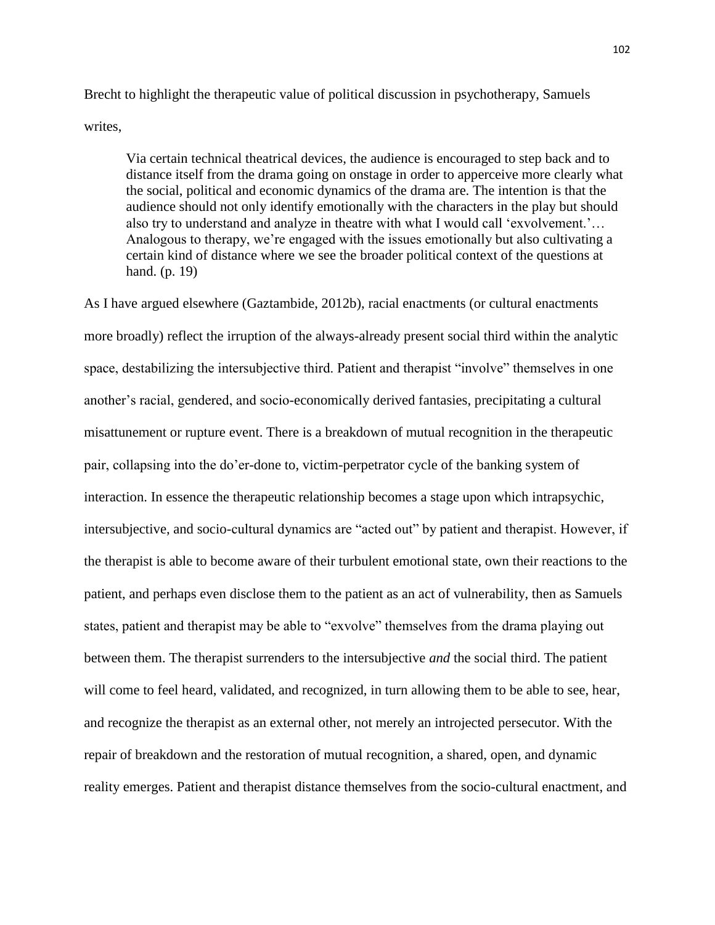Brecht to highlight the therapeutic value of political discussion in psychotherapy, Samuels writes,

Via certain technical theatrical devices, the audience is encouraged to step back and to distance itself from the drama going on onstage in order to apperceive more clearly what the social, political and economic dynamics of the drama are. The intention is that the audience should not only identify emotionally with the characters in the play but should also try to understand and analyze in theatre with what I would call 'exvolvement.'… Analogous to therapy, we're engaged with the issues emotionally but also cultivating a certain kind of distance where we see the broader political context of the questions at hand. (p. 19)

As I have argued elsewhere (Gaztambide, 2012b), racial enactments (or cultural enactments more broadly) reflect the irruption of the always-already present social third within the analytic space, destabilizing the intersubjective third. Patient and therapist "involve" themselves in one another's racial, gendered, and socio-economically derived fantasies, precipitating a cultural misattunement or rupture event. There is a breakdown of mutual recognition in the therapeutic pair, collapsing into the do'er-done to, victim-perpetrator cycle of the banking system of interaction. In essence the therapeutic relationship becomes a stage upon which intrapsychic, intersubjective, and socio-cultural dynamics are "acted out" by patient and therapist. However, if the therapist is able to become aware of their turbulent emotional state, own their reactions to the patient, and perhaps even disclose them to the patient as an act of vulnerability, then as Samuels states, patient and therapist may be able to "exvolve" themselves from the drama playing out between them. The therapist surrenders to the intersubjective *and* the social third. The patient will come to feel heard, validated, and recognized, in turn allowing them to be able to see, hear, and recognize the therapist as an external other, not merely an introjected persecutor. With the repair of breakdown and the restoration of mutual recognition, a shared, open, and dynamic reality emerges. Patient and therapist distance themselves from the socio-cultural enactment, and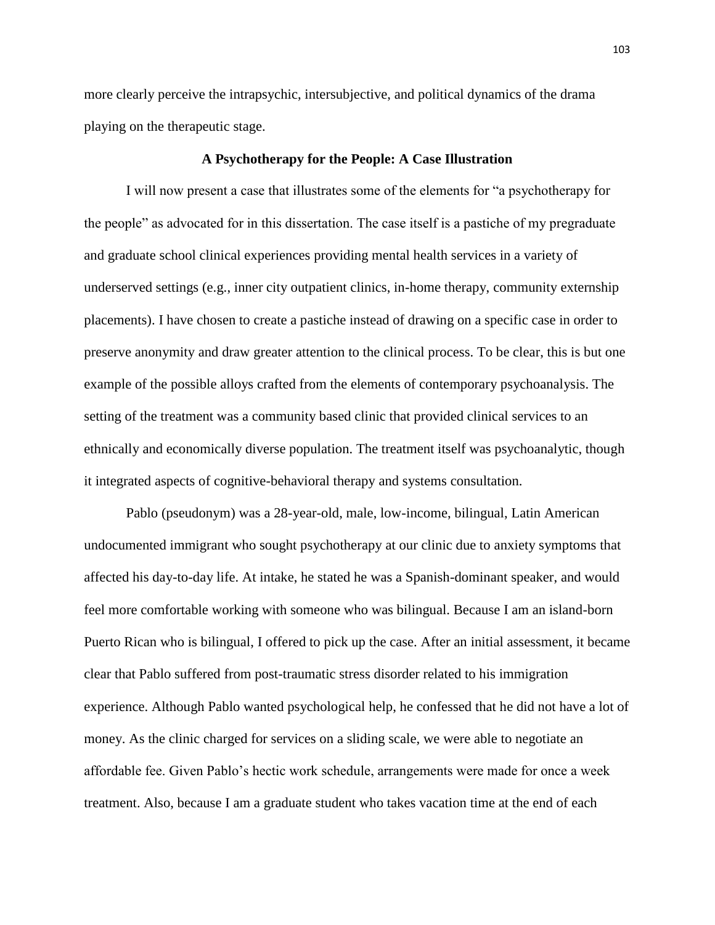more clearly perceive the intrapsychic, intersubjective, and political dynamics of the drama playing on the therapeutic stage.

# **A Psychotherapy for the People: A Case Illustration**

I will now present a case that illustrates some of the elements for "a psychotherapy for the people" as advocated for in this dissertation. The case itself is a pastiche of my pregraduate and graduate school clinical experiences providing mental health services in a variety of underserved settings (e.g., inner city outpatient clinics, in-home therapy, community externship placements). I have chosen to create a pastiche instead of drawing on a specific case in order to preserve anonymity and draw greater attention to the clinical process. To be clear, this is but one example of the possible alloys crafted from the elements of contemporary psychoanalysis. The setting of the treatment was a community based clinic that provided clinical services to an ethnically and economically diverse population. The treatment itself was psychoanalytic, though it integrated aspects of cognitive-behavioral therapy and systems consultation.

Pablo (pseudonym) was a 28-year-old, male, low-income, bilingual, Latin American undocumented immigrant who sought psychotherapy at our clinic due to anxiety symptoms that affected his day-to-day life. At intake, he stated he was a Spanish-dominant speaker, and would feel more comfortable working with someone who was bilingual. Because I am an island-born Puerto Rican who is bilingual, I offered to pick up the case. After an initial assessment, it became clear that Pablo suffered from post-traumatic stress disorder related to his immigration experience. Although Pablo wanted psychological help, he confessed that he did not have a lot of money. As the clinic charged for services on a sliding scale, we were able to negotiate an affordable fee. Given Pablo's hectic work schedule, arrangements were made for once a week treatment. Also, because I am a graduate student who takes vacation time at the end of each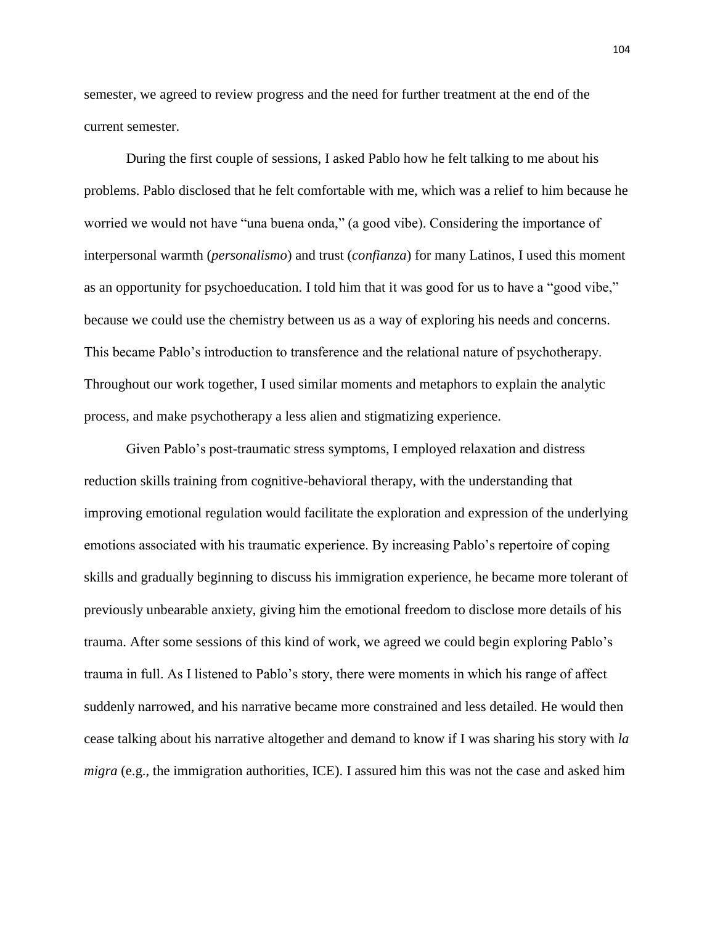semester, we agreed to review progress and the need for further treatment at the end of the current semester.

During the first couple of sessions, I asked Pablo how he felt talking to me about his problems. Pablo disclosed that he felt comfortable with me, which was a relief to him because he worried we would not have "una buena onda," (a good vibe). Considering the importance of interpersonal warmth (*personalismo*) and trust (*confianza*) for many Latinos, I used this moment as an opportunity for psychoeducation. I told him that it was good for us to have a "good vibe," because we could use the chemistry between us as a way of exploring his needs and concerns. This became Pablo's introduction to transference and the relational nature of psychotherapy. Throughout our work together, I used similar moments and metaphors to explain the analytic process, and make psychotherapy a less alien and stigmatizing experience.

Given Pablo's post-traumatic stress symptoms, I employed relaxation and distress reduction skills training from cognitive-behavioral therapy, with the understanding that improving emotional regulation would facilitate the exploration and expression of the underlying emotions associated with his traumatic experience. By increasing Pablo's repertoire of coping skills and gradually beginning to discuss his immigration experience, he became more tolerant of previously unbearable anxiety, giving him the emotional freedom to disclose more details of his trauma. After some sessions of this kind of work, we agreed we could begin exploring Pablo's trauma in full. As I listened to Pablo's story, there were moments in which his range of affect suddenly narrowed, and his narrative became more constrained and less detailed. He would then cease talking about his narrative altogether and demand to know if I was sharing his story with *la migra* (e.g., the immigration authorities, ICE). I assured him this was not the case and asked him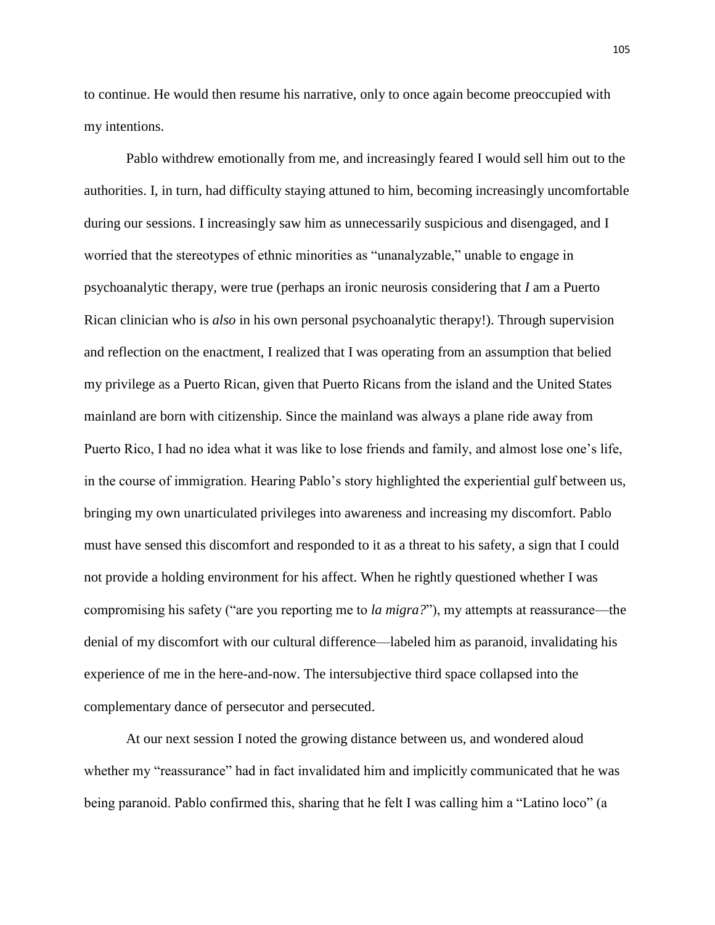to continue. He would then resume his narrative, only to once again become preoccupied with my intentions.

Pablo withdrew emotionally from me, and increasingly feared I would sell him out to the authorities. I, in turn, had difficulty staying attuned to him, becoming increasingly uncomfortable during our sessions. I increasingly saw him as unnecessarily suspicious and disengaged, and I worried that the stereotypes of ethnic minorities as "unanalyzable," unable to engage in psychoanalytic therapy, were true (perhaps an ironic neurosis considering that *I* am a Puerto Rican clinician who is *also* in his own personal psychoanalytic therapy!). Through supervision and reflection on the enactment, I realized that I was operating from an assumption that belied my privilege as a Puerto Rican, given that Puerto Ricans from the island and the United States mainland are born with citizenship. Since the mainland was always a plane ride away from Puerto Rico, I had no idea what it was like to lose friends and family, and almost lose one's life, in the course of immigration. Hearing Pablo's story highlighted the experiential gulf between us, bringing my own unarticulated privileges into awareness and increasing my discomfort. Pablo must have sensed this discomfort and responded to it as a threat to his safety, a sign that I could not provide a holding environment for his affect. When he rightly questioned whether I was compromising his safety ("are you reporting me to *la migra?*"), my attempts at reassurance—the denial of my discomfort with our cultural difference—labeled him as paranoid, invalidating his experience of me in the here-and-now. The intersubjective third space collapsed into the complementary dance of persecutor and persecuted.

At our next session I noted the growing distance between us, and wondered aloud whether my "reassurance" had in fact invalidated him and implicitly communicated that he was being paranoid. Pablo confirmed this, sharing that he felt I was calling him a "Latino loco" (a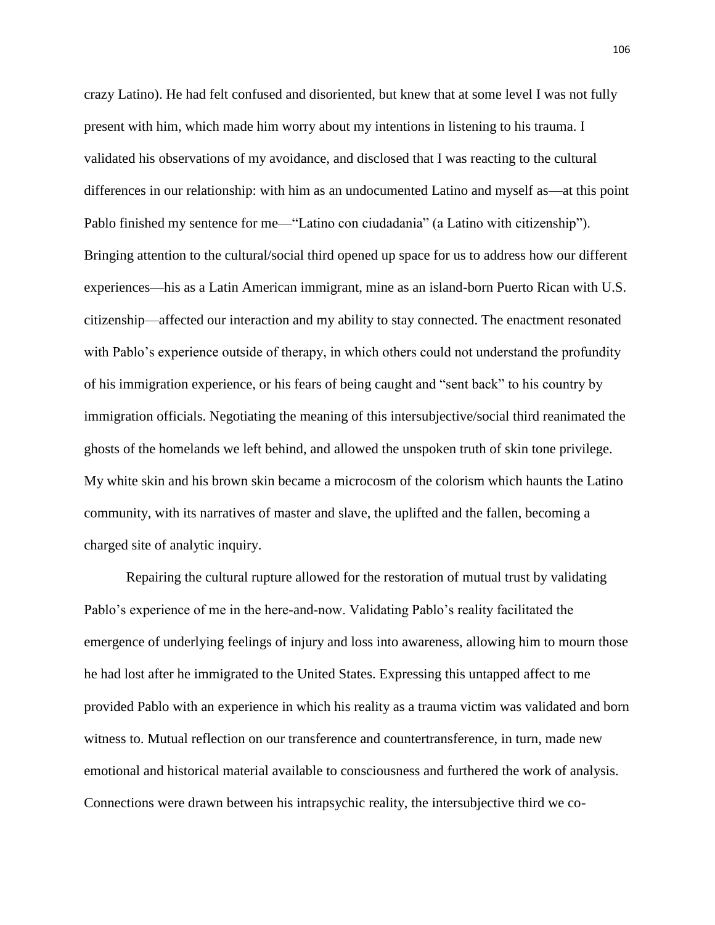crazy Latino). He had felt confused and disoriented, but knew that at some level I was not fully present with him, which made him worry about my intentions in listening to his trauma. I validated his observations of my avoidance, and disclosed that I was reacting to the cultural differences in our relationship: with him as an undocumented Latino and myself as—at this point Pablo finished my sentence for me—"Latino con ciudadania" (a Latino with citizenship"). Bringing attention to the cultural/social third opened up space for us to address how our different experiences—his as a Latin American immigrant, mine as an island-born Puerto Rican with U.S. citizenship—affected our interaction and my ability to stay connected. The enactment resonated with Pablo's experience outside of therapy, in which others could not understand the profundity of his immigration experience, or his fears of being caught and "sent back" to his country by immigration officials. Negotiating the meaning of this intersubjective/social third reanimated the ghosts of the homelands we left behind, and allowed the unspoken truth of skin tone privilege. My white skin and his brown skin became a microcosm of the colorism which haunts the Latino community, with its narratives of master and slave, the uplifted and the fallen, becoming a charged site of analytic inquiry.

Repairing the cultural rupture allowed for the restoration of mutual trust by validating Pablo's experience of me in the here-and-now. Validating Pablo's reality facilitated the emergence of underlying feelings of injury and loss into awareness, allowing him to mourn those he had lost after he immigrated to the United States. Expressing this untapped affect to me provided Pablo with an experience in which his reality as a trauma victim was validated and born witness to. Mutual reflection on our transference and countertransference, in turn, made new emotional and historical material available to consciousness and furthered the work of analysis. Connections were drawn between his intrapsychic reality, the intersubjective third we co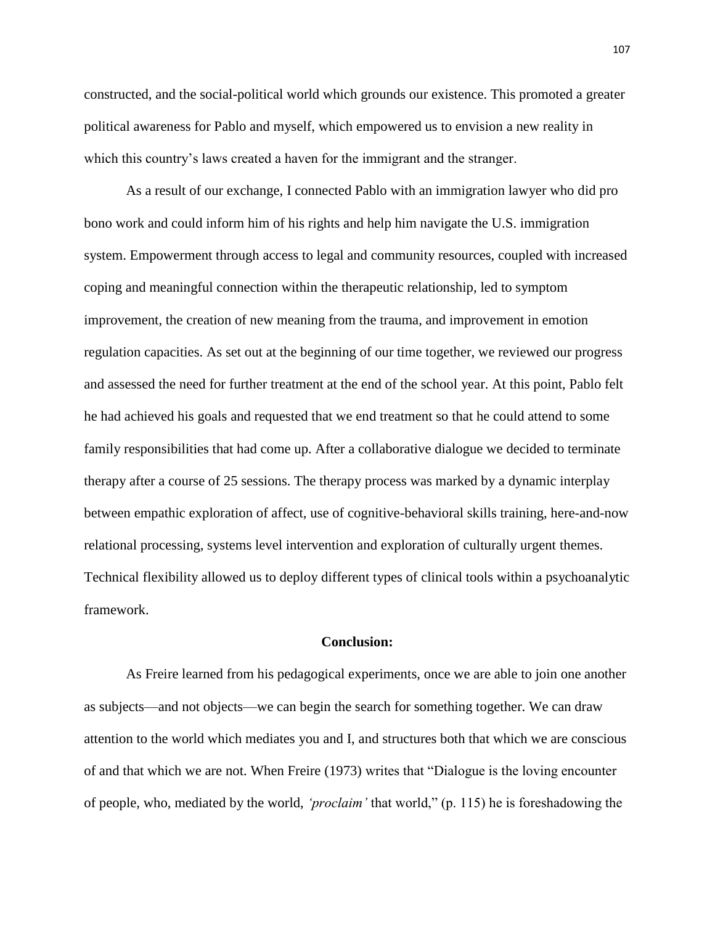constructed, and the social-political world which grounds our existence. This promoted a greater political awareness for Pablo and myself, which empowered us to envision a new reality in which this country's laws created a haven for the immigrant and the stranger.

As a result of our exchange, I connected Pablo with an immigration lawyer who did pro bono work and could inform him of his rights and help him navigate the U.S. immigration system. Empowerment through access to legal and community resources, coupled with increased coping and meaningful connection within the therapeutic relationship, led to symptom improvement, the creation of new meaning from the trauma, and improvement in emotion regulation capacities. As set out at the beginning of our time together, we reviewed our progress and assessed the need for further treatment at the end of the school year. At this point, Pablo felt he had achieved his goals and requested that we end treatment so that he could attend to some family responsibilities that had come up. After a collaborative dialogue we decided to terminate therapy after a course of 25 sessions. The therapy process was marked by a dynamic interplay between empathic exploration of affect, use of cognitive-behavioral skills training, here-and-now relational processing, systems level intervention and exploration of culturally urgent themes. Technical flexibility allowed us to deploy different types of clinical tools within a psychoanalytic framework.

### **Conclusion:**

As Freire learned from his pedagogical experiments, once we are able to join one another as subjects—and not objects—we can begin the search for something together. We can draw attention to the world which mediates you and I, and structures both that which we are conscious of and that which we are not. When Freire (1973) writes that "Dialogue is the loving encounter of people, who, mediated by the world, *'proclaim'* that world," (p. 115) he is foreshadowing the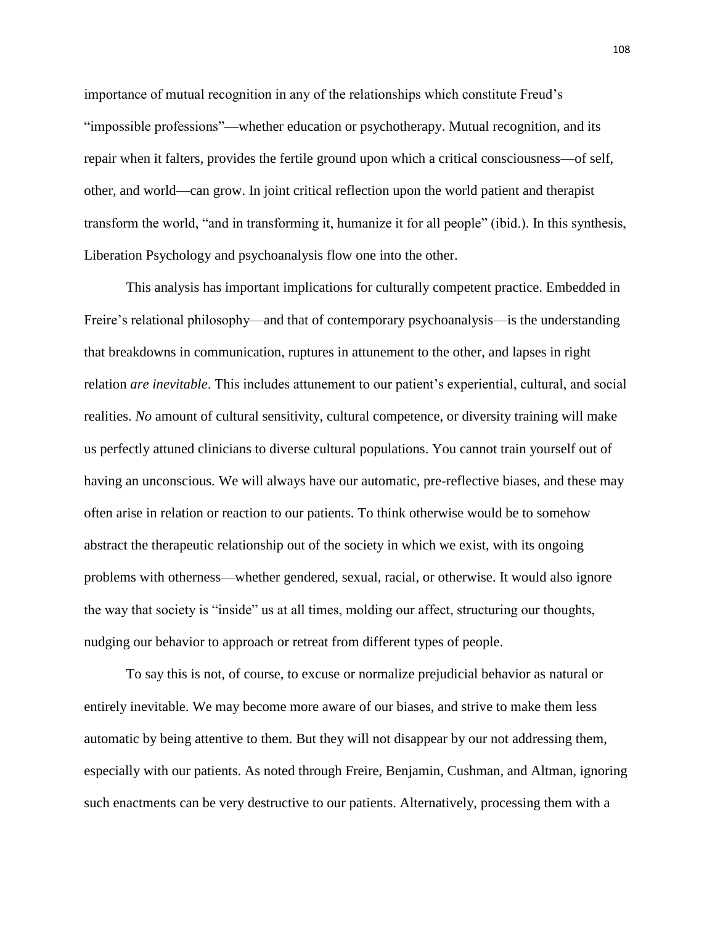importance of mutual recognition in any of the relationships which constitute Freud's "impossible professions"—whether education or psychotherapy. Mutual recognition, and its repair when it falters, provides the fertile ground upon which a critical consciousness—of self, other, and world—can grow. In joint critical reflection upon the world patient and therapist transform the world, "and in transforming it, humanize it for all people" (ibid.). In this synthesis, Liberation Psychology and psychoanalysis flow one into the other.

This analysis has important implications for culturally competent practice. Embedded in Freire's relational philosophy—and that of contemporary psychoanalysis—is the understanding that breakdowns in communication, ruptures in attunement to the other, and lapses in right relation *are inevitable*. This includes attunement to our patient's experiential, cultural, and social realities. *No* amount of cultural sensitivity, cultural competence, or diversity training will make us perfectly attuned clinicians to diverse cultural populations. You cannot train yourself out of having an unconscious. We will always have our automatic, pre-reflective biases, and these may often arise in relation or reaction to our patients. To think otherwise would be to somehow abstract the therapeutic relationship out of the society in which we exist, with its ongoing problems with otherness—whether gendered, sexual, racial, or otherwise. It would also ignore the way that society is "inside" us at all times, molding our affect, structuring our thoughts, nudging our behavior to approach or retreat from different types of people.

To say this is not, of course, to excuse or normalize prejudicial behavior as natural or entirely inevitable. We may become more aware of our biases, and strive to make them less automatic by being attentive to them. But they will not disappear by our not addressing them, especially with our patients. As noted through Freire, Benjamin, Cushman, and Altman, ignoring such enactments can be very destructive to our patients. Alternatively, processing them with a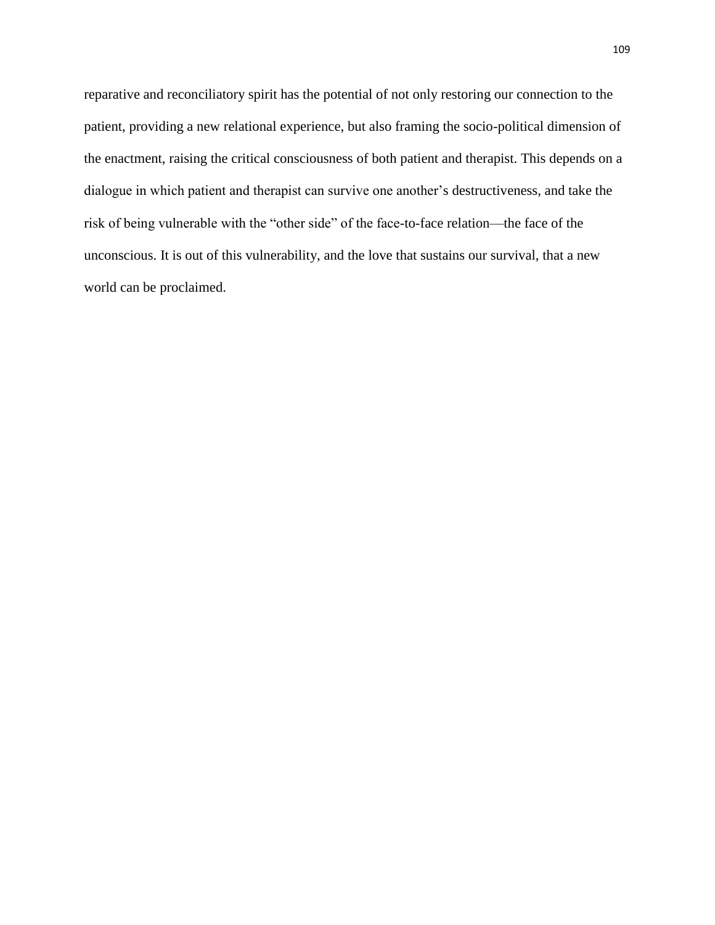reparative and reconciliatory spirit has the potential of not only restoring our connection to the patient, providing a new relational experience, but also framing the socio-political dimension of the enactment, raising the critical consciousness of both patient and therapist. This depends on a dialogue in which patient and therapist can survive one another's destructiveness, and take the risk of being vulnerable with the "other side" of the face-to-face relation—the face of the unconscious. It is out of this vulnerability, and the love that sustains our survival, that a new world can be proclaimed.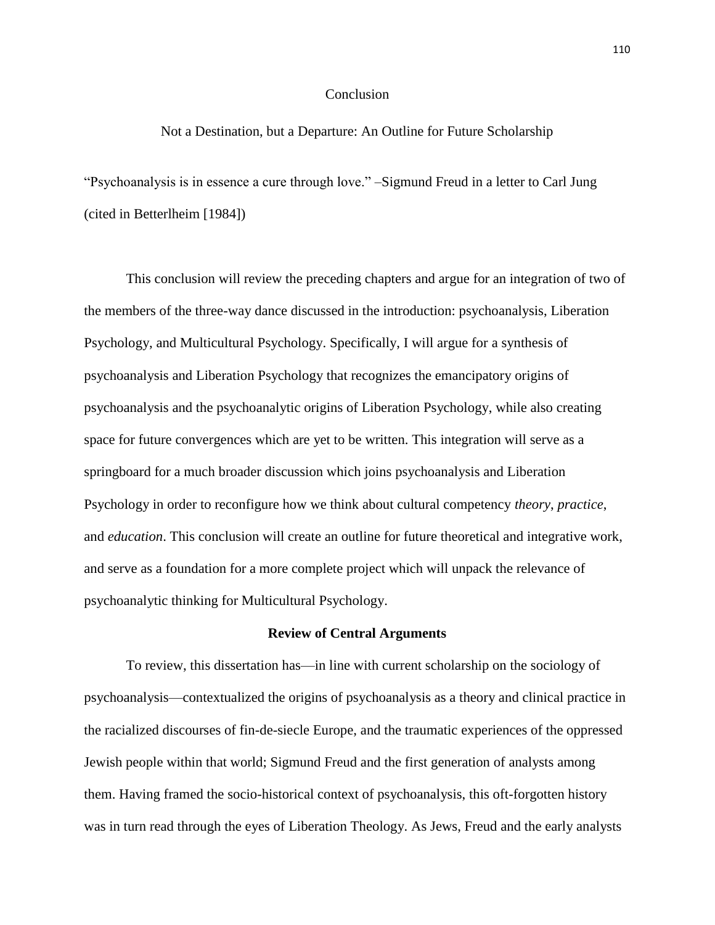#### Conclusion

# Not a Destination, but a Departure: An Outline for Future Scholarship

"Psychoanalysis is in essence a cure through love." –Sigmund Freud in a letter to Carl Jung (cited in Betterlheim [1984])

This conclusion will review the preceding chapters and argue for an integration of two of the members of the three-way dance discussed in the introduction: psychoanalysis, Liberation Psychology, and Multicultural Psychology. Specifically, I will argue for a synthesis of psychoanalysis and Liberation Psychology that recognizes the emancipatory origins of psychoanalysis and the psychoanalytic origins of Liberation Psychology, while also creating space for future convergences which are yet to be written. This integration will serve as a springboard for a much broader discussion which joins psychoanalysis and Liberation Psychology in order to reconfigure how we think about cultural competency *theory*, *practice*, and *education*. This conclusion will create an outline for future theoretical and integrative work, and serve as a foundation for a more complete project which will unpack the relevance of psychoanalytic thinking for Multicultural Psychology.

### **Review of Central Arguments**

To review, this dissertation has—in line with current scholarship on the sociology of psychoanalysis—contextualized the origins of psychoanalysis as a theory and clinical practice in the racialized discourses of fin-de-siecle Europe, and the traumatic experiences of the oppressed Jewish people within that world; Sigmund Freud and the first generation of analysts among them. Having framed the socio-historical context of psychoanalysis, this oft-forgotten history was in turn read through the eyes of Liberation Theology. As Jews, Freud and the early analysts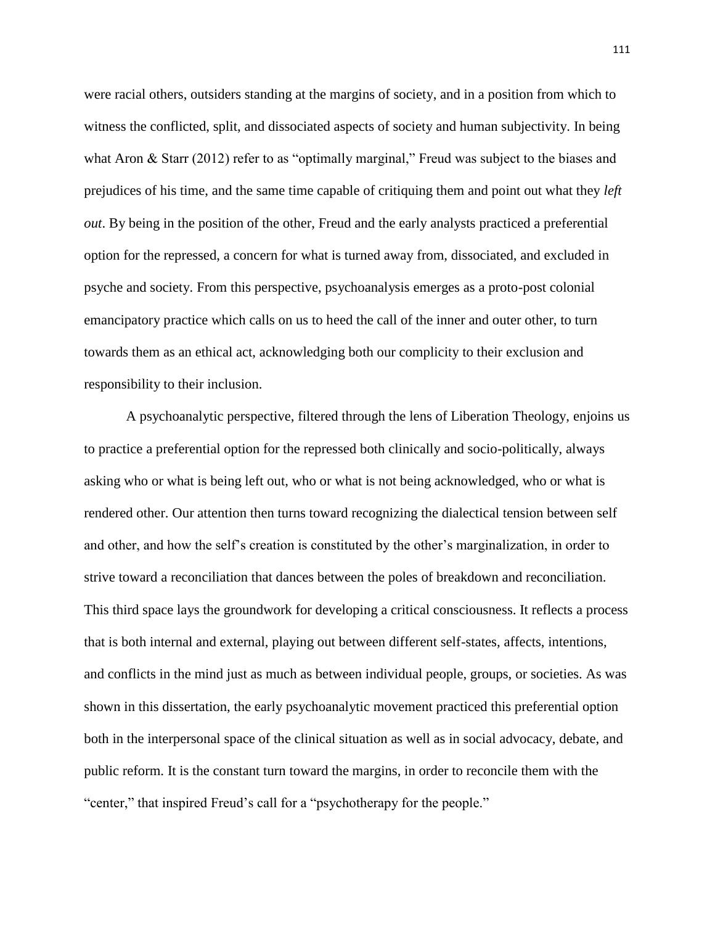were racial others, outsiders standing at the margins of society, and in a position from which to witness the conflicted, split, and dissociated aspects of society and human subjectivity. In being what Aron & Starr (2012) refer to as "optimally marginal," Freud was subject to the biases and prejudices of his time, and the same time capable of critiquing them and point out what they *left out*. By being in the position of the other, Freud and the early analysts practiced a preferential option for the repressed, a concern for what is turned away from, dissociated, and excluded in psyche and society. From this perspective, psychoanalysis emerges as a proto-post colonial emancipatory practice which calls on us to heed the call of the inner and outer other, to turn towards them as an ethical act, acknowledging both our complicity to their exclusion and responsibility to their inclusion.

A psychoanalytic perspective, filtered through the lens of Liberation Theology, enjoins us to practice a preferential option for the repressed both clinically and socio-politically, always asking who or what is being left out, who or what is not being acknowledged, who or what is rendered other. Our attention then turns toward recognizing the dialectical tension between self and other, and how the self's creation is constituted by the other's marginalization, in order to strive toward a reconciliation that dances between the poles of breakdown and reconciliation. This third space lays the groundwork for developing a critical consciousness. It reflects a process that is both internal and external, playing out between different self-states, affects, intentions, and conflicts in the mind just as much as between individual people, groups, or societies. As was shown in this dissertation, the early psychoanalytic movement practiced this preferential option both in the interpersonal space of the clinical situation as well as in social advocacy, debate, and public reform. It is the constant turn toward the margins, in order to reconcile them with the "center," that inspired Freud's call for a "psychotherapy for the people."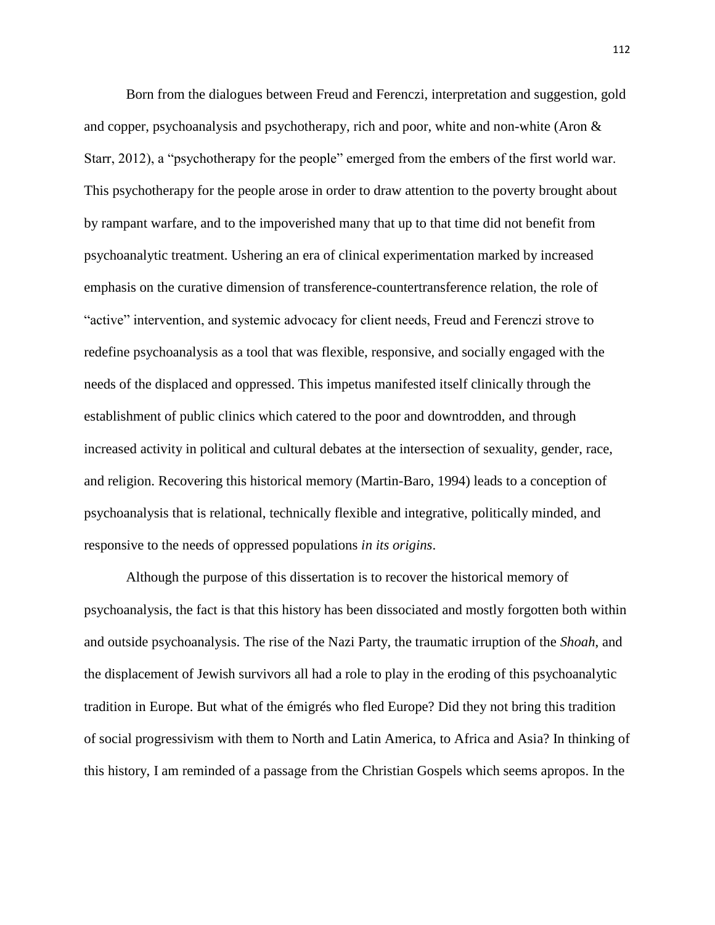Born from the dialogues between Freud and Ferenczi, interpretation and suggestion, gold and copper, psychoanalysis and psychotherapy, rich and poor, white and non-white (Aron & Starr, 2012), a "psychotherapy for the people" emerged from the embers of the first world war. This psychotherapy for the people arose in order to draw attention to the poverty brought about by rampant warfare, and to the impoverished many that up to that time did not benefit from psychoanalytic treatment. Ushering an era of clinical experimentation marked by increased emphasis on the curative dimension of transference-countertransference relation, the role of "active" intervention, and systemic advocacy for client needs, Freud and Ferenczi strove to redefine psychoanalysis as a tool that was flexible, responsive, and socially engaged with the needs of the displaced and oppressed. This impetus manifested itself clinically through the establishment of public clinics which catered to the poor and downtrodden, and through increased activity in political and cultural debates at the intersection of sexuality, gender, race, and religion. Recovering this historical memory (Martin-Baro, 1994) leads to a conception of psychoanalysis that is relational, technically flexible and integrative, politically minded, and responsive to the needs of oppressed populations *in its origins*.

Although the purpose of this dissertation is to recover the historical memory of psychoanalysis, the fact is that this history has been dissociated and mostly forgotten both within and outside psychoanalysis. The rise of the Nazi Party, the traumatic irruption of the *Shoah*, and the displacement of Jewish survivors all had a role to play in the eroding of this psychoanalytic tradition in Europe. But what of the émigrés who fled Europe? Did they not bring this tradition of social progressivism with them to North and Latin America, to Africa and Asia? In thinking of this history, I am reminded of a passage from the Christian Gospels which seems apropos. In the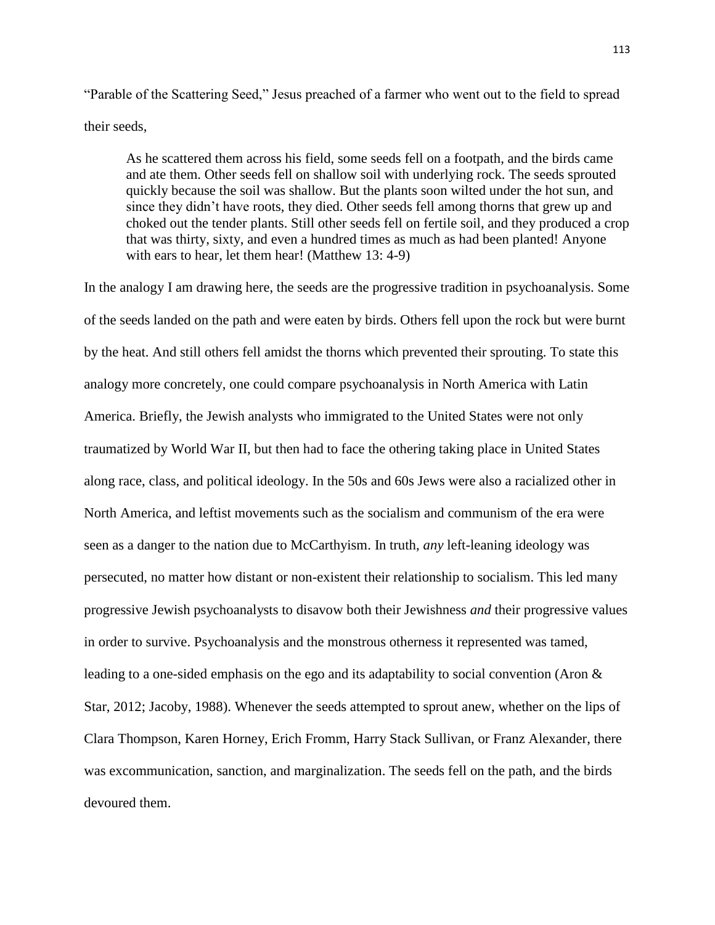"Parable of the Scattering Seed," Jesus preached of a farmer who went out to the field to spread their seeds,

As he scattered them across his field, some seeds fell on a footpath, and the birds came and ate them. Other seeds fell on shallow soil with underlying rock. The seeds sprouted quickly because the soil was shallow. But the plants soon wilted under the hot sun, and since they didn't have roots, they died. Other seeds fell among thorns that grew up and choked out the tender plants. Still other seeds fell on fertile soil, and they produced a crop that was thirty, sixty, and even a hundred times as much as had been planted! Anyone with ears to hear, let them hear! (Matthew 13: 4-9)

In the analogy I am drawing here, the seeds are the progressive tradition in psychoanalysis. Some of the seeds landed on the path and were eaten by birds. Others fell upon the rock but were burnt by the heat. And still others fell amidst the thorns which prevented their sprouting. To state this analogy more concretely, one could compare psychoanalysis in North America with Latin America. Briefly, the Jewish analysts who immigrated to the United States were not only traumatized by World War II, but then had to face the othering taking place in United States along race, class, and political ideology. In the 50s and 60s Jews were also a racialized other in North America, and leftist movements such as the socialism and communism of the era were seen as a danger to the nation due to McCarthyism. In truth, *any* left-leaning ideology was persecuted, no matter how distant or non-existent their relationship to socialism. This led many progressive Jewish psychoanalysts to disavow both their Jewishness *and* their progressive values in order to survive. Psychoanalysis and the monstrous otherness it represented was tamed, leading to a one-sided emphasis on the ego and its adaptability to social convention (Aron & Star, 2012; Jacoby, 1988). Whenever the seeds attempted to sprout anew, whether on the lips of Clara Thompson, Karen Horney, Erich Fromm, Harry Stack Sullivan, or Franz Alexander, there was excommunication, sanction, and marginalization. The seeds fell on the path, and the birds devoured them.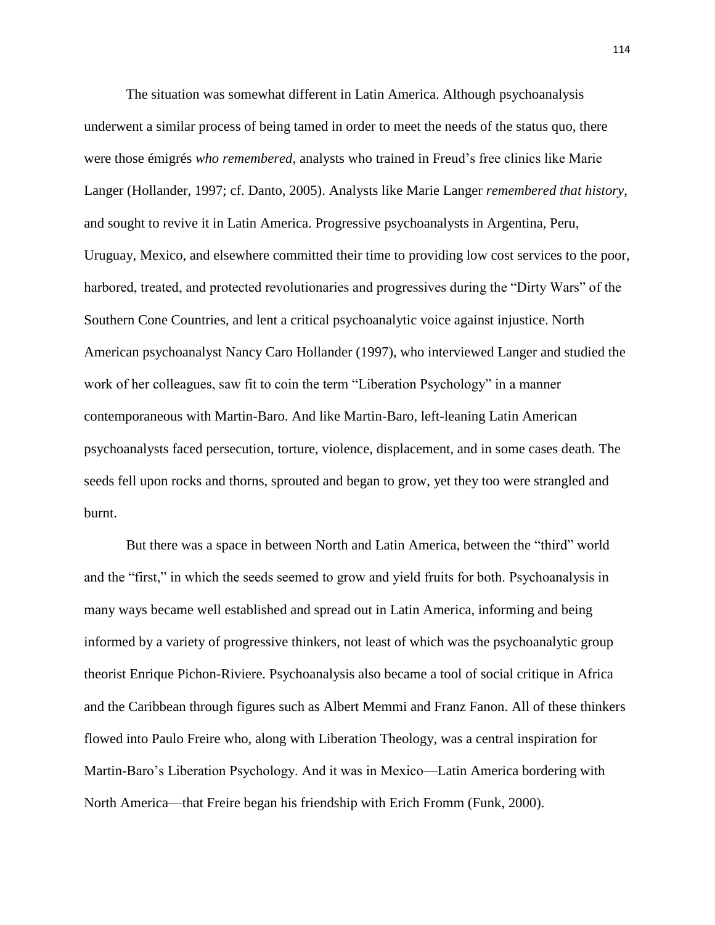The situation was somewhat different in Latin America. Although psychoanalysis underwent a similar process of being tamed in order to meet the needs of the status quo, there were those émigrés *who remembered*, analysts who trained in Freud's free clinics like Marie Langer (Hollander, 1997; cf. Danto, 2005). Analysts like Marie Langer *remembered that history*, and sought to revive it in Latin America. Progressive psychoanalysts in Argentina, Peru, Uruguay, Mexico, and elsewhere committed their time to providing low cost services to the poor, harbored, treated, and protected revolutionaries and progressives during the "Dirty Wars" of the Southern Cone Countries, and lent a critical psychoanalytic voice against injustice. North American psychoanalyst Nancy Caro Hollander (1997), who interviewed Langer and studied the work of her colleagues, saw fit to coin the term "Liberation Psychology" in a manner contemporaneous with Martin-Baro. And like Martin-Baro, left-leaning Latin American psychoanalysts faced persecution, torture, violence, displacement, and in some cases death. The seeds fell upon rocks and thorns, sprouted and began to grow, yet they too were strangled and burnt.

But there was a space in between North and Latin America, between the "third" world and the "first," in which the seeds seemed to grow and yield fruits for both. Psychoanalysis in many ways became well established and spread out in Latin America, informing and being informed by a variety of progressive thinkers, not least of which was the psychoanalytic group theorist Enrique Pichon-Riviere. Psychoanalysis also became a tool of social critique in Africa and the Caribbean through figures such as Albert Memmi and Franz Fanon. All of these thinkers flowed into Paulo Freire who, along with Liberation Theology, was a central inspiration for Martin-Baro's Liberation Psychology. And it was in Mexico—Latin America bordering with North America—that Freire began his friendship with Erich Fromm (Funk, 2000).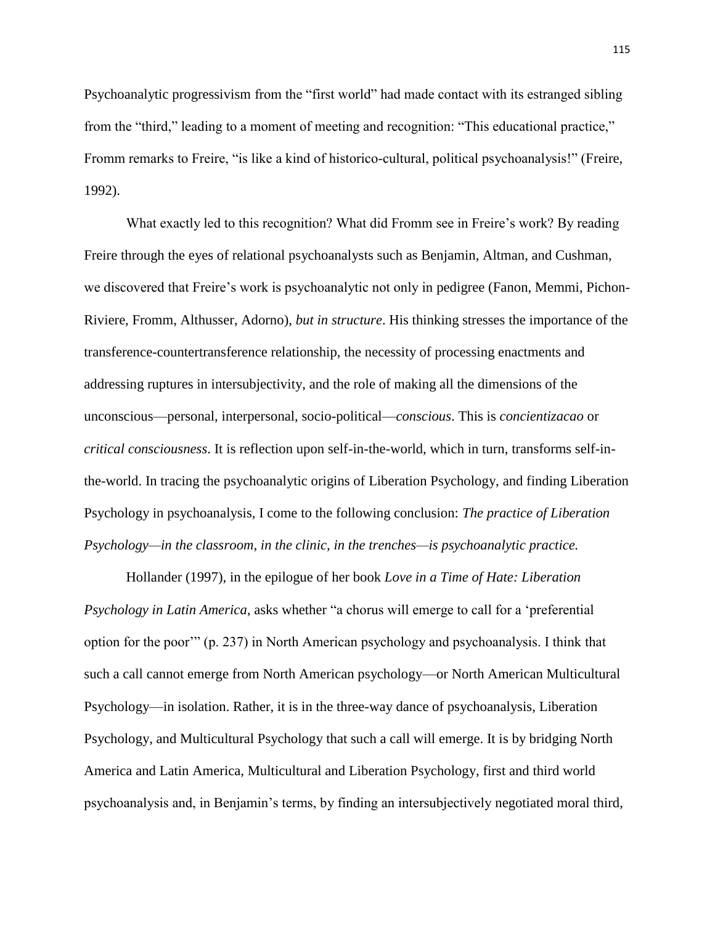Psychoanalytic progressivism from the "first world" had made contact with its estranged sibling from the "third," leading to a moment of meeting and recognition: "This educational practice," Fromm remarks to Freire, "is like a kind of historico-cultural, political psychoanalysis!" (Freire, 1992).

What exactly led to this recognition? What did Fromm see in Freire's work? By reading Freire through the eyes of relational psychoanalysts such as Benjamin, Altman, and Cushman, we discovered that Freire's work is psychoanalytic not only in pedigree (Fanon, Memmi, Pichon-Riviere, Fromm, Althusser, Adorno), *but in structure*. His thinking stresses the importance of the transference-countertransference relationship, the necessity of processing enactments and addressing ruptures in intersubjectivity, and the role of making all the dimensions of the unconscious—personal, interpersonal, socio-political—*conscious*. This is *concientizacao* or *critical consciousness*. It is reflection upon self-in-the-world, which in turn, transforms self-inthe-world. In tracing the psychoanalytic origins of Liberation Psychology, and finding Liberation Psychology in psychoanalysis, I come to the following conclusion: *The practice of Liberation Psychology—in the classroom, in the clinic, in the trenches—is psychoanalytic practice.*

Hollander (1997), in the epilogue of her book *Love in a Time of Hate: Liberation Psychology in Latin America*, asks whether "a chorus will emerge to call for a 'preferential option for the poor'" (p. 237) in North American psychology and psychoanalysis. I think that such a call cannot emerge from North American psychology—or North American Multicultural Psychology—in isolation. Rather, it is in the three-way dance of psychoanalysis, Liberation Psychology, and Multicultural Psychology that such a call will emerge. It is by bridging North America and Latin America, Multicultural and Liberation Psychology, first and third world psychoanalysis and, in Benjamin's terms, by finding an intersubjectively negotiated moral third,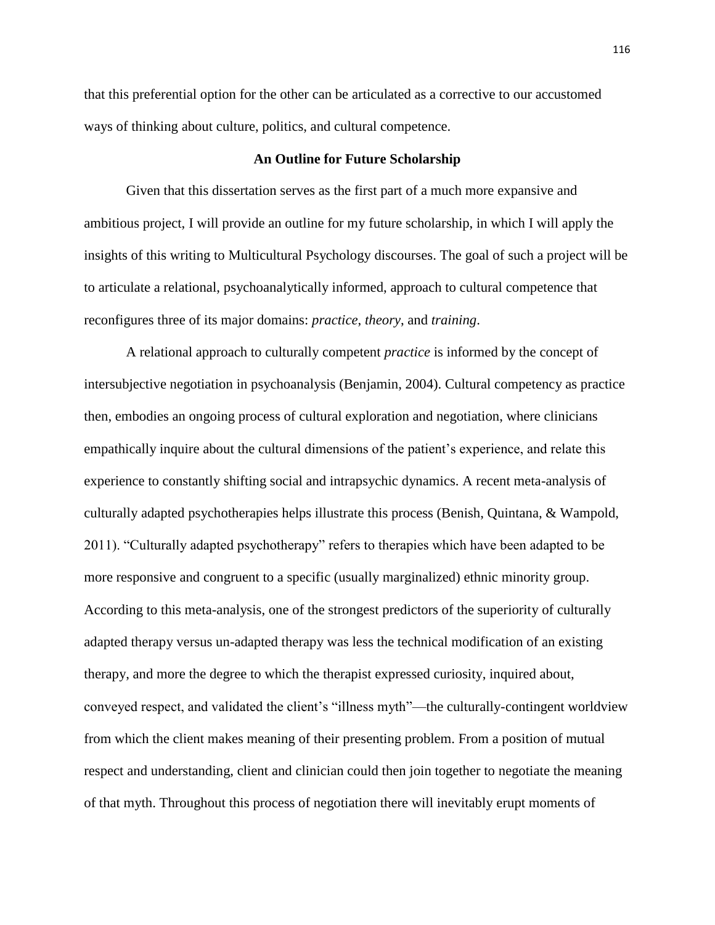that this preferential option for the other can be articulated as a corrective to our accustomed ways of thinking about culture, politics, and cultural competence.

### **An Outline for Future Scholarship**

Given that this dissertation serves as the first part of a much more expansive and ambitious project, I will provide an outline for my future scholarship, in which I will apply the insights of this writing to Multicultural Psychology discourses. The goal of such a project will be to articulate a relational, psychoanalytically informed, approach to cultural competence that reconfigures three of its major domains: *practice*, *theory*, and *training*.

A relational approach to culturally competent *practice* is informed by the concept of intersubjective negotiation in psychoanalysis (Benjamin, 2004). Cultural competency as practice then, embodies an ongoing process of cultural exploration and negotiation, where clinicians empathically inquire about the cultural dimensions of the patient's experience, and relate this experience to constantly shifting social and intrapsychic dynamics. A recent meta-analysis of culturally adapted psychotherapies helps illustrate this process (Benish, Quintana, & Wampold, 2011). "Culturally adapted psychotherapy" refers to therapies which have been adapted to be more responsive and congruent to a specific (usually marginalized) ethnic minority group. According to this meta-analysis, one of the strongest predictors of the superiority of culturally adapted therapy versus un-adapted therapy was less the technical modification of an existing therapy, and more the degree to which the therapist expressed curiosity, inquired about, conveyed respect, and validated the client's "illness myth"—the culturally-contingent worldview from which the client makes meaning of their presenting problem. From a position of mutual respect and understanding, client and clinician could then join together to negotiate the meaning of that myth. Throughout this process of negotiation there will inevitably erupt moments of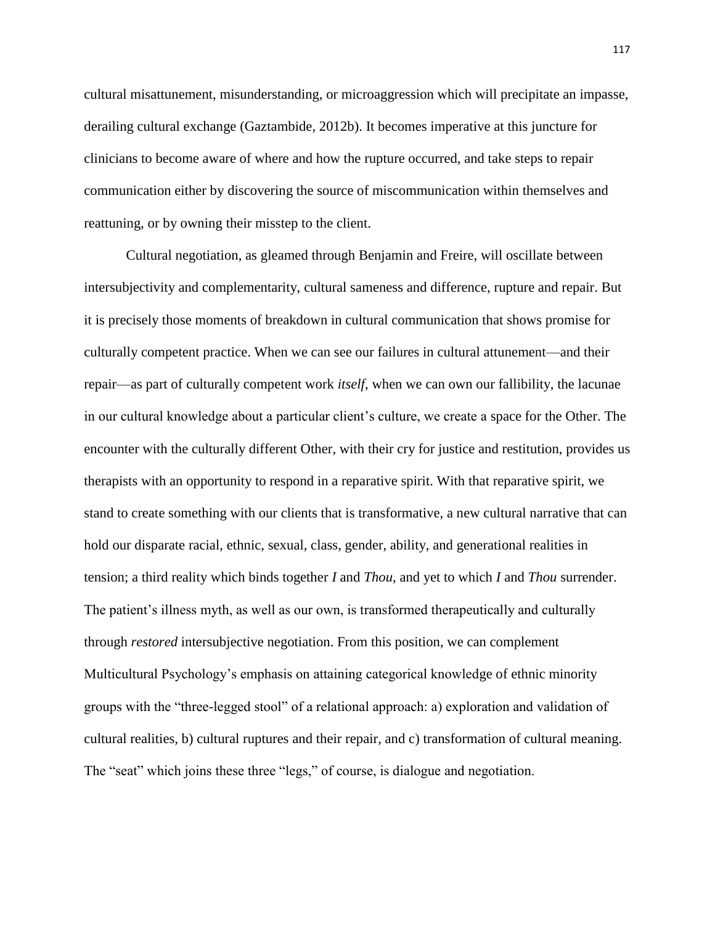cultural misattunement, misunderstanding, or microaggression which will precipitate an impasse, derailing cultural exchange (Gaztambide, 2012b). It becomes imperative at this juncture for clinicians to become aware of where and how the rupture occurred, and take steps to repair communication either by discovering the source of miscommunication within themselves and reattuning, or by owning their misstep to the client.

Cultural negotiation, as gleamed through Benjamin and Freire, will oscillate between intersubjectivity and complementarity, cultural sameness and difference, rupture and repair. But it is precisely those moments of breakdown in cultural communication that shows promise for culturally competent practice. When we can see our failures in cultural attunement—and their repair—as part of culturally competent work *itself*, when we can own our fallibility, the lacunae in our cultural knowledge about a particular client's culture, we create a space for the Other. The encounter with the culturally different Other, with their cry for justice and restitution, provides us therapists with an opportunity to respond in a reparative spirit. With that reparative spirit, we stand to create something with our clients that is transformative, a new cultural narrative that can hold our disparate racial, ethnic, sexual, class, gender, ability, and generational realities in tension; a third reality which binds together *I* and *Thou*, and yet to which *I* and *Thou* surrender. The patient's illness myth, as well as our own, is transformed therapeutically and culturally through *restored* intersubjective negotiation. From this position, we can complement Multicultural Psychology's emphasis on attaining categorical knowledge of ethnic minority groups with the "three-legged stool" of a relational approach: a) exploration and validation of cultural realities, b) cultural ruptures and their repair, and c) transformation of cultural meaning. The "seat" which joins these three "legs," of course, is dialogue and negotiation.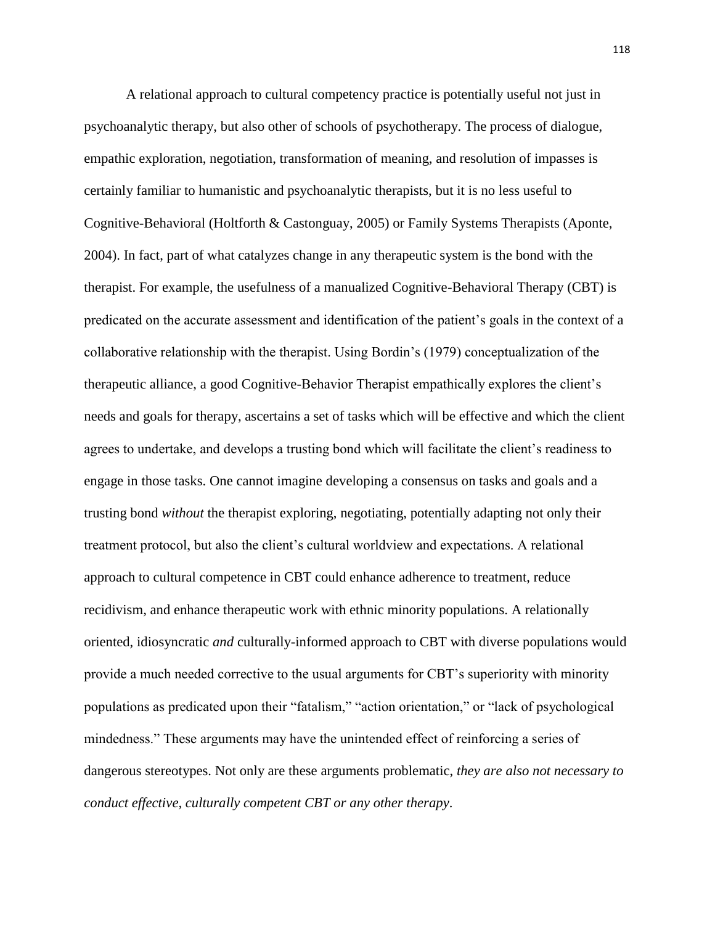A relational approach to cultural competency practice is potentially useful not just in psychoanalytic therapy, but also other of schools of psychotherapy. The process of dialogue, empathic exploration, negotiation, transformation of meaning, and resolution of impasses is certainly familiar to humanistic and psychoanalytic therapists, but it is no less useful to Cognitive-Behavioral (Holtforth & Castonguay, 2005) or Family Systems Therapists (Aponte, 2004). In fact, part of what catalyzes change in any therapeutic system is the bond with the therapist. For example, the usefulness of a manualized Cognitive-Behavioral Therapy (CBT) is predicated on the accurate assessment and identification of the patient's goals in the context of a collaborative relationship with the therapist. Using Bordin's (1979) conceptualization of the therapeutic alliance, a good Cognitive-Behavior Therapist empathically explores the client's needs and goals for therapy, ascertains a set of tasks which will be effective and which the client agrees to undertake, and develops a trusting bond which will facilitate the client's readiness to engage in those tasks. One cannot imagine developing a consensus on tasks and goals and a trusting bond *without* the therapist exploring, negotiating, potentially adapting not only their treatment protocol, but also the client's cultural worldview and expectations. A relational approach to cultural competence in CBT could enhance adherence to treatment, reduce recidivism, and enhance therapeutic work with ethnic minority populations. A relationally oriented, idiosyncratic *and* culturally-informed approach to CBT with diverse populations would provide a much needed corrective to the usual arguments for CBT's superiority with minority populations as predicated upon their "fatalism," "action orientation," or "lack of psychological mindedness." These arguments may have the unintended effect of reinforcing a series of dangerous stereotypes. Not only are these arguments problematic, *they are also not necessary to conduct effective, culturally competent CBT or any other therapy*.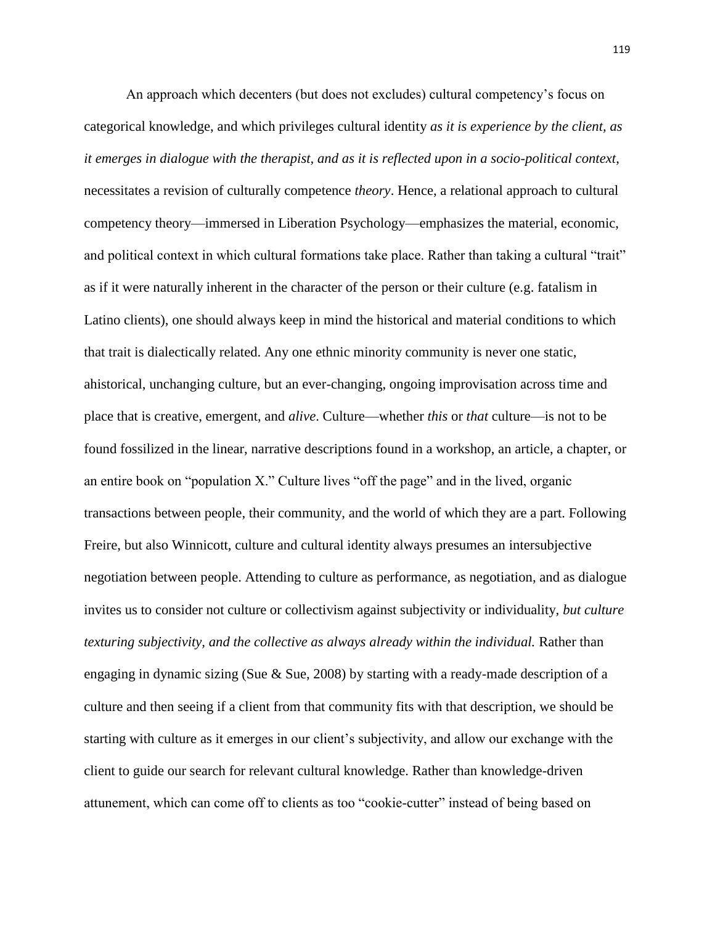An approach which decenters (but does not excludes) cultural competency's focus on categorical knowledge, and which privileges cultural identity *as it is experience by the client, as it emerges in dialogue with the therapist, and as it is reflected upon in a socio-political context*, necessitates a revision of culturally competence *theory*. Hence, a relational approach to cultural competency theory—immersed in Liberation Psychology—emphasizes the material, economic, and political context in which cultural formations take place. Rather than taking a cultural "trait" as if it were naturally inherent in the character of the person or their culture (e.g. fatalism in Latino clients), one should always keep in mind the historical and material conditions to which that trait is dialectically related. Any one ethnic minority community is never one static, ahistorical, unchanging culture, but an ever-changing, ongoing improvisation across time and place that is creative, emergent, and *alive*. Culture—whether *this* or *that* culture—is not to be found fossilized in the linear, narrative descriptions found in a workshop, an article, a chapter, or an entire book on "population X." Culture lives "off the page" and in the lived, organic transactions between people, their community, and the world of which they are a part. Following Freire, but also Winnicott, culture and cultural identity always presumes an intersubjective negotiation between people. Attending to culture as performance, as negotiation, and as dialogue invites us to consider not culture or collectivism against subjectivity or individuality, *but culture texturing subjectivity, and the collective as always already within the individual.* Rather than engaging in dynamic sizing (Sue & Sue, 2008) by starting with a ready-made description of a culture and then seeing if a client from that community fits with that description, we should be starting with culture as it emerges in our client's subjectivity, and allow our exchange with the client to guide our search for relevant cultural knowledge. Rather than knowledge-driven attunement, which can come off to clients as too "cookie-cutter" instead of being based on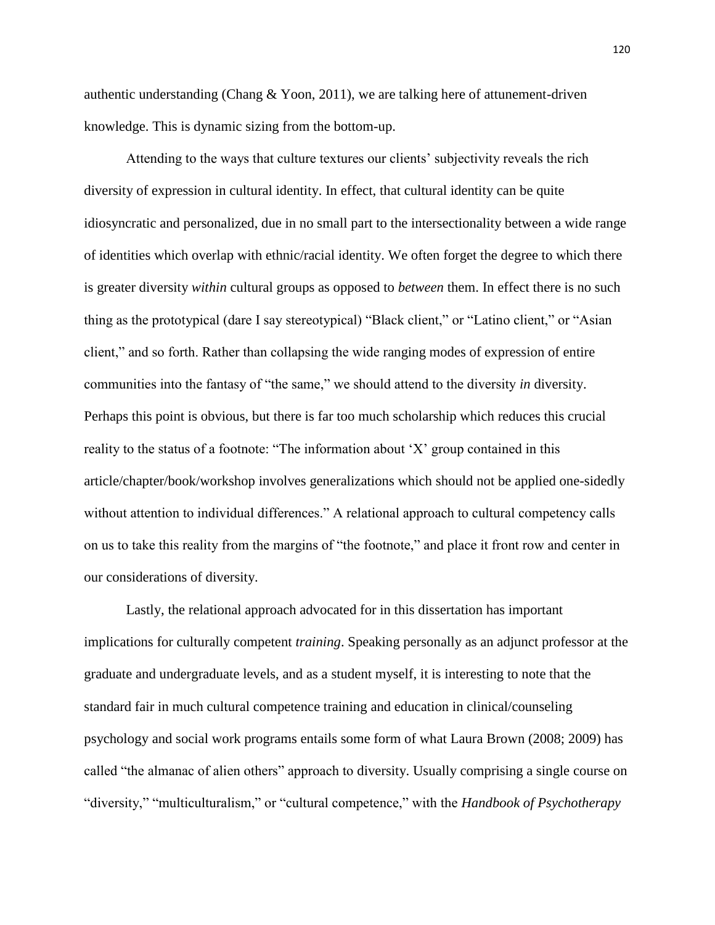authentic understanding (Chang  $& Y$ oon, 2011), we are talking here of attunement-driven knowledge. This is dynamic sizing from the bottom-up.

Attending to the ways that culture textures our clients' subjectivity reveals the rich diversity of expression in cultural identity. In effect, that cultural identity can be quite idiosyncratic and personalized, due in no small part to the intersectionality between a wide range of identities which overlap with ethnic/racial identity. We often forget the degree to which there is greater diversity *within* cultural groups as opposed to *between* them. In effect there is no such thing as the prototypical (dare I say stereotypical) "Black client," or "Latino client," or "Asian client," and so forth. Rather than collapsing the wide ranging modes of expression of entire communities into the fantasy of "the same," we should attend to the diversity *in* diversity. Perhaps this point is obvious, but there is far too much scholarship which reduces this crucial reality to the status of a footnote: "The information about 'X' group contained in this article/chapter/book/workshop involves generalizations which should not be applied one-sidedly without attention to individual differences." A relational approach to cultural competency calls on us to take this reality from the margins of "the footnote," and place it front row and center in our considerations of diversity.

Lastly, the relational approach advocated for in this dissertation has important implications for culturally competent *training*. Speaking personally as an adjunct professor at the graduate and undergraduate levels, and as a student myself, it is interesting to note that the standard fair in much cultural competence training and education in clinical/counseling psychology and social work programs entails some form of what Laura Brown (2008; 2009) has called "the almanac of alien others" approach to diversity. Usually comprising a single course on "diversity," "multiculturalism," or "cultural competence," with the *Handbook of Psychotherapy*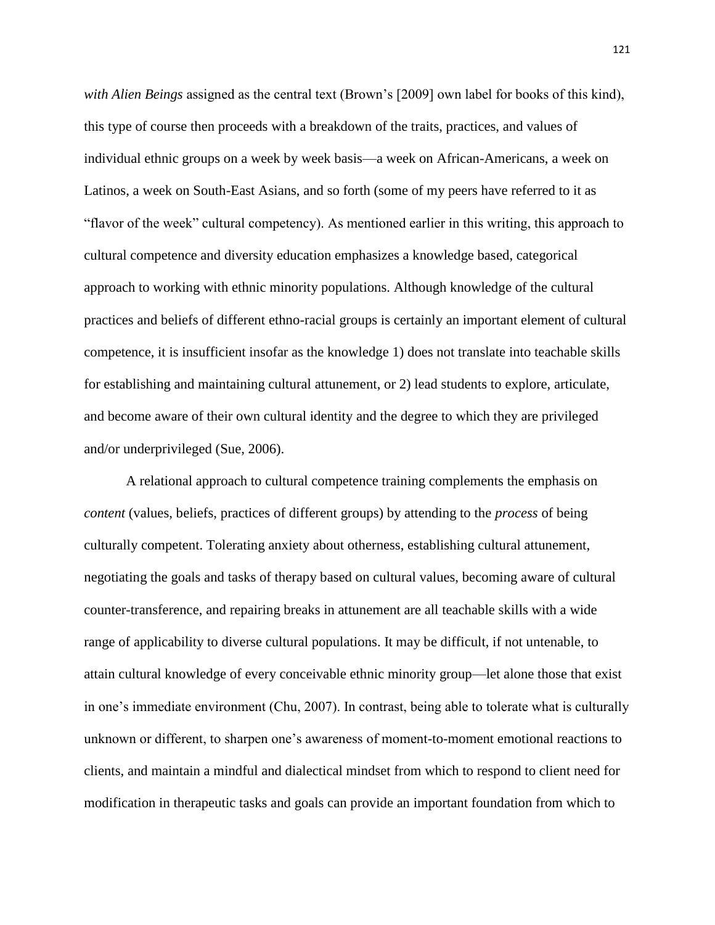*with Alien Beings* assigned as the central text (Brown's [2009] own label for books of this kind), this type of course then proceeds with a breakdown of the traits, practices, and values of individual ethnic groups on a week by week basis—a week on African-Americans, a week on Latinos, a week on South-East Asians, and so forth (some of my peers have referred to it as "flavor of the week" cultural competency). As mentioned earlier in this writing, this approach to cultural competence and diversity education emphasizes a knowledge based, categorical approach to working with ethnic minority populations. Although knowledge of the cultural practices and beliefs of different ethno-racial groups is certainly an important element of cultural competence, it is insufficient insofar as the knowledge 1) does not translate into teachable skills for establishing and maintaining cultural attunement, or 2) lead students to explore, articulate, and become aware of their own cultural identity and the degree to which they are privileged and/or underprivileged (Sue, 2006).

A relational approach to cultural competence training complements the emphasis on *content* (values, beliefs, practices of different groups) by attending to the *process* of being culturally competent. Tolerating anxiety about otherness, establishing cultural attunement, negotiating the goals and tasks of therapy based on cultural values, becoming aware of cultural counter-transference, and repairing breaks in attunement are all teachable skills with a wide range of applicability to diverse cultural populations. It may be difficult, if not untenable, to attain cultural knowledge of every conceivable ethnic minority group—let alone those that exist in one's immediate environment (Chu, 2007). In contrast, being able to tolerate what is culturally unknown or different, to sharpen one's awareness of moment-to-moment emotional reactions to clients, and maintain a mindful and dialectical mindset from which to respond to client need for modification in therapeutic tasks and goals can provide an important foundation from which to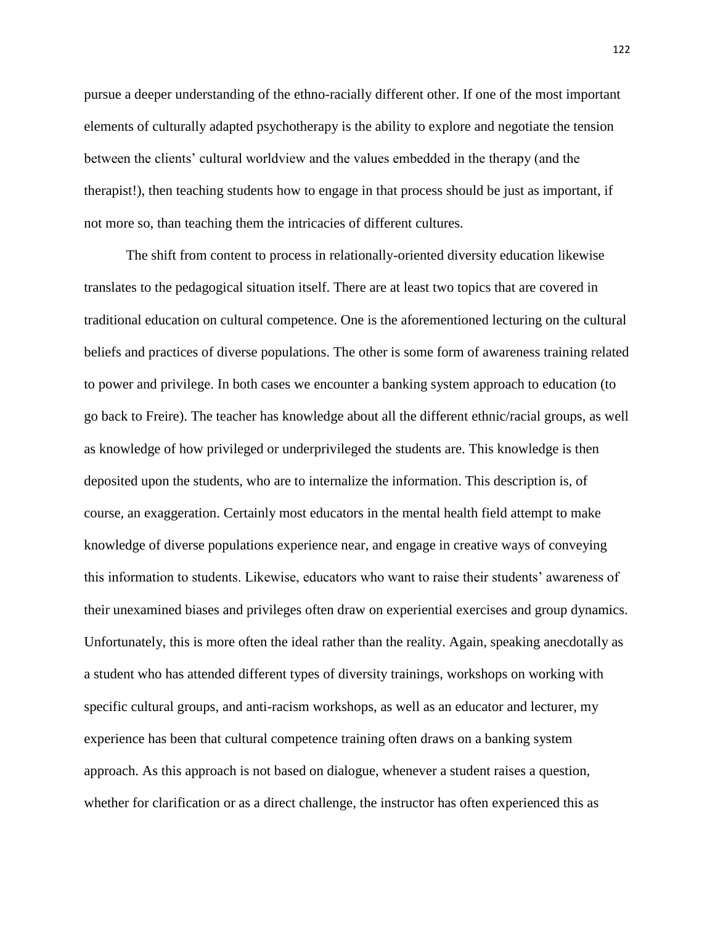pursue a deeper understanding of the ethno-racially different other. If one of the most important elements of culturally adapted psychotherapy is the ability to explore and negotiate the tension between the clients' cultural worldview and the values embedded in the therapy (and the therapist!), then teaching students how to engage in that process should be just as important, if not more so, than teaching them the intricacies of different cultures.

The shift from content to process in relationally-oriented diversity education likewise translates to the pedagogical situation itself. There are at least two topics that are covered in traditional education on cultural competence. One is the aforementioned lecturing on the cultural beliefs and practices of diverse populations. The other is some form of awareness training related to power and privilege. In both cases we encounter a banking system approach to education (to go back to Freire). The teacher has knowledge about all the different ethnic/racial groups, as well as knowledge of how privileged or underprivileged the students are. This knowledge is then deposited upon the students, who are to internalize the information. This description is, of course, an exaggeration. Certainly most educators in the mental health field attempt to make knowledge of diverse populations experience near, and engage in creative ways of conveying this information to students. Likewise, educators who want to raise their students' awareness of their unexamined biases and privileges often draw on experiential exercises and group dynamics. Unfortunately, this is more often the ideal rather than the reality. Again, speaking anecdotally as a student who has attended different types of diversity trainings, workshops on working with specific cultural groups, and anti-racism workshops, as well as an educator and lecturer, my experience has been that cultural competence training often draws on a banking system approach. As this approach is not based on dialogue, whenever a student raises a question, whether for clarification or as a direct challenge, the instructor has often experienced this as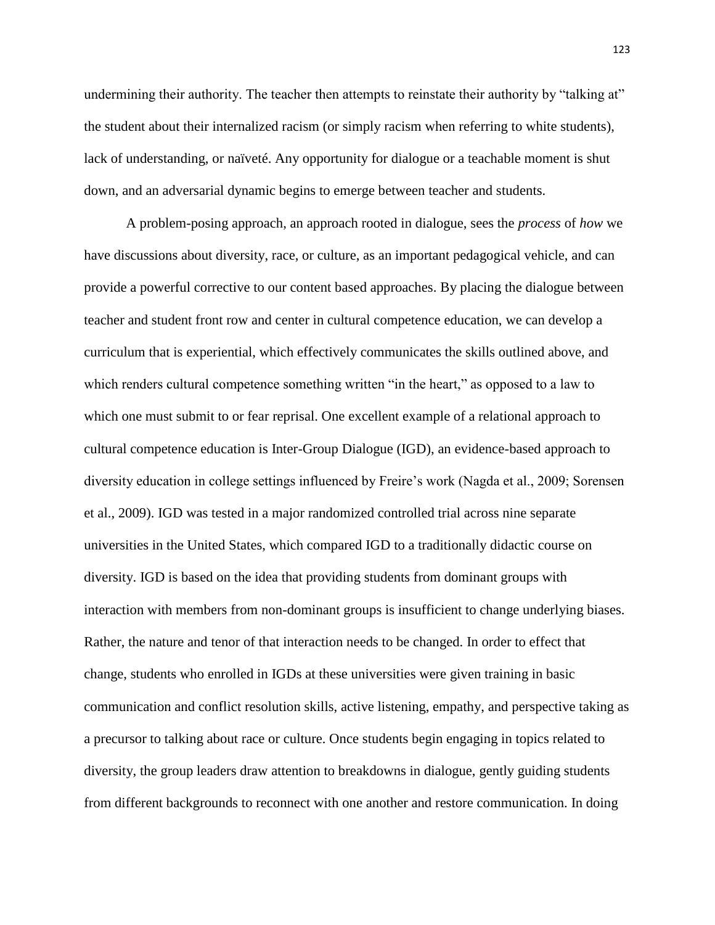undermining their authority. The teacher then attempts to reinstate their authority by "talking at" the student about their internalized racism (or simply racism when referring to white students), lack of understanding, or naïveté. Any opportunity for dialogue or a teachable moment is shut down, and an adversarial dynamic begins to emerge between teacher and students.

A problem-posing approach, an approach rooted in dialogue, sees the *process* of *how* we have discussions about diversity, race, or culture, as an important pedagogical vehicle, and can provide a powerful corrective to our content based approaches. By placing the dialogue between teacher and student front row and center in cultural competence education, we can develop a curriculum that is experiential, which effectively communicates the skills outlined above, and which renders cultural competence something written "in the heart," as opposed to a law to which one must submit to or fear reprisal. One excellent example of a relational approach to cultural competence education is Inter-Group Dialogue (IGD), an evidence-based approach to diversity education in college settings influenced by Freire's work (Nagda et al., 2009; Sorensen et al., 2009). IGD was tested in a major randomized controlled trial across nine separate universities in the United States, which compared IGD to a traditionally didactic course on diversity. IGD is based on the idea that providing students from dominant groups with interaction with members from non-dominant groups is insufficient to change underlying biases. Rather, the nature and tenor of that interaction needs to be changed. In order to effect that change, students who enrolled in IGDs at these universities were given training in basic communication and conflict resolution skills, active listening, empathy, and perspective taking as a precursor to talking about race or culture. Once students begin engaging in topics related to diversity, the group leaders draw attention to breakdowns in dialogue, gently guiding students from different backgrounds to reconnect with one another and restore communication. In doing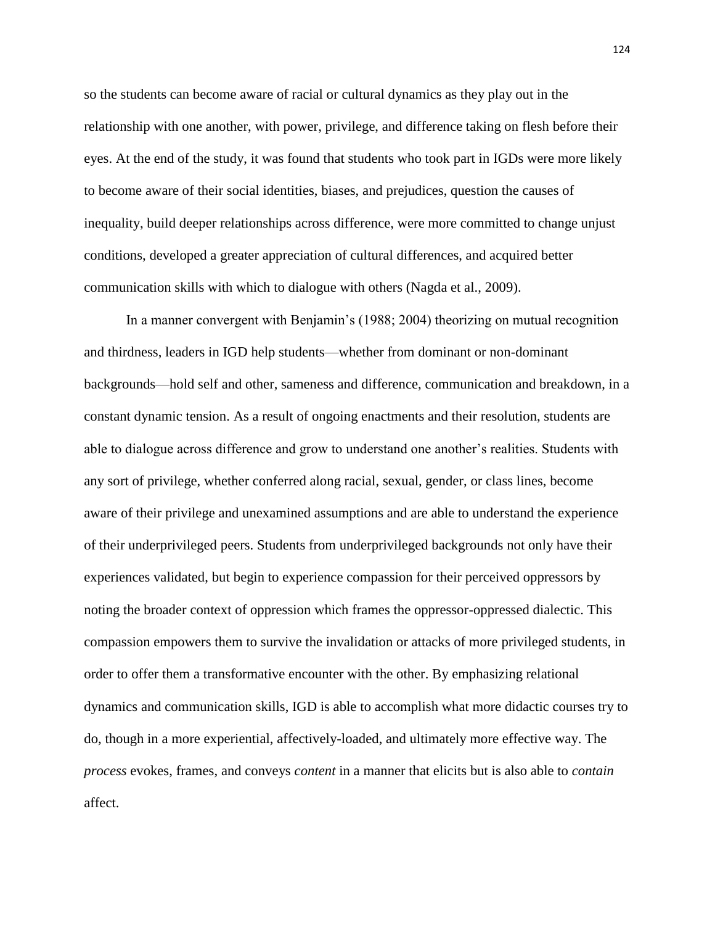so the students can become aware of racial or cultural dynamics as they play out in the relationship with one another, with power, privilege, and difference taking on flesh before their eyes. At the end of the study, it was found that students who took part in IGDs were more likely to become aware of their social identities, biases, and prejudices, question the causes of inequality, build deeper relationships across difference, were more committed to change unjust conditions, developed a greater appreciation of cultural differences, and acquired better communication skills with which to dialogue with others (Nagda et al., 2009).

In a manner convergent with Benjamin's (1988; 2004) theorizing on mutual recognition and thirdness, leaders in IGD help students—whether from dominant or non-dominant backgrounds—hold self and other, sameness and difference, communication and breakdown, in a constant dynamic tension. As a result of ongoing enactments and their resolution, students are able to dialogue across difference and grow to understand one another's realities. Students with any sort of privilege, whether conferred along racial, sexual, gender, or class lines, become aware of their privilege and unexamined assumptions and are able to understand the experience of their underprivileged peers. Students from underprivileged backgrounds not only have their experiences validated, but begin to experience compassion for their perceived oppressors by noting the broader context of oppression which frames the oppressor-oppressed dialectic. This compassion empowers them to survive the invalidation or attacks of more privileged students, in order to offer them a transformative encounter with the other. By emphasizing relational dynamics and communication skills, IGD is able to accomplish what more didactic courses try to do, though in a more experiential, affectively-loaded, and ultimately more effective way. The *process* evokes, frames, and conveys *content* in a manner that elicits but is also able to *contain* affect.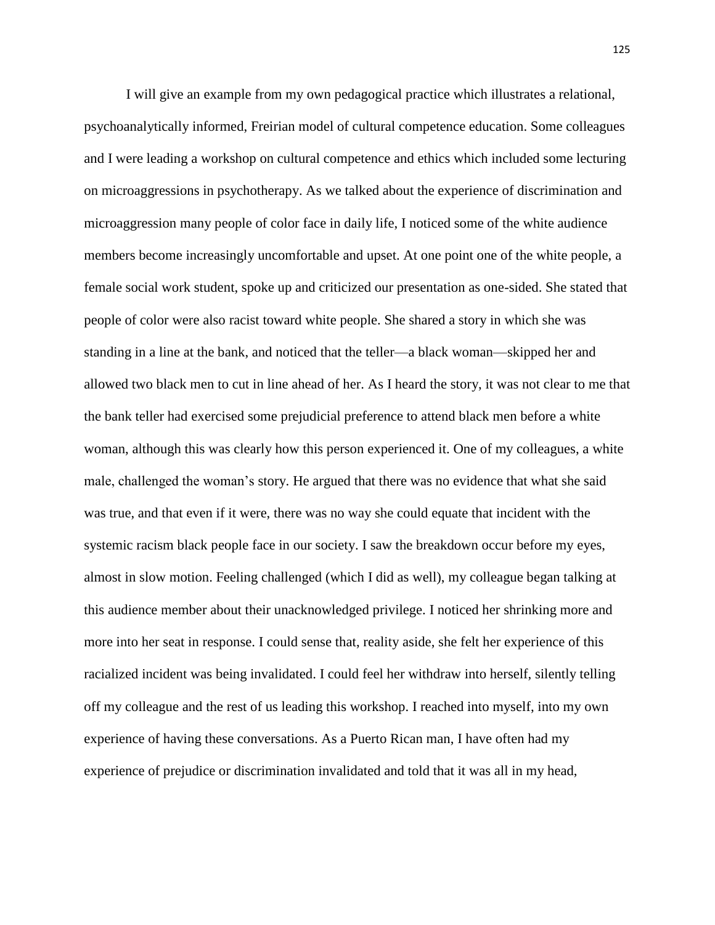I will give an example from my own pedagogical practice which illustrates a relational, psychoanalytically informed, Freirian model of cultural competence education. Some colleagues and I were leading a workshop on cultural competence and ethics which included some lecturing on microaggressions in psychotherapy. As we talked about the experience of discrimination and microaggression many people of color face in daily life, I noticed some of the white audience members become increasingly uncomfortable and upset. At one point one of the white people, a female social work student, spoke up and criticized our presentation as one-sided. She stated that people of color were also racist toward white people. She shared a story in which she was standing in a line at the bank, and noticed that the teller—a black woman—skipped her and allowed two black men to cut in line ahead of her. As I heard the story, it was not clear to me that the bank teller had exercised some prejudicial preference to attend black men before a white woman, although this was clearly how this person experienced it. One of my colleagues, a white male, challenged the woman's story. He argued that there was no evidence that what she said was true, and that even if it were, there was no way she could equate that incident with the systemic racism black people face in our society. I saw the breakdown occur before my eyes, almost in slow motion. Feeling challenged (which I did as well), my colleague began talking at this audience member about their unacknowledged privilege. I noticed her shrinking more and more into her seat in response. I could sense that, reality aside, she felt her experience of this racialized incident was being invalidated. I could feel her withdraw into herself, silently telling off my colleague and the rest of us leading this workshop. I reached into myself, into my own experience of having these conversations. As a Puerto Rican man, I have often had my experience of prejudice or discrimination invalidated and told that it was all in my head,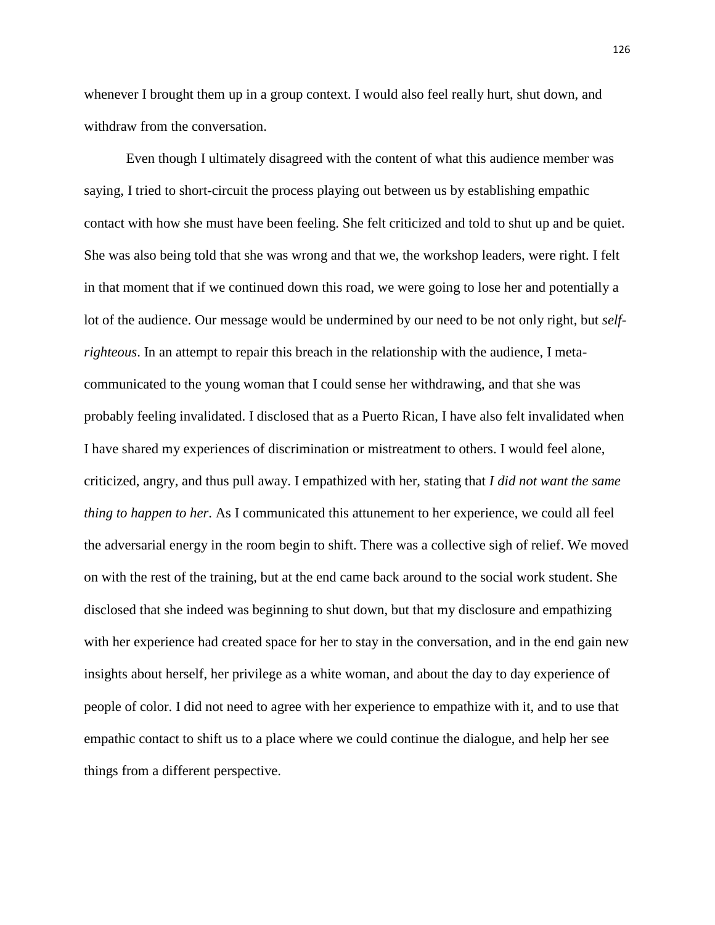whenever I brought them up in a group context. I would also feel really hurt, shut down, and withdraw from the conversation.

Even though I ultimately disagreed with the content of what this audience member was saying, I tried to short-circuit the process playing out between us by establishing empathic contact with how she must have been feeling. She felt criticized and told to shut up and be quiet. She was also being told that she was wrong and that we, the workshop leaders, were right. I felt in that moment that if we continued down this road, we were going to lose her and potentially a lot of the audience. Our message would be undermined by our need to be not only right, but *selfrighteous*. In an attempt to repair this breach in the relationship with the audience, I metacommunicated to the young woman that I could sense her withdrawing, and that she was probably feeling invalidated. I disclosed that as a Puerto Rican, I have also felt invalidated when I have shared my experiences of discrimination or mistreatment to others. I would feel alone, criticized, angry, and thus pull away. I empathized with her, stating that *I did not want the same thing to happen to her*. As I communicated this attunement to her experience, we could all feel the adversarial energy in the room begin to shift. There was a collective sigh of relief. We moved on with the rest of the training, but at the end came back around to the social work student. She disclosed that she indeed was beginning to shut down, but that my disclosure and empathizing with her experience had created space for her to stay in the conversation, and in the end gain new insights about herself, her privilege as a white woman, and about the day to day experience of people of color. I did not need to agree with her experience to empathize with it, and to use that empathic contact to shift us to a place where we could continue the dialogue, and help her see things from a different perspective.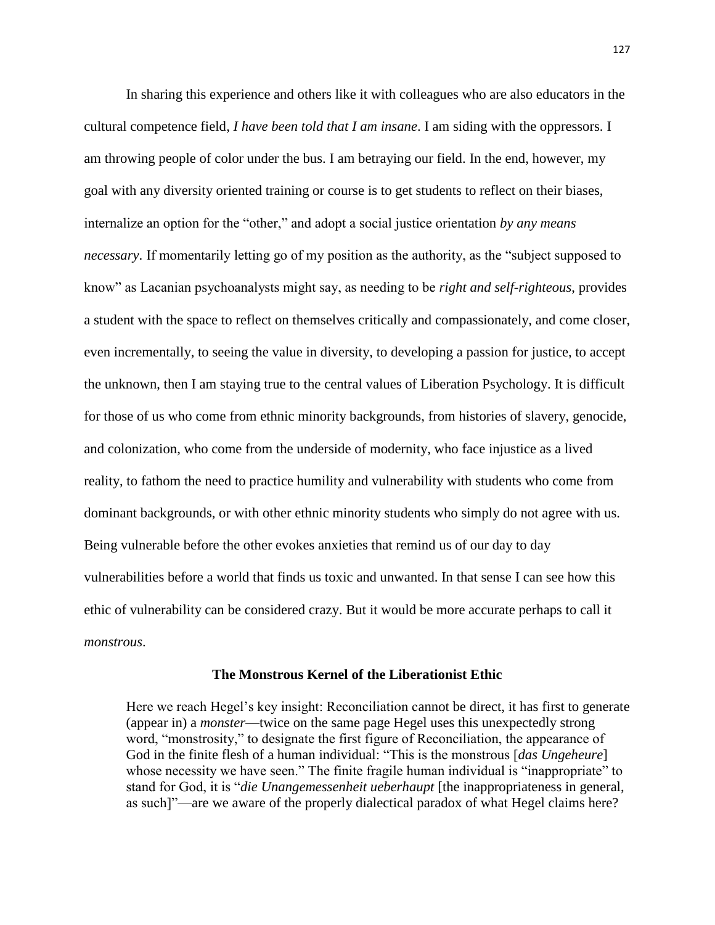In sharing this experience and others like it with colleagues who are also educators in the cultural competence field, *I have been told that I am insane*. I am siding with the oppressors. I am throwing people of color under the bus. I am betraying our field. In the end, however, my goal with any diversity oriented training or course is to get students to reflect on their biases, internalize an option for the "other," and adopt a social justice orientation *by any means necessary*. If momentarily letting go of my position as the authority, as the "subject supposed to know" as Lacanian psychoanalysts might say, as needing to be *right and self-righteous*, provides a student with the space to reflect on themselves critically and compassionately, and come closer, even incrementally, to seeing the value in diversity, to developing a passion for justice, to accept the unknown, then I am staying true to the central values of Liberation Psychology. It is difficult for those of us who come from ethnic minority backgrounds, from histories of slavery, genocide, and colonization, who come from the underside of modernity, who face injustice as a lived reality, to fathom the need to practice humility and vulnerability with students who come from dominant backgrounds, or with other ethnic minority students who simply do not agree with us. Being vulnerable before the other evokes anxieties that remind us of our day to day vulnerabilities before a world that finds us toxic and unwanted. In that sense I can see how this ethic of vulnerability can be considered crazy. But it would be more accurate perhaps to call it *monstrous*.

## **The Monstrous Kernel of the Liberationist Ethic**

Here we reach Hegel's key insight: Reconciliation cannot be direct, it has first to generate (appear in) a *monster*—twice on the same page Hegel uses this unexpectedly strong word, "monstrosity," to designate the first figure of Reconciliation, the appearance of God in the finite flesh of a human individual: "This is the monstrous [*das Ungeheure*] whose necessity we have seen." The finite fragile human individual is "inappropriate" to stand for God, it is "*die Unangemessenheit ueberhaupt* [the inappropriateness in general, as such]"—are we aware of the properly dialectical paradox of what Hegel claims here?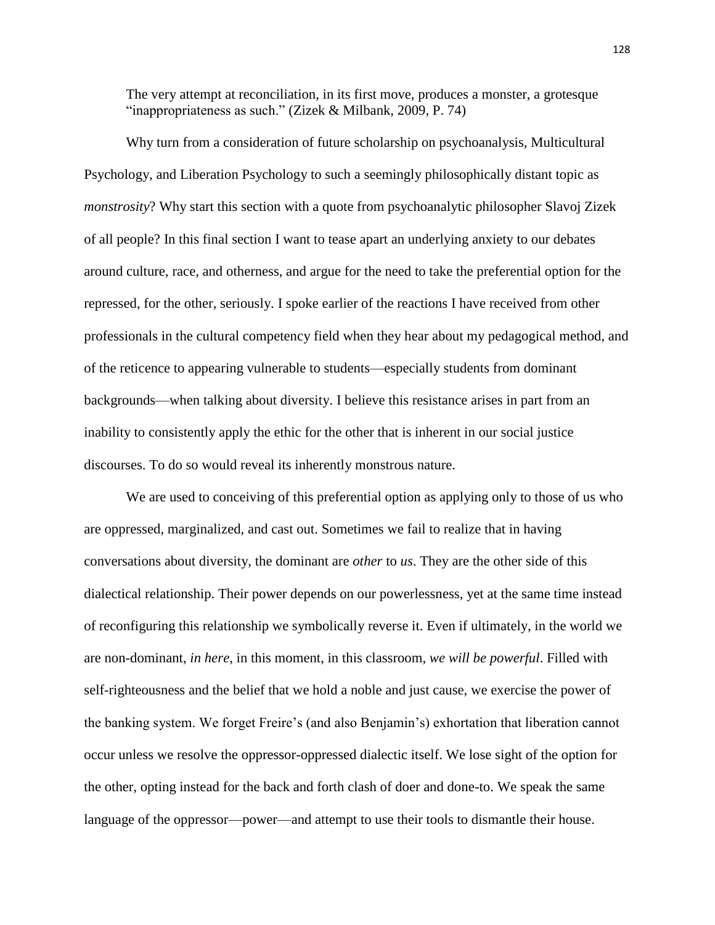The very attempt at reconciliation, in its first move, produces a monster, a grotesque "inappropriateness as such." (Zizek & Milbank, 2009, P. 74)

Why turn from a consideration of future scholarship on psychoanalysis, Multicultural Psychology, and Liberation Psychology to such a seemingly philosophically distant topic as *monstrosity*? Why start this section with a quote from psychoanalytic philosopher Slavoj Zizek of all people? In this final section I want to tease apart an underlying anxiety to our debates around culture, race, and otherness, and argue for the need to take the preferential option for the repressed, for the other, seriously. I spoke earlier of the reactions I have received from other professionals in the cultural competency field when they hear about my pedagogical method, and of the reticence to appearing vulnerable to students—especially students from dominant backgrounds—when talking about diversity. I believe this resistance arises in part from an inability to consistently apply the ethic for the other that is inherent in our social justice discourses. To do so would reveal its inherently monstrous nature.

We are used to conceiving of this preferential option as applying only to those of us who are oppressed, marginalized, and cast out. Sometimes we fail to realize that in having conversations about diversity, the dominant are *other* to *us*. They are the other side of this dialectical relationship. Their power depends on our powerlessness, yet at the same time instead of reconfiguring this relationship we symbolically reverse it. Even if ultimately, in the world we are non-dominant, *in here*, in this moment, in this classroom, *we will be powerful*. Filled with self-righteousness and the belief that we hold a noble and just cause, we exercise the power of the banking system. We forget Freire's (and also Benjamin's) exhortation that liberation cannot occur unless we resolve the oppressor-oppressed dialectic itself. We lose sight of the option for the other, opting instead for the back and forth clash of doer and done-to. We speak the same language of the oppressor—power—and attempt to use their tools to dismantle their house.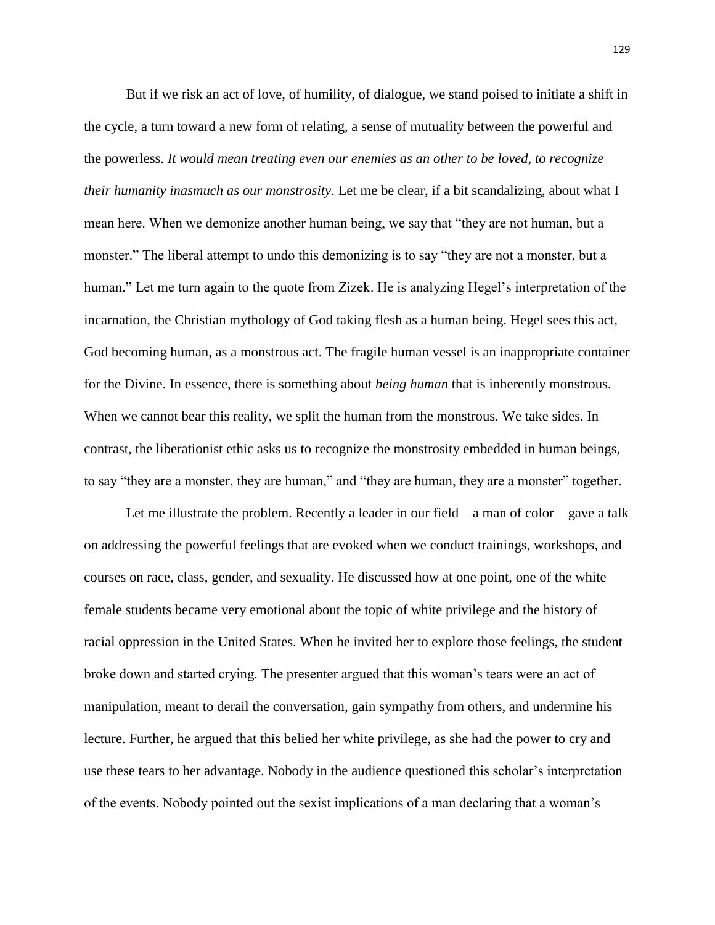But if we risk an act of love, of humility, of dialogue, we stand poised to initiate a shift in the cycle, a turn toward a new form of relating, a sense of mutuality between the powerful and the powerless. *It would mean treating even our enemies as an other to be loved, to recognize their humanity inasmuch as our monstrosity*. Let me be clear, if a bit scandalizing, about what I mean here. When we demonize another human being, we say that "they are not human, but a monster." The liberal attempt to undo this demonizing is to say "they are not a monster, but a human." Let me turn again to the quote from Zizek. He is analyzing Hegel's interpretation of the incarnation, the Christian mythology of God taking flesh as a human being. Hegel sees this act, God becoming human, as a monstrous act. The fragile human vessel is an inappropriate container for the Divine. In essence, there is something about *being human* that is inherently monstrous. When we cannot bear this reality, we split the human from the monstrous. We take sides. In contrast, the liberationist ethic asks us to recognize the monstrosity embedded in human beings, to say "they are a monster, they are human," and "they are human, they are a monster" together.

Let me illustrate the problem. Recently a leader in our field—a man of color—gave a talk on addressing the powerful feelings that are evoked when we conduct trainings, workshops, and courses on race, class, gender, and sexuality. He discussed how at one point, one of the white female students became very emotional about the topic of white privilege and the history of racial oppression in the United States. When he invited her to explore those feelings, the student broke down and started crying. The presenter argued that this woman's tears were an act of manipulation, meant to derail the conversation, gain sympathy from others, and undermine his lecture. Further, he argued that this belied her white privilege, as she had the power to cry and use these tears to her advantage. Nobody in the audience questioned this scholar's interpretation of the events. Nobody pointed out the sexist implications of a man declaring that a woman's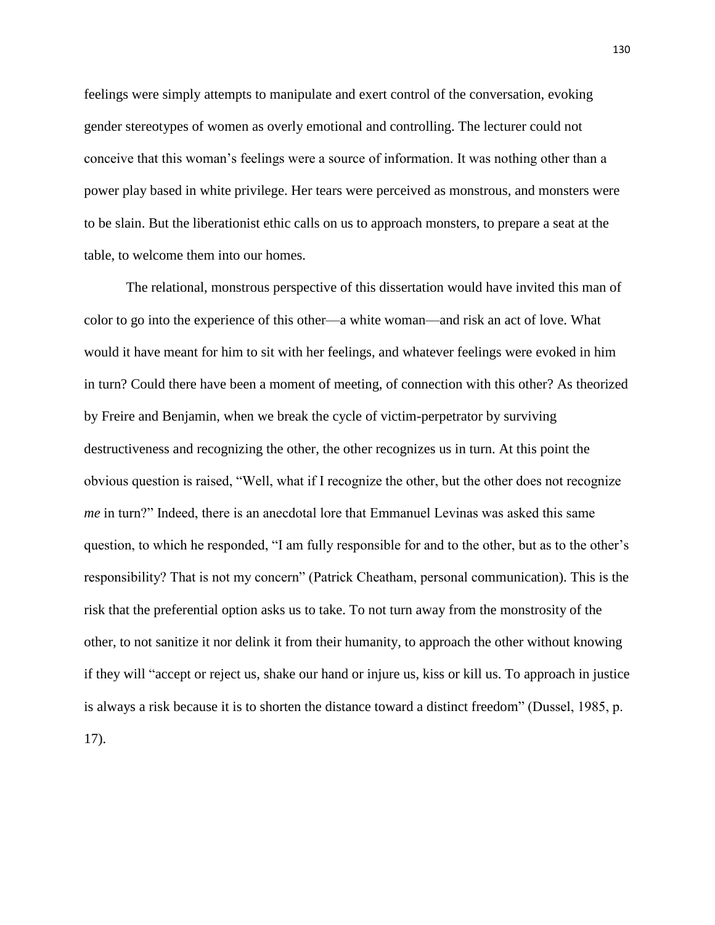feelings were simply attempts to manipulate and exert control of the conversation, evoking gender stereotypes of women as overly emotional and controlling. The lecturer could not conceive that this woman's feelings were a source of information. It was nothing other than a power play based in white privilege. Her tears were perceived as monstrous, and monsters were to be slain. But the liberationist ethic calls on us to approach monsters, to prepare a seat at the table, to welcome them into our homes.

The relational, monstrous perspective of this dissertation would have invited this man of color to go into the experience of this other—a white woman—and risk an act of love. What would it have meant for him to sit with her feelings, and whatever feelings were evoked in him in turn? Could there have been a moment of meeting, of connection with this other? As theorized by Freire and Benjamin, when we break the cycle of victim-perpetrator by surviving destructiveness and recognizing the other, the other recognizes us in turn. At this point the obvious question is raised, "Well, what if I recognize the other, but the other does not recognize *me* in turn?" Indeed, there is an anecdotal lore that Emmanuel Levinas was asked this same question, to which he responded, "I am fully responsible for and to the other, but as to the other's responsibility? That is not my concern" (Patrick Cheatham, personal communication). This is the risk that the preferential option asks us to take. To not turn away from the monstrosity of the other, to not sanitize it nor delink it from their humanity, to approach the other without knowing if they will "accept or reject us, shake our hand or injure us, kiss or kill us. To approach in justice is always a risk because it is to shorten the distance toward a distinct freedom" (Dussel, 1985, p. 17).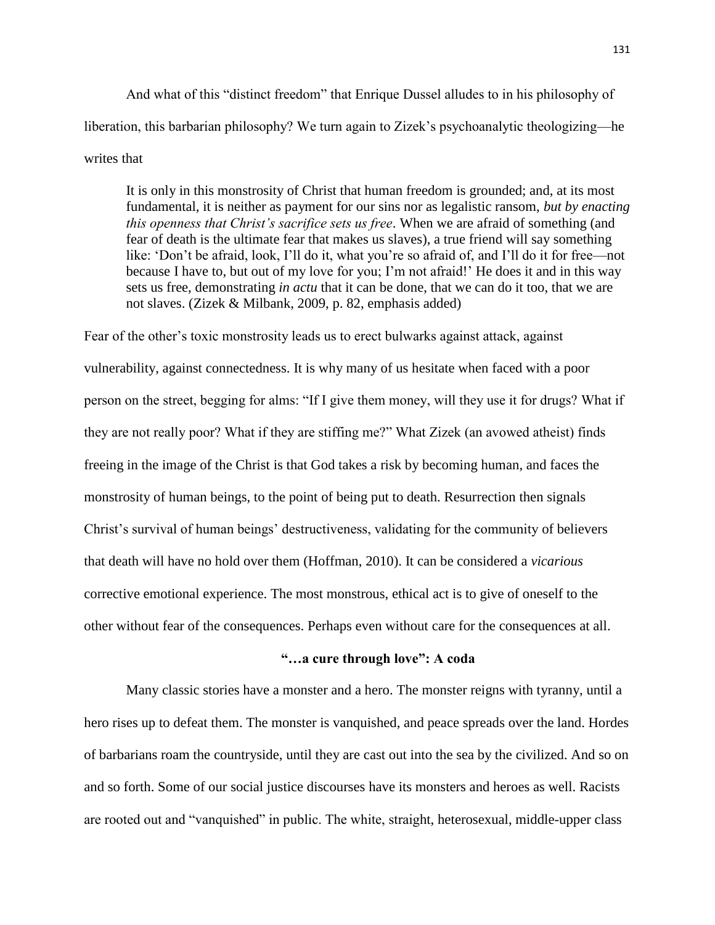And what of this "distinct freedom" that Enrique Dussel alludes to in his philosophy of liberation, this barbarian philosophy? We turn again to Zizek's psychoanalytic theologizing—he writes that

It is only in this monstrosity of Christ that human freedom is grounded; and, at its most fundamental, it is neither as payment for our sins nor as legalistic ransom, *but by enacting this openness that Christ's sacrifice sets us free*. When we are afraid of something (and fear of death is the ultimate fear that makes us slaves), a true friend will say something like: 'Don't be afraid, look, I'll do it, what you're so afraid of, and I'll do it for free—not because I have to, but out of my love for you; I'm not afraid!' He does it and in this way sets us free, demonstrating *in actu* that it can be done, that we can do it too, that we are not slaves. (Zizek & Milbank, 2009, p. 82, emphasis added)

Fear of the other's toxic monstrosity leads us to erect bulwarks against attack, against vulnerability, against connectedness. It is why many of us hesitate when faced with a poor person on the street, begging for alms: "If I give them money, will they use it for drugs? What if they are not really poor? What if they are stiffing me?" What Zizek (an avowed atheist) finds freeing in the image of the Christ is that God takes a risk by becoming human, and faces the monstrosity of human beings, to the point of being put to death. Resurrection then signals Christ's survival of human beings' destructiveness, validating for the community of believers that death will have no hold over them (Hoffman, 2010). It can be considered a *vicarious*  corrective emotional experience. The most monstrous, ethical act is to give of oneself to the other without fear of the consequences. Perhaps even without care for the consequences at all.

## **"…a cure through love": A coda**

Many classic stories have a monster and a hero. The monster reigns with tyranny, until a hero rises up to defeat them. The monster is vanquished, and peace spreads over the land. Hordes of barbarians roam the countryside, until they are cast out into the sea by the civilized. And so on and so forth. Some of our social justice discourses have its monsters and heroes as well. Racists are rooted out and "vanquished" in public. The white, straight, heterosexual, middle-upper class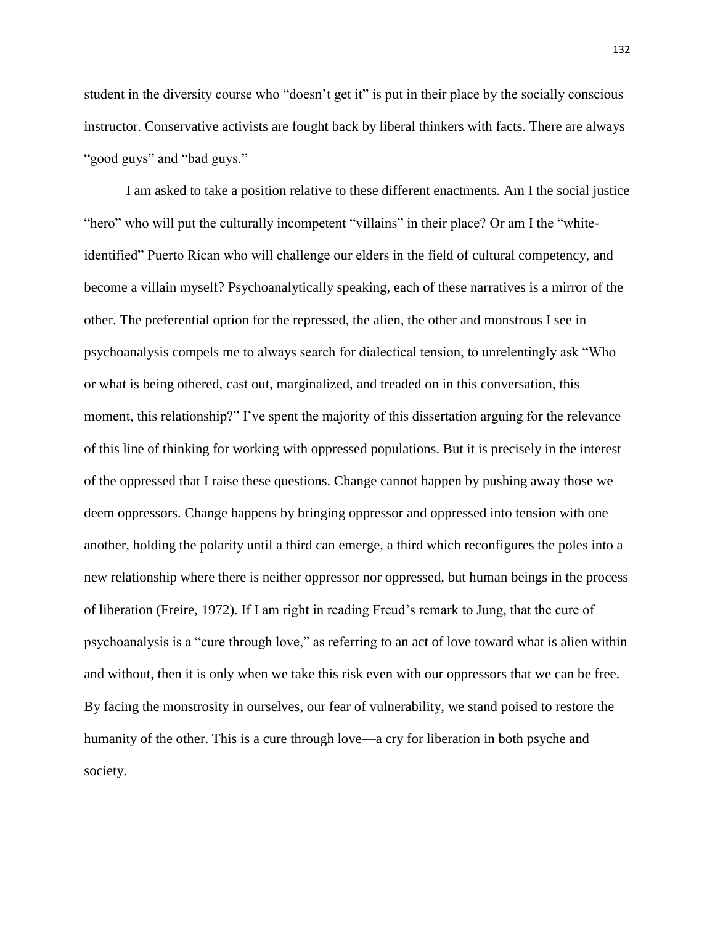student in the diversity course who "doesn't get it" is put in their place by the socially conscious instructor. Conservative activists are fought back by liberal thinkers with facts. There are always "good guys" and "bad guys."

I am asked to take a position relative to these different enactments. Am I the social justice "hero" who will put the culturally incompetent "villains" in their place? Or am I the "whiteidentified" Puerto Rican who will challenge our elders in the field of cultural competency, and become a villain myself? Psychoanalytically speaking, each of these narratives is a mirror of the other. The preferential option for the repressed, the alien, the other and monstrous I see in psychoanalysis compels me to always search for dialectical tension, to unrelentingly ask "Who or what is being othered, cast out, marginalized, and treaded on in this conversation, this moment, this relationship?" I've spent the majority of this dissertation arguing for the relevance of this line of thinking for working with oppressed populations. But it is precisely in the interest of the oppressed that I raise these questions. Change cannot happen by pushing away those we deem oppressors. Change happens by bringing oppressor and oppressed into tension with one another, holding the polarity until a third can emerge, a third which reconfigures the poles into a new relationship where there is neither oppressor nor oppressed, but human beings in the process of liberation (Freire, 1972). If I am right in reading Freud's remark to Jung, that the cure of psychoanalysis is a "cure through love," as referring to an act of love toward what is alien within and without, then it is only when we take this risk even with our oppressors that we can be free. By facing the monstrosity in ourselves, our fear of vulnerability, we stand poised to restore the humanity of the other. This is a cure through love—a cry for liberation in both psyche and society.

132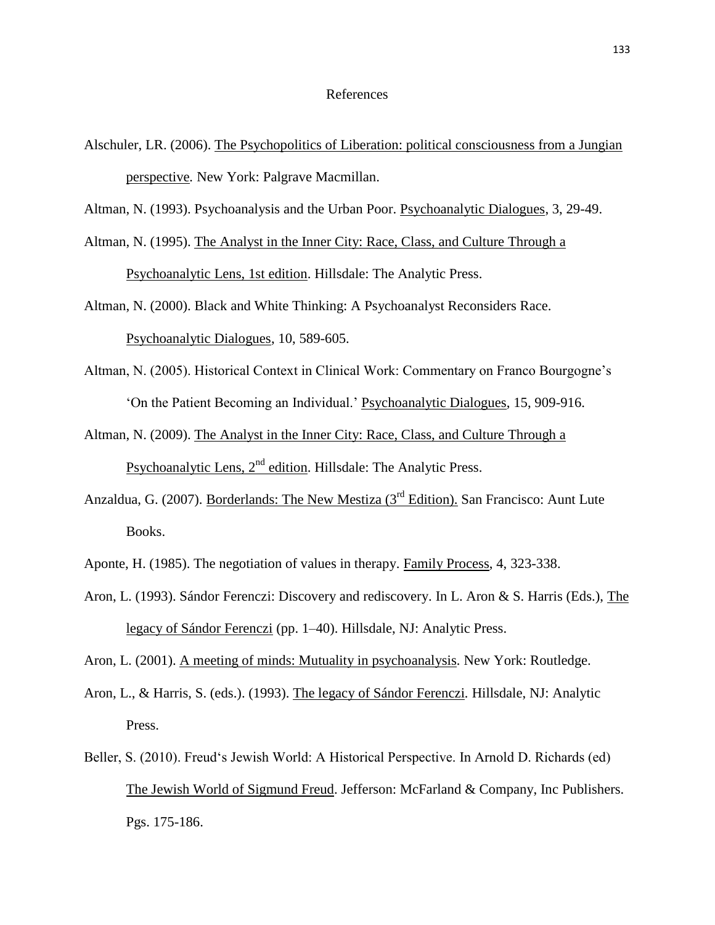#### References

Alschuler, LR. (2006). The Psychopolitics of Liberation: political consciousness from a Jungian perspective*.* New York: Palgrave Macmillan.

Altman, N. (1993). Psychoanalysis and the Urban Poor. Psychoanalytic Dialogues, 3, 29-49.

- Altman, N. (1995). The Analyst in the Inner City: Race, Class, and Culture Through a Psychoanalytic Lens, 1st edition. Hillsdale: The Analytic Press.
- Altman, N. (2000). Black and White Thinking: A Psychoanalyst Reconsiders Race. Psychoanalytic Dialogues, 10, 589-605.
- Altman, N. (2005). Historical Context in Clinical Work: Commentary on Franco Bourgogne's 'On the Patient Becoming an Individual.' Psychoanalytic Dialogues, 15, 909-916.
- Altman, N. (2009). The Analyst in the Inner City: Race, Class, and Culture Through a Psychoanalytic Lens, 2<sup>nd</sup> edition. Hillsdale: The Analytic Press.
- Anzaldua, G. (2007). Borderlands: The New Mestiza (3<sup>rd</sup> Edition). San Francisco: Aunt Lute Books.
- Aponte, H. (1985). The negotiation of values in therapy. Family Process, 4, 323-338.
- Aron, L. (1993). Sándor Ferenczi: Discovery and rediscovery. In L. Aron & S. Harris (Eds.), The legacy of Sándor Ferenczi (pp. 1–40). Hillsdale, NJ: Analytic Press.
- Aron, L. (2001). A meeting of minds: Mutuality in psychoanalysis*.* New York: Routledge.
- Aron, L., & Harris, S. (eds.). (1993). The legacy of Sándor Ferenczi*.* Hillsdale, NJ: Analytic Press.
- Beller, S. (2010). Freud's Jewish World: A Historical Perspective. In Arnold D. Richards (ed) The Jewish World of Sigmund Freud. Jefferson: McFarland & Company, Inc Publishers. Pgs. 175-186.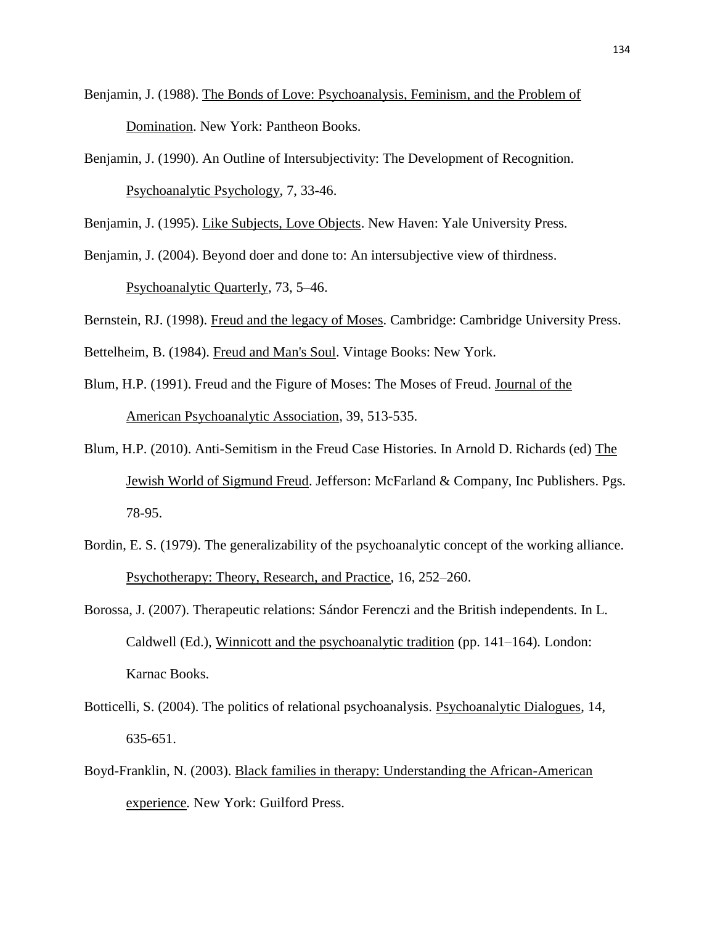- Benjamin, J. (1988). The Bonds of Love: Psychoanalysis, Feminism, and the Problem of Domination. New York: Pantheon Books.
- Benjamin, J. (1990). An Outline of Intersubjectivity: The Development of Recognition. Psychoanalytic Psychology, 7, 33-46.

Benjamin, J. (1995). Like Subjects, Love Objects. New Haven: Yale University Press.

- Benjamin, J. (2004). Beyond doer and done to: An intersubjective view of thirdness. Psychoanalytic Quarterly, 73, 5–46.
- Bernstein, RJ. (1998). Freud and the legacy of Moses. Cambridge: Cambridge University Press.

Bettelheim, B. (1984). Freud and Man's Soul. Vintage Books: New York.

Blum, H.P. (1991). Freud and the Figure of Moses: The Moses of Freud. Journal of the American Psychoanalytic Association, 39, 513-535.

- Blum, H.P. (2010). Anti-Semitism in the Freud Case Histories. In Arnold D. Richards (ed) The Jewish World of Sigmund Freud. Jefferson: McFarland & Company, Inc Publishers. Pgs. 78-95.
- Bordin, E. S. (1979). The generalizability of the psychoanalytic concept of the working alliance. Psychotherapy: Theory, Research, and Practice, 16, 252–260.
- Borossa, J. (2007). Therapeutic relations: Sándor Ferenczi and the British independents. In L. Caldwell (Ed.), Winnicott and the psychoanalytic tradition (pp. 141–164)*.* London: Karnac Books.
- Botticelli, S. (2004). The politics of relational psychoanalysis. Psychoanalytic Dialogues, 14, 635-651.
- Boyd-Franklin, N. (2003). Black families in therapy: Understanding the African-American experience*.* New York: Guilford Press.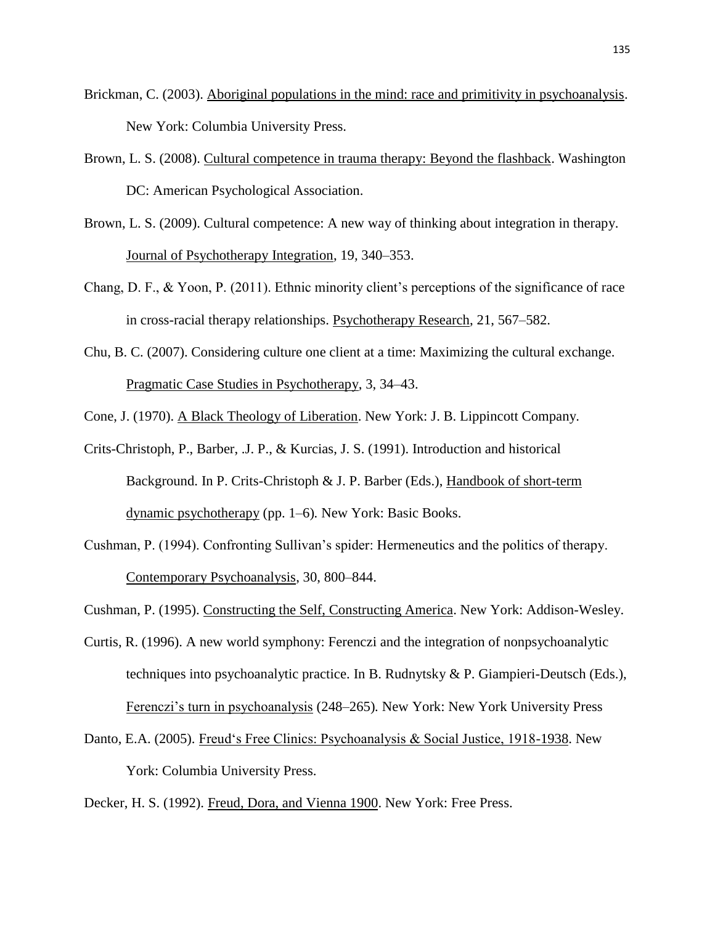- Brickman, C. (2003). Aboriginal populations in the mind: race and primitivity in psychoanalysis. New York: Columbia University Press.
- Brown, L. S. (2008). Cultural competence in trauma therapy: Beyond the flashback. Washington DC: American Psychological Association.
- Brown, L. S. (2009). Cultural competence: A new way of thinking about integration in therapy. Journal of Psychotherapy Integration, 19*,* 340–353.
- Chang, D. F., & Yoon, P. (2011). Ethnic minority client's perceptions of the significance of race in cross-racial therapy relationships. Psychotherapy Research, 21, 567–582.
- Chu, B. C. (2007). Considering culture one client at a time: Maximizing the cultural exchange. Pragmatic Case Studies in Psychotherapy, 3, 34–43.

Cone, J. (1970). A Black Theology of Liberation. New York: J. B. Lippincott Company.

- Crits-Christoph, P., Barber, .J. P., & Kurcias, J. S. (1991). Introduction and historical Background. In P. Crits-Christoph & J. P. Barber (Eds.), Handbook of short-term dynamic psychotherapy (pp. 1–6)*.* New York: Basic Books.
- Cushman, P. (1994). Confronting Sullivan's spider: Hermeneutics and the politics of therapy. Contemporary Psychoanalysis, 30, 800–844.
- Cushman, P. (1995). Constructing the Self, Constructing America. New York: Addison-Wesley.
- Curtis, R. (1996). A new world symphony: Ferenczi and the integration of nonpsychoanalytic techniques into psychoanalytic practice. In B. Rudnytsky & P. Giampieri-Deutsch (Eds.), Ferenczi's turn in psychoanalysis (248–265)*.* New York: New York University Press
- Danto, E.A. (2005). Freud's Free Clinics: Psychoanalysis & Social Justice, 1918-1938. New York: Columbia University Press.

Decker, H. S. (1992). Freud, Dora, and Vienna 1900. New York: Free Press.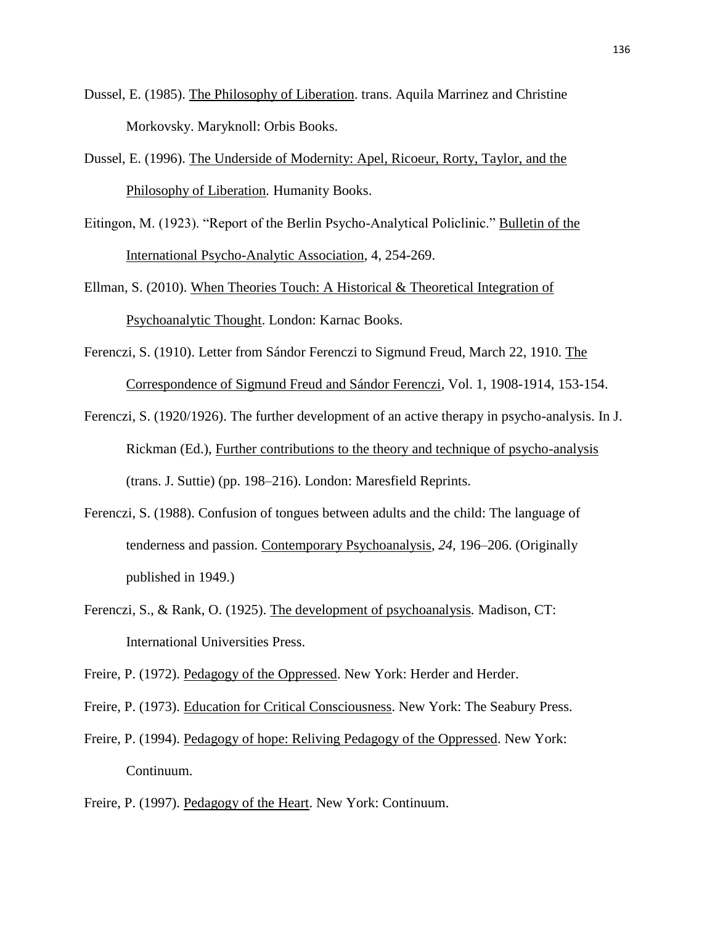- Dussel, E. (1985). The Philosophy of Liberation. trans. Aquila Marrinez and Christine Morkovsky. Maryknoll: Orbis Books.
- Dussel, E. (1996). The Underside of Modernity: Apel, Ricoeur, Rorty, Taylor, and the Philosophy of Liberation*.* Humanity Books.
- Eitingon, M. (1923). "Report of the Berlin Psycho-Analytical Policlinic." Bulletin of the International Psycho-Analytic Association, 4, 254-269.
- Ellman, S. (2010). When Theories Touch: A Historical & Theoretical Integration of Psychoanalytic Thought. London: Karnac Books.
- Ferenczi, S. (1910). Letter from Sándor Ferenczi to Sigmund Freud, March 22, 1910. The Correspondence of Sigmund Freud and Sándor Ferenczi, Vol. 1, 1908-1914, 153-154.
- Ferenczi, S. (1920/1926). The further development of an active therapy in psycho-analysis. In J. Rickman (Ed.), Further contributions to the theory and technique of psycho-analysis (trans. J. Suttie) (pp. 198–216). London: Maresfield Reprints.
- Ferenczi, S. (1988). Confusion of tongues between adults and the child: The language of tenderness and passion. Contemporary Psychoanalysis, *24*, 196–206. (Originally published in 1949.)
- Ferenczi, S., & Rank, O. (1925). The development of psychoanalysis*.* Madison, CT: International Universities Press.
- Freire, P. (1972). Pedagogy of the Oppressed. New York: Herder and Herder.
- Freire, P. (1973). Education for Critical Consciousness. New York: The Seabury Press.
- Freire, P. (1994). Pedagogy of hope: Reliving Pedagogy of the Oppressed. New York: Continuum.
- Freire, P. (1997). Pedagogy of the Heart. New York: Continuum.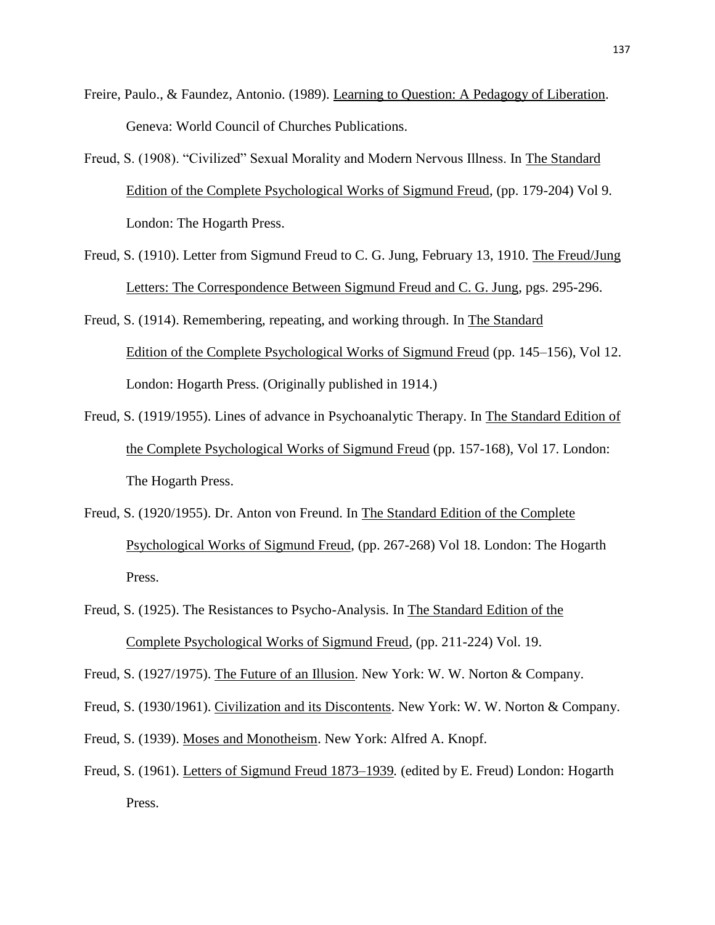- Freire, Paulo., & Faundez, Antonio. (1989). Learning to Question: A Pedagogy of Liberation. Geneva: World Council of Churches Publications.
- Freud, S. (1908). "Civilized" Sexual Morality and Modern Nervous Illness. In The Standard Edition of the Complete Psychological Works of Sigmund Freud, (pp. 179-204) Vol 9. London: The Hogarth Press.
- Freud, S. (1910). Letter from Sigmund Freud to C. G. Jung, February 13, 1910. The Freud/Jung Letters: The Correspondence Between Sigmund Freud and C. G. Jung, pgs. 295-296.
- Freud, S. (1914). Remembering, repeating, and working through. In The Standard Edition of the Complete Psychological Works of Sigmund Freud (pp. 145–156), Vol 12. London: Hogarth Press. (Originally published in 1914.)
- Freud, S. (1919/1955). Lines of advance in Psychoanalytic Therapy. In The Standard Edition of the Complete Psychological Works of Sigmund Freud (pp. 157-168), Vol 17. London: The Hogarth Press.
- Freud, S. (1920/1955). Dr. Anton von Freund. In The Standard Edition of the Complete Psychological Works of Sigmund Freud, (pp. 267-268) Vol 18. London: The Hogarth Press.
- Freud, S. (1925). The Resistances to Psycho-Analysis. In The Standard Edition of the Complete Psychological Works of Sigmund Freud, (pp. 211-224) Vol. 19.

- Freud, S. (1930/1961). Civilization and its Discontents. New York: W. W. Norton & Company.
- Freud, S. (1939). Moses and Monotheism. New York: Alfred A. Knopf.
- Freud, S. (1961). Letters of Sigmund Freud 1873–1939*.* (edited by E. Freud) London: Hogarth Press.

Freud, S. (1927/1975). The Future of an Illusion. New York: W. W. Norton & Company.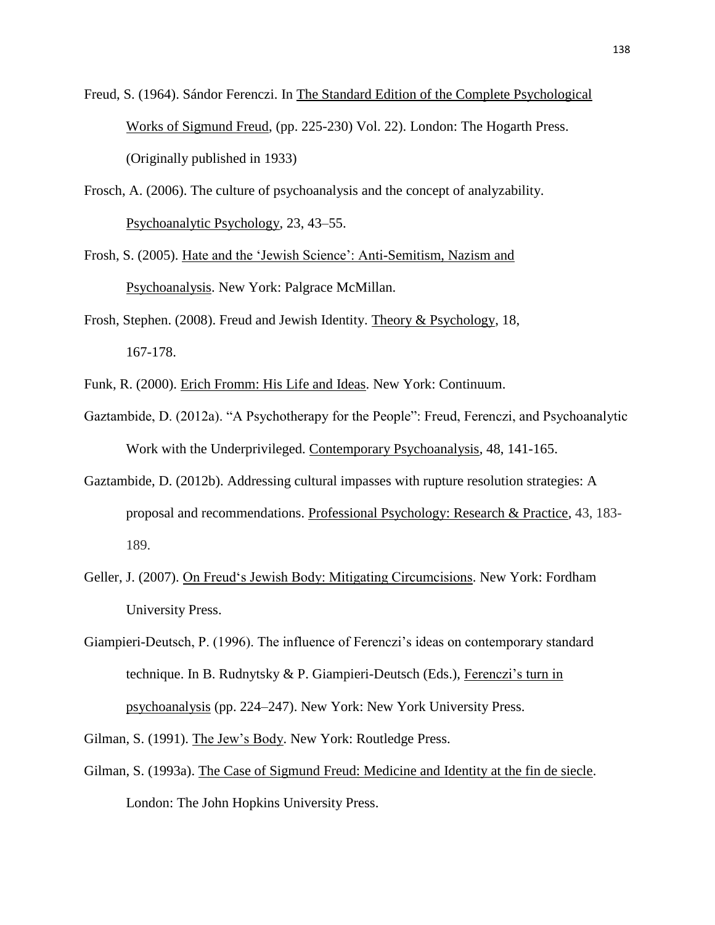- Freud, S. (1964). Sándor Ferenczi. In The Standard Edition of the Complete Psychological Works of Sigmund Freud, (pp. 225-230) Vol. 22). London: The Hogarth Press. (Originally published in 1933)
- Frosch, A. (2006). The culture of psychoanalysis and the concept of analyzability. Psychoanalytic Psychology, 23, 43–55.
- Frosh, S. (2005). Hate and the 'Jewish Science': Anti-Semitism, Nazism and Psychoanalysis. New York: Palgrace McMillan.
- Frosh, Stephen. (2008). Freud and Jewish Identity. Theory & Psychology, 18, 167-178.
- Funk, R. (2000). Erich Fromm: His Life and Ideas. New York: Continuum.
- Gaztambide, D. (2012a). "A Psychotherapy for the People": Freud, Ferenczi, and Psychoanalytic Work with the Underprivileged. Contemporary Psychoanalysis, 48, 141-165.
- Gaztambide, D. (2012b). Addressing cultural impasses with rupture resolution strategies: A proposal and recommendations. Professional Psychology: Research & Practice, 43, 183- 189.
- Geller, J. (2007). On Freud's Jewish Body: Mitigating Circumcisions. New York: Fordham University Press.
- Giampieri-Deutsch, P. (1996). The influence of Ferenczi's ideas on contemporary standard technique. In B. Rudnytsky & P. Giampieri-Deutsch (Eds.), Ferenczi's turn in psychoanalysis (pp. 224–247). New York: New York University Press.
- Gilman, S. (1991). The Jew's Body. New York: Routledge Press.
- Gilman, S. (1993a). The Case of Sigmund Freud: Medicine and Identity at the fin de siecle. London: The John Hopkins University Press.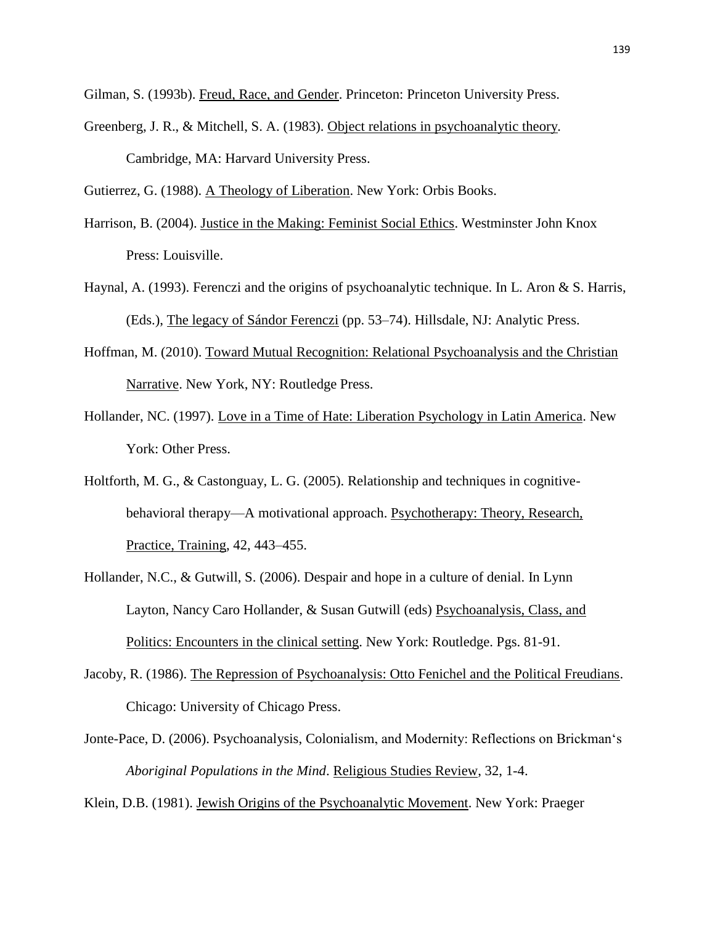Gilman, S. (1993b). Freud, Race, and Gender. Princeton: Princeton University Press.

Greenberg, J. R., & Mitchell, S. A. (1983). Object relations in psychoanalytic theory*.* Cambridge, MA: Harvard University Press.

Gutierrez, G. (1988). A Theology of Liberation. New York: Orbis Books.

- Harrison, B. (2004). Justice in the Making: Feminist Social Ethics. Westminster John Knox Press: Louisville.
- Haynal, A. (1993). Ferenczi and the origins of psychoanalytic technique. In L. Aron & S. Harris, (Eds.), The legacy of Sándor Ferenczi (pp. 53–74). Hillsdale, NJ: Analytic Press.
- Hoffman, M. (2010). Toward Mutual Recognition: Relational Psychoanalysis and the Christian Narrative. New York, NY: Routledge Press.
- Hollander, NC. (1997). Love in a Time of Hate: Liberation Psychology in Latin America. New York: Other Press.
- Holtforth, M. G., & Castonguay, L. G. (2005). Relationship and techniques in cognitivebehavioral therapy—A motivational approach. Psychotherapy: Theory, Research, Practice, Training, 42, 443–455.
- Hollander, N.C., & Gutwill, S. (2006). Despair and hope in a culture of denial. In Lynn Layton, Nancy Caro Hollander, & Susan Gutwill (eds) Psychoanalysis, Class, and Politics: Encounters in the clinical setting. New York: Routledge. Pgs. 81-91.
- Jacoby, R. (1986). The Repression of Psychoanalysis: Otto Fenichel and the Political Freudians. Chicago: University of Chicago Press.
- Jonte-Pace, D. (2006). Psychoanalysis, Colonialism, and Modernity: Reflections on Brickman's *Aboriginal Populations in the Mind*. Religious Studies Review, 32, 1-4.

Klein, D.B. (1981). Jewish Origins of the Psychoanalytic Movement. New York: Praeger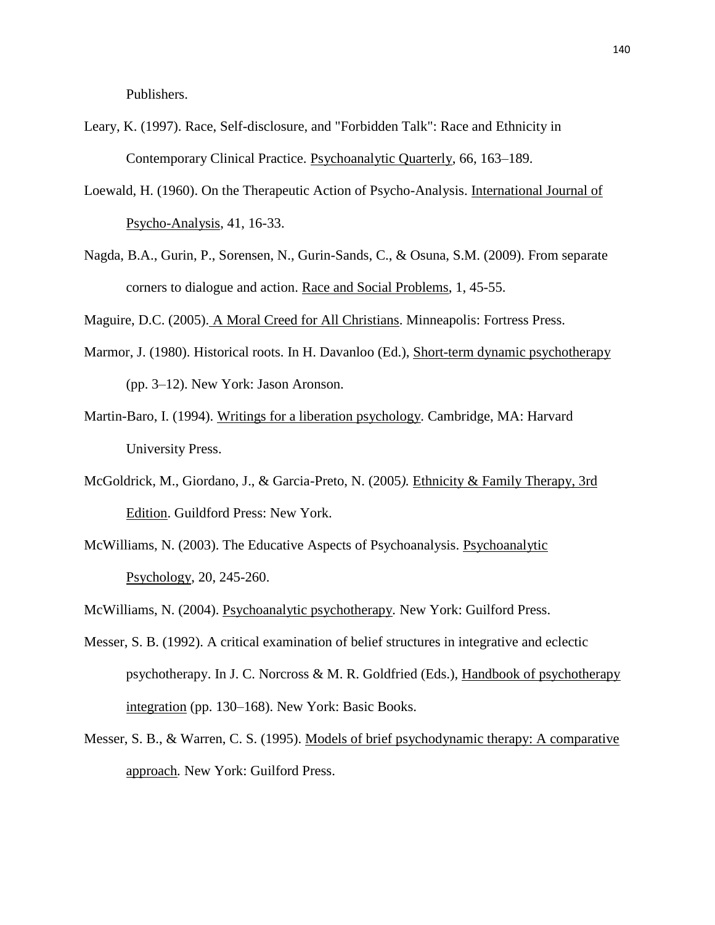Publishers.

- Leary, K. (1997). Race, Self-disclosure, and "Forbidden Talk": Race and Ethnicity in Contemporary Clinical Practice. Psychoanalytic Quarterly, 66, 163–189.
- Loewald, H. (1960). On the Therapeutic Action of Psycho-Analysis. International Journal of Psycho-Analysis, 41, 16-33.
- Nagda, B.A., Gurin, P., Sorensen, N., Gurin-Sands, C., & Osuna, S.M. (2009). From separate corners to dialogue and action. Race and Social Problems, 1, 45-55.

Maguire, D.C. (2005). A Moral Creed for All Christians. Minneapolis: Fortress Press.

- Marmor, J. (1980). Historical roots. In H. Davanloo (Ed.), Short-term dynamic psychotherapy (pp. 3–12). New York: Jason Aronson.
- Martin-Baro, I. (1994). Writings for a liberation psychology*.* Cambridge, MA: Harvard University Press.
- McGoldrick, M., Giordano, J., & Garcia-Preto, N. (2005*).* Ethnicity & Family Therapy, 3rd Edition. Guildford Press: New York.
- McWilliams, N. (2003). The Educative Aspects of Psychoanalysis. Psychoanalytic Psychology, 20, 245-260.
- McWilliams, N. (2004). Psychoanalytic psychotherapy*.* New York: Guilford Press.
- Messer, S. B. (1992). A critical examination of belief structures in integrative and eclectic psychotherapy. In J. C. Norcross & M. R. Goldfried (Eds.), Handbook of psychotherapy integration (pp. 130–168). New York: Basic Books.
- Messer, S. B., & Warren, C. S. (1995). Models of brief psychodynamic therapy: A comparative approach*.* New York: Guilford Press.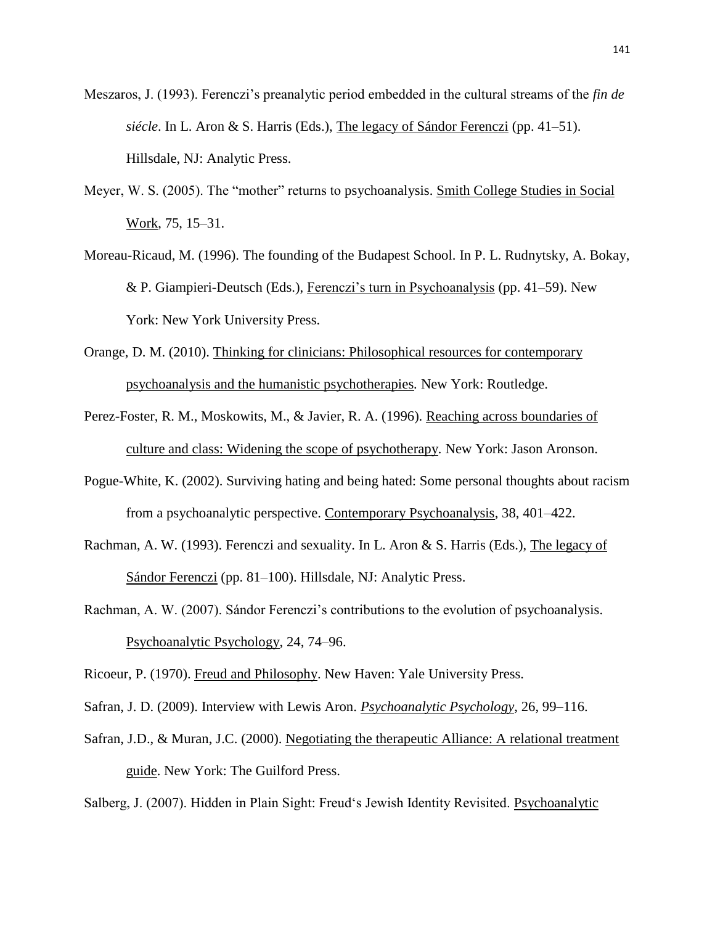- Meszaros, J. (1993). Ferenczi's preanalytic period embedded in the cultural streams of the *fin de siécle*. In L. Aron & S. Harris (Eds.), The legacy of Sándor Ferenczi (pp. 41–51). Hillsdale, NJ: Analytic Press.
- Meyer, W. S. (2005). The "mother" returns to psychoanalysis. Smith College Studies in Social Work, 75, 15–31.
- Moreau-Ricaud, M. (1996). The founding of the Budapest School. In P. L. Rudnytsky, A. Bokay, & P. Giampieri-Deutsch (Eds.), Ferenczi's turn in Psychoanalysis (pp. 41–59). New York: New York University Press.
- Orange, D. M. (2010). Thinking for clinicians: Philosophical resources for contemporary psychoanalysis and the humanistic psychotherapies*.* New York: Routledge.
- Perez-Foster, R. M., Moskowits, M., & Javier, R. A. (1996). Reaching across boundaries of culture and class: Widening the scope of psychotherapy*.* New York: Jason Aronson.
- Pogue-White, K. (2002). Surviving hating and being hated: Some personal thoughts about racism from a psychoanalytic perspective. Contemporary Psychoanalysis, 38, 401–422.
- Rachman, A. W. (1993). Ferenczi and sexuality. In L. Aron & S. Harris (Eds.), The legacy of Sándor Ferenczi (pp. 81–100). Hillsdale, NJ: Analytic Press.
- Rachman, A. W. (2007). Sándor Ferenczi's contributions to the evolution of psychoanalysis. Psychoanalytic Psychology, 24, 74–96.

Ricoeur, P. (1970). Freud and Philosophy. New Haven: Yale University Press.

- Safran, J. D. (2009). Interview with Lewis Aron. *Psychoanalytic Psychology*, 26, 99–116.
- Safran, J.D., & Muran, J.C. (2000). Negotiating the therapeutic Alliance: A relational treatment guide. New York: The Guilford Press.

Salberg, J. (2007). Hidden in Plain Sight: Freud's Jewish Identity Revisited. Psychoanalytic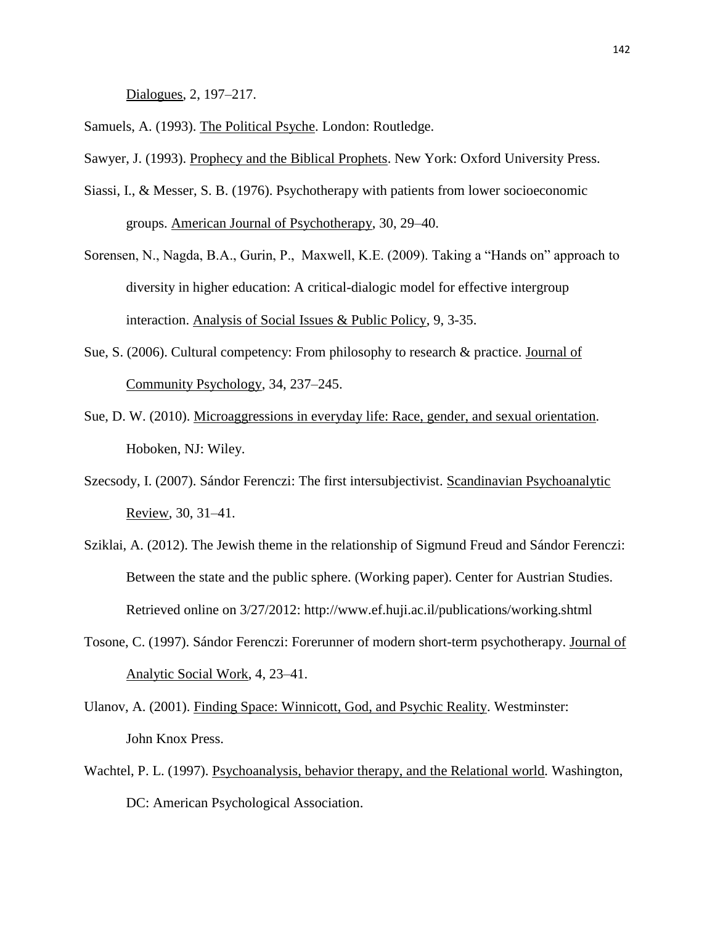Dialogues, 2, 197–217.

Samuels, A. (1993). The Political Psyche. London: Routledge.

Sawyer, J. (1993). Prophecy and the Biblical Prophets. New York: Oxford University Press.

- Siassi, I., & Messer, S. B. (1976). Psychotherapy with patients from lower socioeconomic groups. American Journal of Psychotherapy, 30, 29–40.
- Sorensen, N., Nagda, B.A., Gurin, P., Maxwell, K.E. (2009). Taking a "Hands on" approach to diversity in higher education: A critical-dialogic model for effective intergroup interaction. Analysis of Social Issues & Public Policy, 9, 3-35.
- Sue, S. (2006). Cultural competency: From philosophy to research & practice. Journal of Community Psychology, 34, 237–245.
- Sue, D. W. (2010). Microaggressions in everyday life: Race, gender, and sexual orientation*.* Hoboken, NJ: Wiley.
- Szecsody, I. (2007). Sándor Ferenczi: The first intersubjectivist. Scandinavian Psychoanalytic Review, 30, 31–41.
- Sziklai, A. (2012). The Jewish theme in the relationship of Sigmund Freud and Sándor Ferenczi: Between the state and the public sphere. (Working paper). Center for Austrian Studies. Retrieved online on 3/27/2012: http://www.ef.huji.ac.il/publications/working.shtml
- Tosone, C. (1997). Sándor Ferenczi: Forerunner of modern short-term psychotherapy. Journal of Analytic Social Work, 4, 23–41.
- Ulanov, A. (2001). Finding Space: Winnicott, God, and Psychic Reality. Westminster: John Knox Press.
- Wachtel, P. L. (1997). Psychoanalysis, behavior therapy, and the Relational world*.* Washington, DC: American Psychological Association.